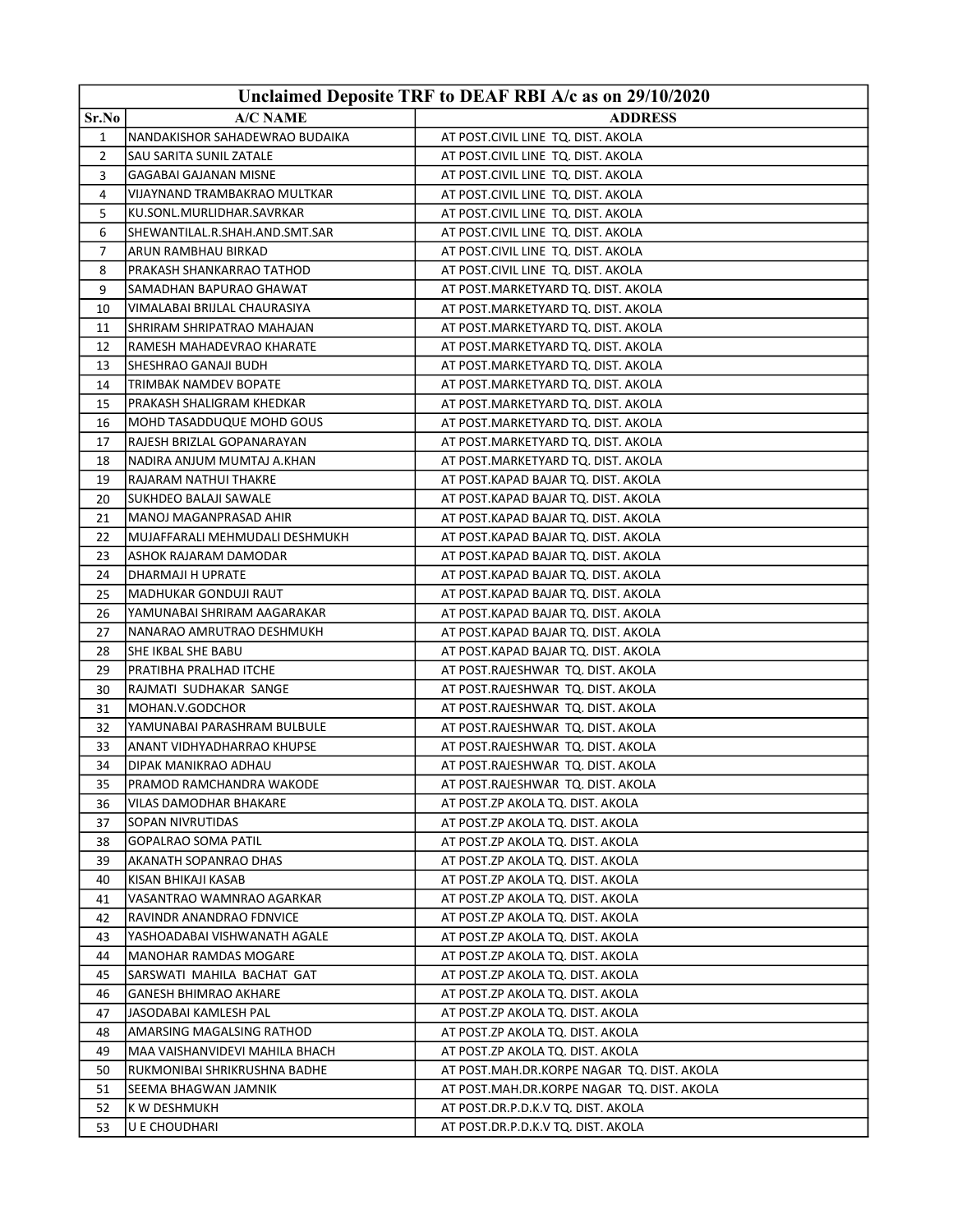|       | Unclaimed Deposite TRF to DEAF RBI A/c as on 29/10/2020 |                                            |  |
|-------|---------------------------------------------------------|--------------------------------------------|--|
| Sr.No | <b>A/C NAME</b>                                         | <b>ADDRESS</b>                             |  |
| 1     | INANDAKISHOR SAHADEWRAO BUDAIKA                         | AT POST.CIVIL LINE TQ. DIST. AKOLA         |  |
| 2     | SAU SARITA SUNIL ZATALE                                 | AT POST.CIVIL LINE TQ. DIST. AKOLA         |  |
| 3     | <b>GAGABAI GAJANAN MISNE</b>                            | AT POST.CIVIL LINE TQ. DIST. AKOLA         |  |
| 4     | VIJAYNAND TRAMBAKRAO MULTKAR                            | AT POST.CIVIL LINE TQ. DIST. AKOLA         |  |
| 5     | KU.SONL.MURLIDHAR.SAVRKAR                               | AT POST.CIVIL LINE TQ. DIST. AKOLA         |  |
| 6     | SHEWANTILAL.R.SHAH.AND.SMT.SAR                          | AT POST.CIVIL LINE TQ. DIST. AKOLA         |  |
| 7     | ARUN RAMBHAU BIRKAD                                     | AT POST.CIVIL LINE TQ. DIST. AKOLA         |  |
| 8     | PRAKASH SHANKARRAO TATHOD                               | AT POST.CIVIL LINE TQ. DIST. AKOLA         |  |
| 9     | SAMADHAN BAPURAO GHAWAT                                 | AT POST.MARKETYARD TQ. DIST. AKOLA         |  |
| 10    | VIMALABAI BRIJLAL CHAURASIYA                            | AT POST.MARKETYARD TQ. DIST. AKOLA         |  |
| 11    | SHRIRAM SHRIPATRAO MAHAJAN                              | AT POST.MARKETYARD TQ. DIST. AKOLA         |  |
| 12    | RAMESH MAHADEVRAO KHARATE                               | AT POST.MARKETYARD TQ. DIST. AKOLA         |  |
| 13    | SHESHRAO GANAJI BUDH                                    | AT POST.MARKETYARD TQ. DIST. AKOLA         |  |
| 14    | TRIMBAK NAMDEV BOPATE                                   | AT POST.MARKETYARD TQ. DIST. AKOLA         |  |
| 15    | PRAKASH SHALIGRAM KHEDKAR                               | AT POST.MARKETYARD TQ. DIST. AKOLA         |  |
| 16    | IMOHD TASADDUQUE MOHD GOUS                              | AT POST.MARKETYARD TQ. DIST. AKOLA         |  |
| 17    | RAJESH BRIZLAL GOPANARAYAN                              | AT POST.MARKETYARD TQ. DIST. AKOLA         |  |
| 18    | NADIRA ANJUM MUMTAJ A.KHAN                              | AT POST.MARKETYARD TQ. DIST. AKOLA         |  |
| 19    | RAJARAM NATHUI THAKRE                                   | AT POST.KAPAD BAJAR TQ. DIST. AKOLA        |  |
| 20    | SUKHDEO BALAJI SAWALE                                   | AT POST.KAPAD BAJAR TQ. DIST. AKOLA        |  |
| 21    | MANOJ MAGANPRASAD AHIR                                  | AT POST.KAPAD BAJAR TQ. DIST. AKOLA        |  |
| 22    | MUJAFFARALI MEHMUDALI DESHMUKH                          | AT POST.KAPAD BAJAR TQ. DIST. AKOLA        |  |
| 23    | ASHOK RAJARAM DAMODAR                                   | AT POST.KAPAD BAJAR TQ. DIST. AKOLA        |  |
| 24    | DHARMAJI H UPRATE                                       | AT POST.KAPAD BAJAR TQ. DIST. AKOLA        |  |
| 25    | MADHUKAR GONDUJI RAUT                                   | AT POST.KAPAD BAJAR TQ. DIST. AKOLA        |  |
| 26    | YAMUNABAI SHRIRAM AAGARAKAR                             | AT POST.KAPAD BAJAR TQ. DIST. AKOLA        |  |
| 27    | NANARAO AMRUTRAO DESHMUKH                               | AT POST.KAPAD BAJAR TQ. DIST. AKOLA        |  |
| 28    | SHE IKBAL SHE BABU                                      | AT POST.KAPAD BAJAR TQ. DIST. AKOLA        |  |
| 29    | PRATIBHA PRALHAD ITCHE                                  | AT POST.RAJESHWAR TQ. DIST. AKOLA          |  |
| 30    | RAJMATI SUDHAKAR SANGE                                  | AT POST.RAJESHWAR TQ. DIST. AKOLA          |  |
| 31    | MOHAN.V.GODCHOR                                         | AT POST.RAJESHWAR TQ. DIST. AKOLA          |  |
| 32    | YAMUNABAI PARASHRAM BULBULE                             | AT POST.RAJESHWAR TQ. DIST. AKOLA          |  |
| 33    | ANANT VIDHYADHARRAO KHUPSE                              | AT POST.RAJESHWAR TQ. DIST. AKOLA          |  |
| 34    | DIPAK MANIKRAO ADHAU                                    | AT POST.RAJESHWAR TQ. DIST. AKOLA          |  |
| 35    | PRAMOD RAMCHANDRA WAKODE                                | AT POST.RAJESHWAR TQ. DIST. AKOLA          |  |
| 36    | VILAS DAMODHAR BHAKARE                                  | AT POST.ZP AKOLA TQ. DIST. AKOLA           |  |
| 37    | SOPAN NIVRUTIDAS                                        | AT POST.ZP AKOLA TQ. DIST. AKOLA           |  |
| 38    | GOPALRAO SOMA PATIL                                     | AT POST.ZP AKOLA TQ. DIST. AKOLA           |  |
| 39    | AKANATH SOPANRAO DHAS                                   | AT POST.ZP AKOLA TQ. DIST. AKOLA           |  |
| 40    | KISAN BHIKAJI KASAB                                     | AT POST.ZP AKOLA TQ. DIST. AKOLA           |  |
| 41    | VASANTRAO WAMNRAO AGARKAR                               | AT POST.ZP AKOLA TQ. DIST. AKOLA           |  |
| 42    | RAVINDR ANANDRAO FDNVICE                                | AT POST.ZP AKOLA TQ. DIST. AKOLA           |  |
| 43    | YASHOADABAI VISHWANATH AGALE                            | AT POST.ZP AKOLA TQ. DIST. AKOLA           |  |
| 44    | MANOHAR RAMDAS MOGARE                                   | AT POST.ZP AKOLA TQ. DIST. AKOLA           |  |
| 45    | SARSWATI MAHILA BACHAT GAT                              | AT POST.ZP AKOLA TQ. DIST. AKOLA           |  |
| 46    | <b>GANESH BHIMRAO AKHARE</b>                            | AT POST.ZP AKOLA TQ. DIST. AKOLA           |  |
| 47    | JASODABAI KAMLESH PAL                                   | AT POST.ZP AKOLA TQ. DIST. AKOLA           |  |
| 48    | AMARSING MAGALSING RATHOD                               | AT POST.ZP AKOLA TQ. DIST. AKOLA           |  |
| 49    | MAA VAISHANVIDEVI MAHILA BHACH                          | AT POST.ZP AKOLA TQ. DIST. AKOLA           |  |
| 50    | RUKMONIBAI SHRIKRUSHNA BADHE                            | AT POST.MAH.DR.KORPE NAGAR TQ. DIST. AKOLA |  |
| 51    | SEEMA BHAGWAN JAMNIK                                    | AT POST.MAH.DR.KORPE NAGAR TQ. DIST. AKOLA |  |
| 52    | K W DESHMUKH                                            | AT POST.DR.P.D.K.V TQ. DIST. AKOLA         |  |
| 53    | U E CHOUDHARI                                           | AT POST.DR.P.D.K.V TQ. DIST. AKOLA         |  |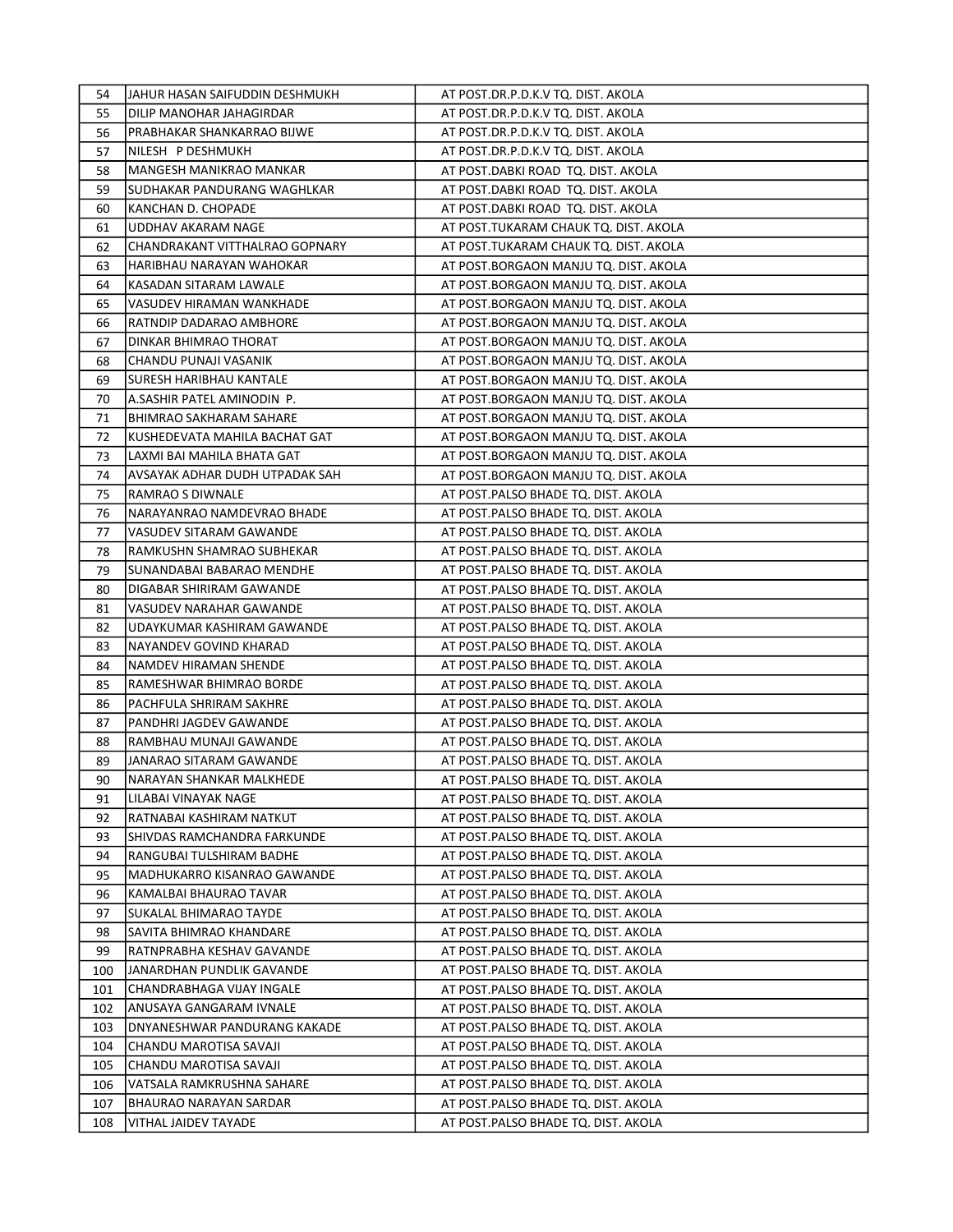| 54  | lJAHUR HASAN SAIFUDDIN DESHMUKH | AT POST.DR.P.D.K.V TQ. DIST. AKOLA    |
|-----|---------------------------------|---------------------------------------|
| 55  | DILIP MANOHAR JAHAGIRDAR        | AT POST.DR.P.D.K.V TQ. DIST. AKOLA    |
| 56  | PRABHAKAR SHANKARRAO BIJWE      | AT POST.DR.P.D.K.V TQ. DIST. AKOLA    |
| 57  | NILESH P DESHMUKH               | AT POST.DR.P.D.K.V TQ. DIST. AKOLA    |
| 58  | MANGESH MANIKRAO MANKAR         | AT POST.DABKI ROAD TQ. DIST. AKOLA    |
| 59  | ISUDHAKAR PANDURANG WAGHLKAR    | AT POST.DABKI ROAD TQ. DIST. AKOLA    |
| 60  | KANCHAN D. CHOPADE              | AT POST.DABKI ROAD TQ. DIST. AKOLA    |
| 61  | UDDHAV AKARAM NAGE              | AT POST.TUKARAM CHAUK TQ. DIST. AKOLA |
| 62  | CHANDRAKANT VITTHALRAO GOPNARY  | AT POST.TUKARAM CHAUK TQ. DIST. AKOLA |
| 63  | HARIBHAU NARAYAN WAHOKAR        | AT POST.BORGAON MANJU TQ. DIST. AKOLA |
| 64  | KASADAN SITARAM LAWALE          | AT POST.BORGAON MANJU TQ. DIST. AKOLA |
| 65  | VASUDEV HIRAMAN WANKHADE        | AT POST.BORGAON MANJU TQ. DIST. AKOLA |
| 66  | RATNDIP DADARAO AMBHORE         | AT POST.BORGAON MANJU TQ. DIST. AKOLA |
| 67  | DINKAR BHIMRAO THORAT           | AT POST.BORGAON MANJU TQ. DIST. AKOLA |
| 68  | CHANDU PUNAJI VASANIK           | AT POST.BORGAON MANJU TQ. DIST. AKOLA |
| 69  | SURESH HARIBHAU KANTALE         | AT POST.BORGAON MANJU TQ. DIST. AKOLA |
| 70  | A.SASHIR PATEL AMINODIN P.      | AT POST.BORGAON MANJU TQ. DIST. AKOLA |
| 71  | <b>BHIMRAO SAKHARAM SAHARE</b>  | AT POST.BORGAON MANJU TQ. DIST. AKOLA |
| 72  | KUSHEDEVATA MAHILA BACHAT GAT   | AT POST.BORGAON MANJU TQ. DIST. AKOLA |
| 73  | LAXMI BAI MAHILA BHATA GAT      | AT POST.BORGAON MANJU TQ. DIST. AKOLA |
| 74  | JAVSAYAK ADHAR DUDH UTPADAK SAH | AT POST.BORGAON MANJU TQ. DIST. AKOLA |
| 75  | RAMRAO S DIWNALE                | AT POST.PALSO BHADE TQ. DIST. AKOLA   |
| 76  | INARAYANRAO NAMDEVRAO BHADE     | AT POST.PALSO BHADE TQ. DIST. AKOLA   |
| 77  | VASUDEV SITARAM GAWANDE         | AT POST.PALSO BHADE TQ. DIST. AKOLA   |
| 78  | RAMKUSHN SHAMRAO SUBHEKAR       | AT POST.PALSO BHADE TQ. DIST. AKOLA   |
| 79  | SUNANDABAI BABARAO MENDHE       | AT POST.PALSO BHADE TQ. DIST. AKOLA   |
| 80  | DIGABAR SHIRIRAM GAWANDE        | AT POST.PALSO BHADE TQ. DIST. AKOLA   |
| 81  | VASUDEV NARAHAR GAWANDE         | AT POST.PALSO BHADE TQ. DIST. AKOLA   |
| 82  | UDAYKUMAR KASHIRAM GAWANDE      | AT POST.PALSO BHADE TQ. DIST. AKOLA   |
| 83  | NAYANDEV GOVIND KHARAD          | AT POST.PALSO BHADE TQ. DIST. AKOLA   |
| 84  | NAMDEV HIRAMAN SHENDE           | AT POST.PALSO BHADE TQ. DIST. AKOLA   |
| 85  | RAMESHWAR BHIMRAO BORDE         | AT POST.PALSO BHADE TQ. DIST. AKOLA   |
| 86  | PACHFULA SHRIRAM SAKHRE         | AT POST.PALSO BHADE TQ. DIST. AKOLA   |
| 87  | PANDHRI JAGDEV GAWANDE          | AT POST.PALSO BHADE TQ. DIST. AKOLA   |
| 88  | RAMBHAU MUNAJI GAWANDE          | AT POST.PALSO BHADE TQ. DIST. AKOLA   |
| 89  | JANARAO SITARAM GAWANDE         | AT POST.PALSO BHADE TQ. DIST. AKOLA   |
| 90  | NARAYAN SHANKAR MALKHEDE        | AT POST.PALSO BHADE TQ. DIST. AKOLA   |
| 91  | LILABAI VINAYAK NAGE            | AT POST.PALSO BHADE TQ. DIST. AKOLA   |
| 92  | RATNABAI KASHIRAM NATKUT        | AT POST.PALSO BHADE TQ. DIST. AKOLA   |
| 93  | SHIVDAS RAMCHANDRA FARKUNDE     | AT POST.PALSO BHADE TQ. DIST. AKOLA   |
| 94  | RANGUBAI TULSHIRAM BADHE        | AT POST.PALSO BHADE TQ. DIST. AKOLA   |
| 95  | MADHUKARRO KISANRAO GAWANDE     | AT POST.PALSO BHADE TQ. DIST. AKOLA   |
| 96  | KAMALBAI BHAURAO TAVAR          | AT POST.PALSO BHADE TQ. DIST. AKOLA   |
| 97  | SUKALAL BHIMARAO TAYDE          | AT POST.PALSO BHADE TQ. DIST. AKOLA   |
| 98  | SAVITA BHIMRAO KHANDARE         | AT POST.PALSO BHADE TQ. DIST. AKOLA   |
| 99  | RATNPRABHA KESHAV GAVANDE       | AT POST.PALSO BHADE TQ. DIST. AKOLA   |
| 100 | JANARDHAN PUNDLIK GAVANDE       | AT POST.PALSO BHADE TQ. DIST. AKOLA   |
| 101 | CHANDRABHAGA VIJAY INGALE       | AT POST.PALSO BHADE TQ. DIST. AKOLA   |
| 102 | ANUSAYA GANGARAM IVNALE         | AT POST.PALSO BHADE TQ. DIST. AKOLA   |
| 103 | DNYANESHWAR PANDURANG KAKADE    | AT POST.PALSO BHADE TQ. DIST. AKOLA   |
| 104 | CHANDU MAROTISA SAVAJI          | AT POST.PALSO BHADE TQ. DIST. AKOLA   |
| 105 | CHANDU MAROTISA SAVAJI          | AT POST.PALSO BHADE TQ. DIST. AKOLA   |
| 106 | VATSALA RAMKRUSHNA SAHARE       | AT POST.PALSO BHADE TQ. DIST. AKOLA   |
| 107 | BHAURAO NARAYAN SARDAR          | AT POST.PALSO BHADE TQ. DIST. AKOLA   |
| 108 | VITHAL JAIDEV TAYADE            | AT POST.PALSO BHADE TQ. DIST. AKOLA   |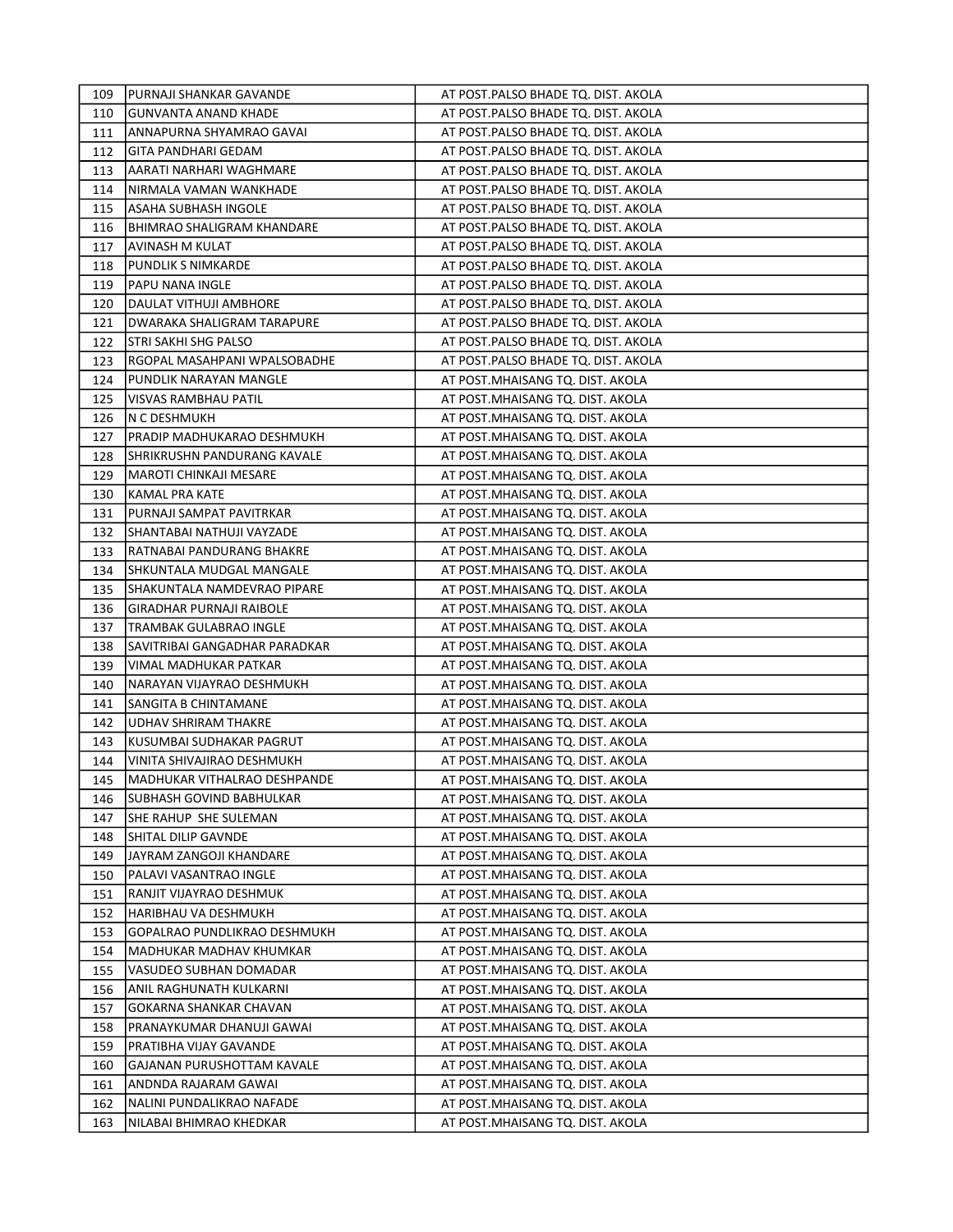| 109 | IPURNAJI SHANKAR GAVANDE      | AT POST.PALSO BHADE TQ. DIST. AKOLA |
|-----|-------------------------------|-------------------------------------|
| 110 | GUNVANTA ANAND KHADE          | AT POST.PALSO BHADE TQ. DIST. AKOLA |
| 111 | ANNAPURNA SHYAMRAO GAVAI      | AT POST.PALSO BHADE TQ. DIST. AKOLA |
| 112 | GITA PANDHARI GEDAM           | AT POST.PALSO BHADE TQ. DIST. AKOLA |
| 113 | AARATI NARHARI WAGHMARE       | AT POST.PALSO BHADE TQ. DIST. AKOLA |
| 114 | NIRMALA VAMAN WANKHADE        | AT POST.PALSO BHADE TQ. DIST. AKOLA |
| 115 | ASAHA SUBHASH INGOLE          | AT POST.PALSO BHADE TQ. DIST. AKOLA |
| 116 | BHIMRAO SHALIGRAM KHANDARE    | AT POST.PALSO BHADE TQ. DIST. AKOLA |
| 117 | JAVINASH M KULAT              | AT POST.PALSO BHADE TQ. DIST. AKOLA |
| 118 | PUNDLIK S NIMKARDE            | AT POST.PALSO BHADE TQ. DIST. AKOLA |
| 119 | PAPU NANA INGLE               | AT POST.PALSO BHADE TQ. DIST. AKOLA |
| 120 | DAULAT VITHUJI AMBHORE        | AT POST.PALSO BHADE TQ. DIST. AKOLA |
| 121 | DWARAKA SHALIGRAM TARAPURE    | AT POST.PALSO BHADE TQ. DIST. AKOLA |
| 122 | ISTRI SAKHI SHG PALSO         | AT POST.PALSO BHADE TQ. DIST. AKOLA |
| 123 | RGOPAL MASAHPANI WPALSOBADHE  | AT POST.PALSO BHADE TQ. DIST. AKOLA |
| 124 | PUNDLIK NARAYAN MANGLE        | AT POST.MHAISANG TQ. DIST. AKOLA    |
| 125 | VISVAS RAMBHAU PATIL          | AT POST.MHAISANG TQ. DIST. AKOLA    |
| 126 | IN C DESHMUKH                 | AT POST.MHAISANG TQ. DIST. AKOLA    |
| 127 | PRADIP MADHUKARAO DESHMUKH    | AT POST.MHAISANG TQ. DIST. AKOLA    |
| 128 | SHRIKRUSHN PANDURANG KAVALE   | AT POST.MHAISANG TQ. DIST. AKOLA    |
| 129 | MAROTI CHINKAJI MESARE        | AT POST.MHAISANG TQ. DIST. AKOLA    |
| 130 | JKAMAL PRA KATE               | AT POST.MHAISANG TQ. DIST. AKOLA    |
| 131 | PURNAJI SAMPAT PAVITRKAR      | AT POST.MHAISANG TQ. DIST. AKOLA    |
| 132 | SHANTABAI NATHUJI VAYZADE     | AT POST.MHAISANG TQ. DIST. AKOLA    |
| 133 | IRATNABAI PANDURANG BHAKRE    | AT POST.MHAISANG TQ. DIST. AKOLA    |
| 134 | JSHKUNTALA MUDGAL MANGALE     | AT POST.MHAISANG TQ. DIST. AKOLA    |
| 135 | ISHAKUNTALA NAMDEVRAO PIPARE  | AT POST.MHAISANG TQ. DIST. AKOLA    |
| 136 | GIRADHAR PURNAJI RAIBOLE      | AT POST.MHAISANG TQ. DIST. AKOLA    |
| 137 | TRAMBAK GULABRAO INGLE        | AT POST.MHAISANG TQ. DIST. AKOLA    |
| 138 | SAVITRIBAI GANGADHAR PARADKAR | AT POST.MHAISANG TQ. DIST. AKOLA    |
| 139 | VIMAL MADHUKAR PATKAR         | AT POST.MHAISANG TQ. DIST. AKOLA    |
| 140 | NARAYAN VIJAYRAO DESHMUKH     | AT POST.MHAISANG TQ. DIST. AKOLA    |
| 141 | <b>SANGITA B CHINTAMANE</b>   | AT POST.MHAISANG TQ. DIST. AKOLA    |
| 142 | UDHAV SHRIRAM THAKRE          | AT POST.MHAISANG TQ. DIST. AKOLA    |
| 143 | KUSUMBAI SUDHAKAR PAGRUT      | AT POST.MHAISANG TQ. DIST. AKOLA    |
| 144 | VINITA SHIVAJIRAO DESHMUKH    | AT POST.MHAISANG TQ. DIST. AKOLA    |
| 145 | MADHUKAR VITHALRAO DESHPANDE  | AT POST.MHAISANG TQ. DIST. AKOLA    |
| 146 | SUBHASH GOVIND BABHULKAR      | AT POST.MHAISANG TQ. DIST. AKOLA    |
| 147 | SHE RAHUP SHE SULEMAN         | AT POST.MHAISANG TQ. DIST. AKOLA    |
| 148 | SHITAL DILIP GAVNDE           | AT POST.MHAISANG TQ. DIST. AKOLA    |
| 149 | JAYRAM ZANGOJI KHANDARE       | AT POST.MHAISANG TQ. DIST. AKOLA    |
| 150 | PALAVI VASANTRAO INGLE        | AT POST.MHAISANG TQ. DIST. AKOLA    |
| 151 | RANJIT VIJAYRAO DESHMUK       | AT POST.MHAISANG TQ. DIST. AKOLA    |
| 152 | HARIBHAU VA DESHMUKH          | AT POST.MHAISANG TQ. DIST. AKOLA    |
| 153 | GOPALRAO PUNDLIKRAO DESHMUKH  | AT POST.MHAISANG TQ. DIST. AKOLA    |
| 154 | MADHUKAR MADHAV KHUMKAR       | AT POST.MHAISANG TQ. DIST. AKOLA    |
| 155 | VASUDEO SUBHAN DOMADAR        | AT POST.MHAISANG TQ. DIST. AKOLA    |
| 156 | ANIL RAGHUNATH KULKARNI       | AT POST.MHAISANG TQ. DIST. AKOLA    |
| 157 | GOKARNA SHANKAR CHAVAN        | AT POST.MHAISANG TQ. DIST. AKOLA    |
| 158 | PRANAYKUMAR DHANUJI GAWAI     | AT POST.MHAISANG TQ. DIST. AKOLA    |
| 159 | PRATIBHA VIJAY GAVANDE        | AT POST.MHAISANG TQ. DIST. AKOLA    |
| 160 | GAJANAN PURUSHOTTAM KAVALE    | AT POST.MHAISANG TQ. DIST. AKOLA    |
| 161 | ANDNDA RAJARAM GAWAI          | AT POST.MHAISANG TQ. DIST. AKOLA    |
| 162 | NALINI PUNDALIKRAO NAFADE     | AT POST.MHAISANG TQ. DIST. AKOLA    |
| 163 | NILABAI BHIMRAO KHEDKAR       | AT POST.MHAISANG TQ. DIST. AKOLA    |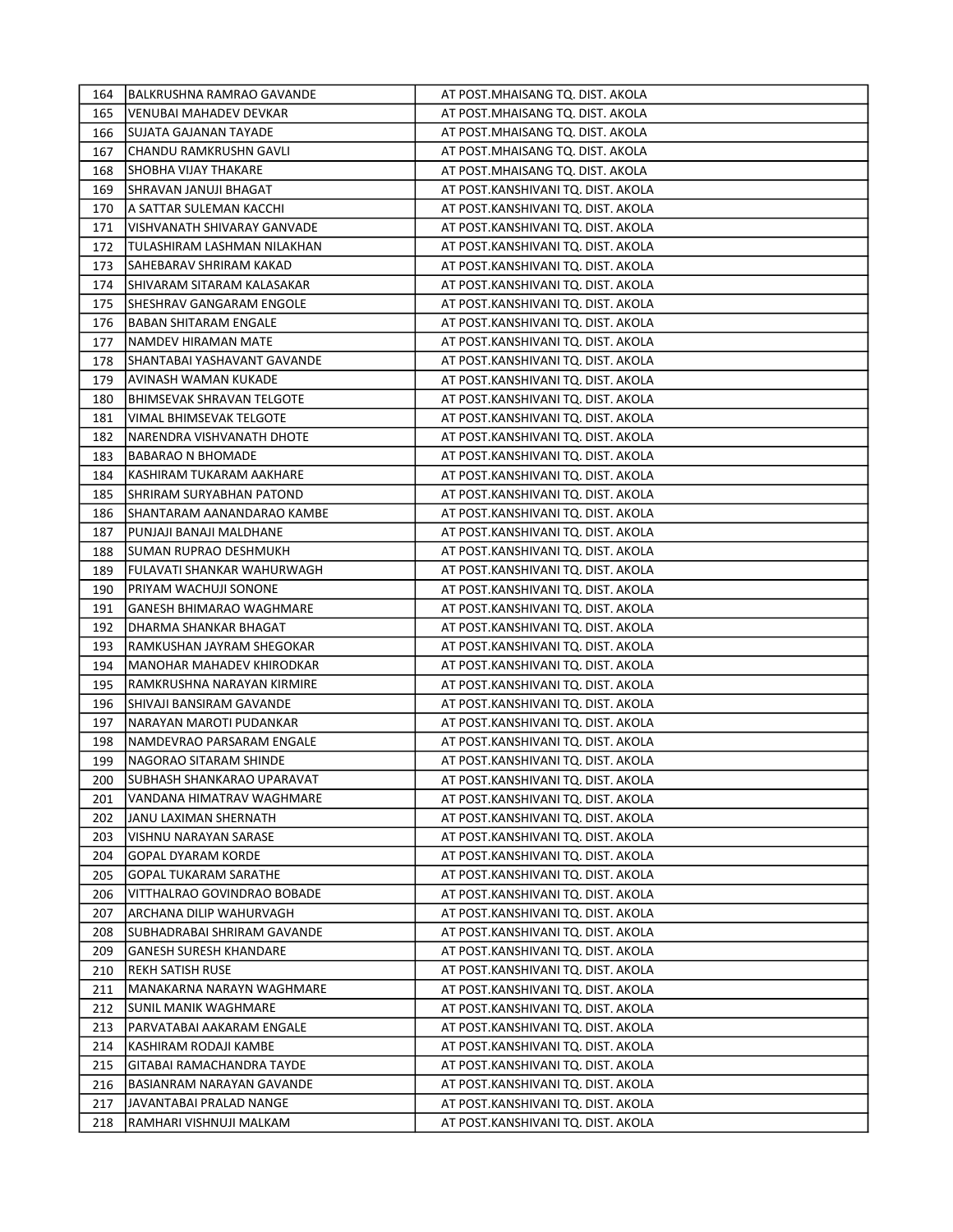| 164 | BALKRUSHNA RAMRAO GAVANDE        | AT POST.MHAISANG TQ. DIST. AKOLA   |
|-----|----------------------------------|------------------------------------|
| 165 | VENUBAI MAHADEV DEVKAR           | AT POST.MHAISANG TQ. DIST. AKOLA   |
| 166 | SUJATA GAJANAN TAYADE            | AT POST.MHAISANG TQ. DIST. AKOLA   |
| 167 | CHANDU RAMKRUSHN GAVLI           | AT POST.MHAISANG TQ. DIST. AKOLA   |
| 168 | SHOBHA VIJAY THAKARE             | AT POST.MHAISANG TQ. DIST. AKOLA   |
| 169 | SHRAVAN JANUJI BHAGAT            | AT POST.KANSHIVANI TQ. DIST. AKOLA |
| 170 | IA SATTAR SULEMAN KACCHI         | AT POST.KANSHIVANI TQ. DIST. AKOLA |
| 171 | VISHVANATH SHIVARAY GANVADE      | AT POST.KANSHIVANI TQ. DIST. AKOLA |
| 172 | TULASHIRAM LASHMAN NILAKHAN      | AT POST.KANSHIVANI TQ. DIST. AKOLA |
| 173 | SAHEBARAV SHRIRAM KAKAD          | AT POST.KANSHIVANI TQ. DIST. AKOLA |
| 174 | ISHIVARAM SITARAM KALASAKAR      | AT POST.KANSHIVANI TQ. DIST. AKOLA |
| 175 | SHESHRAV GANGARAM ENGOLE         | AT POST.KANSHIVANI TQ. DIST. AKOLA |
| 176 | BABAN SHITARAM ENGALE            | AT POST.KANSHIVANI TQ. DIST. AKOLA |
| 177 | NAMDEV HIRAMAN MATE              | AT POST.KANSHIVANI TQ. DIST. AKOLA |
| 178 | SHANTABAI YASHAVANT GAVANDE      | AT POST.KANSHIVANI TQ. DIST. AKOLA |
| 179 | JAVINASH WAMAN KUKADE            | AT POST.KANSHIVANI TQ. DIST. AKOLA |
| 180 | <b>BHIMSEVAK SHRAVAN TELGOTE</b> | AT POST.KANSHIVANI TQ. DIST. AKOLA |
| 181 | VIMAL BHIMSEVAK TELGOTE          | AT POST.KANSHIVANI TQ. DIST. AKOLA |
| 182 | INARENDRA VISHVANATH DHOTE       | AT POST.KANSHIVANI TQ. DIST. AKOLA |
| 183 | BABARAO N BHOMADE                | AT POST.KANSHIVANI TQ. DIST. AKOLA |
| 184 | IKASHIRAM TUKARAM AAKHARE        | AT POST.KANSHIVANI TQ. DIST. AKOLA |
| 185 | ISHRIRAM SURYABHAN PATOND        | AT POST.KANSHIVANI TQ. DIST. AKOLA |
| 186 | ISHANTARAM AANANDARAO KAMBE      | AT POST.KANSHIVANI TQ. DIST. AKOLA |
| 187 | PUNJAJI BANAJI MALDHANE          | AT POST.KANSHIVANI TQ. DIST. AKOLA |
| 188 | ISUMAN RUPRAO DESHMUKH           | AT POST.KANSHIVANI TQ. DIST. AKOLA |
| 189 | FULAVATI SHANKAR WAHURWAGH       | AT POST.KANSHIVANI TQ. DIST. AKOLA |
| 190 | PRIYAM WACHUJI SONONE            | AT POST.KANSHIVANI TQ. DIST. AKOLA |
| 191 | GANESH BHIMARAO WAGHMARE         | AT POST.KANSHIVANI TQ. DIST. AKOLA |
| 192 | DHARMA SHANKAR BHAGAT            | AT POST.KANSHIVANI TQ. DIST. AKOLA |
| 193 | RAMKUSHAN JAYRAM SHEGOKAR        | AT POST.KANSHIVANI TQ. DIST. AKOLA |
| 194 | MANOHAR MAHADEV KHIRODKAR        | AT POST.KANSHIVANI TQ. DIST. AKOLA |
| 195 | RAMKRUSHNA NARAYAN KIRMIRE       | AT POST.KANSHIVANI TQ. DIST. AKOLA |
| 196 | SHIVAJI BANSIRAM GAVANDE         | AT POST.KANSHIVANI TQ. DIST. AKOLA |
| 197 | NARAYAN MAROTI PUDANKAR          | AT POST.KANSHIVANI TQ. DIST. AKOLA |
| 198 | NAMDEVRAO PARSARAM ENGALE        | AT POST.KANSHIVANI TQ. DIST. AKOLA |
| 199 | NAGORAO SITARAM SHINDE           | AT POST.KANSHIVANI TQ. DIST. AKOLA |
| 200 | SUBHASH SHANKARAO UPARAVAT       | AT POST.KANSHIVANI TQ. DIST. AKOLA |
| 201 | VANDANA HIMATRAV WAGHMARE        | AT POST.KANSHIVANI TQ. DIST. AKOLA |
| 202 | JANU LAXIMAN SHERNATH            | AT POST.KANSHIVANI TQ. DIST. AKOLA |
| 203 | VISHNU NARAYAN SARASE            | AT POST.KANSHIVANI TQ. DIST. AKOLA |
| 204 | <b>GOPAL DYARAM KORDE</b>        | AT POST.KANSHIVANI TQ. DIST. AKOLA |
| 205 | <b>GOPAL TUKARAM SARATHE</b>     | AT POST.KANSHIVANI TQ. DIST. AKOLA |
| 206 | VITTHALRAO GOVINDRAO BOBADE      | AT POST.KANSHIVANI TQ. DIST. AKOLA |
| 207 | ARCHANA DILIP WAHURVAGH          | AT POST.KANSHIVANI TQ. DIST. AKOLA |
| 208 | SUBHADRABAI SHRIRAM GAVANDE      | AT POST.KANSHIVANI TQ. DIST. AKOLA |
| 209 | <b>GANESH SURESH KHANDARE</b>    | AT POST.KANSHIVANI TQ. DIST. AKOLA |
| 210 | REKH SATISH RUSE                 | AT POST.KANSHIVANI TQ. DIST. AKOLA |
| 211 | MANAKARNA NARAYN WAGHMARE        | AT POST.KANSHIVANI TQ. DIST. AKOLA |
| 212 | SUNIL MANIK WAGHMARE             | AT POST.KANSHIVANI TQ. DIST. AKOLA |
| 213 | PARVATABAI AAKARAM ENGALE        | AT POST.KANSHIVANI TQ. DIST. AKOLA |
| 214 | KASHIRAM RODAJI KAMBE            | AT POST.KANSHIVANI TQ. DIST. AKOLA |
| 215 | GITABAI RAMACHANDRA TAYDE        | AT POST.KANSHIVANI TQ. DIST. AKOLA |
| 216 | BASIANRAM NARAYAN GAVANDE        | AT POST.KANSHIVANI TQ. DIST. AKOLA |
| 217 | JAVANTABAI PRALAD NANGE          | AT POST.KANSHIVANI TQ. DIST. AKOLA |
| 218 | RAMHARI VISHNUJI MALKAM          | AT POST.KANSHIVANI TQ. DIST. AKOLA |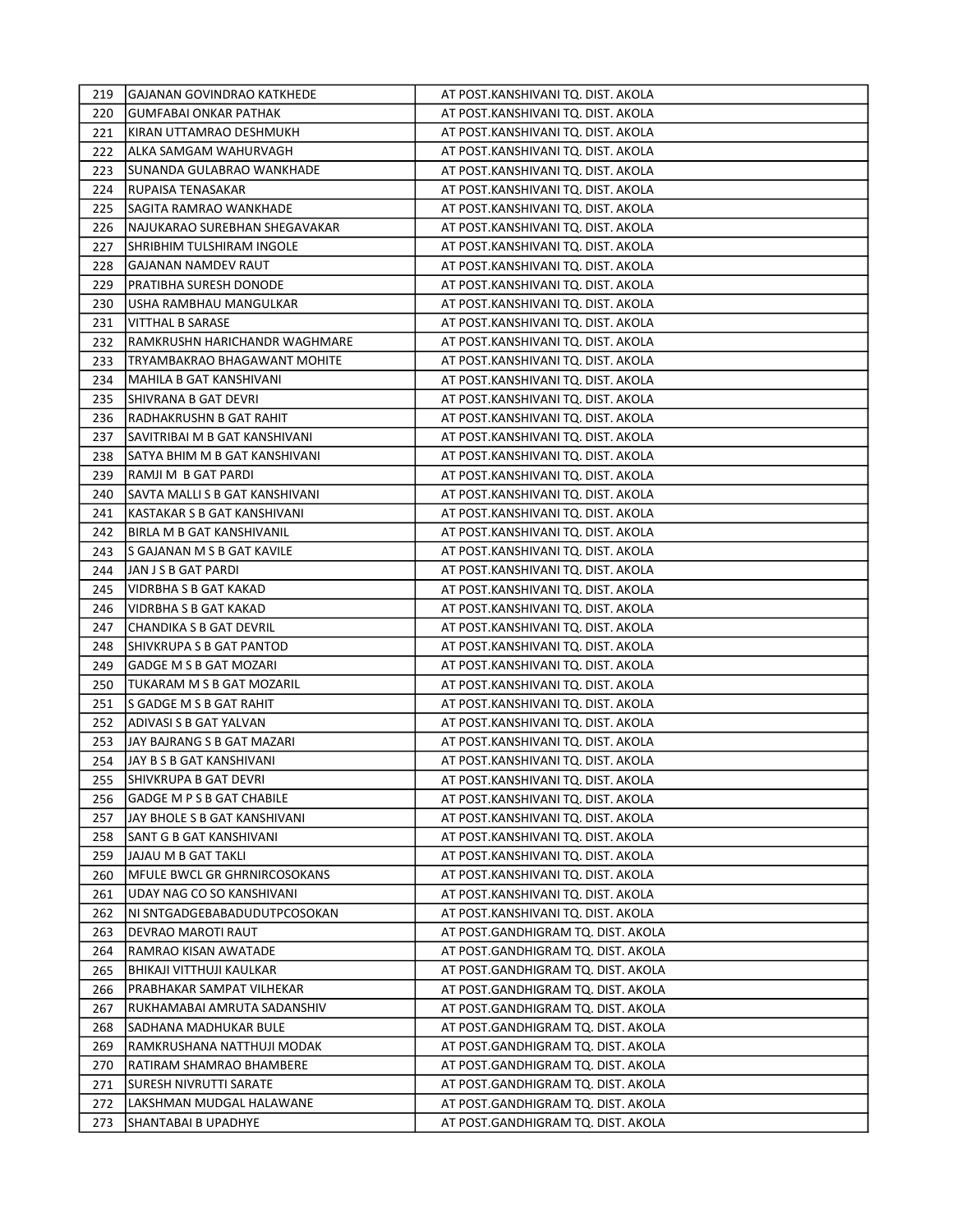| 219 | GAJANAN GOVINDRAO KATKHEDE      | AT POST.KANSHIVANI TQ. DIST. AKOLA |
|-----|---------------------------------|------------------------------------|
| 220 | GUMFABAI ONKAR PATHAK           | AT POST.KANSHIVANI TQ. DIST. AKOLA |
| 221 | KIRAN UTTAMRAO DESHMUKH         | AT POST.KANSHIVANI TQ. DIST. AKOLA |
| 222 | JALKA SAMGAM WAHURVAGH          | AT POST.KANSHIVANI TQ. DIST. AKOLA |
| 223 | ISUNANDA GULABRAO WANKHADE      | AT POST.KANSHIVANI TQ. DIST. AKOLA |
| 224 | RUPAISA TENASAKAR               | AT POST.KANSHIVANI TQ. DIST. AKOLA |
| 225 | SAGITA RAMRAO WANKHADE          | AT POST.KANSHIVANI TQ. DIST. AKOLA |
| 226 | NAJUKARAO SUREBHAN SHEGAVAKAR   | AT POST.KANSHIVANI TQ. DIST. AKOLA |
| 227 | ISHRIBHIM TULSHIRAM INGOLE      | AT POST.KANSHIVANI TQ. DIST. AKOLA |
| 228 | GAJANAN NAMDEV RAUT             | AT POST.KANSHIVANI TQ. DIST. AKOLA |
| 229 | PRATIBHA SURESH DONODE          | AT POST.KANSHIVANI TQ. DIST. AKOLA |
| 230 | USHA RAMBHAU MANGULKAR          | AT POST.KANSHIVANI TO. DIST. AKOLA |
| 231 | <b>VITTHAL B SARASE</b>         | AT POST.KANSHIVANI TQ. DIST. AKOLA |
| 232 | RAMKRUSHN HARICHANDR WAGHMARE   | AT POST.KANSHIVANI TQ. DIST. AKOLA |
| 233 | TRYAMBAKRAO BHAGAWANT MOHITE    | AT POST.KANSHIVANI TQ. DIST. AKOLA |
| 234 | MAHILA B GAT KANSHIVANI         | AT POST.KANSHIVANI TQ. DIST. AKOLA |
| 235 | SHIVRANA B GAT DEVRI            | AT POST.KANSHIVANI TQ. DIST. AKOLA |
| 236 | RADHAKRUSHN B GAT RAHIT         | AT POST.KANSHIVANI TQ. DIST. AKOLA |
| 237 | [SAVITRIBAI M B GAT KANSHIVANI  | AT POST.KANSHIVANI TQ. DIST. AKOLA |
| 238 | JSATYA BHIM M B GAT KANSHIVANI  | AT POST.KANSHIVANI TQ. DIST. AKOLA |
| 239 | IRAMJI M-B GAT PARDI            | AT POST.KANSHIVANI TQ. DIST. AKOLA |
| 240 | ISAVTA MALLI S B GAT KANSHIVANI | AT POST.KANSHIVANI TQ. DIST. AKOLA |
| 241 | KASTAKAR S B GAT KANSHIVANI     | AT POST.KANSHIVANI TQ. DIST. AKOLA |
| 242 | JBIRLA M B GAT KANSHIVANIL      | AT POST.KANSHIVANI TQ. DIST. AKOLA |
| 243 | S GAJANAN M S B GAT KAVILE      | AT POST.KANSHIVANI TQ. DIST. AKOLA |
| 244 | JJAN J S B GAT PARDI            | AT POST.KANSHIVANI TQ. DIST. AKOLA |
| 245 | VIDRBHA S B GAT KAKAD           | AT POST.KANSHIVANI TQ. DIST. AKOLA |
| 246 | VIDRBHA S B GAT KAKAD           | AT POST.KANSHIVANI TQ. DIST. AKOLA |
| 247 | CHANDIKA S B GAT DEVRIL         | AT POST.KANSHIVANI TQ. DIST. AKOLA |
| 248 | SHIVKRUPA S B GAT PANTOD        | AT POST.KANSHIVANI TQ. DIST. AKOLA |
| 249 | GADGE M S B GAT MOZARI          | AT POST.KANSHIVANI TQ. DIST. AKOLA |
| 250 | TUKARAM M S B GAT MOZARIL       | AT POST.KANSHIVANI TQ. DIST. AKOLA |
| 251 | IS GADGE M S B GAT RAHIT        | AT POST.KANSHIVANI TQ. DIST. AKOLA |
| 252 | JADIVASI S B GAT YALVAN         | AT POST.KANSHIVANI TQ. DIST. AKOLA |
| 253 | JAY BAJRANG S B GAT MAZARI      | AT POST.KANSHIVANI TQ. DIST. AKOLA |
| 254 | JAY B S B GAT KANSHIVANI        | AT POST.KANSHIVANI TQ. DIST. AKOLA |
| 255 | ISHIVKRUPA B GAT DEVRI          | AT POST.KANSHIVANI TQ. DIST. AKOLA |
| 256 | GADGE M P S B GAT CHABILE       | AT POST.KANSHIVANI TQ. DIST. AKOLA |
| 257 | JAY BHOLE S B GAT KANSHIVANI    | AT POST.KANSHIVANI TQ. DIST. AKOLA |
| 258 | SANT G B GAT KANSHIVANI         | AT POST.KANSHIVANI TQ. DIST. AKOLA |
| 259 | JAJAU M B GAT TAKLI             | AT POST.KANSHIVANI TQ. DIST. AKOLA |
| 260 | MFULE BWCL GR GHRNIRCOSOKANS    | AT POST.KANSHIVANI TQ. DIST. AKOLA |
| 261 | UDAY NAG CO SO KANSHIVANI       | AT POST.KANSHIVANI TQ. DIST. AKOLA |
| 262 | INI SNTGADGEBABADUDUTPCOSOKAN   | AT POST.KANSHIVANI TQ. DIST. AKOLA |
| 263 | DEVRAO MAROTI RAUT              | AT POST.GANDHIGRAM TQ. DIST. AKOLA |
| 264 | RAMRAO KISAN AWATADE            | AT POST.GANDHIGRAM TQ. DIST. AKOLA |
| 265 | BHIKAJI VITTHUJI KAULKAR        | AT POST.GANDHIGRAM TQ. DIST. AKOLA |
| 266 | PRABHAKAR SAMPAT VILHEKAR       | AT POST.GANDHIGRAM TQ. DIST. AKOLA |
| 267 | RUKHAMABAI AMRUTA SADANSHIV     | AT POST.GANDHIGRAM TQ. DIST. AKOLA |
| 268 | SADHANA MADHUKAR BULE           | AT POST.GANDHIGRAM TQ. DIST. AKOLA |
| 269 | RAMKRUSHANA NATTHUJI MODAK      | AT POST.GANDHIGRAM TQ. DIST. AKOLA |
| 270 | RATIRAM SHAMRAO BHAMBERE        | AT POST.GANDHIGRAM TQ. DIST. AKOLA |
| 271 | SURESH NIVRUTTI SARATE          | AT POST.GANDHIGRAM TQ. DIST. AKOLA |
| 272 | LAKSHMAN MUDGAL HALAWANE        | AT POST.GANDHIGRAM TQ. DIST. AKOLA |
| 273 | SHANTABAI B UPADHYE             | AT POST.GANDHIGRAM TQ. DIST. AKOLA |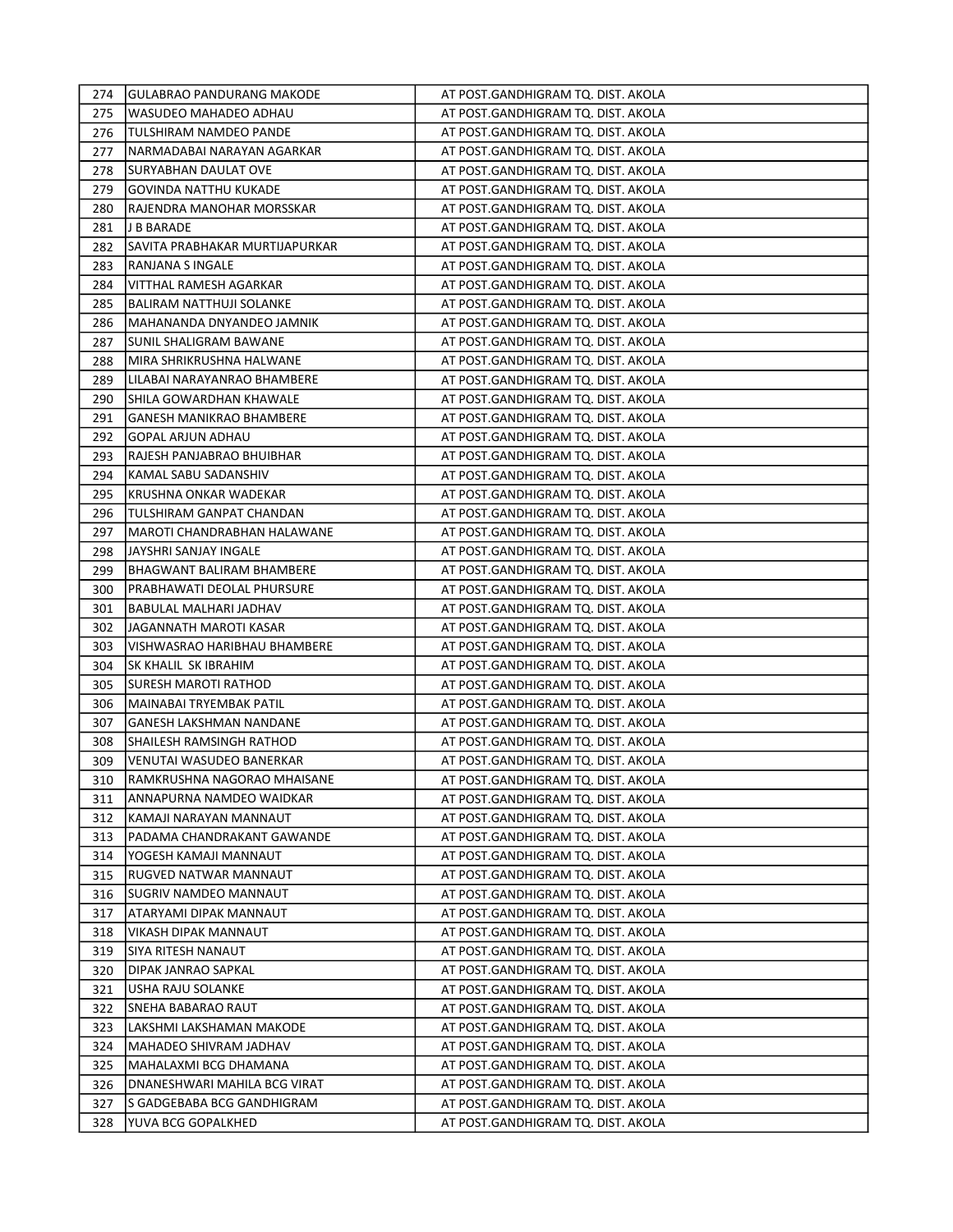| 274 | GULABRAO PANDURANG MAKODE       | AT POST.GANDHIGRAM TQ. DIST. AKOLA |
|-----|---------------------------------|------------------------------------|
| 275 | WASUDEO MAHADEO ADHAU           | AT POST.GANDHIGRAM TQ. DIST. AKOLA |
| 276 | TULSHIRAM NAMDEO PANDE          | AT POST.GANDHIGRAM TQ. DIST. AKOLA |
| 277 | NARMADABAI NARAYAN AGARKAR      | AT POST.GANDHIGRAM TQ. DIST. AKOLA |
| 278 | SURYABHAN DAULAT OVE            | AT POST.GANDHIGRAM TQ. DIST. AKOLA |
| 279 | GOVINDA NATTHU KUKADE           | AT POST.GANDHIGRAM TQ. DIST. AKOLA |
| 280 | RAJENDRA MANOHAR MORSSKAR       | AT POST.GANDHIGRAM TQ. DIST. AKOLA |
| 281 | J B BARADE                      | AT POST.GANDHIGRAM TQ. DIST. AKOLA |
| 282 | SAVITA PRABHAKAR MURTIJAPURKAR  | AT POST.GANDHIGRAM TQ. DIST. AKOLA |
| 283 | RANJANA S INGALE                | AT POST.GANDHIGRAM TQ. DIST. AKOLA |
| 284 | VITTHAL RAMESH AGARKAR          | AT POST.GANDHIGRAM TQ. DIST. AKOLA |
| 285 | <b>BALIRAM NATTHUJI SOLANKE</b> | AT POST.GANDHIGRAM TQ. DIST. AKOLA |
| 286 | MAHANANDA DNYANDEO JAMNIK       | AT POST.GANDHIGRAM TQ. DIST. AKOLA |
| 287 | SUNIL SHALIGRAM BAWANE          | AT POST.GANDHIGRAM TQ. DIST. AKOLA |
| 288 | MIRA SHRIKRUSHNA HALWANE        | AT POST.GANDHIGRAM TQ. DIST. AKOLA |
| 289 | LILABAI NARAYANRAO BHAMBERE     | AT POST.GANDHIGRAM TQ. DIST. AKOLA |
| 290 | SHILA GOWARDHAN KHAWALE         | AT POST.GANDHIGRAM TQ. DIST. AKOLA |
| 291 | GANESH MANIKRAO BHAMBERE        | AT POST.GANDHIGRAM TQ. DIST. AKOLA |
| 292 | GOPAL ARJUN ADHAU               | AT POST.GANDHIGRAM TQ. DIST. AKOLA |
| 293 | RAJESH PANJABRAO BHUIBHAR       | AT POST.GANDHIGRAM TQ. DIST. AKOLA |
| 294 | KAMAL SABU SADANSHIV            | AT POST.GANDHIGRAM TQ. DIST. AKOLA |
| 295 | IKRUSHNA ONKAR WADEKAR          | AT POST.GANDHIGRAM TQ. DIST. AKOLA |
| 296 | TULSHIRAM GANPAT CHANDAN        | AT POST.GANDHIGRAM TQ. DIST. AKOLA |
| 297 | MAROTI CHANDRABHAN HALAWANE     | AT POST.GANDHIGRAM TQ. DIST. AKOLA |
| 298 | JAYSHRI SANJAY INGALE           | AT POST.GANDHIGRAM TQ. DIST. AKOLA |
| 299 | BHAGWANT BALIRAM BHAMBERE       | AT POST.GANDHIGRAM TQ. DIST. AKOLA |
| 300 | PRABHAWATI DEOLAL PHURSURE      | AT POST.GANDHIGRAM TQ. DIST. AKOLA |
| 301 | BABULAL MALHARI JADHAV          | AT POST.GANDHIGRAM TQ. DIST. AKOLA |
| 302 | JIAGANNATH MAROTI KASAR         | AT POST.GANDHIGRAM TQ. DIST. AKOLA |
| 303 | VISHWASRAO HARIBHAU BHAMBERE    | AT POST.GANDHIGRAM TQ. DIST. AKOLA |
| 304 | SK KHALIL SK IBRAHIM            | AT POST.GANDHIGRAM TQ. DIST. AKOLA |
| 305 | SURESH MAROTI RATHOD            | AT POST.GANDHIGRAM TQ. DIST. AKOLA |
| 306 | MAINABAI TRYEMBAK PATIL         | AT POST.GANDHIGRAM TQ. DIST. AKOLA |
| 307 | GANESH LAKSHMAN NANDANE         | AT POST.GANDHIGRAM TQ. DIST. AKOLA |
| 308 | SHAILESH RAMSINGH RATHOD        | AT POST.GANDHIGRAM TQ. DIST. AKOLA |
| 309 | VENUTAI WASUDEO BANERKAR        | AT POST.GANDHIGRAM TQ. DIST. AKOLA |
| 310 | RAMKRUSHNA NAGORAO MHAISANE     | AT POST.GANDHIGRAM TQ. DIST. AKOLA |
| 311 | ANNAPURNA NAMDEO WAIDKAR        | AT POST.GANDHIGRAM TQ. DIST. AKOLA |
| 312 | KAMAJI NARAYAN MANNAUT          | AT POST.GANDHIGRAM TQ. DIST. AKOLA |
| 313 | PADAMA CHANDRAKANT GAWANDE      | AT POST.GANDHIGRAM TQ. DIST. AKOLA |
| 314 | YOGESH KAMAJI MANNAUT           | AT POST.GANDHIGRAM TQ. DIST. AKOLA |
| 315 | RUGVED NATWAR MANNAUT           | AT POST.GANDHIGRAM TQ. DIST. AKOLA |
| 316 | ISUGRIV NAMDEO MANNAUT          | AT POST.GANDHIGRAM TQ. DIST. AKOLA |
| 317 | ATARYAMI DIPAK MANNAUT          | AT POST.GANDHIGRAM TQ. DIST. AKOLA |
| 318 | VIKASH DIPAK MANNAUT            | AT POST.GANDHIGRAM TQ. DIST. AKOLA |
| 319 | SIYA RITESH NANAUT              | AT POST.GANDHIGRAM TQ. DIST. AKOLA |
| 320 | DIPAK JANRAO SAPKAL             | AT POST.GANDHIGRAM TQ. DIST. AKOLA |
| 321 | USHA RAJU SOLANKE               | AT POST.GANDHIGRAM TQ. DIST. AKOLA |
| 322 | SNEHA BABARAO RAUT              | AT POST.GANDHIGRAM TQ. DIST. AKOLA |
| 323 | LAKSHMI LAKSHAMAN MAKODE        | AT POST.GANDHIGRAM TQ. DIST. AKOLA |
| 324 | MAHADEO SHIVRAM JADHAV          | AT POST.GANDHIGRAM TQ. DIST. AKOLA |
| 325 | MAHALAXMI BCG DHAMANA           | AT POST.GANDHIGRAM TQ. DIST. AKOLA |
| 326 | DNANESHWARI MAHILA BCG VIRAT    | AT POST.GANDHIGRAM TQ. DIST. AKOLA |
| 327 | S GADGEBABA BCG GANDHIGRAM      | AT POST.GANDHIGRAM TQ. DIST. AKOLA |
| 328 | YUVA BCG GOPALKHED              | AT POST.GANDHIGRAM TQ. DIST. AKOLA |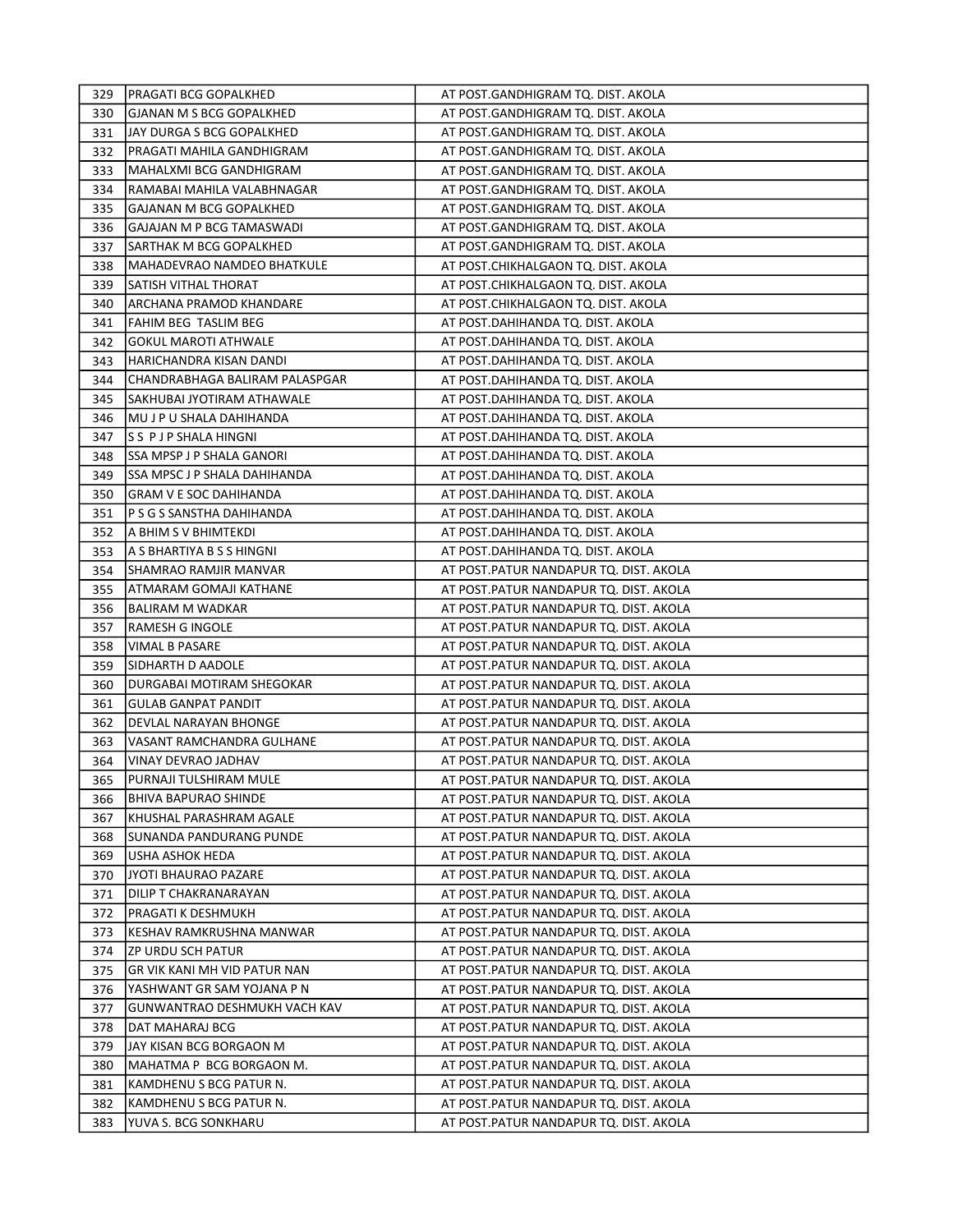| 329 | PRAGATI BCG GOPALKHED          | AT POST.GANDHIGRAM TQ. DIST. AKOLA      |
|-----|--------------------------------|-----------------------------------------|
| 330 | GJANAN M S BCG GOPALKHED       | AT POST.GANDHIGRAM TQ. DIST. AKOLA      |
| 331 | lJAY DURGA S BCG GOPALKHED     | AT POST.GANDHIGRAM TQ. DIST. AKOLA      |
| 332 | PRAGATI MAHILA GANDHIGRAM      | AT POST.GANDHIGRAM TQ. DIST. AKOLA      |
| 333 | MAHALXMI BCG GANDHIGRAM        | AT POST.GANDHIGRAM TQ. DIST. AKOLA      |
| 334 | RAMABAI MAHILA VALABHNAGAR     | AT POST.GANDHIGRAM TQ. DIST. AKOLA      |
| 335 | GAJANAN M BCG GOPALKHED        | AT POST.GANDHIGRAM TQ. DIST. AKOLA      |
| 336 | GAJAJAN M P BCG TAMASWADI      | AT POST.GANDHIGRAM TQ. DIST. AKOLA      |
| 337 | ISARTHAK M BCG GOPALKHED       | AT POST.GANDHIGRAM TQ. DIST. AKOLA      |
| 338 | MAHADEVRAO NAMDEO BHATKULE     | AT POST.CHIKHALGAON TQ. DIST. AKOLA     |
| 339 | SATISH VITHAL THORAT           | AT POST.CHIKHALGAON TQ. DIST. AKOLA     |
| 340 | ARCHANA PRAMOD KHANDARE        | AT POST.CHIKHALGAON TQ. DIST. AKOLA     |
| 341 | FAHIM BEG TASLIM BEG           | AT POST.DAHIHANDA TQ. DIST. AKOLA       |
| 342 | GOKUL MAROTI ATHWALE           | AT POST.DAHIHANDA TQ. DIST. AKOLA       |
| 343 | HARICHANDRA KISAN DANDI        | AT POST.DAHIHANDA TQ. DIST. AKOLA       |
| 344 | CHANDRABHAGA BALIRAM PALASPGAR | AT POST.DAHIHANDA TQ. DIST. AKOLA       |
| 345 | lsakhubai jyotiram athawale    | AT POST.DAHIHANDA TQ. DIST. AKOLA       |
| 346 | MU J P U SHALA DAHIHANDA       | AT POST.DAHIHANDA TQ. DIST. AKOLA       |
| 347 | IS S P J P SHALA HINGNI        | AT POST.DAHIHANDA TQ. DIST. AKOLA       |
| 348 | SSA MPSP J P SHALA GANORI      | AT POST.DAHIHANDA TQ. DIST. AKOLA       |
| 349 | ISSA MPSC J P SHALA DAHIHANDA  | AT POST.DAHIHANDA TQ. DIST. AKOLA       |
| 350 | IGRAM V E SOC DAHIHANDA        | AT POST.DAHIHANDA TQ. DIST. AKOLA       |
| 351 | IP S G S SANSTHA DAHIHANDA     | AT POST.DAHIHANDA TQ. DIST. AKOLA       |
| 352 | JA BHIM S V BHIMTEKDI          | AT POST.DAHIHANDA TQ. DIST. AKOLA       |
| 353 | IA S BHARTIYA B S S HINGNI     | AT POST.DAHIHANDA TQ. DIST. AKOLA       |
| 354 | ISHAMRAO RAMJIR MANVAR         | AT POST.PATUR NANDAPUR TQ. DIST. AKOLA  |
| 355 | JATMARAM GOMAJI KATHANE        | AT POST.PATUR NANDAPUR TQ. DIST. AKOLA  |
| 356 | BALIRAM M WADKAR               | AT POST.PATUR NANDAPUR TQ. DIST. AKOLA  |
| 357 | RAMESH G INGOLE                | AT POST.PATUR NANDAPUR TQ. DIST. AKOLA  |
| 358 | VIMAL B PASARE                 | AT POST.PATUR NANDAPUR TQ. DIST. AKOLA  |
| 359 | SIDHARTH D AADOLE              | AT POST.PATUR NANDAPUR TQ. DIST. AKOLA  |
| 360 | DURGABAI MOTIRAM SHEGOKAR      | AT POST.PATUR NANDAPUR TQ. DIST. AKOLA  |
| 361 | <b>GULAB GANPAT PANDIT</b>     | AT POST.PATUR NANDAPUR TQ. DIST. AKOLA  |
| 362 | DEVLAL NARAYAN BHONGE          | AT POST.PATUR NANDAPUR TQ. DIST. AKOLA  |
| 363 | VASANT RAMCHANDRA GULHANE      | AT POST.PATUR NANDAPUR TQ. DIST. AKOLA  |
| 364 | VINAY DEVRAO JADHAV            | AT POST.PATUR NANDAPUR TQ. DIST. AKOLA  |
| 365 | PURNAJI TULSHIRAM MULE         | AT POST.PATUR NANDAPUR TQ. DIST. AKOLA  |
| 366 | BHIVA BAPURAO SHINDE           | AT POST.PATUR NANDAPUR TQ. DIST. AKOLA  |
| 367 | KHUSHAL PARASHRAM AGALE        | AT POST.PATUR NANDAPUR TQ. DIST. AKOLA  |
| 368 | SUNANDA PANDURANG PUNDE        | AT POST. PATUR NANDAPUR TQ. DIST. AKOLA |
| 369 | USHA ASHOK HEDA                | AT POST. PATUR NANDAPUR TQ. DIST. AKOLA |
| 370 | JYOTI BHAURAO PAZARE           | AT POST. PATUR NANDAPUR TQ. DIST. AKOLA |
| 371 | DILIP T CHAKRANARAYAN          | AT POST.PATUR NANDAPUR TQ. DIST. AKOLA  |
| 372 | PRAGATI K DESHMUKH             | AT POST.PATUR NANDAPUR TQ. DIST. AKOLA  |
| 373 | KESHAV RAMKRUSHNA MANWAR       | AT POST.PATUR NANDAPUR TQ. DIST. AKOLA  |
| 374 | IZP URDU SCH PATUR             | AT POST.PATUR NANDAPUR TQ. DIST. AKOLA  |
| 375 | GR VIK KANI MH VID PATUR NAN   | AT POST.PATUR NANDAPUR TQ. DIST. AKOLA  |
| 376 | YASHWANT GR SAM YOJANA P N     | AT POST.PATUR NANDAPUR TQ. DIST. AKOLA  |
| 377 | GUNWANTRAO DESHMUKH VACH KAV   | AT POST.PATUR NANDAPUR TQ. DIST. AKOLA  |
| 378 | DAT MAHARAJ BCG                | AT POST.PATUR NANDAPUR TQ. DIST. AKOLA  |
| 379 | JIAY KISAN BCG BORGAON M       | AT POST.PATUR NANDAPUR TQ. DIST. AKOLA  |
| 380 | MAHATMA P BCG BORGAON M.       | AT POST.PATUR NANDAPUR TQ. DIST. AKOLA  |
| 381 | KAMDHENU S BCG PATUR N.        | AT POST.PATUR NANDAPUR TQ. DIST. AKOLA  |
| 382 | KAMDHENU S BCG PATUR N.        | AT POST.PATUR NANDAPUR TQ. DIST. AKOLA  |
| 383 | YUVA S. BCG SONKHARU           | AT POST.PATUR NANDAPUR TQ. DIST. AKOLA  |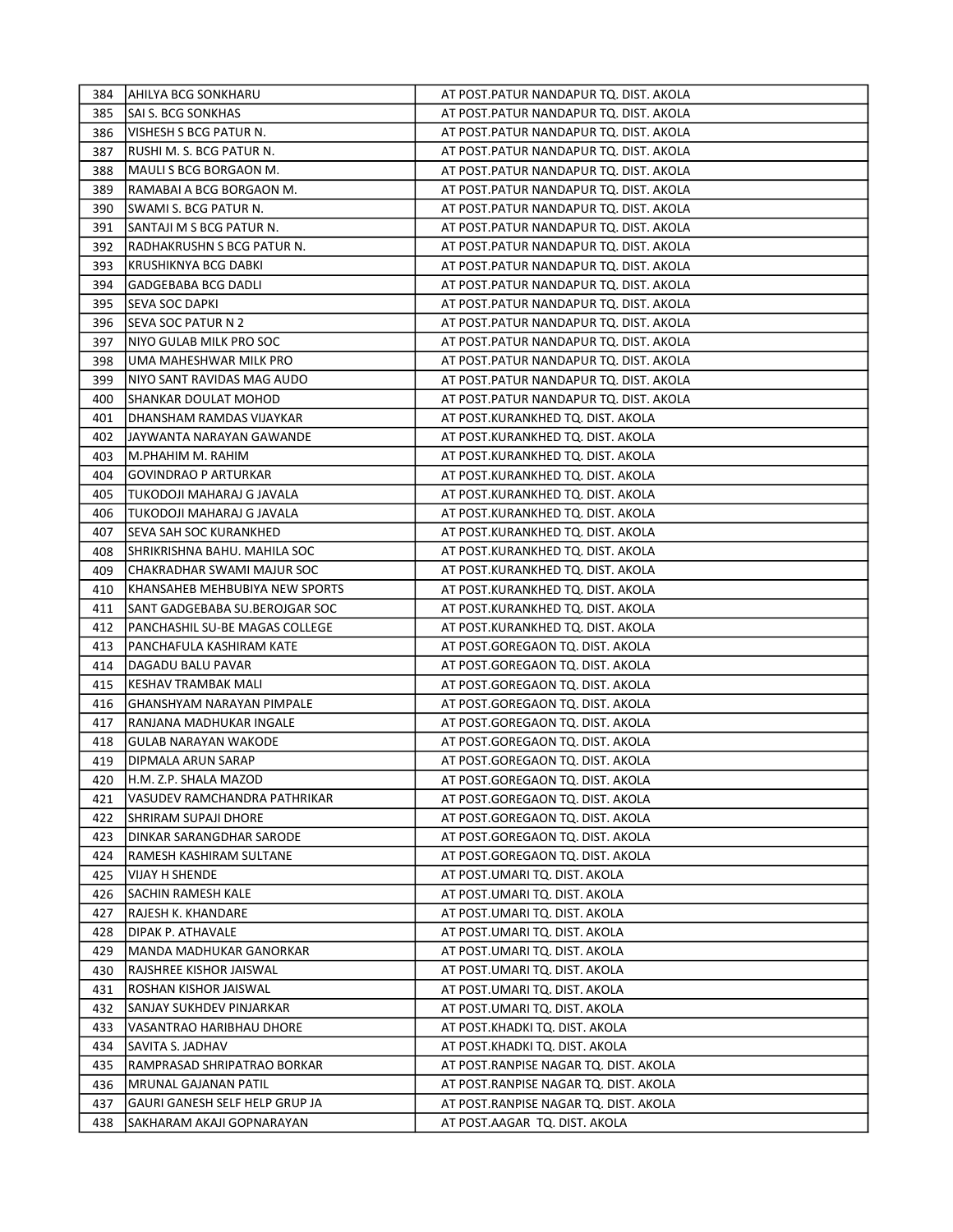| 384 | AHILYA BCG SONKHARU              | AT POST.PATUR NANDAPUR TQ. DIST. AKOLA  |
|-----|----------------------------------|-----------------------------------------|
| 385 | SAI S. BCG SONKHAS               | AT POST.PATUR NANDAPUR TQ. DIST. AKOLA  |
| 386 | lVISHESH S BCG PATUR N.          | AT POST.PATUR NANDAPUR TQ. DIST. AKOLA  |
| 387 | RUSHI M. S. BCG PATUR N.         | AT POST.PATUR NANDAPUR TQ. DIST. AKOLA  |
| 388 | MAULI S BCG BORGAON M.           | AT POST.PATUR NANDAPUR TQ. DIST. AKOLA  |
| 389 | RAMABAI A BCG BORGAON M.         | AT POST. PATUR NANDAPUR TQ. DIST. AKOLA |
| 390 | SWAMI S. BCG PATUR N.            | AT POST.PATUR NANDAPUR TQ. DIST. AKOLA  |
| 391 | SANTAJI M S BCG PATUR N.         | AT POST.PATUR NANDAPUR TQ. DIST. AKOLA  |
| 392 | RADHAKRUSHN S BCG PATUR N.       | AT POST.PATUR NANDAPUR TQ. DIST. AKOLA  |
| 393 | KRUSHIKNYA BCG DABKI             | AT POST.PATUR NANDAPUR TQ. DIST. AKOLA  |
| 394 | GADGEBABA BCG DADLI              | AT POST.PATUR NANDAPUR TQ. DIST. AKOLA  |
| 395 | ISEVA SOC DAPKI                  | AT POST.PATUR NANDAPUR TQ. DIST. AKOLA  |
| 396 | SEVA SOC PATUR N 2               | AT POST.PATUR NANDAPUR TQ. DIST. AKOLA  |
| 397 | NIYO GULAB MILK PRO SOC          | AT POST.PATUR NANDAPUR TQ. DIST. AKOLA  |
| 398 | UMA MAHESHWAR MILK PRO           | AT POST.PATUR NANDAPUR TQ. DIST. AKOLA  |
| 399 | NIYO SANT RAVIDAS MAG AUDO       | AT POST.PATUR NANDAPUR TQ. DIST. AKOLA  |
| 400 | SHANKAR DOULAT MOHOD             | AT POST.PATUR NANDAPUR TQ. DIST. AKOLA  |
| 401 | DHANSHAM RAMDAS VIJAYKAR         | AT POST.KURANKHED TQ. DIST. AKOLA       |
| 402 | JIAYWANTA NARAYAN GAWANDE        | AT POST.KURANKHED TQ. DIST. AKOLA       |
| 403 | JM.PHAHIM M. RAHIM               | AT POST.KURANKHED TQ. DIST. AKOLA       |
| 404 | GOVINDRAO P ARTURKAR             | AT POST.KURANKHED TQ. DIST. AKOLA       |
| 405 | TUKODOJI MAHARAJ G JAVALA        | AT POST.KURANKHED TQ. DIST. AKOLA       |
| 406 | TUKODOJI MAHARAJ G JAVALA        | AT POST.KURANKHED TQ. DIST. AKOLA       |
| 407 | ISEVA SAH SOC KURANKHED          | AT POST.KURANKHED TQ. DIST. AKOLA       |
| 408 | ISHRIKRISHNA BAHU. MAHILA SOC    | AT POST.KURANKHED TQ. DIST. AKOLA       |
| 409 | CHAKRADHAR SWAMI MAJUR SOC       | AT POST.KURANKHED TQ. DIST. AKOLA       |
| 410 | KHANSAHEB MEHBUBIYA NEW SPORTS   | AT POST.KURANKHED TQ. DIST. AKOLA       |
| 411 | ISANT GADGEBABA SU.BEROJGAR SOC  | AT POST.KURANKHED TQ. DIST. AKOLA       |
| 412 | PANCHASHIL SU-BE MAGAS COLLEGE   | AT POST.KURANKHED TQ. DIST. AKOLA       |
| 413 | PANCHAFULA KASHIRAM KATE         | AT POST.GOREGAON TQ. DIST. AKOLA        |
| 414 | DAGADU BALU PAVAR                | AT POST.GOREGAON TQ. DIST. AKOLA        |
| 415 | KESHAV TRAMBAK MALI              | AT POST.GOREGAON TQ. DIST. AKOLA        |
| 416 | <b>GHANSHYAM NARAYAN PIMPALE</b> | AT POST.GOREGAON TQ. DIST. AKOLA        |
| 417 | RANJANA MADHUKAR INGALE          | AT POST.GOREGAON TQ. DIST. AKOLA        |
| 418 | GULAB NARAYAN WAKODE             | AT POST.GOREGAON TQ. DIST. AKOLA        |
| 419 | DIPMALA ARUN SARAP               | AT POST.GOREGAON TQ. DIST. AKOLA        |
| 420 | H.M. Z.P. SHALA MAZOD            | AT POST.GOREGAON TQ. DIST. AKOLA        |
| 421 | VASUDEV RAMCHANDRA PATHRIKAR     | AT POST.GOREGAON TQ. DIST. AKOLA        |
| 422 | SHRIRAM SUPAJI DHORE             | AT POST.GOREGAON TQ. DIST. AKOLA        |
| 423 | DINKAR SARANGDHAR SARODE         | AT POST.GOREGAON TQ. DIST. AKOLA        |
| 424 | RAMESH KASHIRAM SULTANE          | AT POST.GOREGAON TQ. DIST. AKOLA        |
| 425 | <b>VIJAY H SHENDE</b>            | AT POST.UMARI TQ. DIST. AKOLA           |
| 426 | SACHIN RAMESH KALE               | AT POST.UMARI TQ. DIST. AKOLA           |
| 427 | RAJESH K. KHANDARE               | AT POST.UMARI TQ. DIST. AKOLA           |
| 428 | DIPAK P. ATHAVALE                | AT POST.UMARI TQ. DIST. AKOLA           |
| 429 | MANDA MADHUKAR GANORKAR          | AT POST.UMARI TQ. DIST. AKOLA           |
| 430 | RAJSHREE KISHOR JAISWAL          | AT POST.UMARI TQ. DIST. AKOLA           |
| 431 | ROSHAN KISHOR JAISWAL            | AT POST.UMARI TQ. DIST. AKOLA           |
| 432 | SANJAY SUKHDEV PINJARKAR         | AT POST.UMARI TQ. DIST. AKOLA           |
| 433 | VASANTRAO HARIBHAU DHORE         | AT POST.KHADKI TQ. DIST. AKOLA          |
| 434 | SAVITA S. JADHAV                 | AT POST.KHADKI TQ. DIST. AKOLA          |
| 435 | RAMPRASAD SHRIPATRAO BORKAR      | AT POST.RANPISE NAGAR TQ. DIST. AKOLA   |
| 436 | MRUNAL GAJANAN PATIL             | AT POST.RANPISE NAGAR TQ. DIST. AKOLA   |
| 437 | GAURI GANESH SELF HELP GRUP JA   | AT POST.RANPISE NAGAR TQ. DIST. AKOLA   |
| 438 | SAKHARAM AKAJI GOPNARAYAN        | AT POST.AAGAR TQ. DIST. AKOLA           |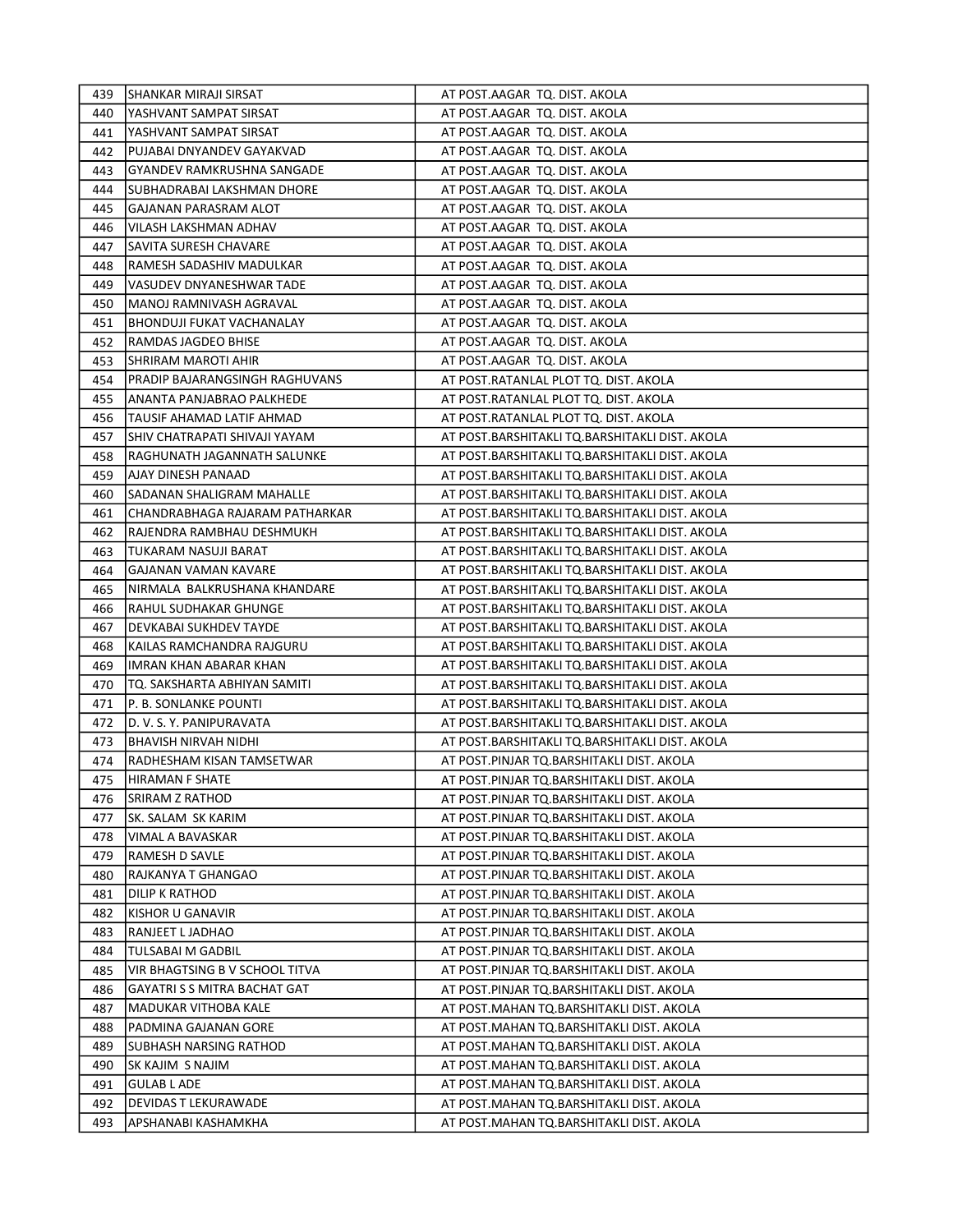| 439 | ISHANKAR MIRAJI SIRSAT           | AT POST.AAGAR TQ. DIST. AKOLA                  |
|-----|----------------------------------|------------------------------------------------|
| 440 | YASHVANT SAMPAT SIRSAT           | AT POST.AAGAR TQ. DIST. AKOLA                  |
| 441 | YASHVANT SAMPAT SIRSAT           | AT POST.AAGAR TQ. DIST. AKOLA                  |
| 442 | PUJABAI DNYANDEV GAYAKVAD        | AT POST.AAGAR TQ. DIST. AKOLA                  |
| 443 | GYANDEV RAMKRUSHNA SANGADE       | AT POST.AAGAR TQ. DIST. AKOLA                  |
| 444 | SUBHADRABAI LAKSHMAN DHORE       | AT POST.AAGAR TQ. DIST. AKOLA                  |
| 445 | GAJANAN PARASRAM ALOT            | AT POST.AAGAR TQ. DIST. AKOLA                  |
| 446 | VILASH LAKSHMAN ADHAV            | AT POST.AAGAR TQ. DIST. AKOLA                  |
| 447 | SAVITA SURESH CHAVARE            | AT POST.AAGAR TQ. DIST. AKOLA                  |
| 448 | RAMESH SADASHIV MADULKAR         | AT POST.AAGAR TQ. DIST. AKOLA                  |
| 449 | VASUDEV DNYANESHWAR TADE         | AT POST.AAGAR TQ. DIST. AKOLA                  |
| 450 | MANOJ RAMNIVASH AGRAVAL          | AT POST.AAGAR TQ. DIST. AKOLA                  |
| 451 | <b>BHONDUJI FUKAT VACHANALAY</b> | AT POST.AAGAR TQ. DIST. AKOLA                  |
| 452 | RAMDAS JAGDEO BHISE              | AT POST.AAGAR TQ. DIST. AKOLA                  |
| 453 | SHRIRAM MAROTI AHIR              | AT POST.AAGAR TQ. DIST. AKOLA                  |
| 454 | PRADIP BAJARANGSINGH RAGHUVANS   | AT POST.RATANLAL PLOT TQ. DIST. AKOLA          |
| 455 | ANANTA PANJABRAO PALKHEDE        | AT POST.RATANLAL PLOT TQ. DIST. AKOLA          |
| 456 | TAUSIF AHAMAD LATIF AHMAD        | AT POST.RATANLAL PLOT TQ. DIST. AKOLA          |
| 457 | ISHIV CHATRAPATI SHIVAJI YAYAM   | AT POST.BARSHITAKLI TQ.BARSHITAKLI DIST. AKOLA |
| 458 | RAGHUNATH JAGANNATH SALUNKE      | AT POST.BARSHITAKLI TQ.BARSHITAKLI DIST. AKOLA |
| 459 | AJAY DINESH PANAAD               | AT POST.BARSHITAKLI TQ.BARSHITAKLI DIST. AKOLA |
| 460 | SADANAN SHALIGRAM MAHALLE        | AT POST.BARSHITAKLI TQ.BARSHITAKLI DIST. AKOLA |
| 461 | CHANDRABHAGA RAJARAM PATHARKAR   | AT POST.BARSHITAKLI TQ.BARSHITAKLI DIST. AKOLA |
| 462 | lRAJENDRA RAMBHAU DESHMUKH       | AT POST.BARSHITAKLI TQ.BARSHITAKLI DIST. AKOLA |
| 463 | TUKARAM NASUJI BARAT             | AT POST.BARSHITAKLI TQ.BARSHITAKLI DIST. AKOLA |
| 464 | GAJANAN VAMAN KAVARE             | AT POST.BARSHITAKLI TQ.BARSHITAKLI DIST. AKOLA |
| 465 | NIRMALA BALKRUSHANA KHANDARE     | AT POST.BARSHITAKLI TQ.BARSHITAKLI DIST. AKOLA |
| 466 | RAHUL SUDHAKAR GHUNGE            | AT POST.BARSHITAKLI TQ.BARSHITAKLI DIST. AKOLA |
| 467 | DEVKABAI SUKHDEV TAYDE           | AT POST.BARSHITAKLI TQ.BARSHITAKLI DIST. AKOLA |
| 468 | KAILAS RAMCHANDRA RAJGURU        | AT POST.BARSHITAKLI TQ.BARSHITAKLI DIST. AKOLA |
| 469 | IMRAN KHAN ABARAR KHAN           | AT POST.BARSHITAKLI TQ.BARSHITAKLI DIST. AKOLA |
| 470 | TQ. SAKSHARTA ABHIYAN SAMITI     | AT POST.BARSHITAKLI TQ.BARSHITAKLI DIST. AKOLA |
| 471 | P. B. SONLANKE POUNTI            | AT POST.BARSHITAKLI TQ.BARSHITAKLI DIST. AKOLA |
| 472 | D.V.S.Y. PANIPURAVATA            | AT POST.BARSHITAKLI TQ.BARSHITAKLI DIST. AKOLA |
| 473 | <b>BHAVISH NIRVAH NIDHI</b>      | AT POST.BARSHITAKLI TQ.BARSHITAKLI DIST. AKOLA |
| 474 | IRADHESHAM KISAN TAMSETWAR       | AT POST.PINJAR TQ.BARSHITAKLI DIST. AKOLA      |
| 475 | HIRAMAN F SHATE                  | AT POST.PINJAR TQ.BARSHITAKLI DIST. AKOLA      |
| 476 | SRIRAM Z RATHOD                  | AT POST.PINJAR TQ.BARSHITAKLI DIST. AKOLA      |
| 477 | SK. SALAM SK KARIM               | AT POST.PINJAR TQ.BARSHITAKLI DIST. AKOLA      |
| 478 | VIMAL A BAVASKAR                 | AT POST.PINJAR TQ.BARSHITAKLI DIST. AKOLA      |
| 479 | RAMESH D SAVLE                   | AT POST.PINJAR TQ.BARSHITAKLI DIST. AKOLA      |
| 480 | RAJKANYA T GHANGAO               | AT POST.PINJAR TQ.BARSHITAKLI DIST. AKOLA      |
| 481 | DILIP K RATHOD                   | AT POST.PINJAR TQ.BARSHITAKLI DIST. AKOLA      |
| 482 | KISHOR U GANAVIR                 | AT POST.PINJAR TQ.BARSHITAKLI DIST. AKOLA      |
| 483 | RANJEET L JADHAO                 | AT POST.PINJAR TQ.BARSHITAKLI DIST. AKOLA      |
| 484 | TULSABAI M GADBIL                | AT POST.PINJAR TQ.BARSHITAKLI DIST. AKOLA      |
| 485 | VIR BHAGTSING B V SCHOOL TITVA   | AT POST.PINJAR TQ.BARSHITAKLI DIST. AKOLA      |
| 486 | GAYATRI S S MITRA BACHAT GAT     | AT POST.PINJAR TQ.BARSHITAKLI DIST. AKOLA      |
| 487 | MADUKAR VITHOBA KALE             | AT POST.MAHAN TQ.BARSHITAKLI DIST. AKOLA       |
| 488 | PADMINA GAJANAN GORE             | AT POST.MAHAN TQ.BARSHITAKLI DIST. AKOLA       |
| 489 | SUBHASH NARSING RATHOD           | AT POST.MAHAN TQ.BARSHITAKLI DIST. AKOLA       |
| 490 | SK KAJIM S NAJIM                 | AT POST.MAHAN TQ.BARSHITAKLI DIST. AKOLA       |
| 491 | GULAB L ADE                      | AT POST.MAHAN TQ.BARSHITAKLI DIST. AKOLA       |
| 492 | DEVIDAS T LEKURAWADE             | AT POST.MAHAN TQ.BARSHITAKLI DIST. AKOLA       |
| 493 | APSHANABI KASHAMKHA              | AT POST.MAHAN TQ.BARSHITAKLI DIST. AKOLA       |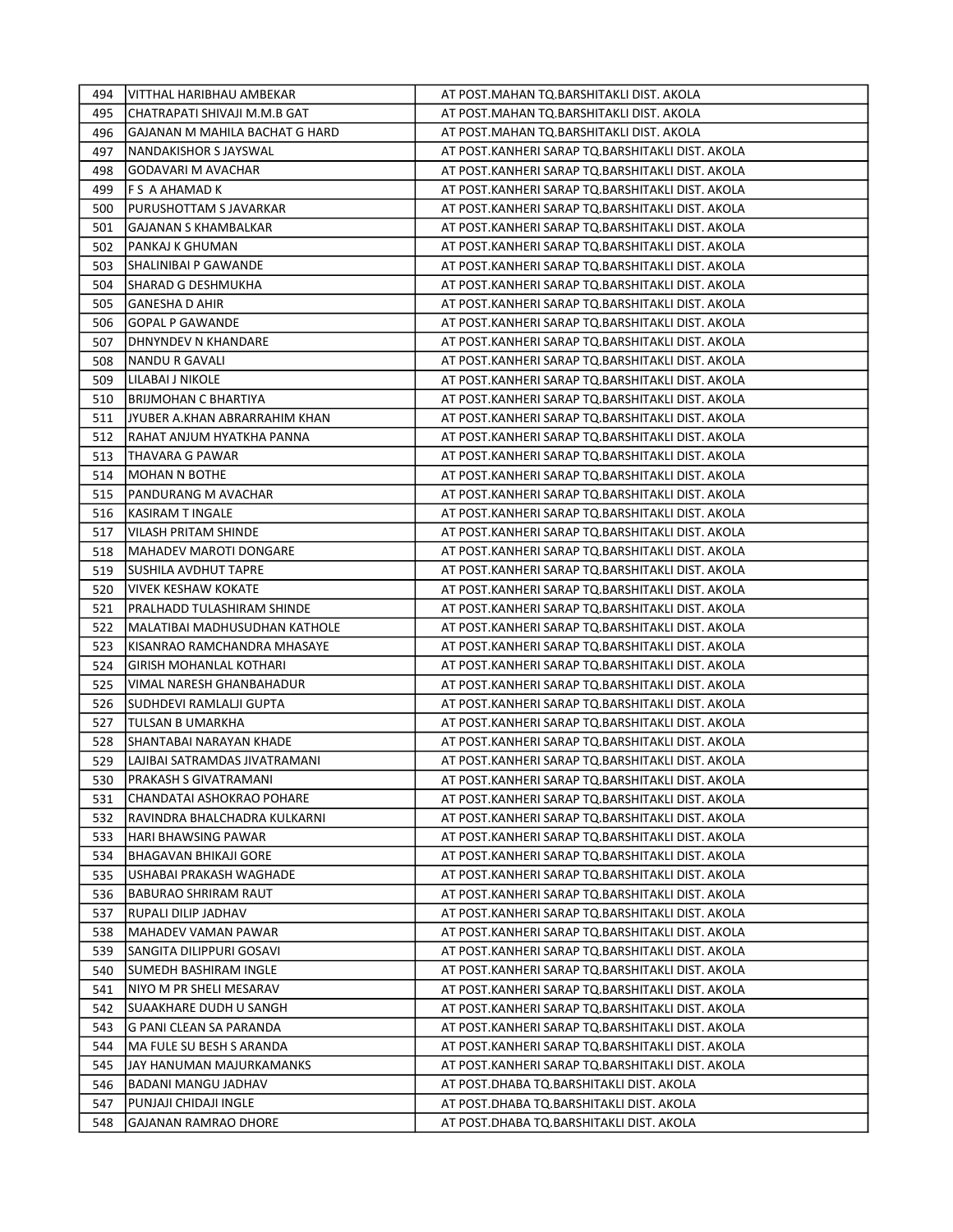| 494 | lVITTHAL HARIBHAU AMBEKAR      | AT POST.MAHAN TQ.BARSHITAKLI DIST. AKOLA         |
|-----|--------------------------------|--------------------------------------------------|
| 495 | CHATRAPATI SHIVAJI M.M.B GAT   | AT POST.MAHAN TQ.BARSHITAKLI DIST. AKOLA         |
| 496 | GAJANAN M MAHILA BACHAT G HARD | AT POST.MAHAN TQ.BARSHITAKLI DIST. AKOLA         |
| 497 | NANDAKISHOR S JAYSWAL          | AT POST.KANHERI SARAP TQ.BARSHITAKLI DIST. AKOLA |
| 498 | GODAVARI M AVACHAR             | AT POST.KANHERI SARAP TQ.BARSHITAKLI DIST. AKOLA |
| 499 | IF S A AHAMAD K                | AT POST.KANHERI SARAP TQ.BARSHITAKLI DIST. AKOLA |
| 500 | PURUSHOTTAM S JAVARKAR         | AT POST.KANHERI SARAP TQ.BARSHITAKLI DIST. AKOLA |
| 501 | <b>GAJANAN S KHAMBALKAR</b>    | AT POST.KANHERI SARAP TQ.BARSHITAKLI DIST. AKOLA |
| 502 | PANKAJ K GHUMAN                | AT POST.KANHERI SARAP TQ.BARSHITAKLI DIST. AKOLA |
| 503 | SHALINIBAI P GAWANDE           | AT POST.KANHERI SARAP TQ.BARSHITAKLI DIST. AKOLA |
| 504 | ISHARAD G DESHMUKHA            | AT POST.KANHERI SARAP TQ.BARSHITAKLI DIST. AKOLA |
| 505 | IGANESHA D AHIR                | AT POST.KANHERI SARAP TQ.BARSHITAKLI DIST. AKOLA |
| 506 | GOPAL P GAWANDE                | AT POST.KANHERI SARAP TQ.BARSHITAKLI DIST. AKOLA |
| 507 | DHNYNDEV N KHANDARE            | AT POST.KANHERI SARAP TQ.BARSHITAKLI DIST. AKOLA |
| 508 | NANDU R GAVALI                 | AT POST.KANHERI SARAP TQ.BARSHITAKLI DIST. AKOLA |
| 509 | LILABAI J NIKOLE               | AT POST.KANHERI SARAP TQ.BARSHITAKLI DIST. AKOLA |
| 510 | BRIJMOHAN C BHARTIYA           | AT POST.KANHERI SARAP TQ.BARSHITAKLI DIST. AKOLA |
| 511 | JYUBER A.KHAN ABRARRAHIM KHAN  | AT POST.KANHERI SARAP TQ.BARSHITAKLI DIST. AKOLA |
| 512 | RAHAT ANJUM HYATKHA PANNA      | AT POST.KANHERI SARAP TQ.BARSHITAKLI DIST. AKOLA |
| 513 | THAVARA G PAWAR                | AT POST.KANHERI SARAP TO.BARSHITAKLI DIST. AKOLA |
| 514 | IMOHAN N BOTHE                 | AT POST.KANHERI SARAP TQ.BARSHITAKLI DIST. AKOLA |
| 515 | IPANDURANG M AVACHAR           | AT POST.KANHERI SARAP TQ.BARSHITAKLI DIST. AKOLA |
| 516 | KASIRAM T INGALE               | AT POST.KANHERI SARAP TQ.BARSHITAKLI DIST. AKOLA |
| 517 | IVILASH PRITAM SHINDE          | AT POST.KANHERI SARAP TQ.BARSHITAKLI DIST. AKOLA |
| 518 | IMAHADEV MAROTI DONGARE        | AT POST.KANHERI SARAP TQ.BARSHITAKLI DIST. AKOLA |
| 519 | <b>ISUSHILA AVDHUT TAPRE</b>   | AT POST.KANHERI SARAP TQ.BARSHITAKLI DIST. AKOLA |
| 520 | IVIVEK KESHAW KOKATE           | AT POST.KANHERI SARAP TQ.BARSHITAKLI DIST. AKOLA |
| 521 | PRALHADD TULASHIRAM SHINDE     | AT POST.KANHERI SARAP TQ.BARSHITAKLI DIST. AKOLA |
| 522 | MALATIBAI MADHUSUDHAN KATHOLE  | AT POST.KANHERI SARAP TQ.BARSHITAKLI DIST. AKOLA |
| 523 | KISANRAO RAMCHANDRA MHASAYE    | AT POST.KANHERI SARAP TQ.BARSHITAKLI DIST. AKOLA |
| 524 | GIRISH MOHANLAL KOTHARI        | AT POST.KANHERI SARAP TQ.BARSHITAKLI DIST. AKOLA |
| 525 | VIMAL NARESH GHANBAHADUR       | AT POST.KANHERI SARAP TQ.BARSHITAKLI DIST. AKOLA |
| 526 | SUDHDEVI RAMLALJI GUPTA        | AT POST.KANHERI SARAP TQ.BARSHITAKLI DIST. AKOLA |
| 527 | TULSAN B UMARKHA               | AT POST.KANHERI SARAP TQ.BARSHITAKLI DIST. AKOLA |
| 528 | SHANTABAI NARAYAN KHADE        | AT POST.KANHERI SARAP TQ.BARSHITAKLI DIST. AKOLA |
| 529 | LAJIBAI SATRAMDAS JIVATRAMANI  | AT POST.KANHERI SARAP TQ.BARSHITAKLI DIST. AKOLA |
| 530 | PRAKASH S GIVATRAMANI          | AT POST.KANHERI SARAP TQ.BARSHITAKLI DIST. AKOLA |
| 531 | CHANDATAI ASHOKRAO POHARE      | AT POST.KANHERI SARAP TQ.BARSHITAKLI DIST. AKOLA |
| 532 | RAVINDRA BHALCHADRA KULKARNI   | AT POST.KANHERI SARAP TQ.BARSHITAKLI DIST. AKOLA |
| 533 | HARI BHAWSING PAWAR            | AT POST.KANHERI SARAP TQ.BARSHITAKLI DIST. AKOLA |
| 534 | BHAGAVAN BHIKAJI GORE          | AT POST.KANHERI SARAP TQ.BARSHITAKLI DIST. AKOLA |
| 535 | USHABAI PRAKASH WAGHADE        | AT POST.KANHERI SARAP TQ.BARSHITAKLI DIST. AKOLA |
| 536 | BABURAO SHRIRAM RAUT           | AT POST.KANHERI SARAP TQ.BARSHITAKLI DIST. AKOLA |
| 537 | RUPALI DILIP JADHAV            | AT POST.KANHERI SARAP TQ.BARSHITAKLI DIST. AKOLA |
| 538 | MAHADEV VAMAN PAWAR            | AT POST.KANHERI SARAP TQ.BARSHITAKLI DIST. AKOLA |
| 539 | SANGITA DILIPPURI GOSAVI       | AT POST.KANHERI SARAP TQ.BARSHITAKLI DIST. AKOLA |
| 540 | ISUMEDH BASHIRAM INGLE         | AT POST.KANHERI SARAP TQ.BARSHITAKLI DIST. AKOLA |
| 541 | NIYO M PR SHELI MESARAV        | AT POST.KANHERI SARAP TQ.BARSHITAKLI DIST. AKOLA |
| 542 | ISUAAKHARE DUDH U SANGH        | AT POST.KANHERI SARAP TQ.BARSHITAKLI DIST. AKOLA |
| 543 | G PANI CLEAN SA PARANDA        | AT POST.KANHERI SARAP TQ.BARSHITAKLI DIST. AKOLA |
| 544 | MA FULE SU BESH S ARANDA       | AT POST.KANHERI SARAP TQ.BARSHITAKLI DIST. AKOLA |
| 545 | JJAY HANUMAN MAJURKAMANKS      | AT POST.KANHERI SARAP TQ.BARSHITAKLI DIST. AKOLA |
| 546 | BADANI MANGU JADHAV            | AT POST.DHABA TQ.BARSHITAKLI DIST. AKOLA         |
| 547 | PUNJAJI CHIDAJI INGLE          | AT POST.DHABA TQ.BARSHITAKLI DIST. AKOLA         |
| 548 | GAJANAN RAMRAO DHORE           | AT POST.DHABA TQ.BARSHITAKLI DIST. AKOLA         |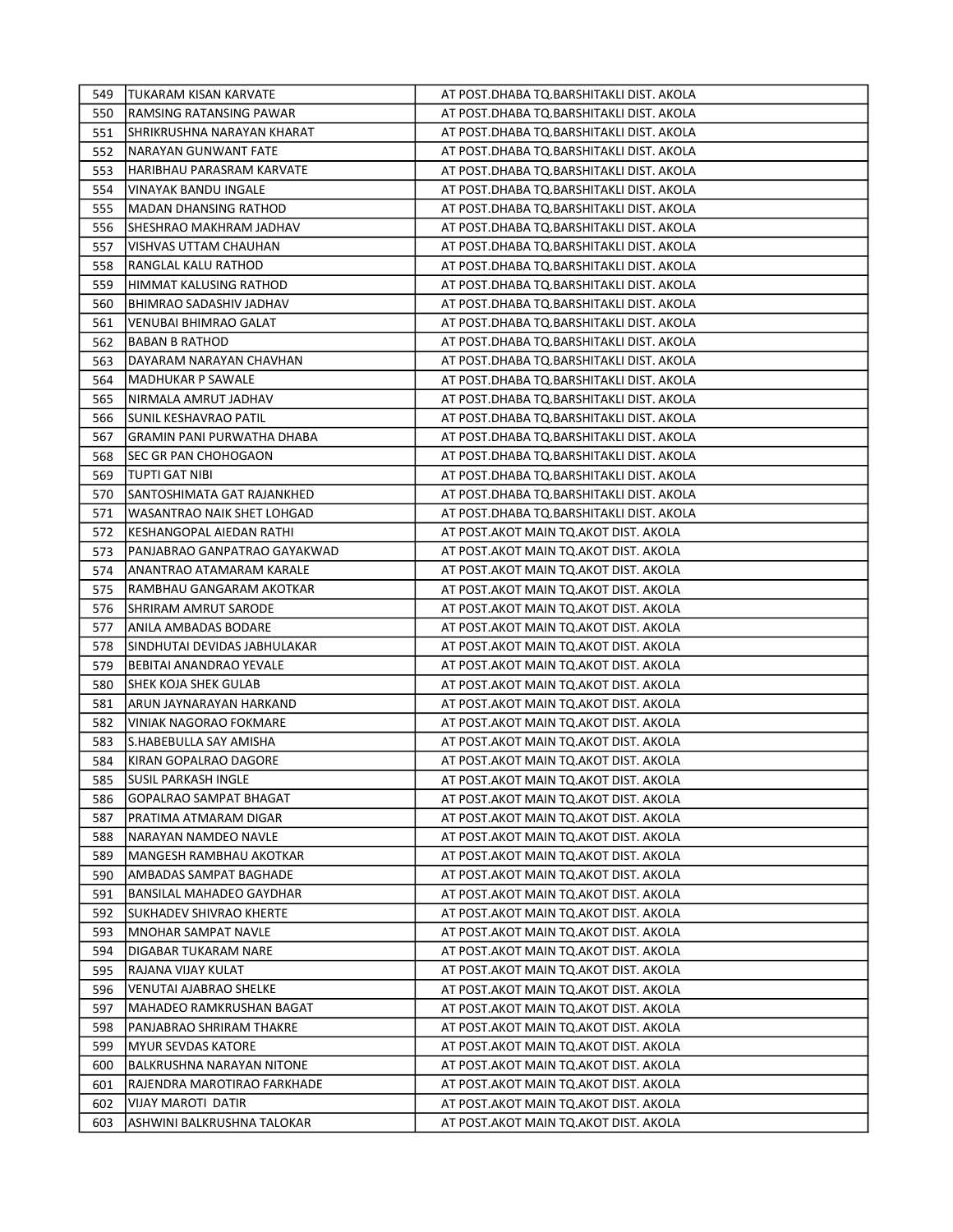| 549 | ITUKARAM KISAN KARVATE       | AT POST.DHABA TQ.BARSHITAKLI DIST. AKOLA |
|-----|------------------------------|------------------------------------------|
| 550 | RAMSING RATANSING PAWAR      | AT POST.DHABA TQ.BARSHITAKLI DIST. AKOLA |
| 551 | ISHRIKRUSHNA NARAYAN KHARAT  | AT POST.DHABA TQ.BARSHITAKLI DIST. AKOLA |
| 552 | INARAYAN GUNWANT FATE        | AT POST.DHABA TQ.BARSHITAKLI DIST. AKOLA |
| 553 | HARIBHAU PARASRAM KARVATE    | AT POST.DHABA TQ.BARSHITAKLI DIST. AKOLA |
| 554 | VINAYAK BANDU INGALE         | AT POST.DHABA TQ.BARSHITAKLI DIST. AKOLA |
| 555 | MADAN DHANSING RATHOD        | AT POST.DHABA TQ.BARSHITAKLI DIST. AKOLA |
| 556 | ISHESHRAO MAKHRAM JADHAV     | AT POST.DHABA TQ.BARSHITAKLI DIST. AKOLA |
| 557 | VISHVAS UTTAM CHAUHAN        | AT POST.DHABA TQ.BARSHITAKLI DIST. AKOLA |
| 558 | <b>RANGLAL KALU RATHOD</b>   | AT POST.DHABA TQ.BARSHITAKLI DIST. AKOLA |
| 559 | HIMMAT KALUSING RATHOD       | AT POST.DHABA TQ.BARSHITAKLI DIST. AKOLA |
| 560 | BHIMRAO SADASHIV JADHAV      | AT POST.DHABA TO.BARSHITAKLI DIST. AKOLA |
| 561 | VENUBAI BHIMRAO GALAT        | AT POST.DHABA TQ.BARSHITAKLI DIST. AKOLA |
| 562 | BABAN B RATHOD               | AT POST.DHABA TQ.BARSHITAKLI DIST. AKOLA |
| 563 | DAYARAM NARAYAN CHAVHAN      | AT POST.DHABA TQ.BARSHITAKLI DIST. AKOLA |
| 564 | MADHUKAR P SAWALE            | AT POST.DHABA TQ.BARSHITAKLI DIST. AKOLA |
| 565 | NIRMALA AMRUT JADHAV         | AT POST.DHABA TQ.BARSHITAKLI DIST. AKOLA |
| 566 | SUNIL KESHAVRAO PATIL        | AT POST.DHABA TQ.BARSHITAKLI DIST. AKOLA |
| 567 | GRAMIN PANI PURWATHA DHABA   | AT POST.DHABA TQ.BARSHITAKLI DIST. AKOLA |
| 568 | ISEC GR PAN CHOHOGAON        | AT POST.DHABA TQ.BARSHITAKLI DIST. AKOLA |
| 569 | ITUPTI GAT NIBI              | AT POST.DHABA TQ.BARSHITAKLI DIST. AKOLA |
| 570 | ISANTOSHIMATA GAT RAJANKHED  | AT POST.DHABA TQ.BARSHITAKLI DIST. AKOLA |
| 571 | WASANTRAO NAIK SHET LOHGAD   | AT POST.DHABA TQ.BARSHITAKLI DIST. AKOLA |
| 572 | IKESHANGOPAL AIEDAN RATHI    | AT POST.AKOT MAIN TQ.AKOT DIST. AKOLA    |
| 573 | PANJABRAO GANPATRAO GAYAKWAD | AT POST.AKOT MAIN TQ.AKOT DIST. AKOLA    |
| 574 | JANANTRAO ATAMARAM KARALE    | AT POST.AKOT MAIN TQ.AKOT DIST. AKOLA    |
| 575 | IRAMBHAU GANGARAM AKOTKAR    | AT POST.AKOT MAIN TQ.AKOT DIST. AKOLA    |
| 576 | ISHRIRAM AMRUT SARODE        | AT POST.AKOT MAIN TQ.AKOT DIST. AKOLA    |
| 577 | JANILA AMBADAS BODARE        | AT POST.AKOT MAIN TQ.AKOT DIST. AKOLA    |
| 578 | SINDHUTAI DEVIDAS JABHULAKAR | AT POST.AKOT MAIN TQ.AKOT DIST. AKOLA    |
| 579 | BEBITAI ANANDRAO YEVALE      | AT POST.AKOT MAIN TQ.AKOT DIST. AKOLA    |
| 580 | SHEK KOJA SHEK GULAB         | AT POST.AKOT MAIN TQ.AKOT DIST. AKOLA    |
| 581 | ARUN JAYNARAYAN HARKAND      | AT POST.AKOT MAIN TQ.AKOT DIST. AKOLA    |
| 582 | VINIAK NAGORAO FOKMARE       | AT POST.AKOT MAIN TQ.AKOT DIST. AKOLA    |
| 583 | lS.HABEBULLA SAY AMISHA      | AT POST.AKOT MAIN TQ.AKOT DIST. AKOLA    |
| 584 | İKIRAN GOPALRAO DAGORE       | AT POST. AKOT MAIN TO. AKOT DIST. AKOLA  |
| 585 | SUSIL PARKASH INGLE          | AT POST.AKOT MAIN TQ.AKOT DIST. AKOLA    |
| 586 | GOPALRAO SAMPAT BHAGAT       | AT POST.AKOT MAIN TQ.AKOT DIST. AKOLA    |
| 587 | PRATIMA ATMARAM DIGAR        | AT POST.AKOT MAIN TQ.AKOT DIST. AKOLA    |
| 588 | NARAYAN NAMDEO NAVLE         | AT POST.AKOT MAIN TQ.AKOT DIST. AKOLA    |
| 589 | MANGESH RAMBHAU AKOTKAR      | AT POST.AKOT MAIN TQ.AKOT DIST. AKOLA    |
| 590 | AMBADAS SAMPAT BAGHADE       | AT POST.AKOT MAIN TQ.AKOT DIST. AKOLA    |
| 591 | BANSILAL MAHADEO GAYDHAR     | AT POST.AKOT MAIN TQ.AKOT DIST. AKOLA    |
| 592 | ISUKHADEV SHIVRAO KHERTE     | AT POST.AKOT MAIN TQ.AKOT DIST. AKOLA    |
| 593 | MNOHAR SAMPAT NAVLE          | AT POST.AKOT MAIN TO.AKOT DIST. AKOLA    |
| 594 | DIGABAR TUKARAM NARE         | AT POST.AKOT MAIN TQ.AKOT DIST. AKOLA    |
| 595 | IRAJANA VIJAY KULAT          | AT POST.AKOT MAIN TQ.AKOT DIST. AKOLA    |
| 596 | VENUTAI AJABRAO SHELKE       | AT POST.AKOT MAIN TQ.AKOT DIST. AKOLA    |
| 597 | MAHADEO RAMKRUSHAN BAGAT     | AT POST.AKOT MAIN TQ.AKOT DIST. AKOLA    |
| 598 | PANJABRAO SHRIRAM THAKRE     | AT POST.AKOT MAIN TQ.AKOT DIST. AKOLA    |
| 599 | MYUR SEVDAS KATORE           | AT POST.AKOT MAIN TQ.AKOT DIST. AKOLA    |
| 600 | BALKRUSHNA NARAYAN NITONE    | AT POST.AKOT MAIN TQ.AKOT DIST. AKOLA    |
| 601 | RAJENDRA MAROTIRAO FARKHADE  | AT POST.AKOT MAIN TQ.AKOT DIST. AKOLA    |
| 602 | VIJAY MAROTI DATIR           | AT POST.AKOT MAIN TQ.AKOT DIST. AKOLA    |
| 603 | ASHWINI BALKRUSHNA TALOKAR   | AT POST.AKOT MAIN TQ.AKOT DIST. AKOLA    |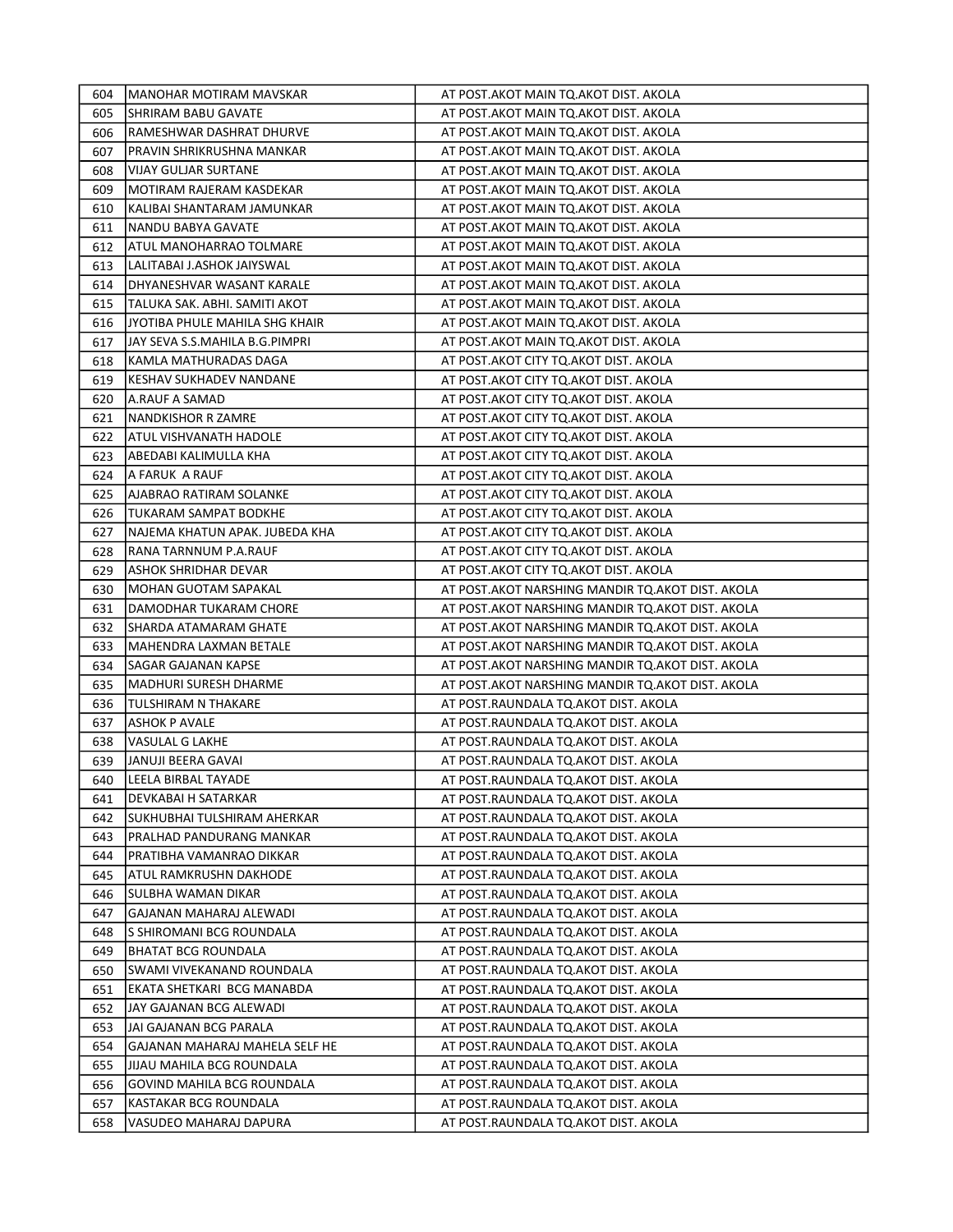| 604 | IMANOHAR MOTIRAM MAVSKAR        | AT POST.AKOT MAIN TQ.AKOT DIST. AKOLA              |
|-----|---------------------------------|----------------------------------------------------|
| 605 | ISHRIRAM BABU GAVATE            | AT POST.AKOT MAIN TQ.AKOT DIST. AKOLA              |
| 606 | RAMESHWAR DASHRAT DHURVE        | AT POST.AKOT MAIN TQ.AKOT DIST. AKOLA              |
| 607 | PRAVIN SHRIKRUSHNA MANKAR       | AT POST.AKOT MAIN TQ.AKOT DIST. AKOLA              |
| 608 | <b>VIJAY GULJAR SURTANE</b>     | AT POST.AKOT MAIN TQ.AKOT DIST. AKOLA              |
| 609 | MOTIRAM RAJERAM KASDEKAR        | AT POST.AKOT MAIN TQ.AKOT DIST. AKOLA              |
| 610 | KALIBAI SHANTARAM JAMUNKAR      | AT POST.AKOT MAIN TQ.AKOT DIST. AKOLA              |
| 611 | NANDU BABYA GAVATE              | AT POST.AKOT MAIN TQ.AKOT DIST. AKOLA              |
| 612 | IATUL MANOHARRAO TOLMARE        | AT POST.AKOT MAIN TQ.AKOT DIST. AKOLA              |
| 613 | LALITABAI J.ASHOK JAIYSWAL      | AT POST.AKOT MAIN TQ.AKOT DIST. AKOLA              |
| 614 | DHYANESHVAR WASANT KARALE       | AT POST.AKOT MAIN TQ.AKOT DIST. AKOLA              |
| 615 | TALUKA SAK. ABHI. SAMITI AKOT   | AT POST.AKOT MAIN TQ.AKOT DIST. AKOLA              |
| 616 | JJYOTIBA PHULE MAHILA SHG KHAIR | AT POST.AKOT MAIN TQ.AKOT DIST. AKOLA              |
| 617 | JJAY SEVA S.S.MAHILA B.G.PIMPRI | AT POST.AKOT MAIN TO.AKOT DIST. AKOLA              |
| 618 | KAMLA MATHURADAS DAGA           | AT POST.AKOT CITY TQ.AKOT DIST. AKOLA              |
| 619 | JKESHAV SUKHADEV NANDANE        | AT POST.AKOT CITY TQ.AKOT DIST. AKOLA              |
| 620 | IA.RAUF A SAMAD                 | AT POST.AKOT CITY TQ.AKOT DIST. AKOLA              |
| 621 | NANDKISHOR R ZAMRE              | AT POST.AKOT CITY TQ.AKOT DIST. AKOLA              |
| 622 | JATUL VISHVANATH HADOLE         | AT POST.AKOT CITY TQ.AKOT DIST. AKOLA              |
| 623 | JABEDABI KALIMULLA KHA          | AT POST.AKOT CITY TQ.AKOT DIST. AKOLA              |
| 624 | JA FARUK A RAUF                 | AT POST.AKOT CITY TO.AKOT DIST. AKOLA              |
| 625 | JAJABRAO RATIRAM SOLANKE        | AT POST.AKOT CITY TQ.AKOT DIST. AKOLA              |
| 626 | ITUKARAM SAMPAT BODKHE          | AT POST.AKOT CITY TQ.AKOT DIST. AKOLA              |
| 627 | INAJEMA KHATUN APAK. JUBEDA KHA | AT POST.AKOT CITY TQ.AKOT DIST. AKOLA              |
| 628 | RANA TARNNUM P.A.RAUF           | AT POST.AKOT CITY TQ.AKOT DIST. AKOLA              |
| 629 | IASHOK SHRIDHAR DEVAR           | AT POST.AKOT CITY TQ.AKOT DIST. AKOLA              |
| 630 | MOHAN GUOTAM SAPAKAL            | AT POST.AKOT NARSHING MANDIR TQ.AKOT DIST. AKOLA   |
| 631 | DAMODHAR TUKARAM CHORE          | AT POST.AKOT NARSHING MANDIR TQ.AKOT DIST. AKOLA   |
| 632 | ISHARDA ATAMARAM GHATE          | AT POST.AKOT NARSHING MANDIR TQ.AKOT DIST. AKOLA   |
| 633 | IMAHENDRA LAXMAN BETALE         | AT POST.AKOT NARSHING MANDIR TQ.AKOT DIST. AKOLA   |
| 634 | SAGAR GAJANAN KAPSE             | AT POST. AKOT NARSHING MANDIR TQ. AKOT DIST. AKOLA |
| 635 | MADHURI SURESH DHARME           | AT POST.AKOT NARSHING MANDIR TQ.AKOT DIST. AKOLA   |
| 636 | TULSHIRAM N THAKARE             | AT POST.RAUNDALA TO.AKOT DIST. AKOLA               |
| 637 | JASHOK P AVALE                  | AT POST.RAUNDALA TQ.AKOT DIST. AKOLA               |
| 638 | VASULAL G LAKHE                 | AT POST.RAUNDALA TQ.AKOT DIST. AKOLA               |
| 639 | JANUJI BEERA GAVAI              | AT POST.RAUNDALA TQ.AKOT DIST. AKOLA               |
| 640 | LEELA BIRBAL TAYADE             | AT POST.RAUNDALA TQ.AKOT DIST. AKOLA               |
| 641 | DEVKABAI H SATARKAR             | AT POST.RAUNDALA TQ.AKOT DIST. AKOLA               |
| 642 | SUKHUBHAI TULSHIRAM AHERKAR     | AT POST.RAUNDALA TQ.AKOT DIST. AKOLA               |
| 643 | PRALHAD PANDURANG MANKAR        | AT POST.RAUNDALA TQ.AKOT DIST. AKOLA               |
| 644 | PRATIBHA VAMANRAO DIKKAR        | AT POST.RAUNDALA TQ.AKOT DIST. AKOLA               |
| 645 | ATUL RAMKRUSHN DAKHODE          | AT POST.RAUNDALA TQ.AKOT DIST. AKOLA               |
| 646 | SULBHA WAMAN DIKAR              | AT POST.RAUNDALA TQ.AKOT DIST. AKOLA               |
| 647 | lGAJANAN MAHARAJ ALEWADI        | AT POST.RAUNDALA TQ.AKOT DIST. AKOLA               |
| 648 | IS SHIROMANI BCG ROUNDALA       | AT POST.RAUNDALA TQ.AKOT DIST. AKOLA               |
| 649 | IBHATAT BCG ROUNDALA            | AT POST.RAUNDALA TQ.AKOT DIST. AKOLA               |
| 650 | ISWAMI VIVEKANAND ROUNDALA      | AT POST.RAUNDALA TQ.AKOT DIST. AKOLA               |
| 651 | JEKATA SHETKARI BCG MANABDA     | AT POST.RAUNDALA TQ.AKOT DIST. AKOLA               |
| 652 | JAY GAJANAN BCG ALEWADI         | AT POST.RAUNDALA TQ.AKOT DIST. AKOLA               |
| 653 | JIAI GAJANAN BCG PARALA         | AT POST.RAUNDALA TQ.AKOT DIST. AKOLA               |
| 654 | GAJANAN MAHARAJ MAHELA SELF HE  | AT POST.RAUNDALA TQ.AKOT DIST. AKOLA               |
| 655 | JJIJAU MAHILA BCG ROUNDALA      | AT POST.RAUNDALA TQ.AKOT DIST. AKOLA               |
| 656 | GOVIND MAHILA BCG ROUNDALA      | AT POST.RAUNDALA TQ.AKOT DIST. AKOLA               |
| 657 | KASTAKAR BCG ROUNDALA           | AT POST.RAUNDALA TQ.AKOT DIST. AKOLA               |
| 658 | VASUDEO MAHARAJ DAPURA          | AT POST.RAUNDALA TQ.AKOT DIST. AKOLA               |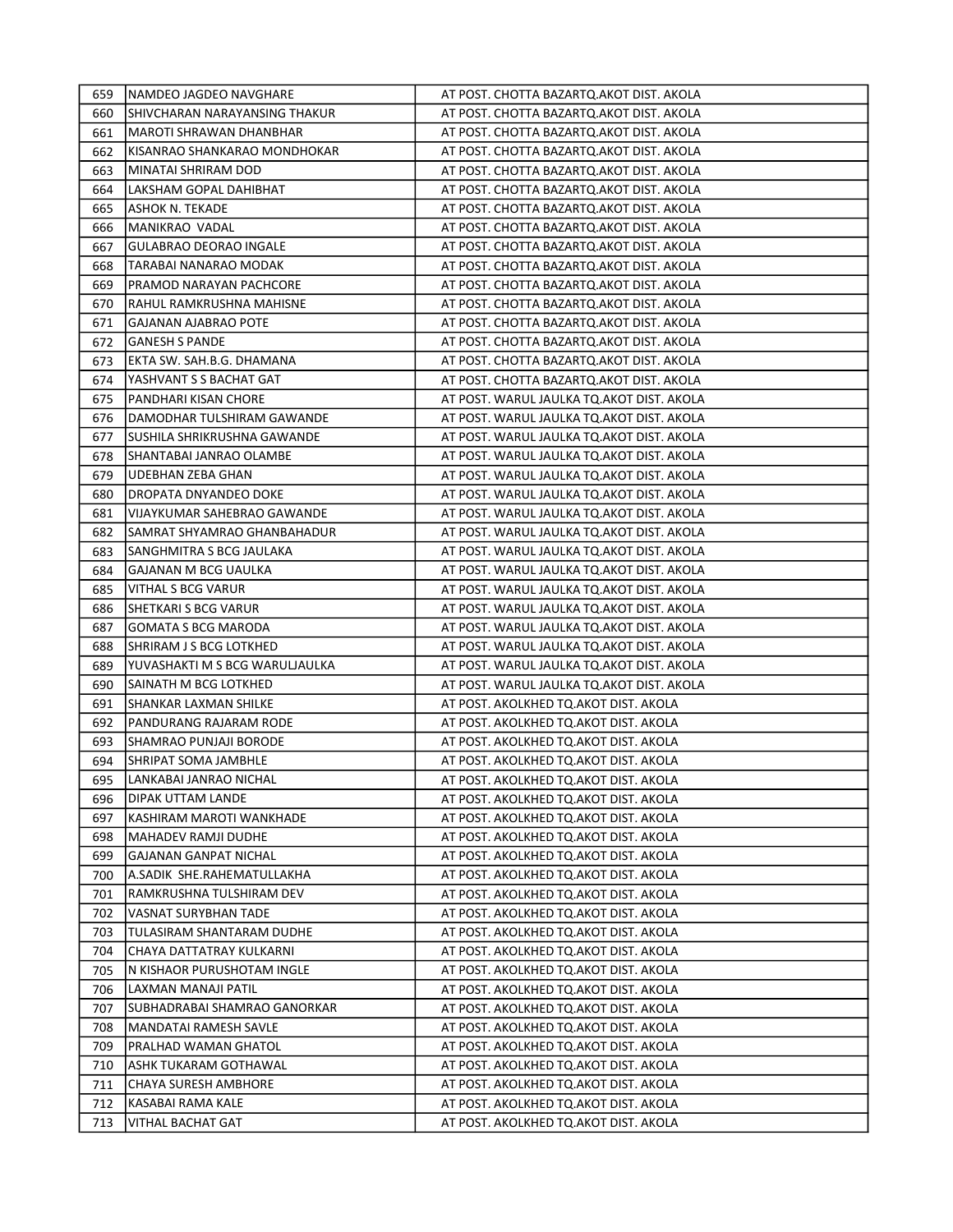| 659 | INAMDEO JAGDEO NAVGHARE         | AT POST. CHOTTA BAZARTQ.AKOT DIST. AKOLA  |
|-----|---------------------------------|-------------------------------------------|
| 660 | ISHIVCHARAN NARAYANSING THAKUR  | AT POST. CHOTTA BAZARTQ.AKOT DIST. AKOLA  |
| 661 | MAROTI SHRAWAN DHANBHAR         | AT POST. CHOTTA BAZARTQ.AKOT DIST. AKOLA  |
| 662 | KISANRAO SHANKARAO MONDHOKAR    | AT POST. CHOTTA BAZARTQ.AKOT DIST. AKOLA  |
| 663 | MINATAI SHRIRAM DOD             | AT POST. CHOTTA BAZARTQ.AKOT DIST. AKOLA  |
| 664 | LAKSHAM GOPAL DAHIBHAT          | AT POST. CHOTTA BAZARTQ.AKOT DIST. AKOLA  |
| 665 | ASHOK N. TEKADE                 | AT POST. CHOTTA BAZARTQ.AKOT DIST. AKOLA  |
| 666 | MANIKRAO VADAL                  | AT POST. CHOTTA BAZARTQ.AKOT DIST. AKOLA  |
| 667 | GULABRAO DEORAO INGALE          | AT POST. CHOTTA BAZARTQ.AKOT DIST. AKOLA  |
| 668 | TARABAI NANARAO MODAK           | AT POST. CHOTTA BAZARTQ.AKOT DIST. AKOLA  |
| 669 | PRAMOD NARAYAN PACHCORE         | AT POST. CHOTTA BAZARTQ.AKOT DIST. AKOLA  |
| 670 | RAHUL RAMKRUSHNA MAHISNE        | AT POST. CHOTTA BAZARTQ.AKOT DIST. AKOLA  |
| 671 | GAJANAN AJABRAO POTE            | AT POST. CHOTTA BAZARTQ.AKOT DIST. AKOLA  |
| 672 | GANESH S PANDE                  | AT POST. CHOTTA BAZARTQ.AKOT DIST. AKOLA  |
| 673 | JEKTA SW. SAH.B.G. DHAMANA      | AT POST. CHOTTA BAZARTQ.AKOT DIST. AKOLA  |
| 674 | YASHVANT S S BACHAT GAT         | AT POST. CHOTTA BAZARTQ.AKOT DIST. AKOLA  |
| 675 | PANDHARI KISAN CHORE            | AT POST. WARUL JAULKA TQ.AKOT DIST. AKOLA |
| 676 | DAMODHAR TULSHIRAM GAWANDE      | AT POST. WARUL JAULKA TQ.AKOT DIST. AKOLA |
| 677 | ISUSHILA SHRIKRUSHNA GAWANDE    | AT POST. WARUL JAULKA TQ.AKOT DIST. AKOLA |
| 678 | SHANTABAI JANRAO OLAMBE         | AT POST. WARUL JAULKA TQ.AKOT DIST. AKOLA |
| 679 | UDEBHAN ZEBA GHAN               | AT POST. WARUL JAULKA TO AKOT DIST. AKOLA |
| 680 | IDROPATA DNYANDEO DOKE          | AT POST. WARUL JAULKA TQ.AKOT DIST. AKOLA |
| 681 | VIJAYKUMAR SAHEBRAO GAWANDE     | AT POST. WARUL JAULKA TQ.AKOT DIST. AKOLA |
| 682 | ISAMRAT SHYAMRAO GHANBAHADUR    | AT POST. WARUL JAULKA TQ.AKOT DIST. AKOLA |
| 683 | ISANGHMITRA S BCG JAULAKA       | AT POST. WARUL JAULKA TQ.AKOT DIST. AKOLA |
| 684 | GAJANAN M BCG UAULKA            | AT POST. WARUL JAULKA TQ.AKOT DIST. AKOLA |
| 685 | VITHAL S BCG VARUR              | AT POST. WARUL JAULKA TQ.AKOT DIST. AKOLA |
| 686 | SHETKARI S BCG VARUR            | AT POST. WARUL JAULKA TO AKOT DIST. AKOLA |
| 687 | GOMATA S BCG MARODA             | AT POST. WARUL JAULKA TQ.AKOT DIST. AKOLA |
| 688 | SHRIRAM J S BCG LOTKHED         | AT POST. WARUL JAULKA TQ.AKOT DIST. AKOLA |
| 689 | IYUVASHAKTI M S BCG WARULJAULKA | AT POST. WARUL JAULKA TQ.AKOT DIST. AKOLA |
| 690 | SAINATH M BCG LOTKHED           | AT POST. WARUL JAULKA TQ.AKOT DIST. AKOLA |
| 691 | ISHANKAR LAXMAN SHILKE          | AT POST. AKOLKHED TQ.AKOT DIST. AKOLA     |
| 692 | PANDURANG RAJARAM RODE          | AT POST. AKOLKHED TQ.AKOT DIST. AKOLA     |
| 693 | ISHAMRAO PUNJAJI BORODE         | AT POST. AKOLKHED TQ.AKOT DIST. AKOLA     |
| 694 | <b>SHRIPAT SOMA JAMBHLE</b>     | AT POST. AKOLKHED TQ.AKOT DIST. AKOLA     |
| 695 | LANKABAI JANRAO NICHAL          | AT POST. AKOLKHED TQ.AKOT DIST. AKOLA     |
| 696 | DIPAK UTTAM LANDE               | AT POST. AKOLKHED TQ.AKOT DIST. AKOLA     |
| 697 | KASHIRAM MAROTI WANKHADE        | AT POST. AKOLKHED TQ.AKOT DIST. AKOLA     |
| 698 | MAHADEV RAMJI DUDHE             | AT POST. AKOLKHED TO AKOT DIST. AKOLA     |
| 699 | <b>GAJANAN GANPAT NICHAL</b>    | AT POST. AKOLKHED TQ.AKOT DIST. AKOLA     |
| 700 | A.SADIK SHE.RAHEMATULLAKHA      | AT POST. AKOLKHED TQ.AKOT DIST. AKOLA     |
| 701 | RAMKRUSHNA TULSHIRAM DEV        | AT POST. AKOLKHED TQ.AKOT DIST. AKOLA     |
| 702 | VASNAT SURYBHAN TADE            | AT POST. AKOLKHED TQ.AKOT DIST. AKOLA     |
| 703 | TULASIRAM SHANTARAM DUDHE       | AT POST. AKOLKHED TQ.AKOT DIST. AKOLA     |
| 704 | CHAYA DATTATRAY KULKARNI        | AT POST. AKOLKHED TQ.AKOT DIST. AKOLA     |
| 705 | IN KISHAOR PURUSHOTAM INGLE     | AT POST. AKOLKHED TQ.AKOT DIST. AKOLA     |
| 706 | LAXMAN MANAJI PATIL             | AT POST. AKOLKHED TQ.AKOT DIST. AKOLA     |
| 707 | ISUBHADRABAI SHAMRAO GANORKAR   | AT POST. AKOLKHED TQ.AKOT DIST. AKOLA     |
| 708 | MANDATAI RAMESH SAVLE           | AT POST. AKOLKHED TQ.AKOT DIST. AKOLA     |
| 709 | PRALHAD WAMAN GHATOL            | AT POST. AKOLKHED TQ.AKOT DIST. AKOLA     |
| 710 | JASHK TUKARAM GOTHAWAL          | AT POST. AKOLKHED TQ.AKOT DIST. AKOLA     |
| 711 | <b>CHAYA SURESH AMBHORE</b>     | AT POST. AKOLKHED TQ.AKOT DIST. AKOLA     |
| 712 | KASABAI RAMA KALE               | AT POST. AKOLKHED TQ.AKOT DIST. AKOLA     |
| 713 | VITHAL BACHAT GAT               | AT POST. AKOLKHED TQ.AKOT DIST. AKOLA     |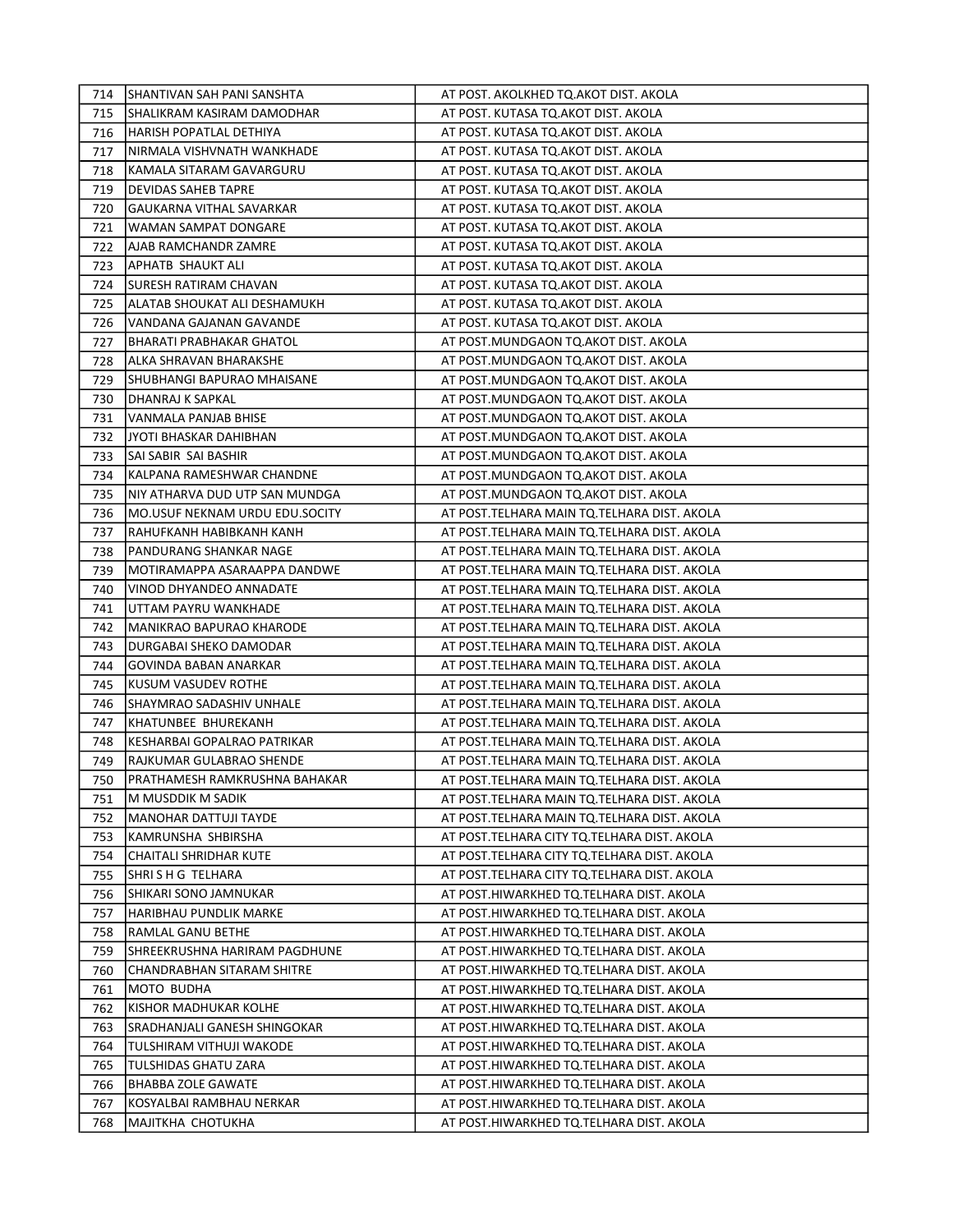| 714 | ISHANTIVAN SAH PANI SANSHTA     | AT POST. AKOLKHED TQ.AKOT DIST. AKOLA       |
|-----|---------------------------------|---------------------------------------------|
| 715 | ISHALIKRAM KASIRAM DAMODHAR     | AT POST. KUTASA TQ.AKOT DIST. AKOLA         |
| 716 | HARISH POPATLAL DETHIYA         | AT POST. KUTASA TQ.AKOT DIST. AKOLA         |
| 717 | NIRMALA VISHVNATH WANKHADE      | AT POST. KUTASA TQ.AKOT DIST. AKOLA         |
| 718 | KAMALA SITARAM GAVARGURU        | AT POST. KUTASA TQ.AKOT DIST. AKOLA         |
| 719 | DEVIDAS SAHEB TAPRE             | AT POST. KUTASA TQ.AKOT DIST. AKOLA         |
| 720 | GAUKARNA VITHAL SAVARKAR        | AT POST. KUTASA TQ.AKOT DIST. AKOLA         |
| 721 | WAMAN SAMPAT DONGARE            | AT POST. KUTASA TQ.AKOT DIST. AKOLA         |
| 722 | IAJAB RAMCHANDR ZAMRE           | AT POST. KUTASA TQ.AKOT DIST. AKOLA         |
| 723 | APHATB SHAUKT ALI               | AT POST. KUTASA TQ.AKOT DIST. AKOLA         |
| 724 | ISURESH RATIRAM CHAVAN          | AT POST. KUTASA TQ.AKOT DIST. AKOLA         |
| 725 | JALATAB SHOUKAT ALI DESHAMUKH   | AT POST. KUTASA TQ.AKOT DIST. AKOLA         |
| 726 | VANDANA GAJANAN GAVANDE         | AT POST. KUTASA TQ.AKOT DIST. AKOLA         |
| 727 | BHARATI PRABHAKAR GHATOL        | AT POST.MUNDGAON TQ.AKOT DIST. AKOLA        |
| 728 | JALKA SHRAVAN BHARAKSHE         | AT POST.MUNDGAON TQ.AKOT DIST. AKOLA        |
| 729 | ISHUBHANGI BAPURAO MHAISANE     | AT POST.MUNDGAON TQ.AKOT DIST. AKOLA        |
| 730 | DHANRAJ K SAPKAL                | AT POST.MUNDGAON TQ.AKOT DIST. AKOLA        |
| 731 | VANMALA PANJAB BHISE            | AT POST.MUNDGAON TQ.AKOT DIST. AKOLA        |
| 732 | JIYOTI BHASKAR DAHIBHAN         | AT POST.MUNDGAON TQ.AKOT DIST. AKOLA        |
| 733 | SAI SABIR SAI BASHIR            | AT POST.MUNDGAON TQ.AKOT DIST. AKOLA        |
| 734 | IKALPANA RAMESHWAR CHANDNE      | AT POST.MUNDGAON TQ.AKOT DIST. AKOLA        |
| 735 | INIY ATHARVA DUD UTP SAN MUNDGA | AT POST.MUNDGAON TQ.AKOT DIST. AKOLA        |
| 736 | IMO.USUF NEKNAM URDU EDU.SOCITY | AT POST.TELHARA MAIN TQ.TELHARA DIST. AKOLA |
| 737 | RAHUFKANH HABIBKANH KANH        | AT POST.TELHARA MAIN TQ.TELHARA DIST. AKOLA |
| 738 | PANDURANG SHANKAR NAGE          | AT POST.TELHARA MAIN TQ.TELHARA DIST. AKOLA |
| 739 | IMOTIRAMAPPA ASARAAPPA DANDWE   | AT POST.TELHARA MAIN TQ.TELHARA DIST. AKOLA |
| 740 | VINOD DHYANDEO ANNADATE         | AT POST.TELHARA MAIN TQ.TELHARA DIST. AKOLA |
| 741 | UTTAM PAYRU WANKHADE            | AT POST.TELHARA MAIN TQ.TELHARA DIST. AKOLA |
| 742 | MANIKRAO BAPURAO KHARODE        | AT POST.TELHARA MAIN TO.TELHARA DIST. AKOLA |
| 743 | DURGABAI SHEKO DAMODAR          | AT POST.TELHARA MAIN TQ.TELHARA DIST. AKOLA |
| 744 | GOVINDA BABAN ANARKAR           | AT POST.TELHARA MAIN TQ.TELHARA DIST. AKOLA |
| 745 | IKUSUM VASUDEV ROTHE            | AT POST.TELHARA MAIN TQ.TELHARA DIST. AKOLA |
| 746 | ISHAYMRAO SADASHIV UNHALE       | AT POST.TELHARA MAIN TQ.TELHARA DIST. AKOLA |
| 747 | KHATUNBEE BHUREKANH             | AT POST.TELHARA MAIN TO.TELHARA DIST. AKOLA |
| 748 | KESHARBAI GOPALRAO PATRIKAR     | AT POST.TELHARA MAIN TQ.TELHARA DIST. AKOLA |
| 749 | RAJKUMAR GULABRAO SHENDE        | AT POST.TELHARA MAIN TQ.TELHARA DIST. AKOLA |
| 750 | PRATHAMESH RAMKRUSHNA BAHAKAR   | AT POST.TELHARA MAIN TQ.TELHARA DIST. AKOLA |
| 751 | M MUSDDIK M SADIK               | AT POST.TELHARA MAIN TQ.TELHARA DIST. AKOLA |
| 752 | MANOHAR DATTUJI TAYDE           | AT POST.TELHARA MAIN TO.TELHARA DIST. AKOLA |
| 753 | KAMRUNSHA SHBIRSHA              | AT POST.TELHARA CITY TO.TELHARA DIST. AKOLA |
| 754 | CHAITALI SHRIDHAR KUTE          | AT POST.TELHARA CITY TQ.TELHARA DIST. AKOLA |
| 755 | SHRI S H G TELHARA              | AT POST.TELHARA CITY TQ.TELHARA DIST. AKOLA |
| 756 | [SHIKARI SONO JAMNUKAR          | AT POST.HIWARKHED TQ.TELHARA DIST. AKOLA    |
| 757 | HARIBHAU PUNDLIK MARKE          | AT POST.HIWARKHED TQ.TELHARA DIST. AKOLA    |
| 758 | RAMLAL GANU BETHE               | AT POST.HIWARKHED TQ.TELHARA DIST. AKOLA    |
| 759 | ISHREEKRUSHNA HARIRAM PAGDHUNE  | AT POST.HIWARKHED TQ.TELHARA DIST. AKOLA    |
| 760 | CHANDRABHAN SITARAM SHITRE      | AT POST.HIWARKHED TQ.TELHARA DIST. AKOLA    |
| 761 | MOTO BUDHA                      | AT POST.HIWARKHED TQ.TELHARA DIST. AKOLA    |
| 762 | KISHOR MADHUKAR KOLHE           | AT POST.HIWARKHED TQ.TELHARA DIST. AKOLA    |
| 763 | SRADHANJALI GANESH SHINGOKAR    | AT POST.HIWARKHED TQ.TELHARA DIST. AKOLA    |
| 764 | TULSHIRAM VITHUJI WAKODE        | AT POST.HIWARKHED TQ.TELHARA DIST. AKOLA    |
| 765 | TULSHIDAS GHATU ZARA            | AT POST.HIWARKHED TQ.TELHARA DIST. AKOLA    |
| 766 | <b>BHABBA ZOLE GAWATE</b>       | AT POST.HIWARKHED TQ.TELHARA DIST. AKOLA    |
| 767 | KOSYALBAI RAMBHAU NERKAR        | AT POST.HIWARKHED TQ.TELHARA DIST. AKOLA    |
| 768 | MAJITKHA CHOTUKHA               | AT POST.HIWARKHED TQ.TELHARA DIST. AKOLA    |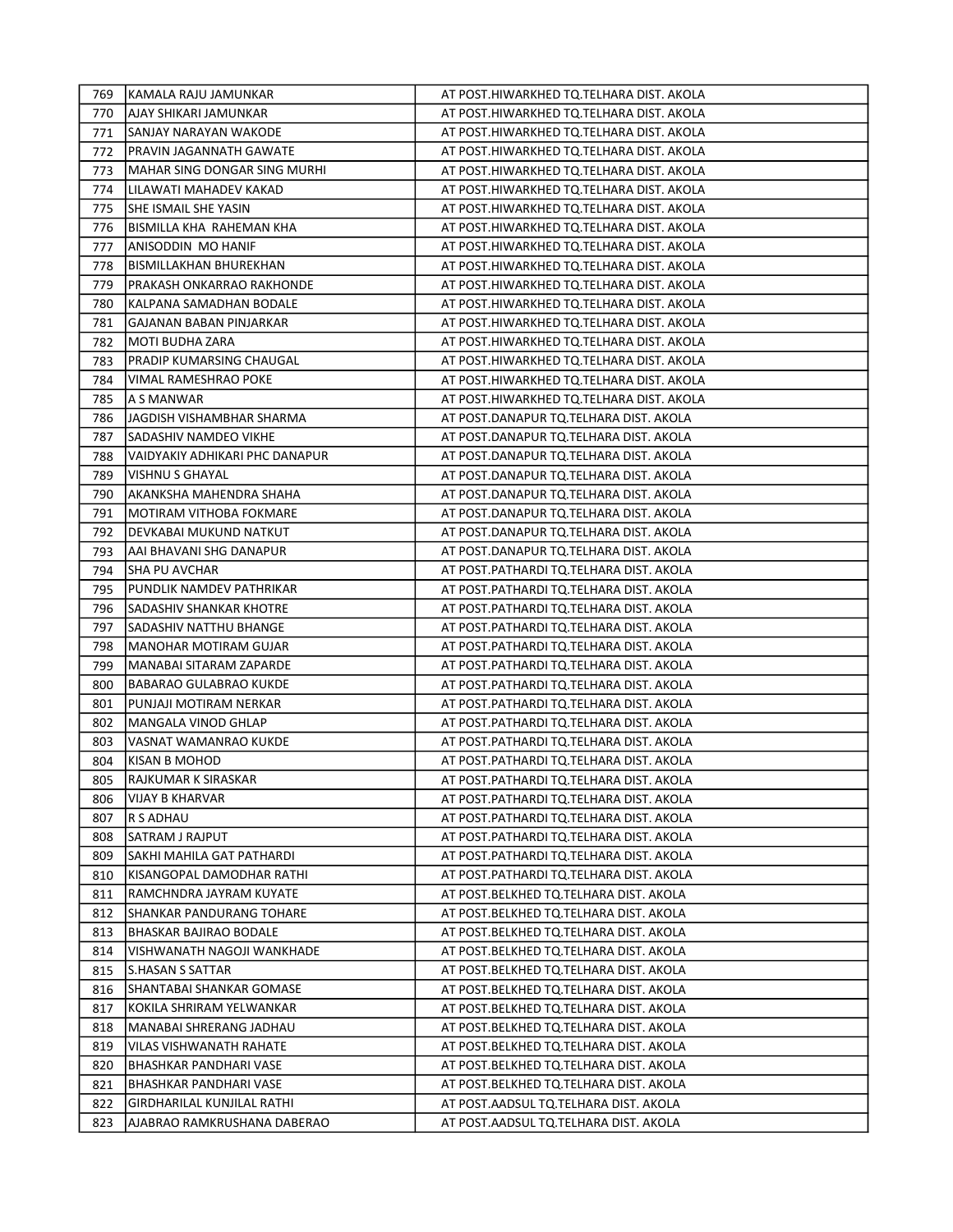| 769 | KAMALA RAJU JAMUNKAR           | AT POST.HIWARKHED TQ.TELHARA DIST. AKOLA  |
|-----|--------------------------------|-------------------------------------------|
| 770 | AJAY SHIKARI JAMUNKAR          | AT POST.HIWARKHED TQ.TELHARA DIST. AKOLA  |
| 771 | ISANJAY NARAYAN WAKODE         | AT POST.HIWARKHED TQ.TELHARA DIST. AKOLA  |
| 772 | PRAVIN JAGANNATH GAWATE        | AT POST.HIWARKHED TQ.TELHARA DIST. AKOLA  |
| 773 | IMAHAR SING DONGAR SING MURHI  | AT POST.HIWARKHED TQ.TELHARA DIST. AKOLA  |
| 774 | LILAWATI MAHADEV KAKAD         | AT POST.HIWARKHED TQ.TELHARA DIST. AKOLA  |
| 775 | SHE ISMAIL SHE YASIN           | AT POST.HIWARKHED TQ.TELHARA DIST. AKOLA  |
| 776 | BISMILLA KHA RAHEMAN KHA       | AT POST.HIWARKHED TQ.TELHARA DIST. AKOLA  |
| 777 | ANISODDIN MO HANIF             | AT POST.HIWARKHED TQ.TELHARA DIST. AKOLA  |
| 778 | IBISMILLAKHAN BHUREKHAN        | AT POST.HIWARKHED TQ.TELHARA DIST. AKOLA  |
| 779 | PRAKASH ONKARRAO RAKHONDE      | AT POST.HIWARKHED TQ.TELHARA DIST. AKOLA  |
| 780 | KALPANA SAMADHAN BODALE        | AT POST.HIWARKHED TQ.TELHARA DIST. AKOLA  |
| 781 | GAJANAN BABAN PINJARKAR        | AT POST.HIWARKHED TQ.TELHARA DIST. AKOLA  |
| 782 | MOTI BUDHA ZARA                | AT POST.HIWARKHED TQ.TELHARA DIST. AKOLA  |
| 783 | PRADIP KUMARSING CHAUGAL       | AT POST.HIWARKHED TQ.TELHARA DIST. AKOLA  |
| 784 | VIMAL RAMESHRAO POKE           | AT POST.HIWARKHED TQ.TELHARA DIST. AKOLA  |
| 785 | A S MANWAR                     | AT POST.HIWARKHED TQ.TELHARA DIST. AKOLA  |
| 786 | JAGDISH VISHAMBHAR SHARMA      | AT POST.DANAPUR TQ.TELHARA DIST. AKOLA    |
| 787 | SADASHIV NAMDEO VIKHE          | AT POST.DANAPUR TQ.TELHARA DIST. AKOLA    |
| 788 | VAIDYAKIY ADHIKARI PHC DANAPUR | AT POST.DANAPUR TQ.TELHARA DIST. AKOLA    |
| 789 | VISHNU S GHAYAL                | AT POST.DANAPUR TQ.TELHARA DIST. AKOLA    |
| 790 | AKANKSHA MAHENDRA SHAHA        | AT POST.DANAPUR TQ.TELHARA DIST. AKOLA    |
| 791 | JMOTIRAM VITHOBA FOKMARE       | AT POST.DANAPUR TQ.TELHARA DIST. AKOLA    |
| 792 | DEVKABAI MUKUND NATKUT         | AT POST.DANAPUR TQ.TELHARA DIST. AKOLA    |
| 793 | JAAI BHAVANI SHG DANAPUR       | AT POST.DANAPUR TQ.TELHARA DIST. AKOLA    |
| 794 | ISHA PU AVCHAR                 | AT POST.PATHARDI TQ.TELHARA DIST. AKOLA   |
| 795 | PUNDLIK NAMDEV PATHRIKAR       | AT POST.PATHARDI TQ.TELHARA DIST. AKOLA   |
| 796 | SADASHIV SHANKAR KHOTRE        | AT POST.PATHARDI TQ.TELHARA DIST. AKOLA   |
| 797 | SADASHIV NATTHU BHANGE         | AT POST.PATHARDI TQ.TELHARA DIST. AKOLA   |
| 798 | MANOHAR MOTIRAM GUJAR          | AT POST.PATHARDI TQ.TELHARA DIST. AKOLA   |
| 799 | MANABAI SITARAM ZAPARDE        | AT POST.PATHARDI TQ.TELHARA DIST. AKOLA   |
| 800 | BABARAO GULABRAO KUKDE         | AT POST.PATHARDI TQ.TELHARA DIST. AKOLA   |
| 801 | PUNJAJI MOTIRAM NERKAR         | AT POST.PATHARDI TQ.TELHARA DIST. AKOLA   |
| 802 | MANGALA VINOD GHLAP            | AT POST.PATHARDI TQ.TELHARA DIST. AKOLA   |
| 803 | VASNAT WAMANRAO KUKDE          | AT POST.PATHARDI TQ.TELHARA DIST. AKOLA   |
| 804 | KISAN B MOHOD                  | AT POST.PATHARDI TQ.TELHARA DIST. AKOLA   |
| 805 | RAJKUMAR K SIRASKAR            | AT POST.PATHARDI TQ.TELHARA DIST. AKOLA   |
| 806 | <b>VIJAY B KHARVAR</b>         | AT POST.PATHARDI TQ.TELHARA DIST. AKOLA   |
| 807 | R S ADHAU                      | AT POST.PATHARDI TQ.TELHARA DIST. AKOLA   |
| 808 | SATRAM J RAJPUT                | AT POST.PATHARDI TQ.TELHARA DIST. AKOLA   |
| 809 | SAKHI MAHILA GAT PATHARDI      | AT POST. PATHARDI TO. TELHARA DIST. AKOLA |
| 810 | KISANGOPAL DAMODHAR RATHI      | AT POST.PATHARDI TQ.TELHARA DIST. AKOLA   |
| 811 | RAMCHNDRA JAYRAM KUYATE        | AT POST.BELKHED TQ.TELHARA DIST. AKOLA    |
| 812 | SHANKAR PANDURANG TOHARE       | AT POST.BELKHED TQ.TELHARA DIST. AKOLA    |
| 813 | BHASKAR BAJIRAO BODALE         | AT POST.BELKHED TQ.TELHARA DIST. AKOLA    |
| 814 | VISHWANATH NAGOJI WANKHADE     | AT POST.BELKHED TQ.TELHARA DIST. AKOLA    |
| 815 | S.HASAN S SATTAR               | AT POST.BELKHED TQ.TELHARA DIST. AKOLA    |
| 816 | ISHANTABAI SHANKAR GOMASE      | AT POST.BELKHED TQ.TELHARA DIST. AKOLA    |
| 817 | KOKILA SHRIRAM YELWANKAR       | AT POST.BELKHED TQ.TELHARA DIST. AKOLA    |
| 818 | MANABAI SHRERANG JADHAU        | AT POST.BELKHED TQ.TELHARA DIST. AKOLA    |
| 819 | VILAS VISHWANATH RAHATE        | AT POST.BELKHED TQ.TELHARA DIST. AKOLA    |
| 820 | BHASHKAR PANDHARI VASE         | AT POST.BELKHED TQ.TELHARA DIST. AKOLA    |
| 821 | BHASHKAR PANDHARI VASE         | AT POST.BELKHED TQ.TELHARA DIST. AKOLA    |
| 822 | GIRDHARILAL KUNJILAL RATHI     | AT POST.AADSUL TQ.TELHARA DIST. AKOLA     |
| 823 | AJABRAO RAMKRUSHANA DABERAO    | AT POST.AADSUL TQ.TELHARA DIST. AKOLA     |
|     |                                |                                           |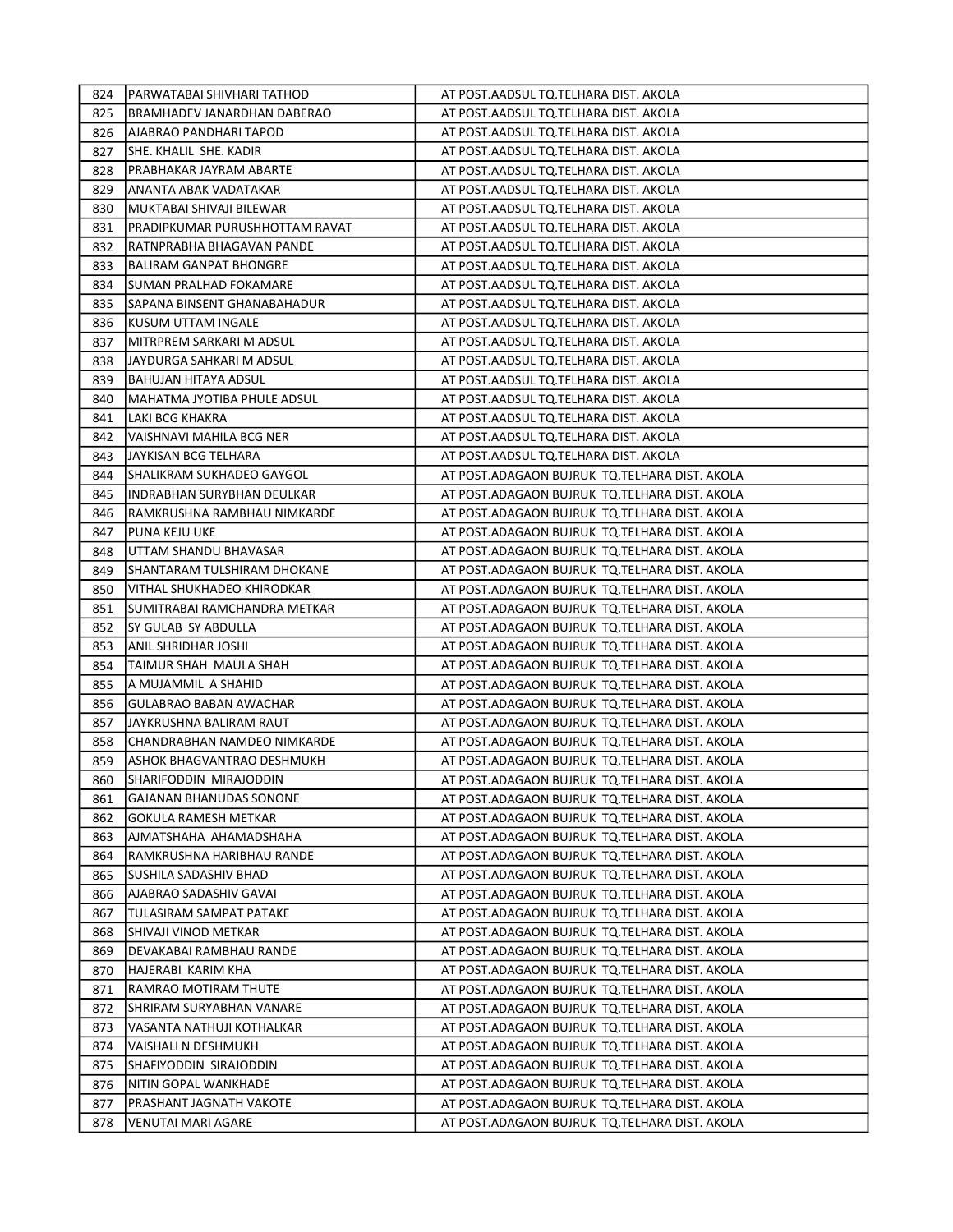| 824 | IPARWATABAI SHIVHARI TATHOD        | AT POST.AADSUL TQ.TELHARA DIST. AKOLA           |
|-----|------------------------------------|-------------------------------------------------|
| 825 | <b>BRAMHADEV JANARDHAN DABERAO</b> | AT POST.AADSUL TQ.TELHARA DIST. AKOLA           |
| 826 | AJABRAO PANDHARI TAPOD             | AT POST.AADSUL TQ.TELHARA DIST. AKOLA           |
| 827 | SHE. KHALIL  SHE. KADIR            | AT POST.AADSUL TQ.TELHARA DIST. AKOLA           |
| 828 | PRABHAKAR JAYRAM ABARTE            | AT POST.AADSUL TQ.TELHARA DIST. AKOLA           |
| 829 | ANANTA ABAK VADATAKAR              | AT POST.AADSUL TQ.TELHARA DIST. AKOLA           |
| 830 | MUKTABAI SHIVAJI BILEWAR           | AT POST.AADSUL TQ.TELHARA DIST. AKOLA           |
| 831 | PRADIPKUMAR PURUSHHOTTAM RAVAT     | AT POST.AADSUL TQ.TELHARA DIST. AKOLA           |
| 832 | RATNPRABHA BHAGAVAN PANDE          | AT POST.AADSUL TQ.TELHARA DIST. AKOLA           |
| 833 | <b>BALIRAM GANPAT BHONGRE</b>      | AT POST.AADSUL TQ.TELHARA DIST. AKOLA           |
| 834 | SUMAN PRALHAD FOKAMARE             | AT POST.AADSUL TQ.TELHARA DIST. AKOLA           |
| 835 | SAPANA BINSENT GHANABAHADUR        | AT POST.AADSUL TQ.TELHARA DIST. AKOLA           |
| 836 | KUSUM UTTAM INGALE                 | AT POST.AADSUL TQ.TELHARA DIST. AKOLA           |
| 837 | MITRPREM SARKARI M ADSUL           | AT POST.AADSUL TQ.TELHARA DIST. AKOLA           |
| 838 | JAYDURGA SAHKARI M ADSUL           | AT POST.AADSUL TQ.TELHARA DIST. AKOLA           |
| 839 | <b>BAHUJAN HITAYA ADSUL</b>        | AT POST.AADSUL TQ.TELHARA DIST. AKOLA           |
| 840 | MAHATMA JYOTIBA PHULE ADSUL        | AT POST.AADSUL TQ.TELHARA DIST. AKOLA           |
| 841 | LAKI BCG KHAKRA                    | AT POST.AADSUL TQ.TELHARA DIST. AKOLA           |
| 842 | VAISHNAVI MAHILA BCG NER           | AT POST.AADSUL TQ.TELHARA DIST. AKOLA           |
| 843 | JAYKISAN BCG TELHARA               | AT POST.AADSUL TQ.TELHARA DIST. AKOLA           |
| 844 | ISHALIKRAM SUKHADEO GAYGOL         | AT POST.ADAGAON BUJRUK TQ.TELHARA DIST. AKOLA   |
| 845 | IINDRABHAN SURYBHAN DEULKAR        | AT POST. ADAGAON BUJRUK TO. TELHARA DIST. AKOLA |
| 846 | RAMKRUSHNA RAMBHAU NIMKARDE        | AT POST.ADAGAON BUJRUK TQ.TELHARA DIST. AKOLA   |
| 847 | PUNA KEJU UKE                      | AT POST.ADAGAON BUJRUK TQ.TELHARA DIST. AKOLA   |
| 848 | UTTAM SHANDU BHAVASAR              | AT POST. ADAGAON BUJRUK TQ. TELHARA DIST. AKOLA |
| 849 | SHANTARAM TULSHIRAM DHOKANE        | AT POST. ADAGAON BUJRUK TQ. TELHARA DIST. AKOLA |
| 850 | VITHAL SHUKHADEO KHIRODKAR         | AT POST.ADAGAON BUJRUK TQ.TELHARA DIST. AKOLA   |
| 851 | SUMITRABAI RAMCHANDRA METKAR       | AT POST. ADAGAON BUJRUK TQ. TELHARA DIST. AKOLA |
| 852 | ISY GULAB SY ABDULLA               | AT POST.ADAGAON BUJRUK TQ.TELHARA DIST. AKOLA   |
| 853 | ANIL SHRIDHAR JOSHI                | AT POST.ADAGAON BUJRUK TQ.TELHARA DIST. AKOLA   |
| 854 | TAIMUR SHAH MAULA SHAH             | AT POST. ADAGAON BUJRUK TO. TELHARA DIST. AKOLA |
| 855 | A MUJAMMIL A SHAHID                | AT POST.ADAGAON BUJRUK TQ.TELHARA DIST. AKOLA   |
| 856 | <b>GULABRAO BABAN AWACHAR</b>      | AT POST.ADAGAON BUJRUK TQ.TELHARA DIST. AKOLA   |
| 857 | JAYKRUSHNA BALIRAM RAUT            | AT POST. ADAGAON BUJRUK TQ. TELHARA DIST. AKOLA |
| 858 | CHANDRABHAN NAMDEO NIMKARDE        | AT POST.ADAGAON BUJRUK TQ.TELHARA DIST. AKOLA   |
| 859 | ASHOK BHAGVANTRAO DESHMUKH         | AT POST. ADAGAON BUJRUK TQ. TELHARA DIST. AKOLA |
| 860 | SHARIFODDIN MIRAJODDIN             | AT POST.ADAGAON BUJRUK TQ.TELHARA DIST. AKOLA   |
| 861 | <b>GAJANAN BHANUDAS SONONE</b>     | AT POST. ADAGAON BUJRUK TQ. TELHARA DIST. AKOLA |
| 862 | <b>GOKULA RAMESH METKAR</b>        | AT POST. ADAGAON BUJRUK TO. TELHARA DIST. AKOLA |
| 863 | AJMATSHAHA AHAMADSHAHA             | AT POST.ADAGAON BUJRUK TQ.TELHARA DIST. AKOLA   |
| 864 | RAMKRUSHNA HARIBHAU RANDE          | AT POST. ADAGAON BUJRUK TQ. TELHARA DIST. AKOLA |
| 865 | SUSHILA SADASHIV BHAD              | AT POST.ADAGAON BUJRUK TQ.TELHARA DIST. AKOLA   |
| 866 | AJABRAO SADASHIV GAVAI             | AT POST.ADAGAON BUJRUK TQ.TELHARA DIST. AKOLA   |
| 867 | TULASIRAM SAMPAT PATAKE            | AT POST.ADAGAON BUJRUK TQ.TELHARA DIST. AKOLA   |
| 868 | SHIVAJI VINOD METKAR               | AT POST.ADAGAON BUJRUK TQ.TELHARA DIST. AKOLA   |
| 869 | DEVAKABAI RAMBHAU RANDE            | AT POST.ADAGAON BUJRUK TQ.TELHARA DIST. AKOLA   |
| 870 | HAJERABI KARIM KHA                 | AT POST.ADAGAON BUJRUK TQ.TELHARA DIST. AKOLA   |
| 871 | RAMRAO MOTIRAM THUTE               | AT POST.ADAGAON BUJRUK TQ.TELHARA DIST. AKOLA   |
| 872 | SHRIRAM SURYABHAN VANARE           | AT POST.ADAGAON BUJRUK TQ.TELHARA DIST. AKOLA   |
| 873 | VASANTA NATHUJI KOTHALKAR          | AT POST. ADAGAON BUJRUK TQ. TELHARA DIST. AKOLA |
| 874 | VAISHALI N DESHMUKH                | AT POST.ADAGAON BUJRUK TQ.TELHARA DIST. AKOLA   |
| 875 | SHAFIYODDIN SIRAJODDIN             | AT POST. ADAGAON BUJRUK TQ. TELHARA DIST. AKOLA |
| 876 | NITIN GOPAL WANKHADE               | AT POST.ADAGAON BUJRUK TQ.TELHARA DIST. AKOLA   |
| 877 | PRASHANT JAGNATH VAKOTE            | AT POST. ADAGAON BUJRUK TQ. TELHARA DIST. AKOLA |
| 878 | VENUTAI MARI AGARE                 | AT POST.ADAGAON BUJRUK TQ.TELHARA DIST. AKOLA   |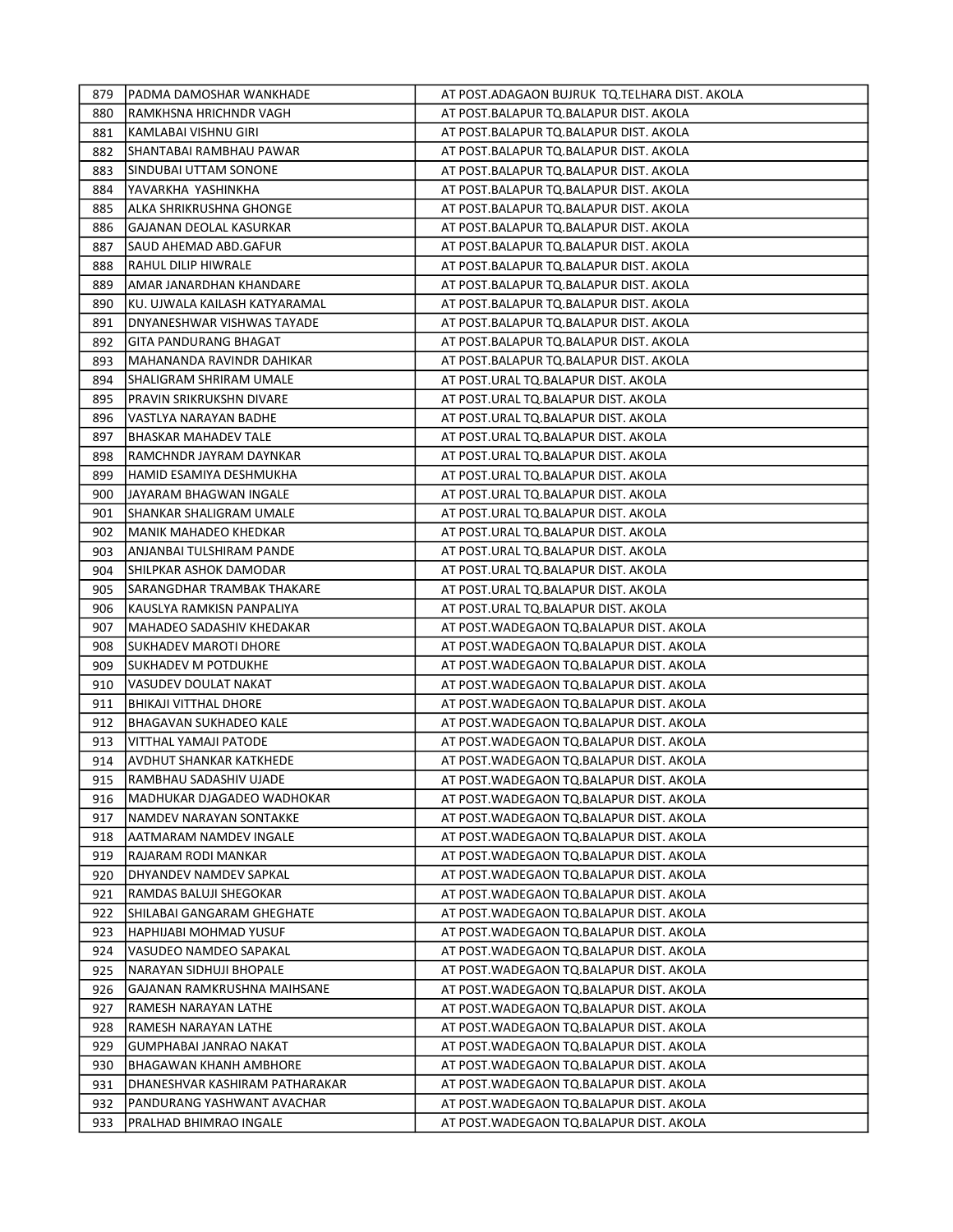| 879 | IPADMA DAMOSHAR WANKHADE       | AT POST.ADAGAON BUJRUK TQ.TELHARA DIST. AKOLA |
|-----|--------------------------------|-----------------------------------------------|
| 880 | RAMKHSNA HRICHNDR VAGH         | AT POST.BALAPUR TQ.BALAPUR DIST. AKOLA        |
| 881 | KAMLABAI VISHNU GIRI           | AT POST.BALAPUR TQ.BALAPUR DIST. AKOLA        |
| 882 | ISHANTABAI RAMBHAU PAWAR       | AT POST.BALAPUR TQ.BALAPUR DIST. AKOLA        |
| 883 | SINDUBAI UTTAM SONONE          | AT POST.BALAPUR TQ.BALAPUR DIST. AKOLA        |
| 884 | YAVARKHA YASHINKHA             | AT POST.BALAPUR TQ.BALAPUR DIST. AKOLA        |
| 885 | ALKA SHRIKRUSHNA GHONGE        | AT POST.BALAPUR TQ.BALAPUR DIST. AKOLA        |
| 886 | GAJANAN DEOLAL KASURKAR        | AT POST.BALAPUR TQ.BALAPUR DIST. AKOLA        |
| 887 | SAUD AHEMAD ABD.GAFUR          | AT POST. BALAPUR TO. BALAPUR DIST. AKOLA      |
| 888 | RAHUL DILIP HIWRALE            | AT POST.BALAPUR TQ.BALAPUR DIST. AKOLA        |
| 889 | AMAR JANARDHAN KHANDARE        | AT POST.BALAPUR TQ.BALAPUR DIST. AKOLA        |
| 890 | İKU. UJWALA KAILASH KATYARAMAL | AT POST.BALAPUR TO.BALAPUR DIST. AKOLA        |
| 891 | DNYANESHWAR VISHWAS TAYADE     | AT POST.BALAPUR TQ.BALAPUR DIST. AKOLA        |
| 892 | GITA PANDURANG BHAGAT          | AT POST.BALAPUR TQ.BALAPUR DIST. AKOLA        |
| 893 | MAHANANDA RAVINDR DAHIKAR      | AT POST.BALAPUR TQ.BALAPUR DIST. AKOLA        |
| 894 | <b>SHALIGRAM SHRIRAM UMALE</b> | AT POST.URAL TQ.BALAPUR DIST. AKOLA           |
| 895 | IPRAVIN SRIKRUKSHN DIVARE      | AT POST.URAL TQ.BALAPUR DIST. AKOLA           |
| 896 | VASTLYA NARAYAN BADHE          | AT POST.URAL TQ.BALAPUR DIST. AKOLA           |
| 897 | BHASKAR MAHADEV TALE           | AT POST.URAL TQ.BALAPUR DIST. AKOLA           |
| 898 | JRAMCHNDR JAYRAM DAYNKAR       | AT POST.URAL TQ.BALAPUR DIST. AKOLA           |
| 899 | IHAMID ESAMIYA DESHMUKHA       | AT POST.URAL TQ.BALAPUR DIST. AKOLA           |
| 900 | JJAYARAM BHAGWAN INGALE        | AT POST.URAL TQ.BALAPUR DIST. AKOLA           |
| 901 | ISHANKAR SHALIGRAM UMALE       | AT POST.URAL TQ.BALAPUR DIST. AKOLA           |
| 902 | IMANIK MAHADEO KHEDKAR         | AT POST.URAL TQ.BALAPUR DIST. AKOLA           |
| 903 | ANJANBAI TULSHIRAM PANDE       | AT POST.URAL TQ.BALAPUR DIST. AKOLA           |
| 904 | SHILPKAR ASHOK DAMODAR         | AT POST.URAL TQ.BALAPUR DIST. AKOLA           |
| 905 | ISARANGDHAR TRAMBAK THAKARE    | AT POST.URAL TQ.BALAPUR DIST. AKOLA           |
| 906 | KAUSLYA RAMKISN PANPALIYA      | AT POST.URAL TQ.BALAPUR DIST. AKOLA           |
| 907 | MAHADEO SADASHIV KHEDAKAR      | AT POST. WADEGAON TO. BALAPUR DIST. AKOLA     |
| 908 | SUKHADEV MAROTI DHORE          | AT POST.WADEGAON TQ.BALAPUR DIST. AKOLA       |
| 909 | ISUKHADEV M POTDUKHE           | AT POST.WADEGAON TQ.BALAPUR DIST. AKOLA       |
| 910 | VASUDEV DOULAT NAKAT           | AT POST.WADEGAON TQ.BALAPUR DIST. AKOLA       |
| 911 | BHIKAJI VITTHAL DHORE          | AT POST.WADEGAON TQ.BALAPUR DIST. AKOLA       |
| 912 | BHAGAVAN SUKHADEO KALE         | AT POST. WADEGAON TO. BALAPUR DIST. AKOLA     |
| 913 | VITTHAL YAMAJI PATODE          | AT POST.WADEGAON TQ.BALAPUR DIST. AKOLA       |
| 914 | lavdhut shankar katkhede       | AT POST. WADEGAON TO. BALAPUR DIST. AKOLA     |
| 915 | RAMBHAU SADASHIV UJADE         | AT POST.WADEGAON TQ.BALAPUR DIST. AKOLA       |
| 916 | MADHUKAR DJAGADEO WADHOKAR     | AT POST. WADEGAON TO. BALAPUR DIST. AKOLA     |
| 917 | NAMDEV NARAYAN SONTAKKE        | AT POST. WADEGAON TO. BALAPUR DIST. AKOLA     |
| 918 | AATMARAM NAMDEV INGALE         | AT POST. WADEGAON TO. BALAPUR DIST. AKOLA     |
| 919 | RAJARAM RODI MANKAR            | AT POST. WADEGAON TO BALAPUR DIST. AKOLA      |
| 920 | DHYANDEV NAMDEV SAPKAL         | AT POST. WADEGAON TO BALAPUR DIST. AKOLA      |
| 921 | RAMDAS BALUJI SHEGOKAR         | AT POST.WADEGAON TQ.BALAPUR DIST. AKOLA       |
| 922 | SHILABAI GANGARAM GHEGHATE     | AT POST.WADEGAON TQ.BALAPUR DIST. AKOLA       |
| 923 | HAPHIJABI MOHMAD YUSUF         | AT POST.WADEGAON TQ.BALAPUR DIST. AKOLA       |
| 924 | VASUDEO NAMDEO SAPAKAL         | AT POST. WADEGAON TO BALAPUR DIST. AKOLA      |
| 925 | NARAYAN SIDHUJI BHOPALE        | AT POST.WADEGAON TQ.BALAPUR DIST. AKOLA       |
| 926 | GAJANAN RAMKRUSHNA MAIHSANE    | AT POST.WADEGAON TQ.BALAPUR DIST. AKOLA       |
| 927 | RAMESH NARAYAN LATHE           | AT POST.WADEGAON TQ.BALAPUR DIST. AKOLA       |
| 928 | RAMESH NARAYAN LATHE           | AT POST. WADEGAON TO. BALAPUR DIST. AKOLA     |
| 929 | GUMPHABAI JANRAO NAKAT         | AT POST. WADEGAON TO BALAPUR DIST. AKOLA      |
| 930 | BHAGAWAN KHANH AMBHORE         | AT POST.WADEGAON TQ.BALAPUR DIST. AKOLA       |
| 931 | DHANESHVAR KASHIRAM PATHARAKAR | AT POST.WADEGAON TQ.BALAPUR DIST. AKOLA       |
| 932 | PANDURANG YASHWANT AVACHAR     | AT POST.WADEGAON TQ.BALAPUR DIST. AKOLA       |
| 933 | PRALHAD BHIMRAO INGALE         | AT POST.WADEGAON TQ.BALAPUR DIST. AKOLA       |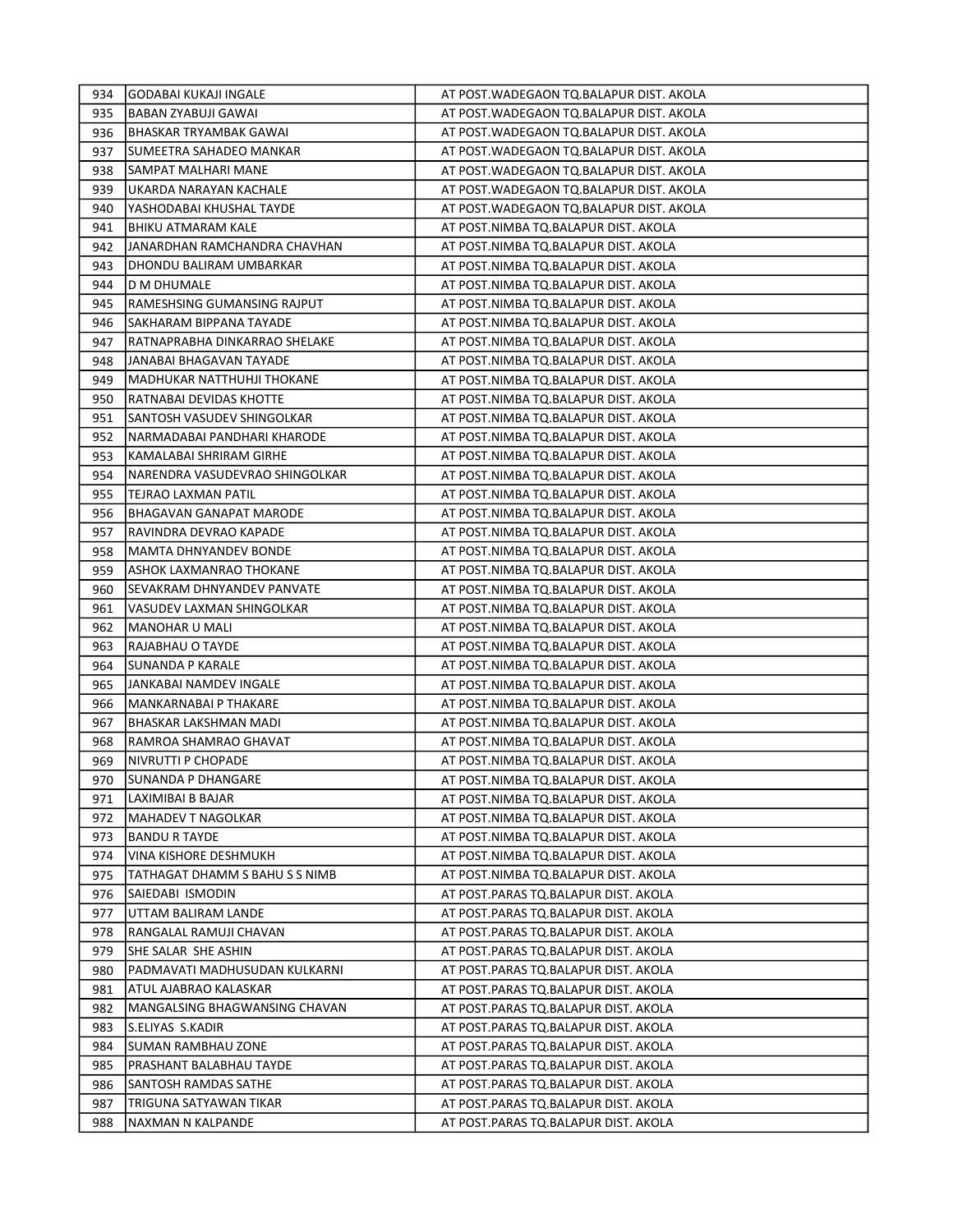| 934 | IGODABAI KUKAJI INGALE         | AT POST. WADEGAON TO BALAPUR DIST. AKOLA  |
|-----|--------------------------------|-------------------------------------------|
| 935 | BABAN ZYABUJI GAWAI            | AT POST. WADEGAON TO. BALAPUR DIST. AKOLA |
| 936 | IBHASKAR TRYAMBAK GAWAI        | AT POST. WADEGAON TO BALAPUR DIST. AKOLA  |
| 937 | ISUMEETRA SAHADEO MANKAR       | AT POST. WADEGAON TO. BALAPUR DIST. AKOLA |
| 938 | ISAMPAT MALHARI MANE           | AT POST.WADEGAON TQ.BALAPUR DIST. AKOLA   |
| 939 | UKARDA NARAYAN KACHALE         | AT POST.WADEGAON TQ.BALAPUR DIST. AKOLA   |
| 940 | YASHODABAI KHUSHAL TAYDE       | AT POST.WADEGAON TQ.BALAPUR DIST. AKOLA   |
| 941 | BHIKU ATMARAM KALE             | AT POST.NIMBA TQ.BALAPUR DIST. AKOLA      |
| 942 | JIANARDHAN RAMCHANDRA CHAVHAN  | AT POST.NIMBA TQ.BALAPUR DIST. AKOLA      |
| 943 | DHONDU BALIRAM UMBARKAR        | AT POST.NIMBA TQ.BALAPUR DIST. AKOLA      |
| 944 | D M DHUMALE                    | AT POST.NIMBA TQ.BALAPUR DIST. AKOLA      |
| 945 | IRAMESHSING GUMANSING RAJPUT   | AT POST.NIMBA TQ.BALAPUR DIST. AKOLA      |
| 946 | SAKHARAM BIPPANA TAYADE        | AT POST.NIMBA TQ.BALAPUR DIST. AKOLA      |
| 947 | RATNAPRABHA DINKARRAO SHELAKE  | AT POST.NIMBA TQ.BALAPUR DIST. AKOLA      |
| 948 | JIANABAI BHAGAVAN TAYADE       | AT POST.NIMBA TQ.BALAPUR DIST. AKOLA      |
| 949 | MADHUKAR NATTHUHJI THOKANE     | AT POST.NIMBA TQ.BALAPUR DIST. AKOLA      |
| 950 | RATNABAI DEVIDAS KHOTTE        | AT POST.NIMBA TQ.BALAPUR DIST. AKOLA      |
| 951 | ISANTOSH VASUDEV SHINGOLKAR    | AT POST.NIMBA TQ.BALAPUR DIST. AKOLA      |
| 952 | NARMADABAI PANDHARI KHARODE    | AT POST.NIMBA TQ.BALAPUR DIST. AKOLA      |
| 953 | KAMALABAI SHRIRAM GIRHE        | AT POST.NIMBA TQ.BALAPUR DIST. AKOLA      |
| 954 | NARENDRA VASUDEVRAO SHINGOLKAR | AT POST.NIMBA TQ.BALAPUR DIST. AKOLA      |
| 955 | ITEJRAO LAXMAN PATIL           | AT POST.NIMBA TO.BALAPUR DIST. AKOLA      |
| 956 | IBHAGAVAN GANAPAT MARODE       | AT POST.NIMBA TQ.BALAPUR DIST. AKOLA      |
| 957 | IRAVINDRA DEVRAO KAPADE        | AT POST.NIMBA TQ.BALAPUR DIST. AKOLA      |
| 958 | MAMTA DHNYANDEV BONDE          | AT POST.NIMBA TQ.BALAPUR DIST. AKOLA      |
| 959 | JASHOK LAXMANRAO THOKANE       | AT POST.NIMBA TQ.BALAPUR DIST. AKOLA      |
| 960 | ISEVAKRAM DHNYANDEV PANVATE    | AT POST.NIMBA TQ.BALAPUR DIST. AKOLA      |
| 961 | VASUDEV LAXMAN SHINGOLKAR      | AT POST.NIMBA TQ.BALAPUR DIST. AKOLA      |
| 962 | MANOHAR U MALI                 | AT POST.NIMBA TQ.BALAPUR DIST. AKOLA      |
| 963 | RAJABHAU O TAYDE               | AT POST.NIMBA TQ.BALAPUR DIST. AKOLA      |
| 964 | ISUNANDA P KARALE              | AT POST.NIMBA TQ.BALAPUR DIST. AKOLA      |
| 965 | JJANKABAI NAMDEV INGALE        | AT POST.NIMBA TQ.BALAPUR DIST. AKOLA      |
| 966 | MANKARNABAI P THAKARE          | AT POST.NIMBA TQ.BALAPUR DIST. AKOLA      |
| 967 | BHASKAR LAKSHMAN MADI          | AT POST.NIMBA TQ.BALAPUR DIST. AKOLA      |
| 968 | RAMROA SHAMRAO GHAVAT          | AT POST.NIMBA TQ.BALAPUR DIST. AKOLA      |
| 969 | NIVRUTTI P CHOPADE             | AT POST.NIMBA TQ.BALAPUR DIST. AKOLA      |
| 970 | <b>SUNANDA P DHANGARE</b>      | AT POST.NIMBA TQ.BALAPUR DIST. AKOLA      |
| 971 | LAXIMIBAI B BAJAR              | AT POST.NIMBA TQ.BALAPUR DIST. AKOLA      |
| 972 | MAHADEV T NAGOLKAR             | AT POST.NIMBA TO.BALAPUR DIST. AKOLA      |
| 973 | IBANDU R TAYDE                 | AT POST.NIMBA TQ.BALAPUR DIST. AKOLA      |
| 974 | VINA KISHORE DESHMUKH          | AT POST.NIMBA TQ.BALAPUR DIST. AKOLA      |
| 975 | TATHAGAT DHAMM S BAHU S S NIMB | AT POST.NIMBA TQ.BALAPUR DIST. AKOLA      |
| 976 | SAIEDABI ISMODIN               | AT POST.PARAS TQ.BALAPUR DIST. AKOLA      |
| 977 | UTTAM BALIRAM LANDE            | AT POST.PARAS TQ.BALAPUR DIST. AKOLA      |
| 978 | RANGALAL RAMUJI CHAVAN         | AT POST.PARAS TQ.BALAPUR DIST. AKOLA      |
| 979 | ISHE SALAR SHE ASHIN           | AT POST.PARAS TQ.BALAPUR DIST. AKOLA      |
| 980 | IPADMAVATI MADHUSUDAN KULKARNI | AT POST.PARAS TQ.BALAPUR DIST. AKOLA      |
| 981 | JATUL AJABRAO KALASKAR         | AT POST.PARAS TQ.BALAPUR DIST. AKOLA      |
| 982 | IMANGALSING BHAGWANSING CHAVAN | AT POST.PARAS TQ.BALAPUR DIST. AKOLA      |
| 983 | [S.ELIYAS S.KADIR              | AT POST.PARAS TQ.BALAPUR DIST. AKOLA      |
| 984 | SUMAN RAMBHAU ZONE             | AT POST.PARAS TQ.BALAPUR DIST. AKOLA      |
| 985 | PRASHANT BALABHAU TAYDE        | AT POST.PARAS TQ.BALAPUR DIST. AKOLA      |
| 986 | SANTOSH RAMDAS SATHE           | AT POST.PARAS TQ.BALAPUR DIST. AKOLA      |
| 987 | TRIGUNA SATYAWAN TIKAR         | AT POST.PARAS TQ.BALAPUR DIST. AKOLA      |
| 988 | NAXMAN N KALPANDE              | AT POST.PARAS TQ.BALAPUR DIST. AKOLA      |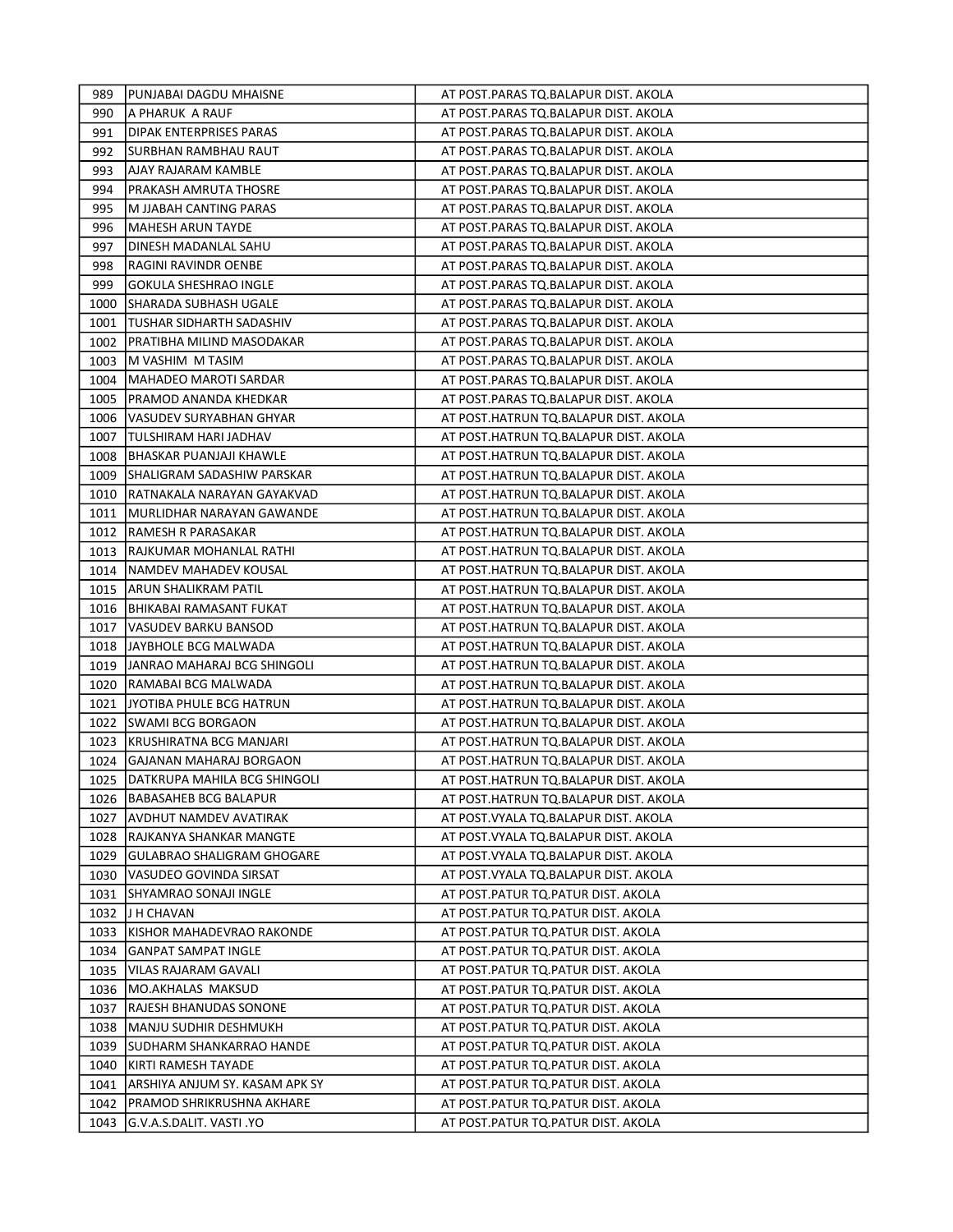| 989  | IPUNJABAI DAGDU MHAISNE              | AT POST.PARAS TQ.BALAPUR DIST. AKOLA   |
|------|--------------------------------------|----------------------------------------|
| 990  | A PHARUK A RAUF                      | AT POST.PARAS TQ.BALAPUR DIST. AKOLA   |
| 991  | <b>DIPAK ENTERPRISES PARAS</b>       | AT POST.PARAS TQ.BALAPUR DIST. AKOLA   |
| 992  | SURBHAN RAMBHAU RAUT                 | AT POST.PARAS TQ.BALAPUR DIST. AKOLA   |
| 993  | AJAY RAJARAM KAMBLE                  | AT POST.PARAS TQ.BALAPUR DIST. AKOLA   |
| 994  | <b>PRAKASH AMRUTA THOSRE</b>         | AT POST.PARAS TQ.BALAPUR DIST. AKOLA   |
| 995  | M JJABAH CANTING PARAS               | AT POST.PARAS TQ.BALAPUR DIST. AKOLA   |
| 996  | <b>MAHESH ARUN TAYDE</b>             | AT POST.PARAS TQ.BALAPUR DIST. AKOLA   |
| 997  | DINESH MADANLAL SAHU                 | AT POST.PARAS TQ.BALAPUR DIST. AKOLA   |
| 998  | RAGINI RAVINDR OENBE                 | AT POST.PARAS TQ.BALAPUR DIST. AKOLA   |
| 999  | <b>GOKULA SHESHRAO INGLE</b>         | AT POST. PARAS TO. BALAPUR DIST. AKOLA |
| 1000 | lsharada subhash ugale               | AT POST.PARAS TO.BALAPUR DIST. AKOLA   |
| 1001 | TUSHAR SIDHARTH SADASHIV             | AT POST.PARAS TQ.BALAPUR DIST. AKOLA   |
| 1002 | PRATIBHA MILIND MASODAKAR            | AT POST.PARAS TQ.BALAPUR DIST. AKOLA   |
| 1003 | IM VASHIM M TASIM                    | AT POST.PARAS TQ.BALAPUR DIST. AKOLA   |
| 1004 | JMAHADEO MAROTI SARDAR               | AT POST.PARAS TQ.BALAPUR DIST. AKOLA   |
| 1005 | <b>PRAMOD ANANDA KHEDKAR</b>         | AT POST.PARAS TQ.BALAPUR DIST. AKOLA   |
| 1006 | IVASUDEV SURYABHAN GHYAR             | AT POST.HATRUN TQ.BALAPUR DIST. AKOLA  |
| 1007 | ITULSHIRAM HARI JADHAV               | AT POST.HATRUN TQ.BALAPUR DIST. AKOLA  |
| 1008 | IBHASKAR PUANJAJI KHAWLE             | AT POST.HATRUN TQ.BALAPUR DIST. AKOLA  |
| 1009 | ISHALIGRAM SADASHIW PARSKAR          | AT POST.HATRUN TQ.BALAPUR DIST. AKOLA  |
| 1010 | IRATNAKALA NARAYAN GAYAKVAD          | AT POST.HATRUN TQ.BALAPUR DIST. AKOLA  |
| 1011 | IMURLIDHAR NARAYAN GAWANDE           | AT POST.HATRUN TO.BALAPUR DIST. AKOLA  |
| 1012 | <b>IRAMESH R PARASAKAR</b>           | AT POST.HATRUN TQ.BALAPUR DIST. AKOLA  |
| 1013 | <b>RAJKUMAR MOHANLAL RATHI</b>       | AT POST.HATRUN TQ.BALAPUR DIST. AKOLA  |
|      | 1014 INAMDEV MAHADEV KOUSAL          | AT POST.HATRUN TQ.BALAPUR DIST. AKOLA  |
| 1015 | <b>JARUN SHALIKRAM PATIL</b>         | AT POST.HATRUN TQ.BALAPUR DIST. AKOLA  |
| 1016 | IBHIKABAI RAMASANT FUKAT             | AT POST.HATRUN TQ.BALAPUR DIST. AKOLA  |
| 1017 | IVASUDEV BARKU BANSOD                | AT POST.HATRUN TQ.BALAPUR DIST. AKOLA  |
| 1018 | JJAYBHOLE BCG MALWADA                | AT POST.HATRUN TQ.BALAPUR DIST. AKOLA  |
| 1019 | JJANRAO MAHARAJ BCG SHINGOLI         | AT POST.HATRUN TQ.BALAPUR DIST. AKOLA  |
| 1020 | <b>RAMABAI BCG MALWADA</b>           | AT POST.HATRUN TQ.BALAPUR DIST. AKOLA  |
| 1021 | <b>IJYOTIBA PHULE BCG HATRUN</b>     | AT POST.HATRUN TQ.BALAPUR DIST. AKOLA  |
| 1022 | <b>ISWAMI BCG BORGAON</b>            | AT POST.HATRUN TQ.BALAPUR DIST. AKOLA  |
| 1023 | <b>IKRUSHIRATNA BCG MANJARI</b>      | AT POST.HATRUN TQ.BALAPUR DIST. AKOLA  |
| 1024 | GAJANAN MAHARAJ BORGAON              | AT POST.HATRUN TQ.BALAPUR DIST. AKOLA  |
| 1025 | <b>JDATKRUPA MAHILA BCG SHINGOLI</b> | AT POST.HATRUN TQ.BALAPUR DIST. AKOLA  |
|      | 1026 BABASAHEB BCG BALAPUR           | AT POST.HATRUN TQ.BALAPUR DIST. AKOLA  |
| 1027 | AVDHUT NAMDEV AVATIRAK               | AT POST.VYALA TQ.BALAPUR DIST. AKOLA   |
| 1028 | JRAJKANYA SHANKAR MANGTE             | AT POST.VYALA TQ.BALAPUR DIST. AKOLA   |
| 1029 | GULABRAO SHALIGRAM GHOGARE           | AT POST. VYALA TQ. BALAPUR DIST. AKOLA |
|      | 1030   VASUDEO GOVINDA SIRSAT        | AT POST.VYALA TQ.BALAPUR DIST. AKOLA   |
| 1031 | <b>ISHYAMRAO SONAJI INGLE</b>        | AT POST.PATUR TQ.PATUR DIST. AKOLA     |
|      | 1032 J H CHAVAN                      | AT POST.PATUR TQ.PATUR DIST. AKOLA     |
|      | 1033 KISHOR MAHADEVRAO RAKONDE       | AT POST.PATUR TQ.PATUR DIST. AKOLA     |
| 1034 | <b>GANPAT SAMPAT INGLE</b>           | AT POST.PATUR TQ.PATUR DIST. AKOLA     |
| 1035 | VILAS RAJARAM GAVALI                 | AT POST.PATUR TQ.PATUR DIST. AKOLA     |
|      | 1036   MO.AKHALAS MAKSUD             | AT POST.PATUR TQ.PATUR DIST. AKOLA     |
| 1037 | <b>RAJESH BHANUDAS SONONE</b>        | AT POST.PATUR TQ.PATUR DIST. AKOLA     |
| 1038 | MANJU SUDHIR DESHMUKH                | AT POST.PATUR TQ.PATUR DIST. AKOLA     |
| 1039 | SUDHARM SHANKARRAO HANDE             | AT POST.PATUR TQ.PATUR DIST. AKOLA     |
| 1040 | KIRTI RAMESH TAYADE                  | AT POST.PATUR TQ.PATUR DIST. AKOLA     |
| 1041 | JARSHIYA ANJUM SY. KASAM APK SY      | AT POST.PATUR TQ.PATUR DIST. AKOLA     |
| 1042 | PRAMOD SHRIKRUSHNA AKHARE            | AT POST.PATUR TQ.PATUR DIST. AKOLA     |
| 1043 | G.V.A.S.DALIT. VASTI .YO             | AT POST.PATUR TQ.PATUR DIST. AKOLA     |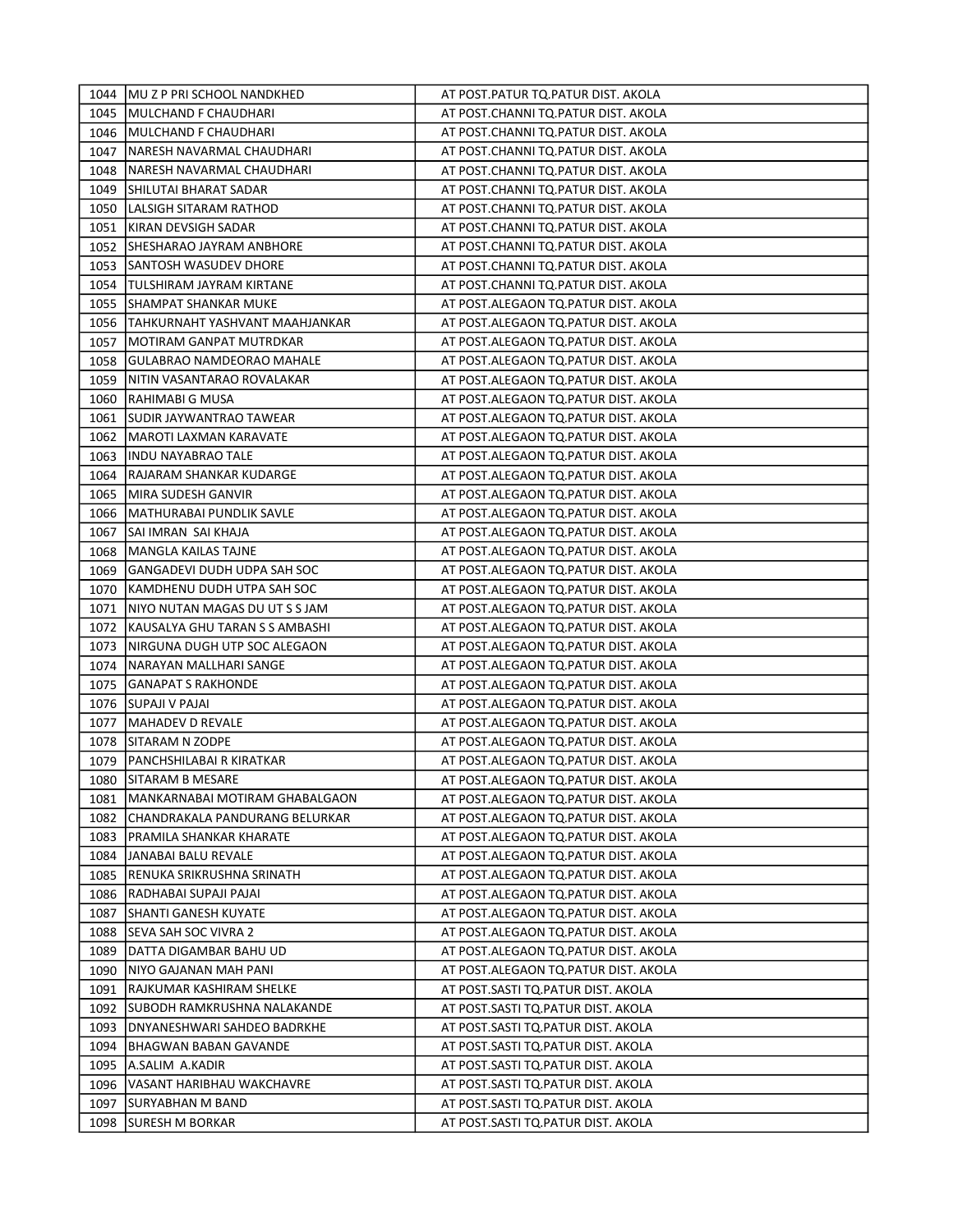|      | 1044 MU Z P PRI SCHOOL NANDKHED       | AT POST.PATUR TQ.PATUR DIST. AKOLA   |
|------|---------------------------------------|--------------------------------------|
|      | 1045   MULCHAND F CHAUDHARI           | AT POST.CHANNI TQ.PATUR DIST. AKOLA  |
| 1046 | <b>IMULCHAND F CHAUDHARI</b>          | AT POST.CHANNI TQ.PATUR DIST. AKOLA  |
| 1047 | NARESH NAVARMAL CHAUDHARI             | AT POST.CHANNI TQ.PATUR DIST. AKOLA  |
| 1048 | NARESH NAVARMAL CHAUDHARI             | AT POST.CHANNI TQ.PATUR DIST. AKOLA  |
| 1049 | SHILUTAI BHARAT SADAR                 | AT POST.CHANNI TQ.PATUR DIST. AKOLA  |
| 1050 | LALSIGH SITARAM RATHOD                | AT POST.CHANNI TQ.PATUR DIST. AKOLA  |
| 1051 | KIRAN DEVSIGH SADAR                   | AT POST.CHANNI TQ.PATUR DIST. AKOLA  |
| 1052 | <b>SHESHARAO JAYRAM ANBHORE</b>       | AT POST.CHANNI TQ.PATUR DIST. AKOLA  |
| 1053 | <b>ISANTOSH WASUDEV DHORE</b>         | AT POST.CHANNI TQ.PATUR DIST. AKOLA  |
| 1054 | <b>TULSHIRAM JAYRAM KIRTANE</b>       | AT POST.CHANNI TQ.PATUR DIST. AKOLA  |
| 1055 | <b>SHAMPAT SHANKAR MUKE</b>           | AT POST.ALEGAON TO.PATUR DIST. AKOLA |
|      | 1056   TAHKURNAHT YASHVANT MAAHJANKAR | AT POST.ALEGAON TQ.PATUR DIST. AKOLA |
| 1057 | MOTIRAM GANPAT MUTRDKAR               | AT POST.ALEGAON TQ.PATUR DIST. AKOLA |
| 1058 | GULABRAO NAMDEORAO MAHALE             | AT POST.ALEGAON TQ.PATUR DIST. AKOLA |
| 1059 | NITIN VASANTARAO ROVALAKAR            | AT POST.ALEGAON TQ.PATUR DIST. AKOLA |
| 1060 | IRAHIMABI G MUSA                      | AT POST.ALEGAON TQ.PATUR DIST. AKOLA |
| 1061 | ISUDIR JAYWANTRAO TAWEAR              | AT POST.ALEGAON TQ.PATUR DIST. AKOLA |
| 1062 | MAROTI LAXMAN KARAVATE                | AT POST.ALEGAON TQ.PATUR DIST. AKOLA |
| 1063 | INDU NAYABRAO TALE                    | AT POST.ALEGAON TQ.PATUR DIST. AKOLA |
| 1064 | lRAJARAM SHANKAR KUDARGE              | AT POST.ALEGAON TQ.PATUR DIST. AKOLA |
| 1065 | MIRA SUDESH GANVIR                    | AT POST.ALEGAON TQ.PATUR DIST. AKOLA |
| 1066 | MATHURABAI PUNDLIK SAVLE              | AT POST.ALEGAON TQ.PATUR DIST. AKOLA |
| 1067 | SAI IMRAN SAI KHAJA                   | AT POST.ALEGAON TQ.PATUR DIST. AKOLA |
| 1068 | MANGLA KAILAS TAJNE                   | AT POST.ALEGAON TQ.PATUR DIST. AKOLA |
| 1069 | GANGADEVI DUDH UDPA SAH SOC           | AT POST.ALEGAON TQ.PATUR DIST. AKOLA |
| 1070 | IKAMDHENU DUDH UTPA SAH SOC           | AT POST.ALEGAON TQ.PATUR DIST. AKOLA |
| 1071 | INIYO NUTAN MAGAS DU UT S S JAM       | AT POST.ALEGAON TQ.PATUR DIST. AKOLA |
| 1072 | KAUSALYA GHU TARAN S S AMBASHI        | AT POST.ALEGAON TQ.PATUR DIST. AKOLA |
| 1073 | NIRGUNA DUGH UTP SOC ALEGAON          | AT POST.ALEGAON TQ.PATUR DIST. AKOLA |
| 1074 | NARAYAN MALLHARI SANGE                | AT POST.ALEGAON TQ.PATUR DIST. AKOLA |
| 1075 | <b>GANAPAT S RAKHONDE</b>             | AT POST.ALEGAON TQ.PATUR DIST. AKOLA |
| 1076 | <b>SUPAJI V PAJAI</b>                 | AT POST.ALEGAON TQ.PATUR DIST. AKOLA |
| 1077 | MAHADEV D REVALE                      | AT POST.ALEGAON TQ.PATUR DIST. AKOLA |
| 1078 | <b>SITARAM N ZODPE</b>                | AT POST.ALEGAON TO.PATUR DIST. AKOLA |
| 1079 | <b>PANCHSHILABAI R KIRATKAR</b>       | AT POST.ALEGAON TQ.PATUR DIST. AKOLA |
|      | 1080 SITARAM B MESARE                 | AT POST.ALEGAON TO.PATUR DIST. AKOLA |
| 1081 | MANKARNABAI MOTIRAM GHABALGAON        | AT POST.ALEGAON TQ.PATUR DIST. AKOLA |
| 1082 | CHANDRAKALA PANDURANG BELURKAR        | AT POST.ALEGAON TO.PATUR DIST. AKOLA |
| 1083 | PRAMILA SHANKAR KHARATE               | AT POST.ALEGAON TQ.PATUR DIST. AKOLA |
| 1084 | JANABAI BALU REVALE                   | AT POST.ALEGAON TO.PATUR DIST. AKOLA |
| 1085 | RENUKA SRIKRUSHNA SRINATH             | AT POST.ALEGAON TQ.PATUR DIST. AKOLA |
| 1086 | RADHABAI SUPAJI PAJAI                 | AT POST.ALEGAON TO.PATUR DIST. AKOLA |
| 1087 | SHANTI GANESH KUYATE                  | AT POST.ALEGAON TO.PATUR DIST. AKOLA |
| 1088 | SEVA SAH SOC VIVRA 2                  | AT POST.ALEGAON TQ.PATUR DIST. AKOLA |
| 1089 | DATTA DIGAMBAR BAHU UD                | AT POST.ALEGAON TO.PATUR DIST. AKOLA |
| 1090 | INIYO GAJANAN MAH PANI                | AT POST.ALEGAON TO.PATUR DIST. AKOLA |
| 1091 | RAJKUMAR KASHIRAM SHELKE              | AT POST.SASTI TQ.PATUR DIST. AKOLA   |
| 1092 | ISUBODH RAMKRUSHNA NALAKANDE          | AT POST.SASTI TQ.PATUR DIST. AKOLA   |
| 1093 | IDNYANESHWARI SAHDEO BADRKHE          | AT POST.SASTI TQ.PATUR DIST. AKOLA   |
| 1094 | BHAGWAN BABAN GAVANDE                 | AT POST.SASTI TQ.PATUR DIST. AKOLA   |
| 1095 | A.SALIM A.KADIR                       | AT POST.SASTI TQ.PATUR DIST. AKOLA   |
| 1096 | VASANT HARIBHAU WAKCHAVRE             | AT POST.SASTI TQ.PATUR DIST. AKOLA   |
| 1097 | SURYABHAN M BAND                      | AT POST.SASTI TQ.PATUR DIST. AKOLA   |
| 1098 | <b>SURESH M BORKAR</b>                | AT POST.SASTI TQ.PATUR DIST. AKOLA   |
|      |                                       |                                      |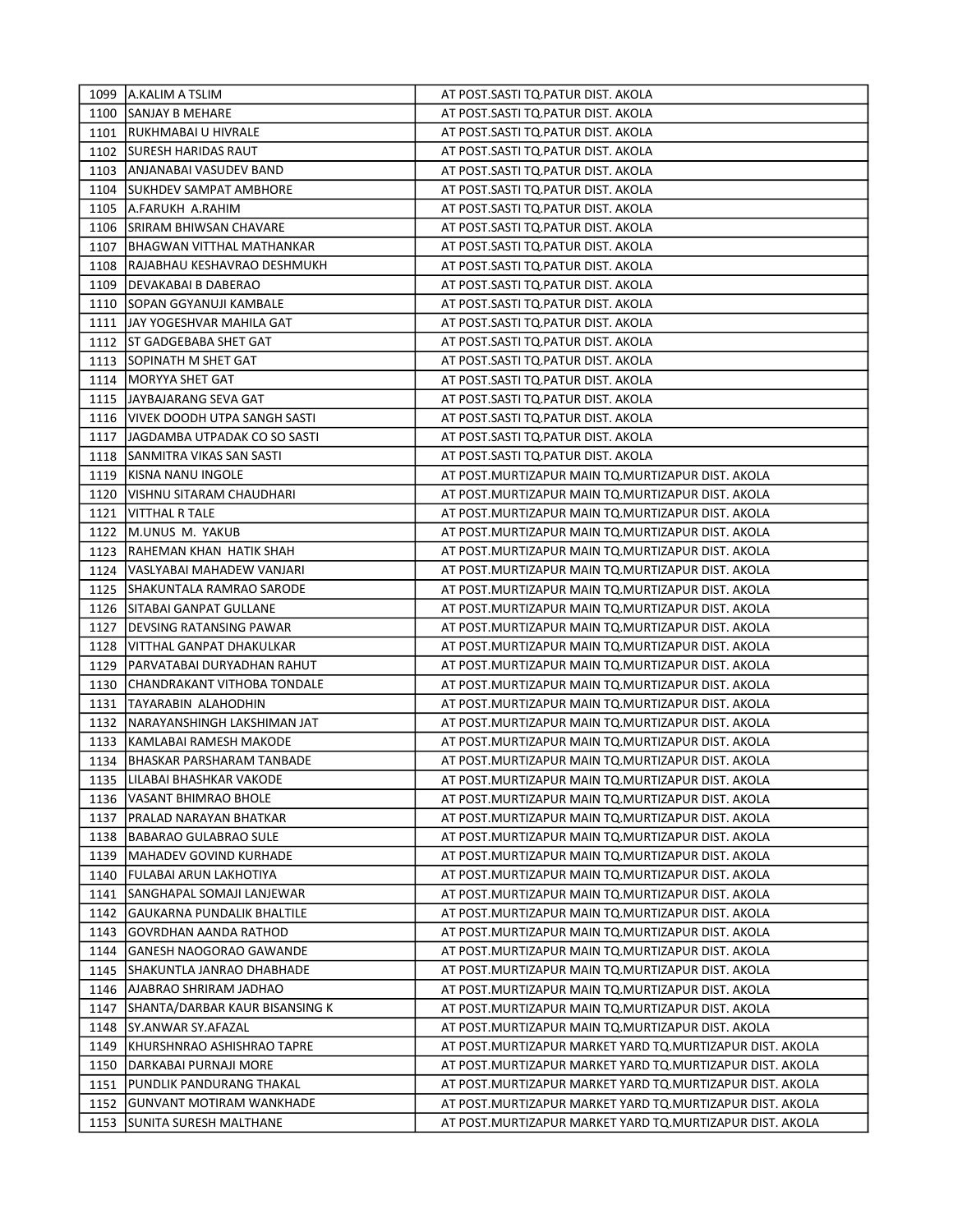|      | 1099 A.KALIM A TSLIM                  | AT POST.SASTI TQ.PATUR DIST. AKOLA                       |
|------|---------------------------------------|----------------------------------------------------------|
| 1100 | <b>SANJAY B MEHARE</b>                | AT POST.SASTI TQ.PATUR DIST. AKOLA                       |
| 1101 | RUKHMABAI U HIVRALE                   | AT POST.SASTI TQ.PATUR DIST. AKOLA                       |
| 1102 | ISURESH HARIDAS RAUT                  | AT POST.SASTI TQ.PATUR DIST. AKOLA                       |
| 1103 | ANJANABAI VASUDEV BAND                | AT POST.SASTI TQ.PATUR DIST. AKOLA                       |
| 1104 | <b>SUKHDEV SAMPAT AMBHORE</b>         | AT POST.SASTI TQ.PATUR DIST. AKOLA                       |
| 1105 | A.FARUKH A.RAHIM                      | AT POST.SASTI TQ.PATUR DIST. AKOLA                       |
| 1106 | <b>SRIRAM BHIWSAN CHAVARE</b>         | AT POST.SASTI TQ.PATUR DIST. AKOLA                       |
| 1107 | <b>IBHAGWAN VITTHAL MATHANKAR</b>     | AT POST.SASTI TQ.PATUR DIST. AKOLA                       |
| 1108 | RAJABHAU KESHAVRAO DESHMUKH           | AT POST.SASTI TQ.PATUR DIST. AKOLA                       |
| 1109 | <b>JDEVAKABAI B DABERAO</b>           | AT POST.SASTI TQ.PATUR DIST. AKOLA                       |
|      | 1110   SOPAN GGYANUJI KAMBALE         | AT POST.SASTI TQ.PATUR DIST. AKOLA                       |
| 1111 | JJAY YOGESHVAR MAHILA GAT             | AT POST.SASTI TQ.PATUR DIST. AKOLA                       |
|      | 1112   ST GADGEBABA SHET GAT          | AT POST.SASTI TQ.PATUR DIST. AKOLA                       |
|      | 1113   SOPINATH M SHET GAT            | AT POST.SASTI TQ.PATUR DIST. AKOLA                       |
|      | 1114   MORYYA SHET GAT                | AT POST.SASTI TQ.PATUR DIST. AKOLA                       |
|      | 1115 JJAYBAJARANG SEVA GAT            | AT POST.SASTI TQ.PATUR DIST. AKOLA                       |
|      | 1116   VIVEK DOODH UTPA SANGH SASTI   | AT POST.SASTI TQ.PATUR DIST. AKOLA                       |
|      | 1117 JJAGDAMBA UTPADAK CO SO SASTI    | AT POST.SASTI TQ.PATUR DIST. AKOLA                       |
|      | 1118 SANMITRA VIKAS SAN SASTI         | AT POST.SASTI TQ.PATUR DIST. AKOLA                       |
|      | 1119 KISNA NANU INGOLE                | AT POST.MURTIZAPUR MAIN TQ.MURTIZAPUR DIST. AKOLA        |
|      | 1120   VISHNU SITARAM CHAUDHARI       | AT POST.MURTIZAPUR MAIN TQ.MURTIZAPUR DIST. AKOLA        |
|      | 1121   VITTHAL R TALE                 | AT POST.MURTIZAPUR MAIN TQ.MURTIZAPUR DIST. AKOLA        |
|      | 1122   M.UNUS M. YAKUB                | AT POST.MURTIZAPUR MAIN TQ.MURTIZAPUR DIST. AKOLA        |
| 1123 | <b>RAHEMAN KHAN HATIK SHAH</b>        | AT POST.MURTIZAPUR MAIN TQ.MURTIZAPUR DIST. AKOLA        |
|      | 1124   VASLYABAI MAHADEW VANJARI      | AT POST. MURTIZAPUR MAIN TO. MURTIZAPUR DIST. AKOLA      |
|      | 1125 SHAKUNTALA RAMRAO SARODE         | AT POST.MURTIZAPUR MAIN TQ.MURTIZAPUR DIST. AKOLA        |
|      | 1126 SITABAI GANPAT GULLANE           | AT POST.MURTIZAPUR MAIN TQ.MURTIZAPUR DIST. AKOLA        |
| 1127 | JDEVSING RATANSING PAWAR              | AT POST. MURTIZAPUR MAIN TO. MURTIZAPUR DIST. AKOLA      |
| 1128 | VITTHAL GANPAT DHAKULKAR              | AT POST.MURTIZAPUR MAIN TQ.MURTIZAPUR DIST. AKOLA        |
| 1129 | JPARVATABAI DURYADHAN RAHUT           | AT POST. MURTIZAPUR MAIN TO. MURTIZAPUR DIST. AKOLA      |
| 1130 | <b>CHANDRAKANT VITHOBA TONDALE</b>    | AT POST.MURTIZAPUR MAIN TQ.MURTIZAPUR DIST. AKOLA        |
| 1131 | <b>TAYARABIN ALAHODHIN</b>            | AT POST. MURTIZAPUR MAIN TO. MURTIZAPUR DIST. AKOLA      |
| 1132 | INARAYANSHINGH LAKSHIMAN JAT          | AT POST. MURTIZAPUR MAIN TO. MURTIZAPUR DIST. AKOLA      |
| 1133 | <b>IKAMLABAI RAMESH MAKODE</b>        | AT POST.MURTIZAPUR MAIN TQ.MURTIZAPUR DIST. AKOLA        |
|      | 1134 BHASKAR PARSHARAM TANBADE        | AT POST.MURTIZAPUR MAIN TQ.MURTIZAPUR DIST. AKOLA        |
|      | 1135   LILABAI BHASHKAR VAKODE        | AT POST. MURTIZAPUR MAIN TQ. MURTIZAPUR DIST. AKOLA      |
|      | 1136   VASANT BHIMRAO BHOLE           | AT POST.MURTIZAPUR MAIN TQ.MURTIZAPUR DIST. AKOLA        |
| 1137 | PRALAD NARAYAN BHATKAR                | AT POST.MURTIZAPUR MAIN TQ.MURTIZAPUR DIST. AKOLA        |
| 1138 | BABARAO GULABRAO SULE                 | AT POST.MURTIZAPUR MAIN TQ.MURTIZAPUR DIST. AKOLA        |
| 1139 | MAHADEV GOVIND KURHADE                | AT POST.MURTIZAPUR MAIN TQ.MURTIZAPUR DIST. AKOLA        |
| 1140 | FULABAI ARUN LAKHOTIYA                | AT POST.MURTIZAPUR MAIN TQ.MURTIZAPUR DIST. AKOLA        |
| 1141 | [SANGHAPAL SOMAJI LANJEWAR            | AT POST.MURTIZAPUR MAIN TQ.MURTIZAPUR DIST. AKOLA        |
| 1142 | IGAUKARNA PUNDALIK BHALTILE           | AT POST.MURTIZAPUR MAIN TQ.MURTIZAPUR DIST. AKOLA        |
| 1143 | GOVRDHAN AANDA RATHOD                 | AT POST.MURTIZAPUR MAIN TQ.MURTIZAPUR DIST. AKOLA        |
| 1144 | GANESH NAOGORAO GAWANDE               | AT POST.MURTIZAPUR MAIN TQ.MURTIZAPUR DIST. AKOLA        |
| 1145 | <b>SHAKUNTLA JANRAO DHABHADE</b>      | AT POST.MURTIZAPUR MAIN TQ.MURTIZAPUR DIST. AKOLA        |
|      | 1146   AJABRAO SHRIRAM JADHAO         | AT POST.MURTIZAPUR MAIN TQ.MURTIZAPUR DIST. AKOLA        |
| 1147 | <b>SHANTA/DARBAR KAUR BISANSING K</b> | AT POST.MURTIZAPUR MAIN TQ.MURTIZAPUR DIST. AKOLA        |
| 1148 | <b>SY.ANWAR SY.AFAZAL</b>             | AT POST.MURTIZAPUR MAIN TQ.MURTIZAPUR DIST. AKOLA        |
| 1149 | KHURSHNRAO ASHISHRAO TAPRE            | AT POST.MURTIZAPUR MARKET YARD TQ.MURTIZAPUR DIST. AKOLA |
| 1150 | DARKABAI PURNAJI MORE                 | AT POST.MURTIZAPUR MARKET YARD TQ.MURTIZAPUR DIST. AKOLA |
| 1151 | PUNDLIK PANDURANG THAKAL              | AT POST.MURTIZAPUR MARKET YARD TQ.MURTIZAPUR DIST. AKOLA |
| 1152 | GUNVANT MOTIRAM WANKHADE              | AT POST.MURTIZAPUR MARKET YARD TQ.MURTIZAPUR DIST. AKOLA |
| 1153 | SUNITA SURESH MALTHANE                | AT POST.MURTIZAPUR MARKET YARD TQ.MURTIZAPUR DIST. AKOLA |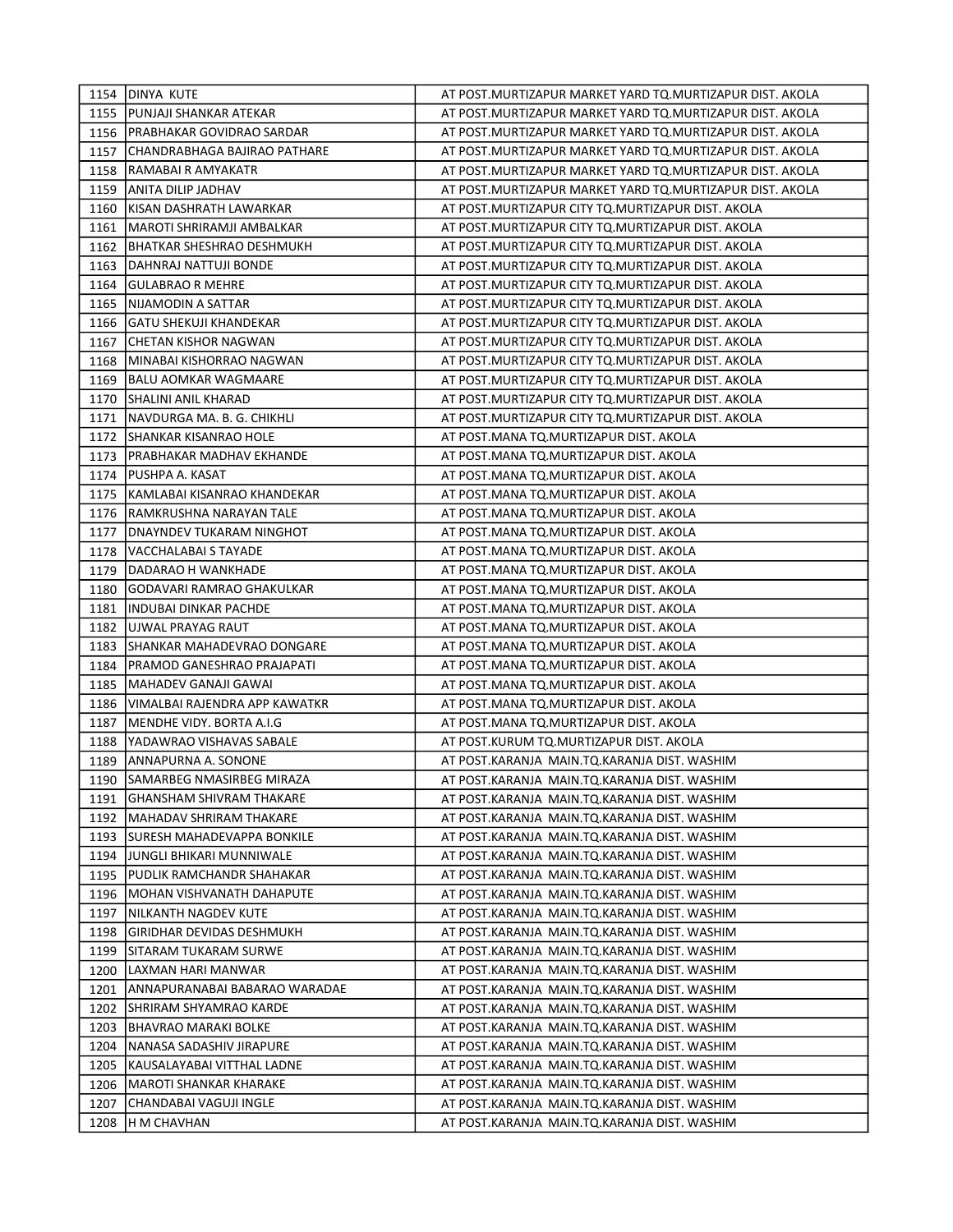|      | 1154   DINYA KUTE                  | AT POST.MURTIZAPUR MARKET YARD TQ.MURTIZAPUR DIST. AKOLA |
|------|------------------------------------|----------------------------------------------------------|
| 1155 | <b>PUNJAJI SHANKAR ATEKAR</b>      | AT POST.MURTIZAPUR MARKET YARD TQ.MURTIZAPUR DIST. AKOLA |
| 1156 | <b>IPRABHAKAR GOVIDRAO SARDAR</b>  | AT POST.MURTIZAPUR MARKET YARD TQ.MURTIZAPUR DIST. AKOLA |
| 1157 | ICHANDRABHAGA BAJIRAO PATHARE      | AT POST.MURTIZAPUR MARKET YARD TQ.MURTIZAPUR DIST. AKOLA |
| 1158 | <b>RAMABAI R AMYAKATR</b>          | AT POST.MURTIZAPUR MARKET YARD TQ.MURTIZAPUR DIST. AKOLA |
| 1159 | ANITA DILIP JADHAV                 | AT POST.MURTIZAPUR MARKET YARD TQ.MURTIZAPUR DIST. AKOLA |
| 1160 | IKISAN DASHRATH LAWARKAR           | AT POST.MURTIZAPUR CITY TQ.MURTIZAPUR DIST. AKOLA        |
| 1161 | MAROTI SHRIRAMJI AMBALKAR          | AT POST.MURTIZAPUR CITY TQ.MURTIZAPUR DIST. AKOLA        |
| 1162 | BHATKAR SHESHRAO DESHMUKH          | AT POST.MURTIZAPUR CITY TQ.MURTIZAPUR DIST. AKOLA        |
| 1163 | DAHNRAJ NATTUJI BONDE              | AT POST.MURTIZAPUR CITY TQ.MURTIZAPUR DIST. AKOLA        |
| 1164 | GULABRAO R MEHRE                   | AT POST.MURTIZAPUR CITY TQ.MURTIZAPUR DIST. AKOLA        |
| 1165 | NIJAMODIN A SATTAR                 | AT POST.MURTIZAPUR CITY TQ.MURTIZAPUR DIST. AKOLA        |
| 1166 | GATU SHEKUJI KHANDEKAR             | AT POST.MURTIZAPUR CITY TQ.MURTIZAPUR DIST. AKOLA        |
| 1167 | CHETAN KISHOR NAGWAN               | AT POST.MURTIZAPUR CITY TQ.MURTIZAPUR DIST. AKOLA        |
| 1168 | MINABAI KISHORRAO NAGWAN           | AT POST.MURTIZAPUR CITY TQ.MURTIZAPUR DIST. AKOLA        |
| 1169 | JBALU AOMKAR WAGMAARE              | AT POST.MURTIZAPUR CITY TQ.MURTIZAPUR DIST. AKOLA        |
| 1170 | <b>SHALINI ANIL KHARAD</b>         | AT POST.MURTIZAPUR CITY TQ.MURTIZAPUR DIST. AKOLA        |
| 1171 | INAVDURGA MA. B. G. CHIKHLI        | AT POST.MURTIZAPUR CITY TQ.MURTIZAPUR DIST. AKOLA        |
| 1172 | ISHANKAR KISANRAO HOLE             | AT POST.MANA TQ.MURTIZAPUR DIST. AKOLA                   |
|      | 1173   PRABHAKAR MADHAV EKHANDE    | AT POST.MANA TO.MURTIZAPUR DIST. AKOLA                   |
| 1174 | IPUSHPA A. KASAT                   | AT POST.MANA TQ.MURTIZAPUR DIST. AKOLA                   |
|      | 1175   KAMLABAI KISANRAO KHANDEKAR | AT POST.MANA TQ.MURTIZAPUR DIST. AKOLA                   |
|      | 1176  RAMKRUSHNA NARAYAN TALE      | AT POST.MANA TQ.MURTIZAPUR DIST. AKOLA                   |
| 1177 | <b>IDNAYNDEV TUKARAM NINGHOT</b>   | AT POST.MANA TQ.MURTIZAPUR DIST. AKOLA                   |
| 1178 | VACCHALABAI S TAYADE               | AT POST.MANA TQ.MURTIZAPUR DIST. AKOLA                   |
| 1179 | JDADARAO H WANKHADE                | AT POST.MANA TQ.MURTIZAPUR DIST. AKOLA                   |
| 1180 | GODAVARI RAMRAO GHAKULKAR          | AT POST.MANA TQ.MURTIZAPUR DIST. AKOLA                   |
| 1181 | JINDUBAI DINKAR PACHDE             | AT POST.MANA TQ.MURTIZAPUR DIST. AKOLA                   |
| 1182 | JUJWAL PRAYAG RAUT                 | AT POST.MANA TQ.MURTIZAPUR DIST. AKOLA                   |
| 1183 | <b>SHANKAR MAHADEVRAO DONGARE</b>  | AT POST.MANA TQ.MURTIZAPUR DIST. AKOLA                   |
| 1184 | PRAMOD GANESHRAO PRAJAPATI         | AT POST.MANA TQ.MURTIZAPUR DIST. AKOLA                   |
| 1185 | MAHADEV GANAJI GAWAI               | AT POST.MANA TQ.MURTIZAPUR DIST. AKOLA                   |
| 1186 | VIMALBAI RAJENDRA APP KAWATKR      | AT POST.MANA TQ.MURTIZAPUR DIST. AKOLA                   |
| 1187 | MENDHE VIDY. BORTA A.I.G           | AT POST.MANA TQ.MURTIZAPUR DIST. AKOLA                   |
| 1188 | YADAWRAO VISHAVAS SABALE           | AT POST.KURUM TQ.MURTIZAPUR DIST. AKOLA                  |
| 1189 | IANNAPURNA A. SONONE               | AT POST.KARANJA MAIN.TQ.KARANJA DIST. WASHIM             |
|      | 1190 SAMARBEG NMASIRBEG MIRAZA     | AT POST.KARANJA MAIN.TQ.KARANJA DIST. WASHIM             |
| 1191 | GHANSHAM SHIVRAM THAKARE           | AT POST.KARANJA MAIN.TQ.KARANJA DIST. WASHIM             |
| 1192 | MAHADAV SHRIRAM THAKARE            | AT POST.KARANJA MAIN.TQ.KARANJA DIST. WASHIM             |
| 1193 | <b>SURESH MAHADEVAPPA BONKILE</b>  | AT POST.KARANJA MAIN.TQ.KARANJA DIST. WASHIM             |
| 1194 | JUNGLI BHIKARI MUNNIWALE           | AT POST.KARANJA MAIN.TQ.KARANJA DIST. WASHIM             |
| 1195 | PUDLIK RAMCHANDR SHAHAKAR          | AT POST.KARANJA MAIN.TQ.KARANJA DIST. WASHIM             |
| 1196 | MOHAN VISHVANATH DAHAPUTE          | AT POST.KARANJA MAIN.TQ.KARANJA DIST. WASHIM             |
| 1197 | NILKANTH NAGDEV KUTE               | AT POST.KARANJA MAIN.TQ.KARANJA DIST. WASHIM             |
| 1198 | GIRIDHAR DEVIDAS DESHMUKH          | AT POST.KARANJA MAIN.TQ.KARANJA DIST. WASHIM             |
| 1199 | <b>SITARAM TUKARAM SURWE</b>       | AT POST.KARANJA MAIN.TQ.KARANJA DIST. WASHIM             |
| 1200 | LAXMAN HARI MANWAR                 | AT POST.KARANJA MAIN.TQ.KARANJA DIST. WASHIM             |
| 1201 | JANNAPURANABAI BABARAO WARADAE     | AT POST.KARANJA MAIN.TQ.KARANJA DIST. WASHIM             |
| 1202 | ISHRIRAM SHYAMRAO KARDE            | AT POST.KARANJA MAIN.TQ.KARANJA DIST. WASHIM             |
| 1203 | BHAVRAO MARAKI BOLKE               | AT POST.KARANJA MAIN.TQ.KARANJA DIST. WASHIM             |
| 1204 | NANASA SADASHIV JIRAPURE           | AT POST.KARANJA MAIN.TQ.KARANJA DIST. WASHIM             |
| 1205 | JKAUSALAYABAI VITTHAL LADNE        | AT POST.KARANJA MAIN.TQ.KARANJA DIST. WASHIM             |
| 1206 | JMAROTI SHANKAR KHARAKE            | AT POST.KARANJA MAIN.TQ.KARANJA DIST. WASHIM             |
| 1207 | CHANDABAI VAGUJI INGLE             | AT POST.KARANJA MAIN.TQ.KARANJA DIST. WASHIM             |
| 1208 | H M CHAVHAN                        | AT POST.KARANJA MAIN.TQ.KARANJA DIST. WASHIM             |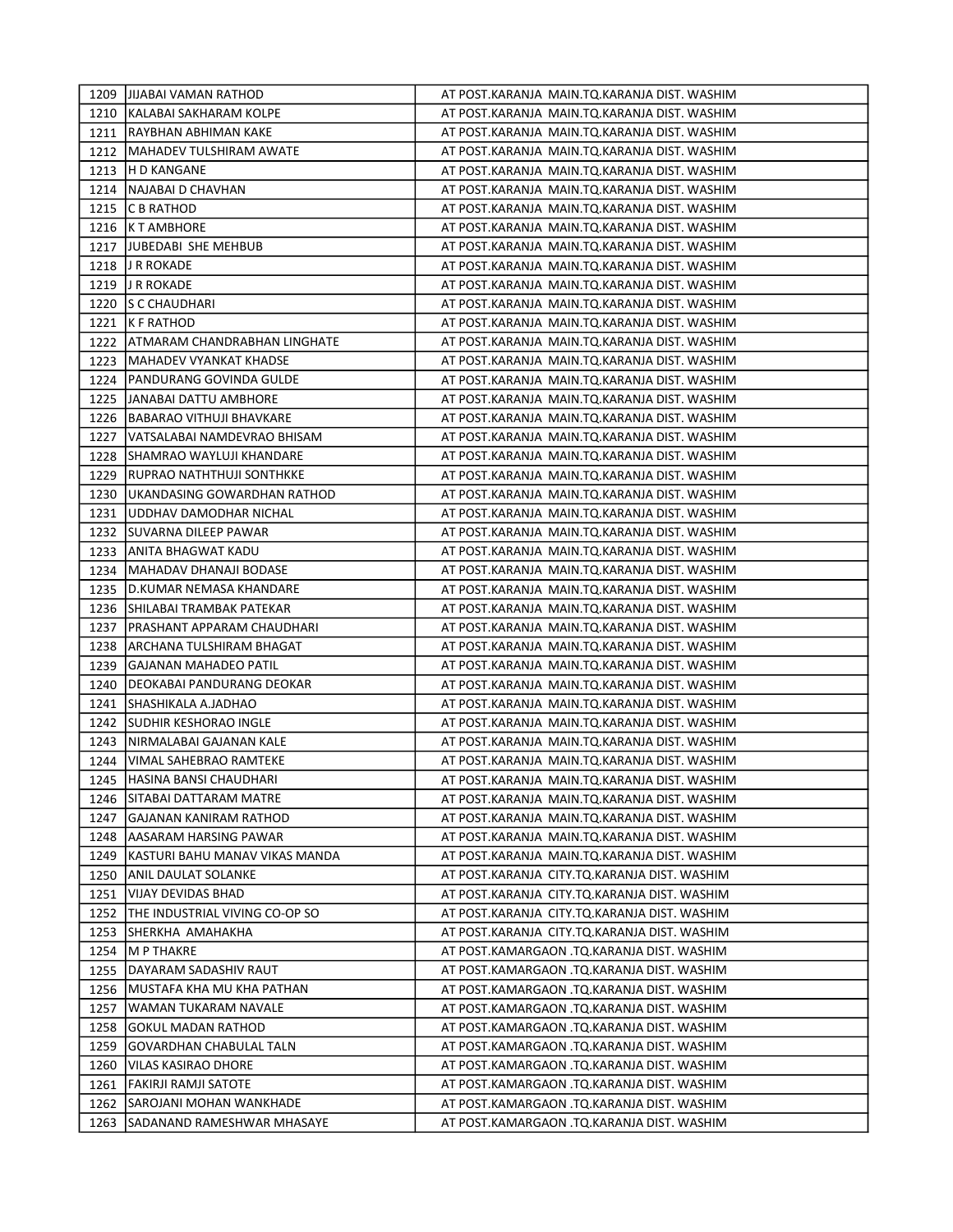|      | 1209   JIJABAI VAMAN RATHOD        | AT POST.KARANJA MAIN.TQ.KARANJA DIST. WASHIM |
|------|------------------------------------|----------------------------------------------|
|      | 1210   KALABAI SAKHARAM KOLPE      | AT POST.KARANJA MAIN.TQ.KARANJA DIST. WASHIM |
|      | 1211 RAYBHAN ABHIMAN KAKE          | AT POST.KARANJA MAIN.TQ.KARANJA DIST. WASHIM |
| 1212 | <b>MAHADEV TULSHIRAM AWATE</b>     | AT POST.KARANJA MAIN.TQ.KARANJA DIST. WASHIM |
|      | 1213 H D KANGANE                   | AT POST.KARANJA MAIN.TQ.KARANJA DIST. WASHIM |
| 1214 | INAJABAI D CHAVHAN                 | AT POST.KARANJA MAIN.TQ.KARANJA DIST. WASHIM |
|      | 1215 IC B RATHOD                   | AT POST.KARANJA MAIN.TQ.KARANJA DIST. WASHIM |
|      | 1216 K T AMBHORE                   | AT POST.KARANJA MAIN.TQ.KARANJA DIST. WASHIM |
|      | 1217  JUBEDABI SHE MEHBUB          | AT POST.KARANJA MAIN.TQ.KARANJA DIST. WASHIM |
|      | 1218 J R ROKADE                    | AT POST.KARANJA MAIN.TQ.KARANJA DIST. WASHIM |
|      | 1219 J R ROKADE                    | AT POST.KARANJA MAIN.TQ.KARANJA DIST. WASHIM |
|      | 1220 S C CHAUDHARI                 | AT POST.KARANJA MAIN.TQ.KARANJA DIST. WASHIM |
| 1221 | <b>IK F RATHOD</b>                 | AT POST.KARANJA MAIN.TQ.KARANJA DIST. WASHIM |
|      | 1222 JATMARAM CHANDRABHAN LINGHATE | AT POST.KARANJA MAIN.TQ.KARANJA DIST. WASHIM |
| 1223 | <b>IMAHADEV VYANKAT KHADSE</b>     | AT POST.KARANJA MAIN.TQ.KARANJA DIST. WASHIM |
| 1224 | <b>PANDURANG GOVINDA GULDE</b>     | AT POST.KARANJA MAIN.TQ.KARANJA DIST. WASHIM |
|      | 1225 JJANABAI DATTU AMBHORE        | AT POST.KARANJA MAIN.TQ.KARANJA DIST. WASHIM |
|      | 1226   BABARAO VITHUJI BHAVKARE    | AT POST.KARANJA MAIN.TQ.KARANJA DIST. WASHIM |
| 1227 | VATSALABAI NAMDEVRAO BHISAM        | AT POST.KARANJA MAIN.TQ.KARANJA DIST. WASHIM |
|      | 1228 SHAMRAO WAYLUJI KHANDARE      | AT POST.KARANJA MAIN.TQ.KARANJA DIST. WASHIM |
| 1229 | <b>IRUPRAO NATHTHUJI SONTHKKE</b>  | AT POST.KARANJA MAIN.TQ.KARANJA DIST. WASHIM |
| 1230 | IUKANDASING GOWARDHAN RATHOD       | AT POST.KARANJA MAIN.TQ.KARANJA DIST. WASHIM |
|      | 1231   UDDHAV DAMODHAR NICHAL      | AT POST.KARANJA MAIN.TQ.KARANJA DIST. WASHIM |
|      | 1232   SUVARNA DILEEP PAWAR        | AT POST.KARANJA MAIN.TQ.KARANJA DIST. WASHIM |
|      | 1233 JANITA BHAGWAT KADU           | AT POST.KARANJA MAIN.TQ.KARANJA DIST. WASHIM |
|      | 1234   MAHADAV DHANAJI BODASE      | AT POST.KARANJA MAIN.TQ.KARANJA DIST. WASHIM |
|      | 1235   D.KUMAR NEMASA KHANDARE     | AT POST.KARANJA MAIN.TQ.KARANJA DIST. WASHIM |
|      | 1236 SHILABAI TRAMBAK PATEKAR      | AT POST.KARANJA MAIN.TQ.KARANJA DIST. WASHIM |
|      | 1237   PRASHANT APPARAM CHAUDHARI  | AT POST.KARANJA MAIN.TQ.KARANJA DIST. WASHIM |
| 1238 | JARCHANA TULSHIRAM BHAGAT          | AT POST.KARANJA MAIN.TQ.KARANJA DIST. WASHIM |
| 1239 | <b>JGAJANAN MAHADEO PATIL</b>      | AT POST.KARANJA MAIN.TQ.KARANJA DIST. WASHIM |
| 1240 | JDEOKABAI PANDURANG DEOKAR         | AT POST.KARANJA MAIN.TQ.KARANJA DIST. WASHIM |
| 1241 | <b>SHASHIKALA A.JADHAO</b>         | AT POST.KARANJA MAIN.TQ.KARANJA DIST. WASHIM |
| 1242 | ISUDHIR KESHORAO INGLE             | AT POST.KARANJA MAIN.TQ.KARANJA DIST. WASHIM |
| 1243 | INIRMALABAI GAJANAN KALE           | AT POST.KARANJA MAIN.TQ.KARANJA DIST. WASHIM |
|      | 1244   VIMAL SAHEBRAO RAMTEKE      | AT POST.KARANJA MAIN.TQ.KARANJA DIST. WASHIM |
|      | 1245   HASINA BANSI CHAUDHARI      | AT POST.KARANJA MAIN.TQ.KARANJA DIST. WASHIM |
| 1246 | <b>SITABAI DATTARAM MATRE</b>      | AT POST.KARANJA MAIN.TQ.KARANJA DIST. WASHIM |
| 1247 | lGAJANAN KANIRAM RATHOD            | AT POST.KARANJA MAIN.TQ.KARANJA DIST. WASHIM |
| 1248 | AASARAM HARSING PAWAR              | AT POST.KARANJA MAIN.TQ.KARANJA DIST. WASHIM |
| 1249 | KASTURI BAHU MANAV VIKAS MANDA     | AT POST.KARANJA MAIN.TQ.KARANJA DIST. WASHIM |
| 1250 | ANIL DAULAT SOLANKE                | AT POST.KARANJA CITY.TQ.KARANJA DIST. WASHIM |
| 1251 | <b>VIJAY DEVIDAS BHAD</b>          | AT POST.KARANJA CITY.TQ.KARANJA DIST. WASHIM |
| 1252 | THE INDUSTRIAL VIVING CO-OP SO     | AT POST.KARANJA CITY.TQ.KARANJA DIST. WASHIM |
| 1253 | ISHERKHA AMAHAKHA                  | AT POST.KARANJA CITY.TQ.KARANJA DIST. WASHIM |
| 1254 | M P THAKRE                         | AT POST.KAMARGAON .TQ.KARANJA DIST. WASHIM   |
| 1255 | DAYARAM SADASHIV RAUT              | AT POST.KAMARGAON .TQ.KARANJA DIST. WASHIM   |
| 1256 | JMUSTAFA KHA MU KHA PATHAN         | AT POST.KAMARGAON .TQ.KARANJA DIST. WASHIM   |
| 1257 | WAMAN TUKARAM NAVALE               | AT POST.KAMARGAON .TQ.KARANJA DIST. WASHIM   |
| 1258 | GOKUL MADAN RATHOD                 | AT POST.KAMARGAON .TQ.KARANJA DIST. WASHIM   |
| 1259 | GOVARDHAN CHABULAL TALN            | AT POST.KAMARGAON .TQ.KARANJA DIST. WASHIM   |
| 1260 | VILAS KASIRAO DHORE                | AT POST.KAMARGAON .TQ.KARANJA DIST. WASHIM   |
| 1261 | FAKIRJI RAMJI SATOTE               | AT POST.KAMARGAON .TQ.KARANJA DIST. WASHIM   |
| 1262 | SAROJANI MOHAN WANKHADE            | AT POST.KAMARGAON .TQ.KARANJA DIST. WASHIM   |
| 1263 | SADANAND RAMESHWAR MHASAYE         | AT POST.KAMARGAON .TQ.KARANJA DIST. WASHIM   |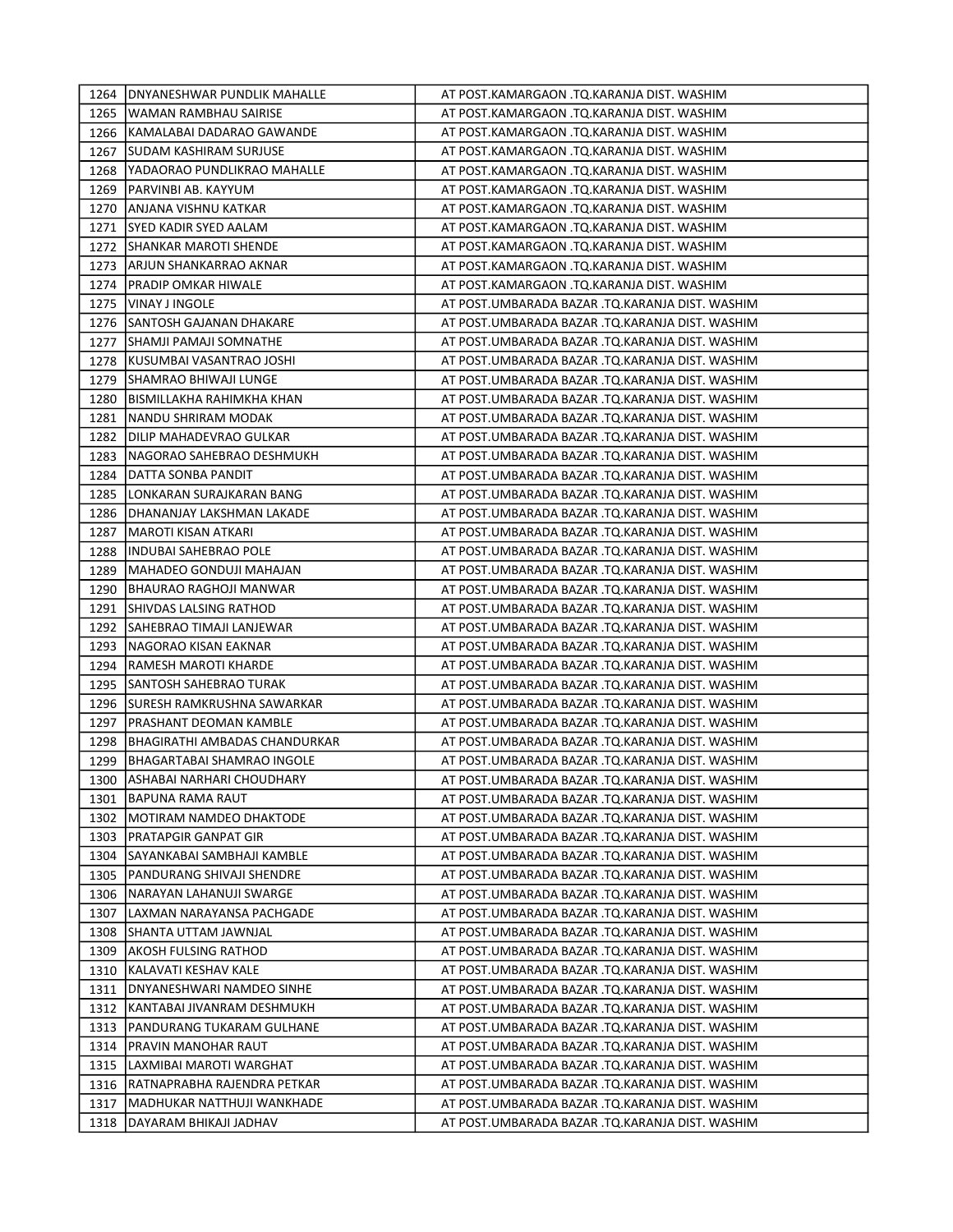|      | 1264   DNYANESHWAR PUNDLIK MAHALLE | AT POST.KAMARGAON .TQ.KARANJA DIST. WASHIM      |
|------|------------------------------------|-------------------------------------------------|
| 1265 | WAMAN RAMBHAU SAIRISE              | AT POST.KAMARGAON .TO.KARANJA DIST. WASHIM      |
|      | 1266 KAMALABAI DADARAO GAWANDE     | AT POST.KAMARGAON .TQ.KARANJA DIST. WASHIM      |
| 1267 | <b>SUDAM KASHIRAM SURJUSE</b>      | AT POST.KAMARGAON .TQ.KARANJA DIST. WASHIM      |
| 1268 | IYADAORAO PUNDLIKRAO MAHALLE       | AT POST.KAMARGAON .TQ.KARANJA DIST. WASHIM      |
| 1269 | <b>PARVINBI AB. KAYYUM</b>         | AT POST.KAMARGAON .TQ.KARANJA DIST. WASHIM      |
| 1270 | JANJANA VISHNU KATKAR              | AT POST.KAMARGAON .TQ.KARANJA DIST. WASHIM      |
| 1271 | <b>SYED KADIR SYED AALAM</b>       | AT POST.KAMARGAON .TQ.KARANJA DIST. WASHIM      |
| 1272 | <b>SHANKAR MAROTI SHENDE</b>       | AT POST.KAMARGAON .TQ.KARANJA DIST. WASHIM      |
| 1273 | JARJUN SHANKARRAO AKNAR            | AT POST.KAMARGAON .TQ.KARANJA DIST. WASHIM      |
| 1274 | IPRADIP OMKAR HIWALE               | AT POST.KAMARGAON .TQ.KARANJA DIST. WASHIM      |
| 1275 | IVINAY J INGOLE                    | AT POST.UMBARADA BAZAR .TQ.KARANJA DIST. WASHIM |
|      | 1276 ISANTOSH GAJANAN DHAKARE      | AT POST.UMBARADA BAZAR .TQ.KARANJA DIST. WASHIM |
| 1277 | <b>SHAMJI PAMAJI SOMNATHE</b>      | AT POST.UMBARADA BAZAR .TQ.KARANJA DIST. WASHIM |
| 1278 | KUSUMBAI VASANTRAO JOSHI           | AT POST.UMBARADA BAZAR .TQ.KARANJA DIST. WASHIM |
| 1279 | <b>SHAMRAO BHIWAJI LUNGE</b>       | AT POST.UMBARADA BAZAR .TQ.KARANJA DIST. WASHIM |
| 1280 | BISMILLAKHA RAHIMKHA KHAN          | AT POST.UMBARADA BAZAR .TQ.KARANJA DIST. WASHIM |
| 1281 | NANDU SHRIRAM MODAK                | AT POST.UMBARADA BAZAR .TQ.KARANJA DIST. WASHIM |
| 1282 | JDILIP MAHADEVRAO GULKAR           | AT POST.UMBARADA BAZAR .TQ.KARANJA DIST. WASHIM |
|      | 1283   NAGORAO SAHEBRAO DESHMUKH   | AT POST.UMBARADA BAZAR .TO.KARANJA DIST. WASHIM |
| 1284 | JDATTA SONBA PANDIT                | AT POST.UMBARADA BAZAR .TQ.KARANJA DIST. WASHIM |
| 1285 | ILONKARAN SURAJKARAN BANG          | AT POST.UMBARADA BAZAR .TQ.KARANJA DIST. WASHIM |
|      | 1286   DHANANJAY LAKSHMAN LAKADE   | AT POST.UMBARADA BAZAR .TQ.KARANJA DIST. WASHIM |
| 1287 | IMAROTI KISAN ATKARI               | AT POST.UMBARADA BAZAR .TQ.KARANJA DIST. WASHIM |
| 1288 | IINDUBAI SAHEBRAO POLE             | AT POST.UMBARADA BAZAR .TQ.KARANJA DIST. WASHIM |
|      | 1289   MAHADEO GONDUJI MAHAJAN     | AT POST.UMBARADA BAZAR .TQ.KARANJA DIST. WASHIM |
|      | 1290   BHAURAO RAGHOJI MANWAR      | AT POST.UMBARADA BAZAR .TQ.KARANJA DIST. WASHIM |
|      | 1291 SHIVDAS LALSING RATHOD        | AT POST.UMBARADA BAZAR .TQ.KARANJA DIST. WASHIM |
|      | 1292   SAHEBRAO TIMAJI LANJEWAR    | AT POST.UMBARADA BAZAR .TQ.KARANJA DIST. WASHIM |
| 1293 | INAGORAO KISAN EAKNAR              | AT POST.UMBARADA BAZAR .TQ.KARANJA DIST. WASHIM |
| 1294 | JRAMESH MAROTI KHARDE              | AT POST.UMBARADA BAZAR .TQ.KARANJA DIST. WASHIM |
| 1295 | <b>SANTOSH SAHEBRAO TURAK</b>      | AT POST.UMBARADA BAZAR .TQ.KARANJA DIST. WASHIM |
| 1296 | <b>ISURESH RAMKRUSHNA SAWARKAR</b> | AT POST.UMBARADA BAZAR .TQ.KARANJA DIST. WASHIM |
| 1297 | JPRASHANT DEOMAN KAMBLE            | AT POST.UMBARADA BAZAR .TQ.KARANJA DIST. WASHIM |
| 1298 | IBHAGIRATHI AMBADAS CHANDURKAR     | AT POST.UMBARADA BAZAR .TO.KARANJA DIST. WASHIM |
| 1299 | BHAGARTABAI SHAMRAO INGOLE         | AT POST.UMBARADA BAZAR .TQ.KARANJA DIST. WASHIM |
|      | 1300 ASHABAI NARHARI CHOUDHARY     | AT POST.UMBARADA BAZAR .TQ.KARANJA DIST. WASHIM |
| 1301 | BAPUNA RAMA RAUT                   | AT POST.UMBARADA BAZAR .TQ.KARANJA DIST. WASHIM |
| 1302 | MOTIRAM NAMDEO DHAKTODE            | AT POST.UMBARADA BAZAR .TO.KARANJA DIST. WASHIM |
| 1303 | PRATAPGIR GANPAT GIR               | AT POST.UMBARADA BAZAR .TQ.KARANJA DIST. WASHIM |
| 1304 | SAYANKABAI SAMBHAJI KAMBLE         | AT POST.UMBARADA BAZAR .TQ.KARANJA DIST. WASHIM |
| 1305 | PANDURANG SHIVAJI SHENDRE          | AT POST.UMBARADA BAZAR .TQ.KARANJA DIST. WASHIM |
| 1306 | NARAYAN LAHANUJI SWARGE            | AT POST.UMBARADA BAZAR .TQ.KARANJA DIST. WASHIM |
| 1307 | LAXMAN NARAYANSA PACHGADE          | AT POST.UMBARADA BAZAR .TQ.KARANJA DIST. WASHIM |
| 1308 | <b>SHANTA UTTAM JAWNJAL</b>        | AT POST.UMBARADA BAZAR .TQ.KARANJA DIST. WASHIM |
| 1309 | AKOSH FULSING RATHOD               | AT POST.UMBARADA BAZAR .TQ.KARANJA DIST. WASHIM |
| 1310 | <b>KALAVATI KESHAV KALE</b>        | AT POST.UMBARADA BAZAR .TQ.KARANJA DIST. WASHIM |
| 1311 | JDNYANESHWARI NAMDEO SINHE         | AT POST.UMBARADA BAZAR .TQ.KARANJA DIST. WASHIM |
| 1312 | KANTABAI JIVANRAM DESHMUKH         | AT POST.UMBARADA BAZAR .TQ.KARANJA DIST. WASHIM |
| 1313 | JPANDURANG TUKARAM GULHANE         | AT POST.UMBARADA BAZAR .TQ.KARANJA DIST. WASHIM |
| 1314 | JPRAVIN MANOHAR RAUT               | AT POST.UMBARADA BAZAR .TQ.KARANJA DIST. WASHIM |
|      | 1315   LAXMIBAI MAROTI WARGHAT     | AT POST.UMBARADA BAZAR .TQ.KARANJA DIST. WASHIM |
| 1316 | RATNAPRABHA RAJENDRA PETKAR        | AT POST.UMBARADA BAZAR .TQ.KARANJA DIST. WASHIM |
| 1317 | MADHUKAR NATTHUJI WANKHADE         | AT POST.UMBARADA BAZAR .TQ.KARANJA DIST. WASHIM |
| 1318 | DAYARAM BHIKAJI JADHAV             | AT POST.UMBARADA BAZAR .TQ.KARANJA DIST. WASHIM |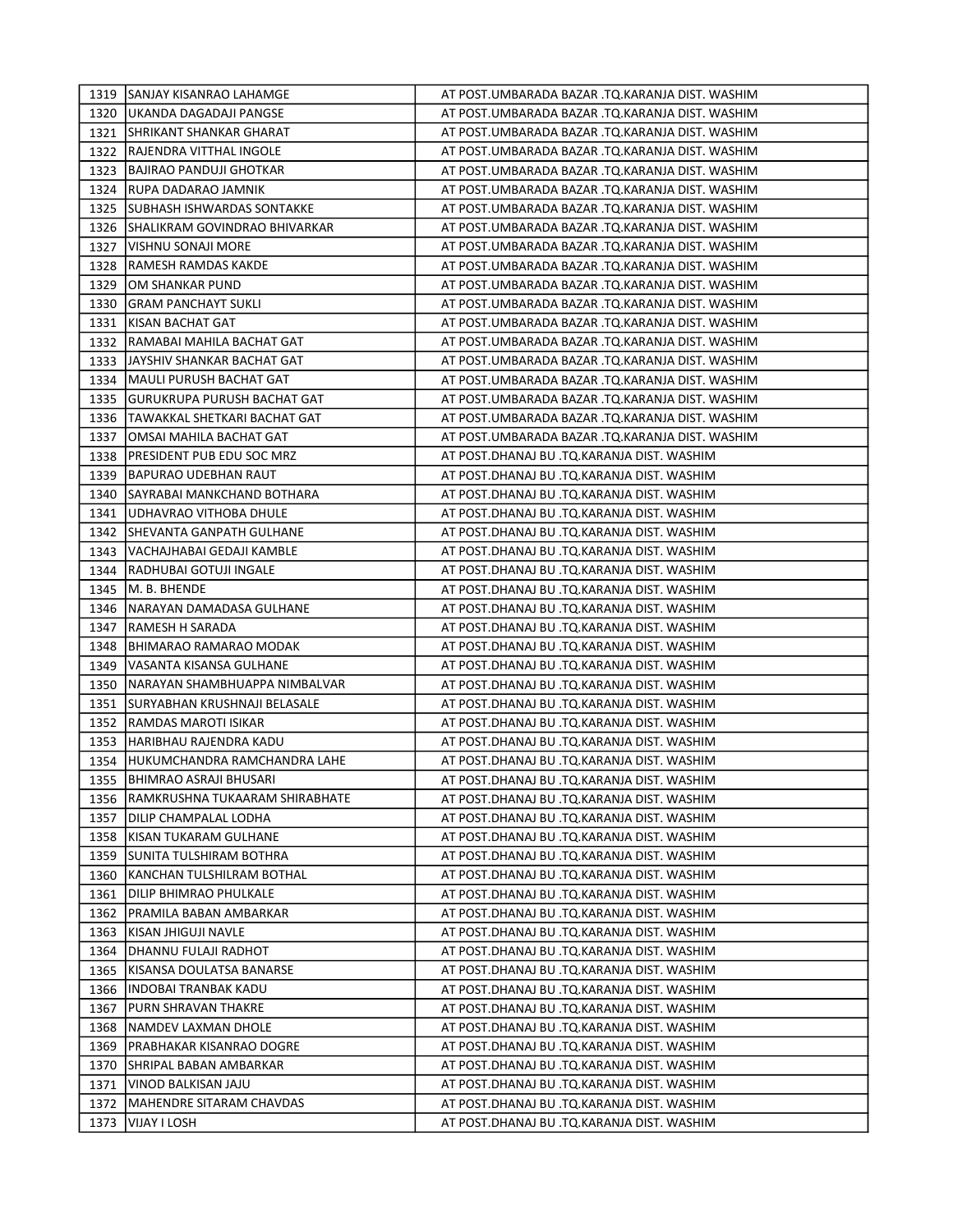|      | 1319   SANJAY KISANRAO LAHAMGE       | AT POST.UMBARADA BAZAR .TQ.KARANJA DIST. WASHIM |
|------|--------------------------------------|-------------------------------------------------|
|      | 1320   UKANDA DAGADAJI PANGSE        | AT POST.UMBARADA BAZAR .TQ.KARANJA DIST. WASHIM |
| 1321 | <b>SHRIKANT SHANKAR GHARAT</b>       | AT POST.UMBARADA BAZAR .TQ.KARANJA DIST. WASHIM |
| 1322 | <b>RAJENDRA VITTHAL INGOLE</b>       | AT POST.UMBARADA BAZAR .TQ.KARANJA DIST. WASHIM |
|      | 1323 BAJIRAO PANDUJI GHOTKAR         | AT POST.UMBARADA BAZAR .TQ.KARANJA DIST. WASHIM |
| 1324 | <b>IRUPA DADARAO JAMNIK</b>          | AT POST.UMBARADA BAZAR .TQ.KARANJA DIST. WASHIM |
| 1325 | <b>SUBHASH ISHWARDAS SONTAKKE</b>    | AT POST.UMBARADA BAZAR .TQ.KARANJA DIST. WASHIM |
| 1326 | <b>SHALIKRAM GOVINDRAO BHIVARKAR</b> | AT POST.UMBARADA BAZAR .TQ.KARANJA DIST. WASHIM |
| 1327 | VISHNU SONAJI MORE                   | AT POST.UMBARADA BAZAR .TQ.KARANJA DIST. WASHIM |
| 1328 | JRAMESH RAMDAS KAKDE                 | AT POST.UMBARADA BAZAR .TQ.KARANJA DIST. WASHIM |
| 1329 | JOM SHANKAR PUND                     | AT POST.UMBARADA BAZAR .TQ.KARANJA DIST. WASHIM |
| 1330 | <b>JGRAM PANCHAYT SUKLI</b>          | AT POST.UMBARADA BAZAR .TQ.KARANJA DIST. WASHIM |
| 1331 | KISAN BACHAT GAT                     | AT POST.UMBARADA BAZAR .TQ.KARANJA DIST. WASHIM |
|      | 1332 RAMABAI MAHILA BACHAT GAT       | AT POST.UMBARADA BAZAR .TQ.KARANJA DIST. WASHIM |
|      | 1333   JAYSHIV SHANKAR BACHAT GAT    | AT POST.UMBARADA BAZAR .TQ.KARANJA DIST. WASHIM |
|      | 1334   MAULI PURUSH BACHAT GAT       | AT POST.UMBARADA BAZAR .TQ.KARANJA DIST. WASHIM |
|      | 1335 GURUKRUPA PURUSH BACHAT GAT     | AT POST.UMBARADA BAZAR .TQ.KARANJA DIST. WASHIM |
|      | 1336   TAWAKKAL SHETKARI BACHAT GAT  | AT POST.UMBARADA BAZAR .TQ.KARANJA DIST. WASHIM |
| 1337 | JOMSAI MAHILA BACHAT GAT             | AT POST.UMBARADA BAZAR .TQ.KARANJA DIST. WASHIM |
|      | 1338   PRESIDENT PUB EDU SOC MRZ     | AT POST.DHANAJ BU .TQ.KARANJA DIST. WASHIM      |
|      | 1339 BAPURAO UDEBHAN RAUT            | AT POST.DHANAJ BU .TQ.KARANJA DIST. WASHIM      |
| 1340 | ISAYRABAI MANKCHAND BOTHARA          | AT POST.DHANAJ BU .TQ.KARANJA DIST. WASHIM      |
| 1341 | <b>JUDHAVRAO VITHOBA DHULE</b>       | AT POST.DHANAJ BU .TQ.KARANJA DIST. WASHIM      |
|      | 1342 ISHEVANTA GANPATH GULHANE       | AT POST.DHANAJ BU .TQ.KARANJA DIST. WASHIM      |
|      | 1343   VACHAJHABAI GEDAJI KAMBLE     | AT POST.DHANAJ BU .TQ.KARANJA DIST. WASHIM      |
|      | 1344   RADHUBAI GOTUJI INGALE        | AT POST.DHANAJ BU .TQ.KARANJA DIST. WASHIM      |
|      | 1345   M. B. BHENDE                  | AT POST.DHANAJ BU .TQ.KARANJA DIST. WASHIM      |
|      | 1346   NARAYAN DAMADASA GULHANE      | AT POST.DHANAJ BU .TQ.KARANJA DIST. WASHIM      |
| 1347 | <b>RAMESH H SARADA</b>               | AT POST.DHANAJ BU .TQ.KARANJA DIST. WASHIM      |
| 1348 | JBHIMARAO RAMARAO MODAK              | AT POST.DHANAJ BU .TQ.KARANJA DIST. WASHIM      |
|      | 1349   VASANTA KISANSA GULHANE       | AT POST.DHANAJ BU .TQ.KARANJA DIST. WASHIM      |
| 1350 | INARAYAN SHAMBHUAPPA NIMBALVAR       | AT POST.DHANAJ BU .TQ.KARANJA DIST. WASHIM      |
| 1351 | <b>ISURYABHAN KRUSHNAJI BELASALE</b> | AT POST.DHANAJ BU .TQ.KARANJA DIST. WASHIM      |
| 1352 | <b>IRAMDAS MAROTI ISIKAR</b>         | AT POST.DHANAJ BU .TQ.KARANJA DIST. WASHIM      |
| 1353 | JHARIBHAU RAJENDRA KADU              | AT POST.DHANAJ BU .TQ.KARANJA DIST. WASHIM      |
|      | 1354   HUKUMCHANDRA RAMCHANDRA LAHE  | AT POST.DHANAJ BU .TQ.KARANJA DIST. WASHIM      |
|      | 1355   BHIMRAO ASRAJI BHUSARI        | AT POST.DHANAJ BU .TQ.KARANJA DIST. WASHIM      |
| 1356 | RAMKRUSHNA TUKAARAM SHIRABHATE       | AT POST.DHANAJ BU .TQ.KARANJA DIST. WASHIM      |
| 1357 | DILIP CHAMPALAL LODHA                | AT POST.DHANAJ BU .TQ.KARANJA DIST. WASHIM      |
| 1358 | KISAN TUKARAM GULHANE                | AT POST.DHANAJ BU .TQ.KARANJA DIST. WASHIM      |
| 1359 | SUNITA TULSHIRAM BOTHRA              | AT POST.DHANAJ BU .TQ.KARANJA DIST. WASHIM      |
| 1360 | KANCHAN TULSHILRAM BOTHAL            | AT POST.DHANAJ BU .TQ.KARANJA DIST. WASHIM      |
| 1361 | DILIP BHIMRAO PHULKALE               | AT POST.DHANAJ BU .TQ.KARANJA DIST. WASHIM      |
| 1362 | PRAMILA BABAN AMBARKAR               | AT POST.DHANAJ BU .TQ.KARANJA DIST. WASHIM      |
| 1363 | KISAN JHIGUJI NAVLE                  | AT POST.DHANAJ BU .TQ.KARANJA DIST. WASHIM      |
| 1364 | DHANNU FULAJI RADHOT                 | AT POST.DHANAJ BU .TQ.KARANJA DIST. WASHIM      |
| 1365 | IKISANSA DOULATSA BANARSE            | AT POST.DHANAJ BU .TQ.KARANJA DIST. WASHIM      |
| 1366 | JINDOBAI TRANBAK KADU                | AT POST.DHANAJ BU .TQ.KARANJA DIST. WASHIM      |
| 1367 | JPURN SHRAVAN THAKRE                 | AT POST.DHANAJ BU .TQ.KARANJA DIST. WASHIM      |
| 1368 | INAMDEV LAXMAN DHOLE                 | AT POST.DHANAJ BU .TQ.KARANJA DIST. WASHIM      |
| 1369 | JPRABHAKAR KISANRAO DOGRE            | AT POST.DHANAJ BU .TQ.KARANJA DIST. WASHIM      |
| 1370 | <b>SHRIPAL BABAN AMBARKAR</b>        | AT POST.DHANAJ BU .TQ.KARANJA DIST. WASHIM      |
| 1371 | VINOD BALKISAN JAJU                  | AT POST.DHANAJ BU .TQ.KARANJA DIST. WASHIM      |
| 1372 | MAHENDRE SITARAM CHAVDAS             | AT POST.DHANAJ BU .TQ.KARANJA DIST. WASHIM      |
| 1373 | VIJAY I LOSH                         | AT POST.DHANAJ BU .TQ.KARANJA DIST. WASHIM      |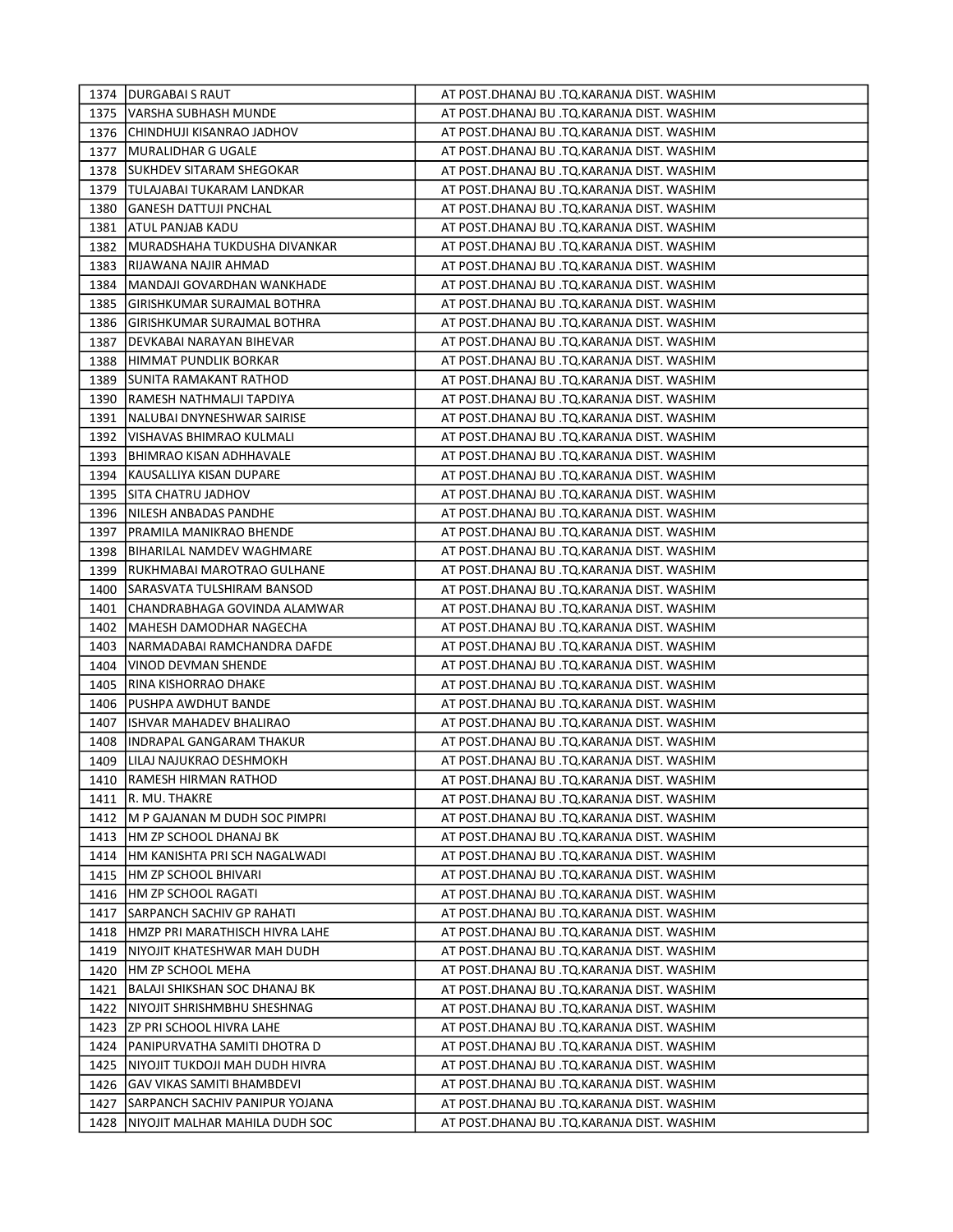|      | 1374   DURGABAI S RAUT                | AT POST.DHANAJ BU .TQ.KARANJA DIST. WASHIM |
|------|---------------------------------------|--------------------------------------------|
| 1375 | <b>VARSHA SUBHASH MUNDE</b>           | AT POST.DHANAJ BU .TQ.KARANJA DIST. WASHIM |
| 1376 | ICHINDHUJI KISANRAO JADHOV            | AT POST.DHANAJ BU .TQ.KARANJA DIST. WASHIM |
| 1377 | MURALIDHAR G UGALE                    | AT POST.DHANAJ BU .TQ.KARANJA DIST. WASHIM |
| 1378 | ISUKHDEV SITARAM SHEGOKAR             | AT POST.DHANAJ BU .TQ.KARANJA DIST. WASHIM |
| 1379 | TULAJABAI TUKARAM LANDKAR             | AT POST.DHANAJ BU .TQ.KARANJA DIST. WASHIM |
| 1380 | IGANESH DATTUJI PNCHAL                | AT POST.DHANAJ BU .TQ.KARANJA DIST. WASHIM |
| 1381 | AATUL PANJAB KADU                     | AT POST.DHANAJ BU .TQ.KARANJA DIST. WASHIM |
| 1382 | JMURADSHAHA TUKDUSHA DIVANKAR         | AT POST.DHANAJ BU .TQ.KARANJA DIST. WASHIM |
| 1383 | RIJAWANA NAJIR AHMAD                  | AT POST.DHANAJ BU .TQ.KARANJA DIST. WASHIM |
| 1384 | MANDAJI GOVARDHAN WANKHADE            | AT POST.DHANAJ BU .TQ.KARANJA DIST. WASHIM |
| 1385 | IGIRISHKUMAR SURAJMAL BOTHRA          | AT POST.DHANAJ BU .TQ.KARANJA DIST. WASHIM |
| 1386 | GIRISHKUMAR SURAJMAL BOTHRA           | AT POST.DHANAJ BU .TQ.KARANJA DIST. WASHIM |
| 1387 | JDEVKABAI NARAYAN BIHEVAR             | AT POST.DHANAJ BU .TQ.KARANJA DIST. WASHIM |
| 1388 | HIMMAT PUNDLIK BORKAR                 | AT POST.DHANAJ BU .TQ.KARANJA DIST. WASHIM |
| 1389 | <b>SUNITA RAMAKANT RATHOD</b>         | AT POST.DHANAJ BU .TQ.KARANJA DIST. WASHIM |
| 1390 | RAMESH NATHMALJI TAPDIYA              | AT POST.DHANAJ BU .TQ.KARANJA DIST. WASHIM |
| 1391 | NALUBAI DNYNESHWAR SAIRISE            | AT POST.DHANAJ BU .TQ.KARANJA DIST. WASHIM |
| 1392 | VISHAVAS BHIMRAO KULMALI              | AT POST.DHANAJ BU .TQ.KARANJA DIST. WASHIM |
|      | 1393   BHIMRAO KISAN ADHHAVALE        | AT POST.DHANAJ BU .TQ.KARANJA DIST. WASHIM |
| 1394 | IKAUSALLIYA KISAN DUPARE              | AT POST.DHANAJ BU .TQ.KARANJA DIST. WASHIM |
| 1395 | <b>SITA CHATRU JADHOV</b>             | AT POST.DHANAJ BU .TQ.KARANJA DIST. WASHIM |
|      | 1396   NILESH ANBADAS PANDHE          | AT POST.DHANAJ BU .TQ.KARANJA DIST. WASHIM |
| 1397 | <b>IPRAMILA MANIKRAO BHENDE</b>       | AT POST.DHANAJ BU .TQ.KARANJA DIST. WASHIM |
| 1398 | <b>IBIHARILAL NAMDEV WAGHMARE</b>     | AT POST.DHANAJ BU .TQ.KARANJA DIST. WASHIM |
|      | 1399   RUKHMABAI MAROTRAO GULHANE     | AT POST.DHANAJ BU .TQ.KARANJA DIST. WASHIM |
| 1400 | <b>SARASVATA TULSHIRAM BANSOD</b>     | AT POST.DHANAJ BU .TQ.KARANJA DIST. WASHIM |
| 1401 | CHANDRABHAGA GOVINDA ALAMWAR          | AT POST.DHANAJ BU .TQ.KARANJA DIST. WASHIM |
| 1402 | MAHESH DAMODHAR NAGECHA               | AT POST.DHANAJ BU .TQ.KARANJA DIST. WASHIM |
| 1403 | INARMADABAI RAMCHANDRA DAFDE          | AT POST.DHANAJ BU .TQ.KARANJA DIST. WASHIM |
| 1404 | VINOD DEVMAN SHENDE                   | AT POST.DHANAJ BU .TQ.KARANJA DIST. WASHIM |
| 1405 | RINA KISHORRAO DHAKE                  | AT POST.DHANAJ BU .TQ.KARANJA DIST. WASHIM |
| 1406 | PUSHPA AWDHUT BANDE                   | AT POST.DHANAJ BU .TQ.KARANJA DIST. WASHIM |
| 1407 | JISHVAR MAHADEV BHALIRAO              | AT POST.DHANAJ BU .TQ.KARANJA DIST. WASHIM |
| 1408 | IINDRAPAL GANGARAM THAKUR             | AT POST.DHANAJ BU .TQ.KARANJA DIST. WASHIM |
| 1409 | LILAJ NAJUKRAO DESHMOKH               | AT POST.DHANAJ BU .TQ.KARANJA DIST. WASHIM |
|      | 1410   RAMESH HIRMAN RATHOD           | AT POST.DHANAJ BU .TQ.KARANJA DIST. WASHIM |
| 1411 | R. MU. THAKRE                         | AT POST.DHANAJ BU .TQ.KARANJA DIST. WASHIM |
| 1412 | M P GAJANAN M DUDH SOC PIMPRI         | AT POST.DHANAJ BU .TO.KARANJA DIST. WASHIM |
| 1413 | <b>HM ZP SCHOOL DHANAJ BK</b>         | AT POST.DHANAJ BU .TQ.KARANJA DIST. WASHIM |
| 1414 | HM KANISHTA PRI SCH NAGALWADI         | AT POST.DHANAJ BU .TQ.KARANJA DIST. WASHIM |
| 1415 | HM ZP SCHOOL BHIVARI                  | AT POST.DHANAJ BU .TQ.KARANJA DIST. WASHIM |
| 1416 | <b>HM ZP SCHOOL RAGATI</b>            | AT POST.DHANAJ BU .TQ.KARANJA DIST. WASHIM |
| 1417 | SARPANCH SACHIV GP RAHATI             | AT POST.DHANAJ BU .TQ.KARANJA DIST. WASHIM |
|      | 1418   HMZP PRI MARATHISCH HIVRA LAHE | AT POST.DHANAJ BU .TQ.KARANJA DIST. WASHIM |
| 1419 | INIYOJIT KHATESHWAR MAH DUDH          | AT POST.DHANAJ BU .TQ.KARANJA DIST. WASHIM |
| 1420 | <b>JHM ZP SCHOOL MEHA</b>             | AT POST.DHANAJ BU .TQ.KARANJA DIST. WASHIM |
| 1421 | JBALAJI SHIKSHAN SOC DHANAJ BK        | AT POST.DHANAJ BU .TQ.KARANJA DIST. WASHIM |
| 1422 | INIYOJIT SHRISHMBHU SHESHNAG          | AT POST.DHANAJ BU .TQ.KARANJA DIST. WASHIM |
| 1423 | IZP PRI SCHOOL HIVRA LAHE             | AT POST.DHANAJ BU .TQ.KARANJA DIST. WASHIM |
| 1424 | JPANIPURVATHA SAMITI DHOTRA D         | AT POST.DHANAJ BU .TQ.KARANJA DIST. WASHIM |
|      | 1425   NIYOJIT TUKDOJI MAH DUDH HIVRA | AT POST.DHANAJ BU .TQ.KARANJA DIST. WASHIM |
| 1426 | GAV VIKAS SAMITI BHAMBDEVI            | AT POST.DHANAJ BU .TQ.KARANJA DIST. WASHIM |
| 1427 | SARPANCH SACHIV PANIPUR YOJANA        | AT POST.DHANAJ BU .TQ.KARANJA DIST. WASHIM |
| 1428 | NIYOJIT MALHAR MAHILA DUDH SOC        | AT POST.DHANAJ BU .TQ.KARANJA DIST. WASHIM |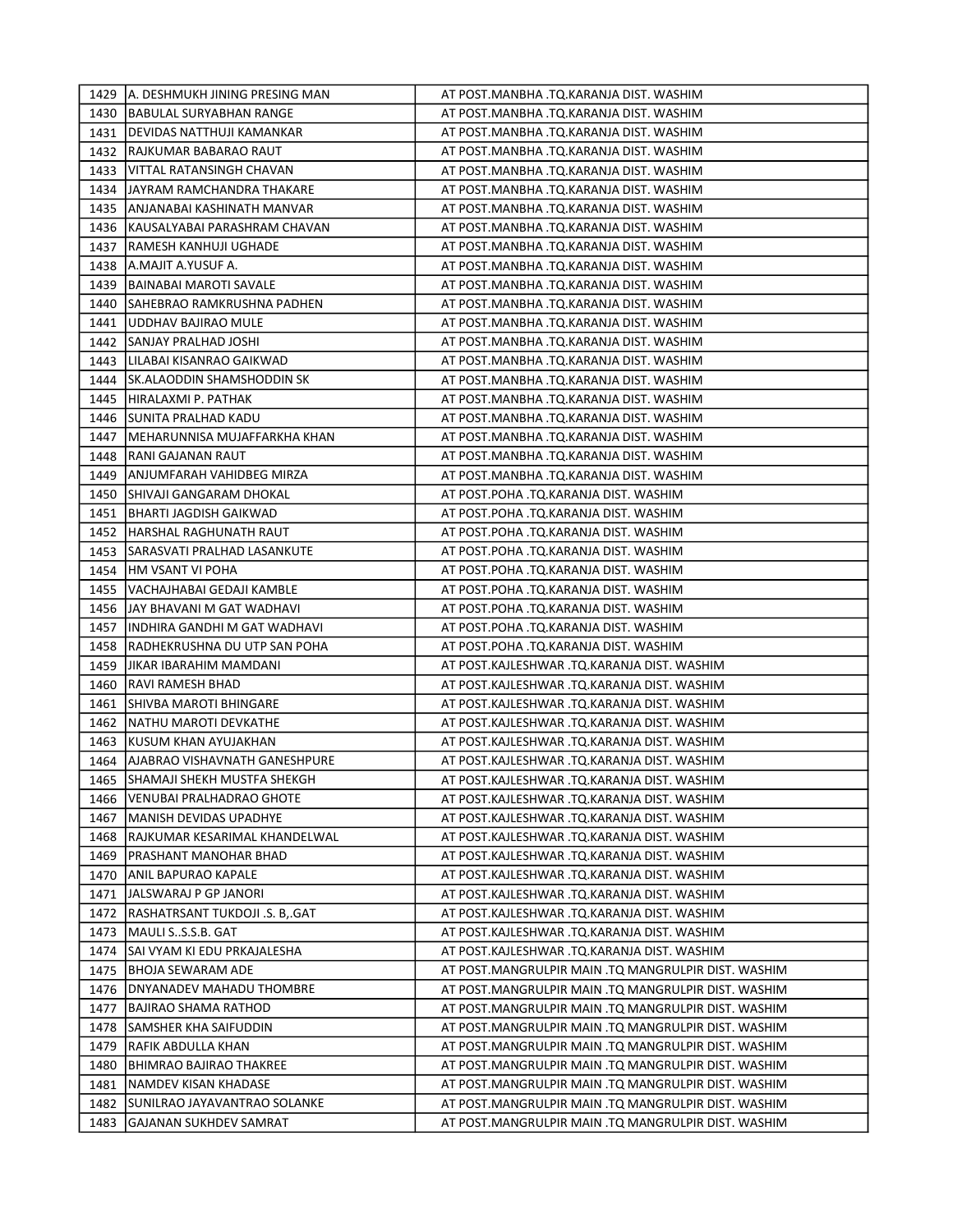| 1429   A. DESHMUKH JINING PRESING MAN      | AT POST.MANBHA .TQ.KARANJA DIST. WASHIM             |
|--------------------------------------------|-----------------------------------------------------|
| 1430<br>IBABULAL SURYABHAN RANGE           | AT POST.MANBHA .TQ.KARANJA DIST. WASHIM             |
| 1431<br>JDEVIDAS NATTHUJI KAMANKAR         | AT POST.MANBHA .TQ.KARANJA DIST. WASHIM             |
| JRAJKUMAR BABARAO RAUT<br>1432             | AT POST.MANBHA .TQ.KARANJA DIST. WASHIM             |
| 1433<br> VITTAL RATANSINGH CHAVAN          | AT POST.MANBHA .TQ.KARANJA DIST. WASHIM             |
| 1434<br>JJAYRAM RAMCHANDRA THAKARE         | AT POST.MANBHA .TQ.KARANJA DIST. WASHIM             |
| 1435<br>JANJANABAI KASHINATH MANVAR        | AT POST.MANBHA .TQ.KARANJA DIST. WASHIM             |
| KAUSALYABAI PARASHRAM CHAVAN<br>1436       | AT POST.MANBHA .TQ.KARANJA DIST. WASHIM             |
| 1437<br>IRAMESH KANHUJI UGHADE             | AT POST.MANBHA .TQ.KARANJA DIST. WASHIM             |
| 1438<br>JA.MAJIT A.YUSUF A.                | AT POST.MANBHA .TQ.KARANJA DIST. WASHIM             |
| 1439<br>BAINABAI MAROTI SAVALE             | AT POST.MANBHA .TQ.KARANJA DIST. WASHIM             |
| <b>ISAHEBRAO RAMKRUSHNA PADHEN</b><br>1440 | AT POST.MANBHA .TO.KARANJA DIST. WASHIM             |
| JUDDHAV BAJIRAO MULE<br>1441               | AT POST.MANBHA .TQ.KARANJA DIST. WASHIM             |
| 1442<br><b>SANJAY PRALHAD JOSHI</b>        | AT POST.MANBHA .TQ.KARANJA DIST. WASHIM             |
| 1443   LILABAI KISANRAO GAIKWAD            | AT POST.MANBHA .TQ.KARANJA DIST. WASHIM             |
| <b>SK.ALAODDIN SHAMSHODDIN SK</b><br>1444  | AT POST.MANBHA .TQ.KARANJA DIST. WASHIM             |
| 1445   HIRALAXMI P. PATHAK                 | AT POST.MANBHA .TQ.KARANJA DIST. WASHIM             |
| 1446 SUNITA PRALHAD KADU                   | AT POST.MANBHA .TQ.KARANJA DIST. WASHIM             |
| 1447   MEHARUNNISA MUJAFFARKHA KHAN        | AT POST.MANBHA .TQ.KARANJA DIST. WASHIM             |
| 1448   RANI GAJANAN RAUT                   | AT POST.MANBHA .TQ.KARANJA DIST. WASHIM             |
| 1449   ANJUMFARAH VAHIDBEG MIRZA           | AT POST.MANBHA .TQ.KARANJA DIST. WASHIM             |
| 1450 ISHIVAJI GANGARAM DHOKAL              | AT POST.POHA .TQ.KARANJA DIST. WASHIM               |
| 1451   BHARTI JAGDISH GAIKWAD              | AT POST.POHA .TQ.KARANJA DIST. WASHIM               |
| 1452   HARSHAL RAGHUNATH RAUT              | AT POST.POHA .TQ.KARANJA DIST. WASHIM               |
| 1453 SARASVATI PRALHAD LASANKUTE           | AT POST.POHA .TQ.KARANJA DIST. WASHIM               |
| 1454 HM VSANT VI POHA                      | AT POST.POHA .TQ.KARANJA DIST. WASHIM               |
| 1455<br>JVACHAJHABAI GEDAJI KAMBLE         | AT POST.POHA .TQ.KARANJA DIST. WASHIM               |
| 1456 JJAY BHAVANI M GAT WADHAVI            | AT POST.POHA .TQ.KARANJA DIST. WASHIM               |
| 1457<br>JINDHIRA GANDHI M GAT WADHAVI      | AT POST.POHA .TQ.KARANJA DIST. WASHIM               |
| 1458<br>JRADHEKRUSHNA DU UTP SAN POHA      | AT POST.POHA .TQ.KARANJA DIST. WASHIM               |
| 1459 JJIKAR IBARAHIM MAMDANI               | AT POST.KAJLESHWAR .TQ.KARANJA DIST. WASHIM         |
| <b>IRAVI RAMESH BHAD</b><br>1460           | AT POST.KAJLESHWAR .TQ.KARANJA DIST. WASHIM         |
| 1461<br>ISHIVBA MAROTI BHINGARE            | AT POST.KAJLESHWAR .TQ.KARANJA DIST. WASHIM         |
| 1462   NATHU MAROTI DEVKATHE               | AT POST.KAJLESHWAR .TQ.KARANJA DIST. WASHIM         |
| 1463<br><b>IKUSUM KHAN AYUJAKHAN</b>       | AT POST.KAJLESHWAR .TQ.KARANJA DIST. WASHIM         |
| 1464   AJABRAO VISHAVNATH GANESHPURE       | AT POST.KAJLESHWAR .TQ.KARANJA DIST. WASHIM         |
| 1465 SHAMAJI SHEKH MUSTFA SHEKGH           | AT POST.KAJLESHWAR .TO.KARANJA DIST. WASHIM         |
| VENUBAI PRALHADRAO GHOTE<br>1466           | AT POST.KAJLESHWAR .TQ.KARANJA DIST. WASHIM         |
| MANISH DEVIDAS UPADHYE<br>1467             | AT POST.KAJLESHWAR .TQ.KARANJA DIST. WASHIM         |
| RAJKUMAR KESARIMAL KHANDELWAL<br>1468      | AT POST.KAJLESHWAR .TQ.KARANJA DIST. WASHIM         |
| PRASHANT MANOHAR BHAD<br>1469              | AT POST.KAJLESHWAR .TQ.KARANJA DIST. WASHIM         |
| 1470<br>ANIL BAPURAO KAPALE                | AT POST.KAJLESHWAR .TQ.KARANJA DIST. WASHIM         |
| 1471<br>JJALSWARAJ P GP JANORI             | AT POST.KAJLESHWAR .TQ.KARANJA DIST. WASHIM         |
| 1472<br>IRASHATRSANT TUKDOJI .S. B,.GAT    | AT POST.KAJLESHWAR .TQ.KARANJA DIST. WASHIM         |
| MAULI SS.S.B. GAT<br>1473                  | AT POST.KAJLESHWAR .TQ.KARANJA DIST. WASHIM         |
| 1474<br>JSAI VYAM KI EDU PRKAJALESHA       | AT POST.KAJLESHWAR .TQ.KARANJA DIST. WASHIM         |
| 1475<br><b>BHOJA SEWARAM ADE</b>           | AT POST.MANGRULPIR MAIN .TQ MANGRULPIR DIST. WASHIM |
| 1476<br>JDNYANADEV MAHADU THOMBRE          | AT POST.MANGRULPIR MAIN .TQ MANGRULPIR DIST. WASHIM |
| 1477<br> BAJIRAO SHAMA RATHOD              | AT POST.MANGRULPIR MAIN .TQ MANGRULPIR DIST. WASHIM |
| 1478<br>ISAMSHER KHA SAIFUDDIN             | AT POST.MANGRULPIR MAIN .TQ MANGRULPIR DIST. WASHIM |
| RAFIK ABDULLA KHAN<br>1479                 | AT POST.MANGRULPIR MAIN .TQ MANGRULPIR DIST. WASHIM |
| 1480<br> BHIMRAO BAJIRAO THAKREE           | AT POST.MANGRULPIR MAIN .TQ MANGRULPIR DIST. WASHIM |
| 1481<br>NAMDEV KISAN KHADASE               | AT POST.MANGRULPIR MAIN .TQ MANGRULPIR DIST. WASHIM |
| 1482<br>SUNILRAO JAYAVANTRAO SOLANKE       | AT POST.MANGRULPIR MAIN .TQ MANGRULPIR DIST. WASHIM |
| 1483<br>GAJANAN SUKHDEV SAMRAT             | AT POST.MANGRULPIR MAIN .TQ MANGRULPIR DIST. WASHIM |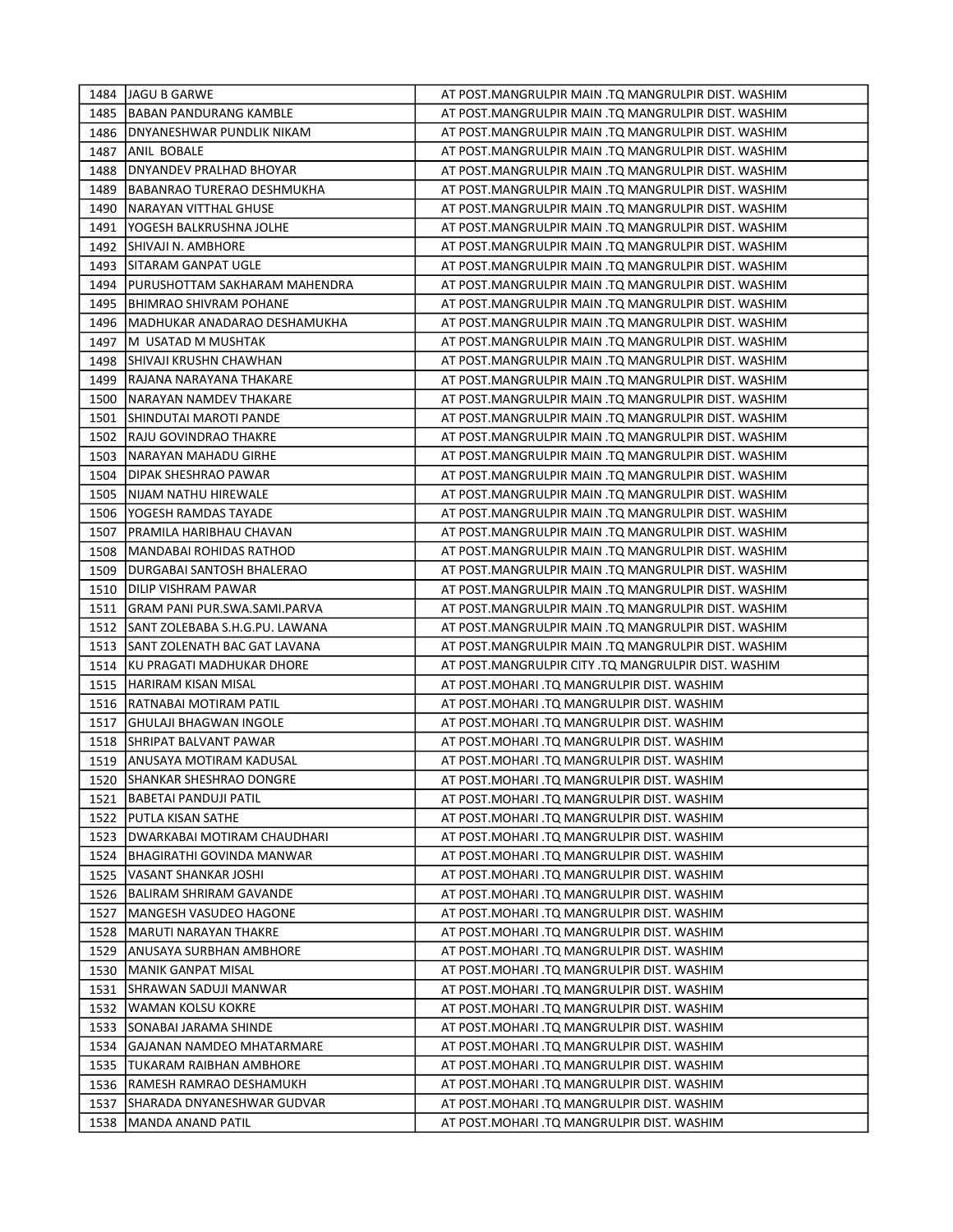|      | 1484 IJAGU B GARWE                  | AT POST.MANGRULPIR MAIN .TQ MANGRULPIR DIST. WASHIM |
|------|-------------------------------------|-----------------------------------------------------|
| 1485 | <b>BABAN PANDURANG KAMBLE</b>       | AT POST.MANGRULPIR MAIN .TO MANGRULPIR DIST. WASHIM |
| 1486 | <b>JDNYANESHWAR PUNDLIK NIKAM</b>   | AT POST.MANGRULPIR MAIN .TQ MANGRULPIR DIST. WASHIM |
| 1487 | ANIL BOBALE                         | AT POST.MANGRULPIR MAIN .TQ MANGRULPIR DIST. WASHIM |
| 1488 | DNYANDEV PRALHAD BHOYAR             | AT POST.MANGRULPIR MAIN .TQ MANGRULPIR DIST. WASHIM |
| 1489 | IBABANRAO TURERAO DESHMUKHA         | AT POST.MANGRULPIR MAIN .TQ MANGRULPIR DIST. WASHIM |
| 1490 | NARAYAN VITTHAL GHUSE               | AT POST.MANGRULPIR MAIN .TQ MANGRULPIR DIST. WASHIM |
| 1491 | YOGESH BALKRUSHNA JOLHE             | AT POST.MANGRULPIR MAIN .TQ MANGRULPIR DIST. WASHIM |
| 1492 | ISHIVAJI N. AMBHORE                 | AT POST.MANGRULPIR MAIN .TQ MANGRULPIR DIST. WASHIM |
| 1493 | ISITARAM GANPAT UGLE                | AT POST.MANGRULPIR MAIN .TQ MANGRULPIR DIST. WASHIM |
| 1494 | PURUSHOTTAM SAKHARAM MAHENDRA       | AT POST.MANGRULPIR MAIN .TQ MANGRULPIR DIST. WASHIM |
| 1495 | BHIMRAO SHIVRAM POHANE              | AT POST.MANGRULPIR MAIN .TQ MANGRULPIR DIST. WASHIM |
| 1496 | MADHUKAR ANADARAO DESHAMUKHA        | AT POST.MANGRULPIR MAIN .TQ MANGRULPIR DIST. WASHIM |
| 1497 | lM  USATAD M MUSHTAK                | AT POST.MANGRULPIR MAIN .TQ MANGRULPIR DIST. WASHIM |
| 1498 | ISHIVAJI KRUSHN CHAWHAN             | AT POST.MANGRULPIR MAIN .TQ MANGRULPIR DIST. WASHIM |
| 1499 | RAJANA NARAYANA THAKARE             | AT POST.MANGRULPIR MAIN .TQ MANGRULPIR DIST. WASHIM |
| 1500 | NARAYAN NAMDEV THAKARE              | AT POST.MANGRULPIR MAIN .TQ MANGRULPIR DIST. WASHIM |
| 1501 | ISHINDUTAI MAROTI PANDE             | AT POST.MANGRULPIR MAIN .TQ MANGRULPIR DIST. WASHIM |
| 1502 | IRAJU GOVINDRAO THAKRE              | AT POST.MANGRULPIR MAIN .TQ MANGRULPIR DIST. WASHIM |
| 1503 | INARAYAN MAHADU GIRHE               | AT POST.MANGRULPIR MAIN .TQ MANGRULPIR DIST. WASHIM |
| 1504 | IDIPAK SHESHRAO PAWAR               | AT POST.MANGRULPIR MAIN .TQ MANGRULPIR DIST. WASHIM |
| 1505 | INIJAM NATHU HIREWALE               | AT POST.MANGRULPIR MAIN .TQ MANGRULPIR DIST. WASHIM |
| 1506 | YOGESH RAMDAS TAYADE                | AT POST.MANGRULPIR MAIN .TQ MANGRULPIR DIST. WASHIM |
| 1507 | JPRAMILA HARIBHAU CHAVAN            | AT POST.MANGRULPIR MAIN .TQ MANGRULPIR DIST. WASHIM |
| 1508 | IMANDABAI ROHIDAS RATHOD            | AT POST.MANGRULPIR MAIN .TQ MANGRULPIR DIST. WASHIM |
| 1509 | JDURGABAI SANTOSH BHALERAO          | AT POST.MANGRULPIR MAIN .TQ MANGRULPIR DIST. WASHIM |
|      | 1510   DILIP VISHRAM PAWAR          | AT POST.MANGRULPIR MAIN .TQ MANGRULPIR DIST. WASHIM |
| 1511 | GRAM PANI PUR.SWA.SAMI.PARVA        | AT POST.MANGRULPIR MAIN .TQ MANGRULPIR DIST. WASHIM |
| 1512 | SANT ZOLEBABA S.H.G.PU. LAWANA      | AT POST.MANGRULPIR MAIN .TQ MANGRULPIR DIST. WASHIM |
| 1513 | <b>SANT ZOLENATH BAC GAT LAVANA</b> | AT POST.MANGRULPIR MAIN .TQ MANGRULPIR DIST. WASHIM |
| 1514 | IKU PRAGATI MADHUKAR DHORE          | AT POST.MANGRULPIR CITY .TQ MANGRULPIR DIST. WASHIM |
| 1515 | HARIRAM KISAN MISAL                 | AT POST.MOHARI .TQ MANGRULPIR DIST. WASHIM          |
| 1516 | <b>IRATNABAI MOTIRAM PATIL</b>      | AT POST.MOHARI .TQ MANGRULPIR DIST. WASHIM          |
| 1517 | GHULAJI BHAGWAN INGOLE              | AT POST. MOHARI .TO MANGRULPIR DIST. WASHIM         |
| 1518 | ISHRIPAT BALVANT PAWAR              | AT POST.MOHARI .TQ MANGRULPIR DIST. WASHIM          |
| 1519 | <b>ANUSAYA MOTIRAM KADUSAL</b>      | AT POST.MOHARI .TQ MANGRULPIR DIST. WASHIM          |
|      | 1520 SHANKAR SHESHRAO DONGRE        | AT POST.MOHARI .TQ MANGRULPIR DIST. WASHIM          |
| 1521 | BABETAI PANDUJI PATIL               | AT POST.MOHARI .TQ MANGRULPIR DIST. WASHIM          |
| 1522 | PUTLA KISAN SATHE                   | AT POST.MOHARI .TQ MANGRULPIR DIST. WASHIM          |
| 1523 | DWARKABAI MOTIRAM CHAUDHARI         | AT POST.MOHARI .TQ MANGRULPIR DIST. WASHIM          |
| 1524 | BHAGIRATHI GOVINDA MANWAR           | AT POST.MOHARI .TQ MANGRULPIR DIST. WASHIM          |
| 1525 | VASANT SHANKAR JOSHI                | AT POST.MOHARI .TQ MANGRULPIR DIST. WASHIM          |
| 1526 | BALIRAM SHRIRAM GAVANDE             | AT POST.MOHARI .TQ MANGRULPIR DIST. WASHIM          |
| 1527 | MANGESH VASUDEO HAGONE              | AT POST.MOHARI .TQ MANGRULPIR DIST. WASHIM          |
| 1528 | MARUTI NARAYAN THAKRE               | AT POST.MOHARI .TQ MANGRULPIR DIST. WASHIM          |
| 1529 | JANUSAYA SURBHAN AMBHORE            | AT POST.MOHARI .TQ MANGRULPIR DIST. WASHIM          |
| 1530 | MANIK GANPAT MISAL                  | AT POST.MOHARI .TQ MANGRULPIR DIST. WASHIM          |
| 1531 | ISHRAWAN SADUJI MANWAR              | AT POST.MOHARI .TQ MANGRULPIR DIST. WASHIM          |
| 1532 | WAMAN KOLSU KOKRE                   | AT POST.MOHARI .TQ MANGRULPIR DIST. WASHIM          |
| 1533 | ISONABAI JARAMA SHINDE              | AT POST.MOHARI .TQ MANGRULPIR DIST. WASHIM          |
| 1534 | GAJANAN NAMDEO MHATARMARE           | AT POST.MOHARI .TQ MANGRULPIR DIST. WASHIM          |
| 1535 | TUKARAM RAIBHAN AMBHORE             | AT POST.MOHARI .TQ MANGRULPIR DIST. WASHIM          |
| 1536 | RAMESH RAMRAO DESHAMUKH             | AT POST.MOHARI .TQ MANGRULPIR DIST. WASHIM          |
| 1537 | SHARADA DNYANESHWAR GUDVAR          | AT POST.MOHARI .TQ MANGRULPIR DIST. WASHIM          |
| 1538 | MANDA ANAND PATIL                   | AT POST.MOHARI .TQ MANGRULPIR DIST. WASHIM          |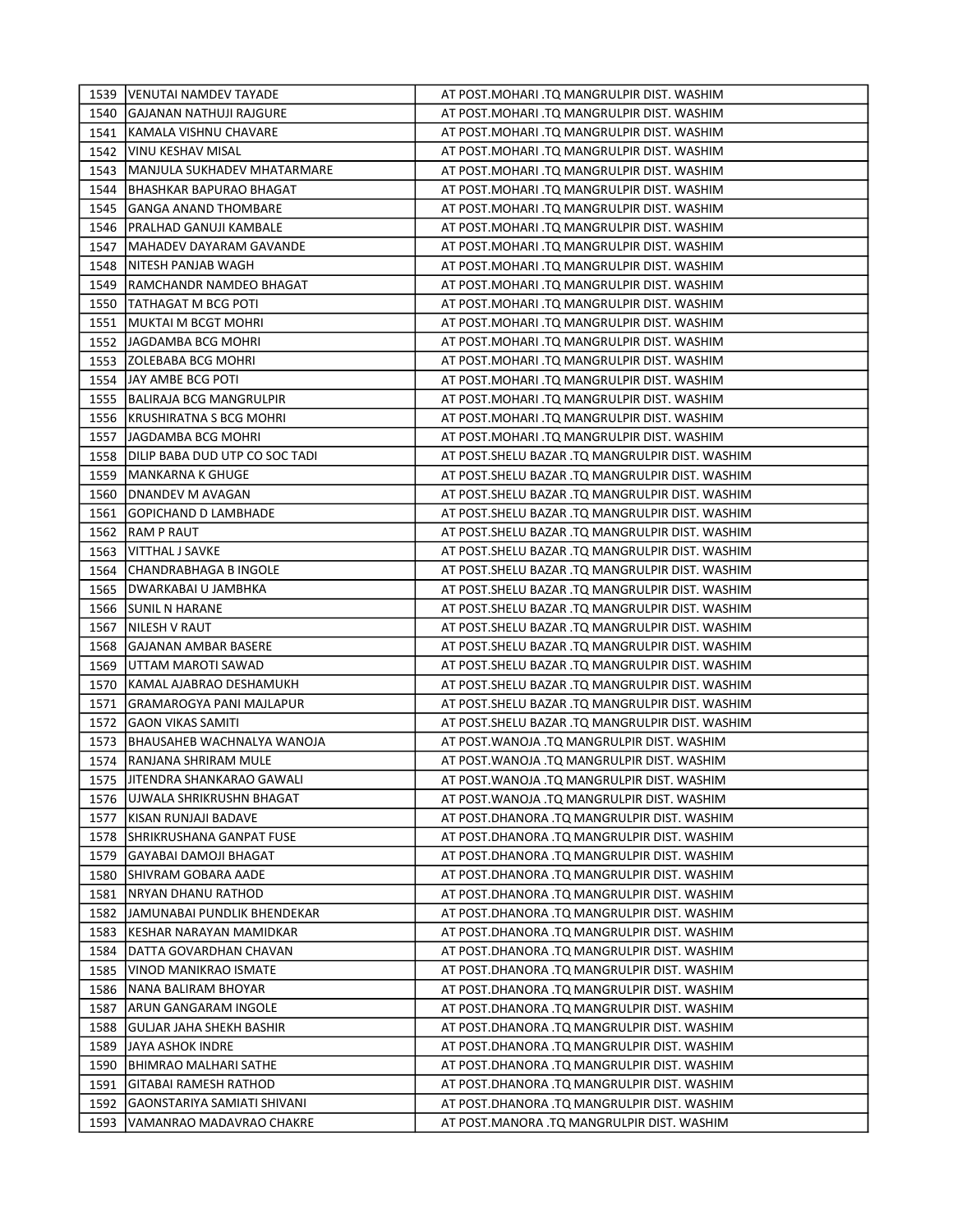| 1539 | <b>IVENUTAI NAMDEV TAYADE</b>        | AT POST.MOHARI .TQ MANGRULPIR DIST. WASHIM      |
|------|--------------------------------------|-------------------------------------------------|
| 1540 | GAJANAN NATHUJI RAJGURE              | AT POST.MOHARI .TQ MANGRULPIR DIST. WASHIM      |
| 1541 | JKAMALA VISHNU CHAVARE               | AT POST.MOHARI .TQ MANGRULPIR DIST. WASHIM      |
| 1542 | lVINU KESHAV MISAL                   | AT POST.MOHARI .TQ MANGRULPIR DIST. WASHIM      |
| 1543 | <b>MANJULA SUKHADEV MHATARMARE</b>   | AT POST.MOHARI .TQ MANGRULPIR DIST. WASHIM      |
| 1544 | IBHASHKAR BAPURAO BHAGAT             | AT POST.MOHARI .TQ MANGRULPIR DIST. WASHIM      |
| 1545 | <b>GANGA ANAND THOMBARE</b>          | AT POST.MOHARI .TQ MANGRULPIR DIST. WASHIM      |
| 1546 | PRALHAD GANUJI KAMBALE               | AT POST.MOHARI .TQ MANGRULPIR DIST. WASHIM      |
| 1547 | MAHADEV DAYARAM GAVANDE              | AT POST.MOHARI .TQ MANGRULPIR DIST. WASHIM      |
| 1548 | INITESH PANJAB WAGH                  | AT POST.MOHARI .TQ MANGRULPIR DIST. WASHIM      |
| 1549 | RAMCHANDR NAMDEO BHAGAT              | AT POST.MOHARI .TQ MANGRULPIR DIST. WASHIM      |
| 1550 | <b>ITATHAGAT M BCG POTI</b>          | AT POST. MOHARI .TO MANGRULPIR DIST. WASHIM     |
| 1551 | MUKTAI M BCGT MOHRI                  | AT POST.MOHARI .TQ MANGRULPIR DIST. WASHIM      |
| 1552 | JJAGDAMBA BCG MOHRI                  | AT POST.MOHARI .TQ MANGRULPIR DIST. WASHIM      |
|      | 1553   ZOLEBABA BCG MOHRI            | AT POST.MOHARI .TQ MANGRULPIR DIST. WASHIM      |
| 1554 | JJAY AMBE BCG POTI                   | AT POST.MOHARI .TQ MANGRULPIR DIST. WASHIM      |
| 1555 | IBALIRAJA BCG MANGRULPIR             | AT POST.MOHARI .TQ MANGRULPIR DIST. WASHIM      |
|      | 1556   KRUSHIRATNA S BCG MOHRI       | AT POST.MOHARI .TQ MANGRULPIR DIST. WASHIM      |
|      | 1557 JJAGDAMBA BCG MOHRI             | AT POST.MOHARI .TQ MANGRULPIR DIST. WASHIM      |
|      | 1558 JOILIP BABA DUD UTP CO SOC TADI | AT POST.SHELU BAZAR .TQ MANGRULPIR DIST. WASHIM |
|      | 1559   MANKARNA K GHUGE              | AT POST.SHELU BAZAR .TQ MANGRULPIR DIST. WASHIM |
|      | 1560   DNANDEV M AVAGAN              | AT POST.SHELU BAZAR .TQ MANGRULPIR DIST. WASHIM |
| 1561 | IGOPICHAND D LAMBHADE                | AT POST.SHELU BAZAR .TQ MANGRULPIR DIST. WASHIM |
| 1562 | <b>IRAM P RAUT</b>                   | AT POST.SHELU BAZAR .TQ MANGRULPIR DIST. WASHIM |
| 1563 | <b>VITTHAL J SAVKE</b>               | AT POST.SHELU BAZAR .TQ MANGRULPIR DIST. WASHIM |
| 1564 | <b>CHANDRABHAGA B INGOLE</b>         | AT POST.SHELU BAZAR .TQ MANGRULPIR DIST. WASHIM |
| 1565 | JDWARKABAI U JAMBHKA                 | AT POST.SHELU BAZAR .TQ MANGRULPIR DIST. WASHIM |
| 1566 | <b>SUNIL N HARANE</b>                | AT POST.SHELU BAZAR .TQ MANGRULPIR DIST. WASHIM |
| 1567 | NILESH V RAUT                        | AT POST.SHELU BAZAR .TQ MANGRULPIR DIST. WASHIM |
| 1568 | GAJANAN AMBAR BASERE                 | AT POST.SHELU BAZAR .TQ MANGRULPIR DIST. WASHIM |
| 1569 | JUTTAM MAROTI SAWAD                  | AT POST.SHELU BAZAR .TQ MANGRULPIR DIST. WASHIM |
| 1570 | KAMAL AJABRAO DESHAMUKH              | AT POST.SHELU BAZAR .TQ MANGRULPIR DIST. WASHIM |
| 1571 | GRAMAROGYA PANI MAJLAPUR             | AT POST.SHELU BAZAR .TO MANGRULPIR DIST. WASHIM |
| 1572 | GAON VIKAS SAMITI                    | AT POST.SHELU BAZAR .TQ MANGRULPIR DIST. WASHIM |
| 1573 | BHAUSAHEB WACHNALYA WANOJA           | AT POST.WANOJA .TQ MANGRULPIR DIST. WASHIM      |
| 1574 | RANJANA SHRIRAM MULE                 | AT POST. WANOJA .TQ MANGRULPIR DIST. WASHIM     |
|      | 1575 JITENDRA SHANKARAO GAWALI       | AT POST.WANOJA .TQ MANGRULPIR DIST. WASHIM      |
| 1576 | JUJWALA SHRIKRUSHN BHAGAT            | AT POST. WANOJA .TQ MANGRULPIR DIST. WASHIM     |
| 1577 | İKISAN RUNJAJI BADAVE                | AT POST.DHANORA .TQ MANGRULPIR DIST. WASHIM     |
| 1578 | <b>SHRIKRUSHANA GANPAT FUSE</b>      | AT POST.DHANORA .TQ MANGRULPIR DIST. WASHIM     |
| 1579 | GAYABAI DAMOJI BHAGAT                | AT POST.DHANORA .TQ MANGRULPIR DIST. WASHIM     |
| 1580 | SHIVRAM GOBARA AADE                  | AT POST.DHANORA .TQ MANGRULPIR DIST. WASHIM     |
| 1581 | NRYAN DHANU RATHOD                   | AT POST.DHANORA .TQ MANGRULPIR DIST. WASHIM     |
| 1582 | JAMUNABAI PUNDLIK BHENDEKAR          | AT POST.DHANORA .TQ MANGRULPIR DIST. WASHIM     |
| 1583 | KESHAR NARAYAN MAMIDKAR              | AT POST.DHANORA .TQ MANGRULPIR DIST. WASHIM     |
| 1584 | JDATTA GOVARDHAN CHAVAN              | AT POST.DHANORA .TQ MANGRULPIR DIST. WASHIM     |
| 1585 | VINOD MANIKRAO ISMATE                | AT POST.DHANORA .TQ MANGRULPIR DIST. WASHIM     |
| 1586 | NANA BALIRAM BHOYAR                  | AT POST.DHANORA .TQ MANGRULPIR DIST. WASHIM     |
| 1587 | JARUN GANGARAM INGOLE                | AT POST.DHANORA .TQ MANGRULPIR DIST. WASHIM     |
| 1588 | GULJAR JAHA SHEKH BASHIR             | AT POST.DHANORA .TQ MANGRULPIR DIST. WASHIM     |
| 1589 | <b>JAYA ASHOK INDRE</b>              | AT POST.DHANORA .TQ MANGRULPIR DIST. WASHIM     |
| 1590 | BHIMRAO MALHARI SATHE                | AT POST.DHANORA .TQ MANGRULPIR DIST. WASHIM     |
| 1591 | GITABAI RAMESH RATHOD                | AT POST.DHANORA .TQ MANGRULPIR DIST. WASHIM     |
| 1592 | GAONSTARIYA SAMIATI SHIVANI          | AT POST.DHANORA .TQ MANGRULPIR DIST. WASHIM     |
| 1593 | VAMANRAO MADAVRAO CHAKRE             | AT POST.MANORA .TQ MANGRULPIR DIST. WASHIM      |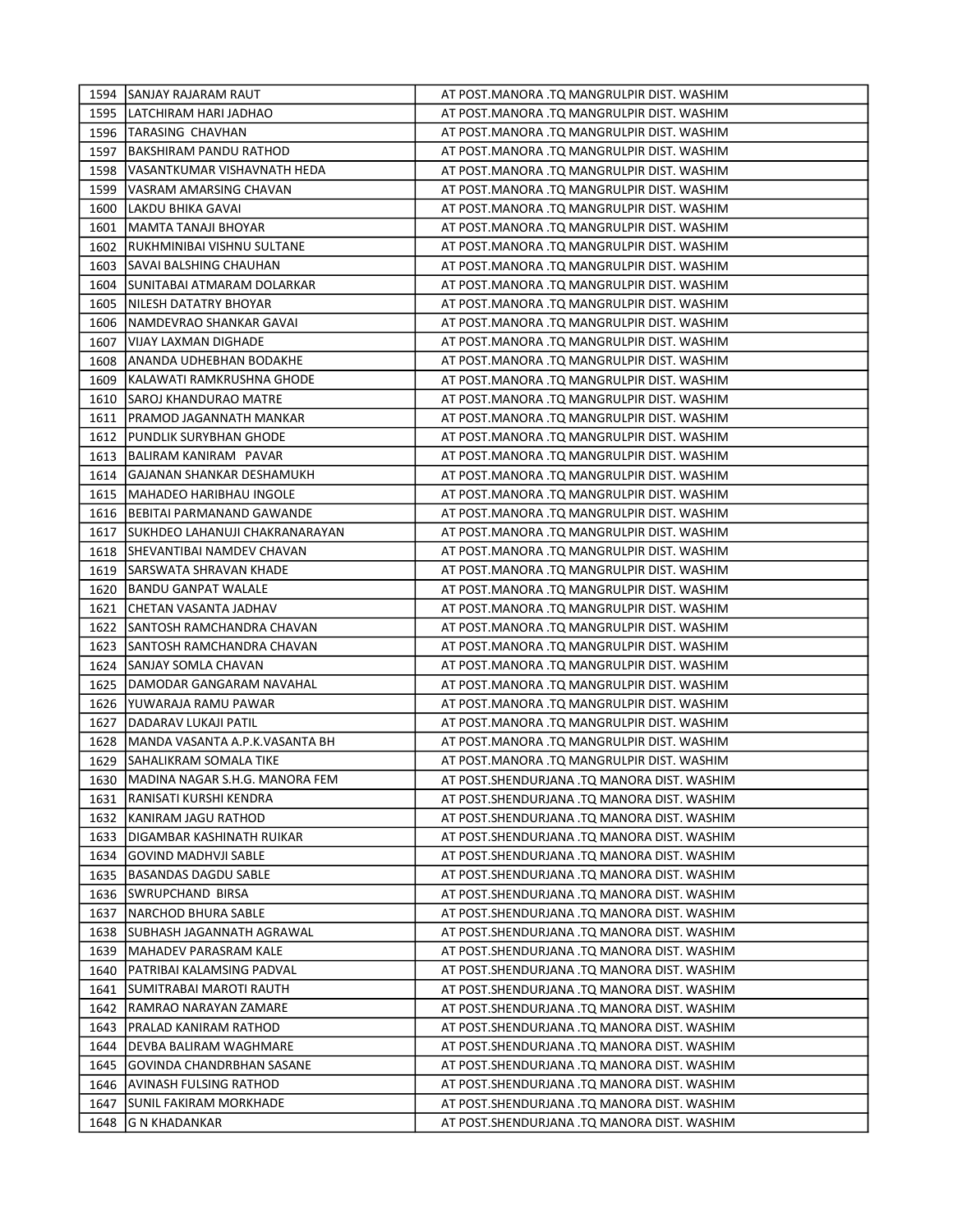|      | 1594 SANJAY RAJARAM RAUT              | AT POST.MANORA .TQ MANGRULPIR DIST. WASHIM  |
|------|---------------------------------------|---------------------------------------------|
|      | 1595   LATCHIRAM HARI JADHAO          | AT POST.MANORA .TQ MANGRULPIR DIST. WASHIM  |
| 1596 | <b>ITARASING CHAVHAN</b>              | AT POST.MANORA .TQ MANGRULPIR DIST. WASHIM  |
| 1597 | BAKSHIRAM PANDU RATHOD                | AT POST.MANORA .TQ MANGRULPIR DIST. WASHIM  |
| 1598 | VASANTKUMAR VISHAVNATH HEDA           | AT POST.MANORA .TQ MANGRULPIR DIST. WASHIM  |
| 1599 | VASRAM AMARSING CHAVAN                | AT POST.MANORA .TQ MANGRULPIR DIST. WASHIM  |
| 1600 | LAKDU BHIKA GAVAI                     | AT POST.MANORA .TQ MANGRULPIR DIST. WASHIM  |
| 1601 | MAMTA TANAJI BHOYAR                   | AT POST.MANORA .TQ MANGRULPIR DIST. WASHIM  |
| 1602 | RUKHMINIBAI VISHNU SULTANE            | AT POST.MANORA .TQ MANGRULPIR DIST. WASHIM  |
| 1603 | ISAVAI BALSHING CHAUHAN               | AT POST.MANORA .TQ MANGRULPIR DIST. WASHIM  |
| 1604 | ISUNITABAI ATMARAM DOLARKAR           | AT POST.MANORA .TQ MANGRULPIR DIST. WASHIM  |
| 1605 | INILESH DATATRY BHOYAR                | AT POST.MANORA .TQ MANGRULPIR DIST. WASHIM  |
| 1606 | NAMDEVRAO SHANKAR GAVAI               | AT POST.MANORA .TQ MANGRULPIR DIST. WASHIM  |
| 1607 | VIJAY LAXMAN DIGHADE                  | AT POST.MANORA .TQ MANGRULPIR DIST. WASHIM  |
| 1608 | ANANDA UDHEBHAN BODAKHE               | AT POST.MANORA .TQ MANGRULPIR DIST. WASHIM  |
| 1609 | KALAWATI RAMKRUSHNA GHODE             | AT POST.MANORA .TQ MANGRULPIR DIST. WASHIM  |
| 1610 | <b>SAROJ KHANDURAO MATRE</b>          | AT POST.MANORA .TQ MANGRULPIR DIST. WASHIM  |
| 1611 | PRAMOD JAGANNATH MANKAR               | AT POST.MANORA .TQ MANGRULPIR DIST. WASHIM  |
| 1612 | PUNDLIK SURYBHAN GHODE                | AT POST.MANORA .TQ MANGRULPIR DIST. WASHIM  |
|      | 1613 BALIRAM KANIRAM PAVAR            | AT POST.MANORA .TQ MANGRULPIR DIST. WASHIM  |
| 1614 | JGAJANAN SHANKAR DESHAMUKH            | AT POST.MANORA .TQ MANGRULPIR DIST. WASHIM  |
|      | 1615 IMAHADEO HARIBHAU INGOLE         | AT POST.MANORA .TQ MANGRULPIR DIST. WASHIM  |
|      | 1616   BEBITAI PARMANAND GAWANDE      | AT POST.MANORA .TQ MANGRULPIR DIST. WASHIM  |
|      | 1617   SUKHDEO LAHANUJI CHAKRANARAYAN | AT POST.MANORA .TQ MANGRULPIR DIST. WASHIM  |
|      | 1618   SHEVANTIBAI NAMDEV CHAVAN      | AT POST.MANORA .TQ MANGRULPIR DIST. WASHIM  |
|      | 1619   SARSWATA SHRAVAN KHADE         | AT POST.MANORA .TQ MANGRULPIR DIST. WASHIM  |
|      | 1620   BANDU GANPAT WALALE            | AT POST.MANORA .TQ MANGRULPIR DIST. WASHIM  |
| 1621 | CHETAN VASANTA JADHAV                 | AT POST.MANORA .TQ MANGRULPIR DIST. WASHIM  |
| 1622 | <b>SANTOSH RAMCHANDRA CHAVAN</b>      | AT POST.MANORA .TQ MANGRULPIR DIST. WASHIM  |
| 1623 | ISANTOSH RAMCHANDRA CHAVAN            | AT POST.MANORA .TQ MANGRULPIR DIST. WASHIM  |
| 1624 | [SANJAY SOMLA CHAVAN                  | AT POST.MANORA .TQ MANGRULPIR DIST. WASHIM  |
| 1625 | DAMODAR GANGARAM NAVAHAL              | AT POST.MANORA .TQ MANGRULPIR DIST. WASHIM  |
| 1626 | IYUWARAJA RAMU PAWAR                  | AT POST.MANORA .TQ MANGRULPIR DIST. WASHIM  |
| 1627 | DADARAV LUKAJI PATIL                  | AT POST.MANORA .TQ MANGRULPIR DIST. WASHIM  |
| 1628 | MANDA VASANTA A.P.K.VASANTA BH        | AT POST.MANORA .TQ MANGRULPIR DIST. WASHIM  |
| 1629 | SAHALIKRAM SOMALA TIKE                | AT POST.MANORA .TQ MANGRULPIR DIST. WASHIM  |
|      | 1630   MADINA NAGAR S.H.G. MANORA FEM | AT POST.SHENDURJANA .TQ MANORA DIST. WASHIM |
| 1631 | RANISATI KURSHI KENDRA                | AT POST.SHENDURJANA .TQ MANORA DIST. WASHIM |
| 1632 | KANIRAM JAGU RATHOD                   | AT POST.SHENDURJANA .TQ MANORA DIST. WASHIM |
| 1633 | DIGAMBAR KASHINATH RUIKAR             | AT POST.SHENDURJANA .TQ MANORA DIST. WASHIM |
| 1634 | GOVIND MADHVJI SABLE                  | AT POST.SHENDURJANA .TQ MANORA DIST. WASHIM |
| 1635 | BASANDAS DAGDU SABLE                  | AT POST.SHENDURJANA .TQ MANORA DIST. WASHIM |
| 1636 | SWRUPCHAND BIRSA                      | AT POST.SHENDURJANA .TQ MANORA DIST. WASHIM |
| 1637 | NARCHOD BHURA SABLE                   | AT POST.SHENDURJANA .TQ MANORA DIST. WASHIM |
| 1638 | ISUBHASH JAGANNATH AGRAWAL            | AT POST.SHENDURJANA .TQ MANORA DIST. WASHIM |
| 1639 | MAHADEV PARASRAM KALE                 | AT POST.SHENDURJANA .TQ MANORA DIST. WASHIM |
| 1640 | PATRIBAI KALAMSING PADVAL             | AT POST.SHENDURJANA .TQ MANORA DIST. WASHIM |
| 1641 | SUMITRABAI MAROTI RAUTH               | AT POST.SHENDURJANA .TQ MANORA DIST. WASHIM |
| 1642 | RAMRAO NARAYAN ZAMARE                 | AT POST.SHENDURJANA .TQ MANORA DIST. WASHIM |
| 1643 | JPRALAD KANIRAM RATHOD                | AT POST.SHENDURJANA .TQ MANORA DIST. WASHIM |
| 1644 | JDEVBA BALIRAM WAGHMARE               | AT POST.SHENDURJANA .TQ MANORA DIST. WASHIM |
| 1645 | GOVINDA CHANDRBHAN SASANE             | AT POST.SHENDURJANA .TQ MANORA DIST. WASHIM |
| 1646 | AVINASH FULSING RATHOD                | AT POST.SHENDURJANA .TQ MANORA DIST. WASHIM |
| 1647 | SUNIL FAKIRAM MORKHADE                | AT POST.SHENDURJANA .TQ MANORA DIST. WASHIM |
| 1648 | <b>G N KHADANKAR</b>                  | AT POST.SHENDURJANA .TQ MANORA DIST. WASHIM |
|      |                                       |                                             |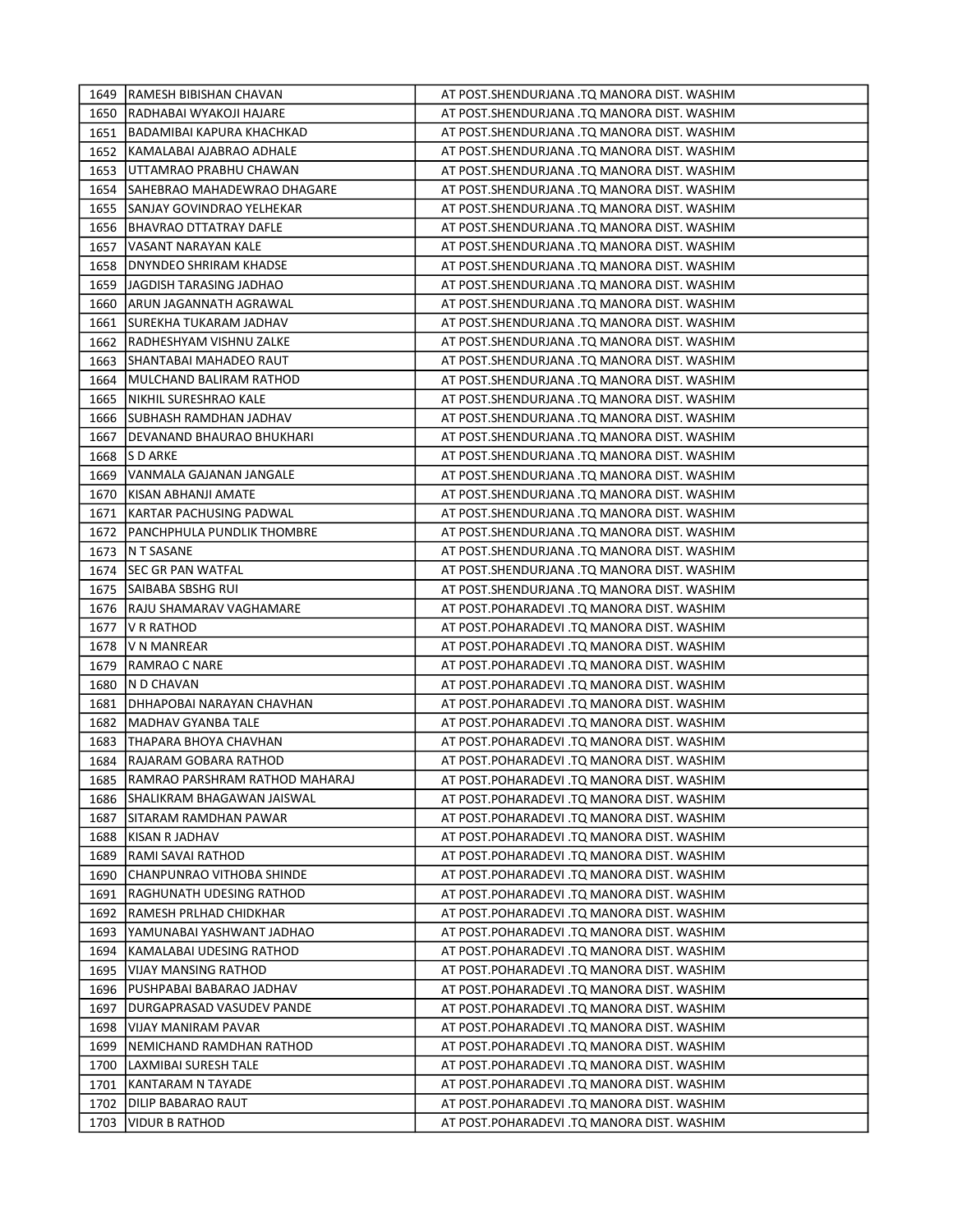| 1649 | IRAMESH BIBISHAN CHAVAN         | AT POST.SHENDURJANA .TQ MANORA DIST. WASHIM |
|------|---------------------------------|---------------------------------------------|
| 1650 | IRADHABAI WYAKOJI HAJARE        | AT POST.SHENDURJANA .TQ MANORA DIST. WASHIM |
| 1651 | BADAMIBAI KAPURA KHACHKAD       | AT POST.SHENDURJANA .TQ MANORA DIST. WASHIM |
| 1652 | KAMALABAI AJABRAO ADHALE        | AT POST.SHENDURJANA .TQ MANORA DIST. WASHIM |
| 1653 | UTTAMRAO PRABHU CHAWAN          | AT POST.SHENDURJANA .TQ MANORA DIST. WASHIM |
| 1654 | ISAHEBRAO MAHADEWRAO DHAGARE    | AT POST.SHENDURJANA .TQ MANORA DIST. WASHIM |
| 1655 | SANJAY GOVINDRAO YELHEKAR       | AT POST.SHENDURJANA .TQ MANORA DIST. WASHIM |
| 1656 | BHAVRAO DTTATRAY DAFLE          | AT POST.SHENDURJANA .TQ MANORA DIST. WASHIM |
| 1657 | VASANT NARAYAN KALE             | AT POST.SHENDURJANA .TQ MANORA DIST. WASHIM |
| 1658 | IDNYNDEO SHRIRAM KHADSE         | AT POST.SHENDURJANA .TQ MANORA DIST. WASHIM |
| 1659 | <b>JAGDISH TARASING JADHAO</b>  | AT POST.SHENDURJANA .TQ MANORA DIST. WASHIM |
| 1660 | JARUN JAGANNATH AGRAWAL         | AT POST.SHENDURJANA .TQ MANORA DIST. WASHIM |
| 1661 | SUREKHA TUKARAM JADHAV          | AT POST.SHENDURJANA .TQ MANORA DIST. WASHIM |
| 1662 | RADHESHYAM VISHNU ZALKE         | AT POST.SHENDURJANA .TQ MANORA DIST. WASHIM |
| 1663 | SHANTABAI MAHADEO RAUT          | AT POST.SHENDURJANA .TQ MANORA DIST. WASHIM |
| 1664 | MULCHAND BALIRAM RATHOD         | AT POST.SHENDURJANA .TQ MANORA DIST. WASHIM |
| 1665 | NIKHIL SURESHRAO KALE           | AT POST.SHENDURJANA .TQ MANORA DIST. WASHIM |
| 1666 | ISUBHASH RAMDHAN JADHAV         | AT POST.SHENDURJANA .TQ MANORA DIST. WASHIM |
| 1667 | DEVANAND BHAURAO BHUKHARI       | AT POST.SHENDURJANA .TQ MANORA DIST. WASHIM |
| 1668 | <b>S D ARKE</b>                 | AT POST.SHENDURJANA .TQ MANORA DIST. WASHIM |
| 1669 | IVANMALA GAJANAN JANGALE        | AT POST.SHENDURJANA .TQ MANORA DIST. WASHIM |
| 1670 | IKISAN ABHANJI AMATE            | AT POST.SHENDURJANA .TQ MANORA DIST. WASHIM |
| 1671 | <b>IKARTAR PACHUSING PADWAL</b> | AT POST.SHENDURJANA .TQ MANORA DIST. WASHIM |
| 1672 | PANCHPHULA PUNDLIK THOMBRE      | AT POST.SHENDURJANA .TQ MANORA DIST. WASHIM |
| 1673 | IN T SASANE                     | AT POST.SHENDURJANA .TQ MANORA DIST. WASHIM |
| 1674 | ISEC GR PAN WATFAL              | AT POST.SHENDURJANA .TQ MANORA DIST. WASHIM |
|      | 1675   SAIBABA SBSHG RUI        | AT POST.SHENDURJANA .TQ MANORA DIST. WASHIM |
| 1676 | <b>RAJU SHAMARAV VAGHAMARE</b>  | AT POST.POHARADEVI .TQ MANORA DIST. WASHIM  |
| 1677 | IV R RATHOD                     | AT POST.POHARADEVI .TQ MANORA DIST. WASHIM  |
| 1678 | IV N MANREAR                    | AT POST.POHARADEVI .TQ MANORA DIST. WASHIM  |
| 1679 | IRAMRAO C NARE                  | AT POST.POHARADEVI .TQ MANORA DIST. WASHIM  |
| 1680 | IN D CHAVAN                     | AT POST.POHARADEVI .TQ MANORA DIST. WASHIM  |
| 1681 | DHHAPOBAI NARAYAN CHAVHAN       | AT POST.POHARADEVI .TQ MANORA DIST. WASHIM  |
| 1682 | MADHAV GYANBA TALE              | AT POST.POHARADEVI .TQ MANORA DIST. WASHIM  |
| 1683 | ITHAPARA BHOYA CHAVHAN          | AT POST.POHARADEVI .TQ MANORA DIST. WASHIM  |
| 1684 | RAJARAM GOBARA RATHOD           | AT POST.POHARADEVI .TQ MANORA DIST. WASHIM  |
| 1685 | RAMRAO PARSHRAM RATHOD MAHARAJ  | AT POST.POHARADEVI .TQ MANORA DIST. WASHIM  |
| 1686 | SHALIKRAM BHAGAWAN JAISWAL      | AT POST.POHARADEVI .TQ MANORA DIST. WASHIM  |
| 1687 | SITARAM RAMDHAN PAWAR           | AT POST.POHARADEVI .TO MANORA DIST. WASHIM  |
| 1688 | KISAN R JADHAV                  | AT POST.POHARADEVI .TQ MANORA DIST. WASHIM  |
| 1689 | RAMI SAVAI RATHOD               | AT POST.POHARADEVI .TQ MANORA DIST. WASHIM  |
| 1690 | CHANPUNRAO VITHOBA SHINDE       | AT POST.POHARADEVI .TQ MANORA DIST. WASHIM  |
| 1691 | RAGHUNATH UDESING RATHOD        | AT POST.POHARADEVI .TQ MANORA DIST. WASHIM  |
| 1692 | RAMESH PRLHAD CHIDKHAR          | AT POST.POHARADEVI .TQ MANORA DIST. WASHIM  |
| 1693 | YAMUNABAI YASHWANT JADHAO       | AT POST.POHARADEVI .TQ MANORA DIST. WASHIM  |
| 1694 | KAMALABAI UDESING RATHOD        | AT POST.POHARADEVI .TQ MANORA DIST. WASHIM  |
| 1695 | VIJAY MANSING RATHOD            | AT POST.POHARADEVI .TQ MANORA DIST. WASHIM  |
| 1696 | PUSHPABAI BABARAO JADHAV        | AT POST.POHARADEVI .TQ MANORA DIST. WASHIM  |
| 1697 | DURGAPRASAD VASUDEV PANDE       | AT POST.POHARADEVI .TQ MANORA DIST. WASHIM  |
| 1698 | VIJAY MANIRAM PAVAR             | AT POST.POHARADEVI .TQ MANORA DIST. WASHIM  |
| 1699 | NEMICHAND RAMDHAN RATHOD        | AT POST.POHARADEVI .TQ MANORA DIST. WASHIM  |
| 1700 | LAXMIBAI SURESH TALE            | AT POST.POHARADEVI .TQ MANORA DIST. WASHIM  |
| 1701 | KANTARAM N TAYADE               | AT POST.POHARADEVI .TQ MANORA DIST. WASHIM  |
| 1702 | DILIP BABARAO RAUT              | AT POST.POHARADEVI .TQ MANORA DIST. WASHIM  |
| 1703 | <b>VIDUR B RATHOD</b>           | AT POST.POHARADEVI .TQ MANORA DIST. WASHIM  |
|      |                                 |                                             |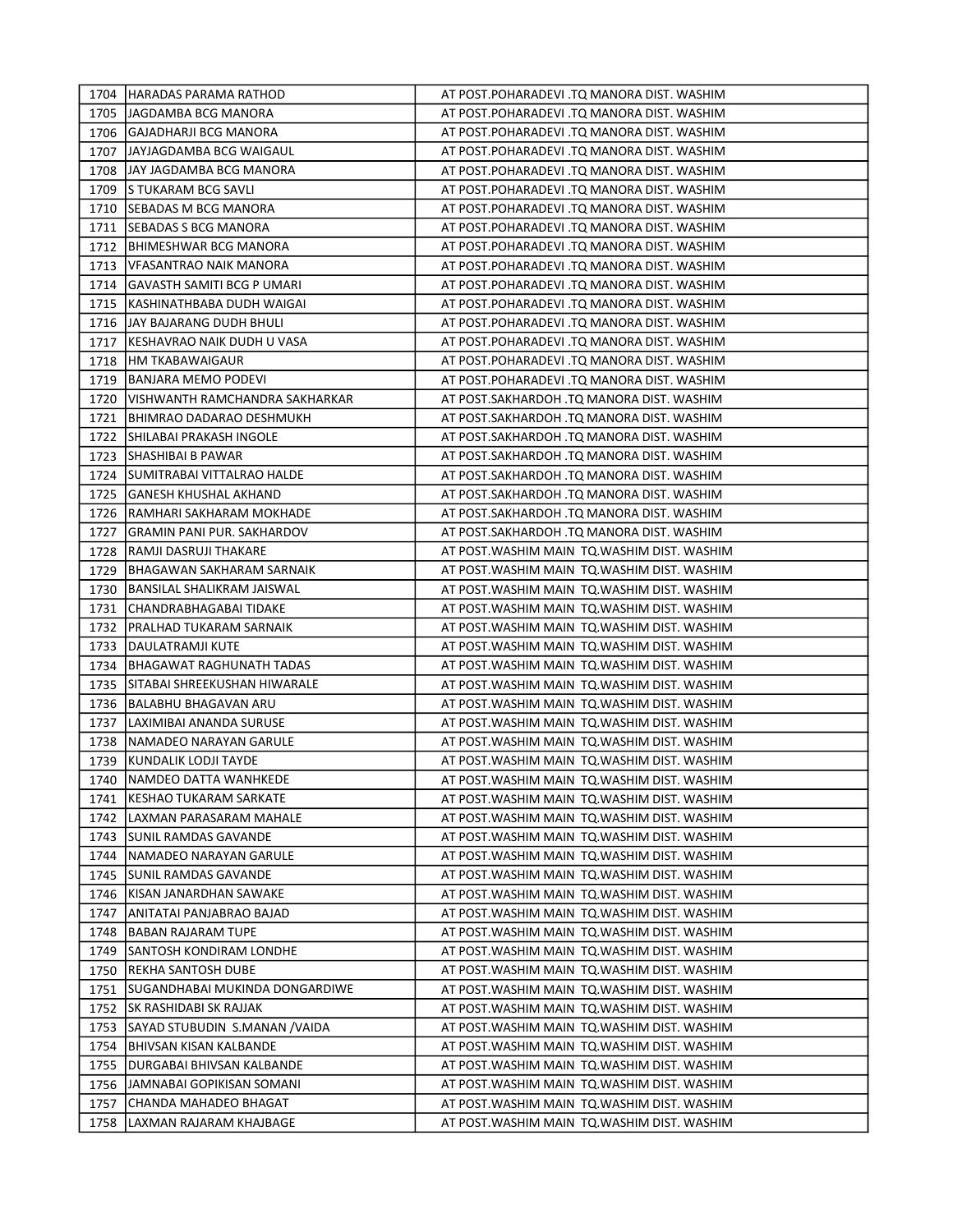|      | 1704 HARADAS PARAMA RATHOD           | AT POST.POHARADEVI .TQ MANORA DIST. WASHIM   |
|------|--------------------------------------|----------------------------------------------|
| 1705 | JJAGDAMBA BCG MANORA                 | AT POST.POHARADEVI .TQ MANORA DIST. WASHIM   |
| 1706 | lGAJADHARJI BCG MANORA               | AT POST.POHARADEVI .TQ MANORA DIST. WASHIM   |
| 1707 | JJAYJAGDAMBA BCG WAIGAUL             | AT POST.POHARADEVI .TQ MANORA DIST. WASHIM   |
| 1708 | IJAY JAGDAMBA BCG MANORA             | AT POST.POHARADEVI .TQ MANORA DIST. WASHIM   |
| 1709 | IS TUKARAM BCG SAVLI                 | AT POST.POHARADEVI .TQ MANORA DIST. WASHIM   |
| 1710 | <b>SEBADAS M BCG MANORA</b>          | AT POST.POHARADEVI .TQ MANORA DIST. WASHIM   |
| 1711 | <b>SEBADAS S BCG MANORA</b>          | AT POST.POHARADEVI .TQ MANORA DIST. WASHIM   |
| 1712 | <b>JBHIMESHWAR BCG MANORA</b>        | AT POST.POHARADEVI .TQ MANORA DIST. WASHIM   |
| 1713 | IVFASANTRAO NAIK MANORA              | AT POST.POHARADEVI .TQ MANORA DIST. WASHIM   |
| 1714 | GAVASTH SAMITI BCG P UMARI           | AT POST.POHARADEVI .TQ MANORA DIST. WASHIM   |
| 1715 | IKASHINATHBABA DUDH WAIGAI           | AT POST.POHARADEVI .TQ MANORA DIST. WASHIM   |
|      | 1716 JJAY BAJARANG DUDH BHULI        | AT POST.POHARADEVI .TQ MANORA DIST. WASHIM   |
| 1717 | KESHAVRAO NAIK DUDH U VASA           | AT POST.POHARADEVI .TQ MANORA DIST. WASHIM   |
| 1718 | <b>HM TKABAWAIGAUR</b>               | AT POST.POHARADEVI .TQ MANORA DIST. WASHIM   |
| 1719 | BANJARA MEMO PODEVI                  | AT POST.POHARADEVI .TQ MANORA DIST. WASHIM   |
| 1720 | VISHWANTH RAMCHANDRA SAKHARKAR       | AT POST.SAKHARDOH .TQ MANORA DIST. WASHIM    |
| 1721 | BHIMRAO DADARAO DESHMUKH             | AT POST.SAKHARDOH .TQ MANORA DIST. WASHIM    |
| 1722 | SHILABAI PRAKASH INGOLE              | AT POST.SAKHARDOH .TQ MANORA DIST. WASHIM    |
|      | 1723 SHASHIBAI B PAWAR               | AT POST.SAKHARDOH .TQ MANORA DIST. WASHIM    |
| 1724 | <b>SUMITRABAI VITTALRAO HALDE</b>    | AT POST.SAKHARDOH .TQ MANORA DIST. WASHIM    |
| 1725 | IGANESH KHUSHAL AKHAND               | AT POST.SAKHARDOH .TQ MANORA DIST. WASHIM    |
|      | 1726   RAMHARI SAKHARAM MOKHADE      | AT POST.SAKHARDOH .TQ MANORA DIST. WASHIM    |
| 1727 | <b>JGRAMIN PANI PUR. SAKHARDOV</b>   | AT POST.SAKHARDOH .TQ MANORA DIST. WASHIM    |
|      | 1728   RAMJI DASRUJI THAKARE         | AT POST. WASHIM MAIN TQ. WASHIM DIST. WASHIM |
|      | 1729   BHAGAWAN SAKHARAM SARNAIK     | AT POST. WASHIM MAIN TO. WASHIM DIST. WASHIM |
|      | 1730   BANSILAL SHALIKRAM JAISWAL    | AT POST. WASHIM MAIN TO. WASHIM DIST. WASHIM |
| 1731 | CHANDRABHAGABAI TIDAKE               | AT POST. WASHIM MAIN TQ. WASHIM DIST. WASHIM |
| 1732 | <b>PRALHAD TUKARAM SARNAIK</b>       | AT POST. WASHIM MAIN TQ. WASHIM DIST. WASHIM |
|      | 1733   DAULATRAMJI KUTE              | AT POST.WASHIM MAIN TQ.WASHIM DIST. WASHIM   |
| 1734 | <b>IBHAGAWAT RAGHUNATH TADAS</b>     | AT POST. WASHIM MAIN TQ. WASHIM DIST. WASHIM |
|      | 1735 SITABAI SHREEKUSHAN HIWARALE    | AT POST. WASHIM MAIN TO. WASHIM DIST. WASHIM |
| 1736 | BALABHU BHAGAVAN ARU                 | AT POST. WASHIM MAIN TO. WASHIM DIST. WASHIM |
| 1737 | LAXIMIBAI ANANDA SURUSE              | AT POST. WASHIM MAIN TQ. WASHIM DIST. WASHIM |
| 1738 | NAMADEO NARAYAN GARULE               | AT POST. WASHIM MAIN TQ. WASHIM DIST. WASHIM |
| 1739 | KUNDALIK LODJI TAYDE                 | AT POST. WASHIM MAIN TO. WASHIM DIST. WASHIM |
|      | 1740   NAMDEO DATTA WANHKEDE         | AT POST.WASHIM MAIN TQ.WASHIM DIST. WASHIM   |
| 1741 | KESHAO TUKARAM SARKATE               | AT POST. WASHIM MAIN TO. WASHIM DIST. WASHIM |
| 1742 | LAXMAN PARASARAM MAHALE              | AT POST. WASHIM MAIN TO. WASHIM DIST. WASHIM |
| 1743 | <b>SUNIL RAMDAS GAVANDE</b>          | AT POST. WASHIM MAIN TO. WASHIM DIST. WASHIM |
| 1744 | NAMADEO NARAYAN GARULE               | AT POST. WASHIM MAIN TO. WASHIM DIST. WASHIM |
| 1745 | SUNIL RAMDAS GAVANDE                 | AT POST. WASHIM MAIN TO. WASHIM DIST. WASHIM |
| 1746 | KISAN JANARDHAN SAWAKE               | AT POST. WASHIM MAIN TQ. WASHIM DIST. WASHIM |
| 1747 | ANITATAI PANJABRAO BAJAD             | AT POST. WASHIM MAIN TQ. WASHIM DIST. WASHIM |
| 1748 | <b>JBABAN RAJARAM TUPE</b>           | AT POST. WASHIM MAIN TO. WASHIM DIST. WASHIM |
| 1749 | <b>SANTOSH KONDIRAM LONDHE</b>       | AT POST. WASHIM MAIN TQ. WASHIM DIST. WASHIM |
| 1750 | <b>REKHA SANTOSH DUBE</b>            | AT POST. WASHIM MAIN TQ. WASHIM DIST. WASHIM |
| 1751 | ISUGANDHABAI MUKINDA DONGARDIWE      | AT POST. WASHIM MAIN TQ. WASHIM DIST. WASHIM |
|      | 1752 SK RASHIDABI SK RAJJAK          | AT POST. WASHIM MAIN TQ. WASHIM DIST. WASHIM |
| 1753 | <b>SAYAD STUBUDIN S.MANAN /VAIDA</b> | AT POST.WASHIM MAIN  TQ.WASHIM DIST. WASHIM  |
| 1754 | JBHIVSAN KISAN KALBANDE              | AT POST.WASHIM MAIN TQ.WASHIM DIST. WASHIM   |
| 1755 | DURGABAI BHIVSAN KALBANDE            | AT POST.WASHIM MAIN TQ.WASHIM DIST. WASHIM   |
| 1756 | JAMNABAI GOPIKISAN SOMANI            | AT POST.WASHIM MAIN TQ.WASHIM DIST. WASHIM   |
| 1757 | CHANDA MAHADEO BHAGAT                | AT POST. WASHIM MAIN TO. WASHIM DIST. WASHIM |
| 1758 | LAXMAN RAJARAM KHAJBAGE              | AT POST. WASHIM MAIN TO. WASHIM DIST. WASHIM |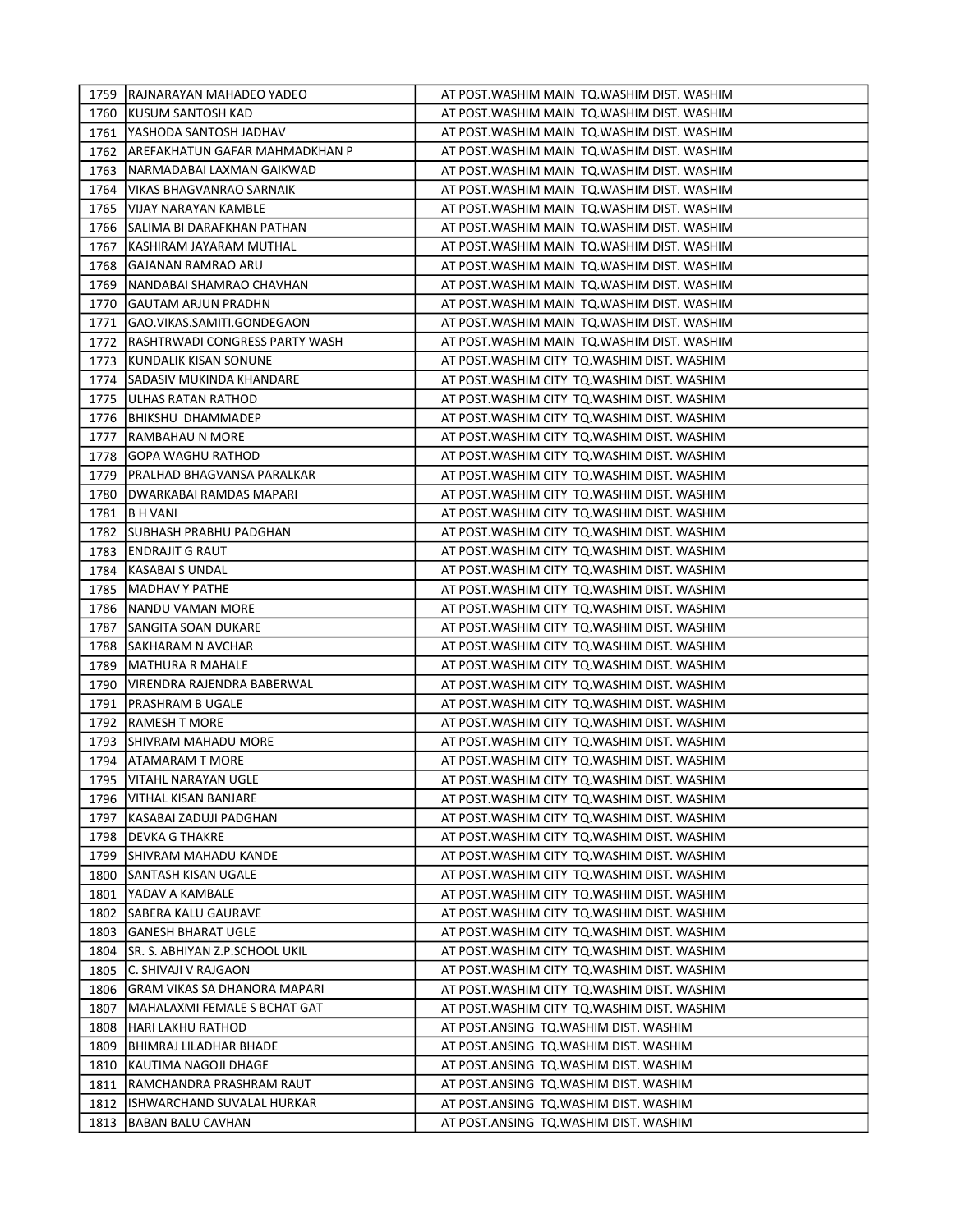|      | 1759   RAJNARAYAN MAHADEO YADEO        | AT POST. WASHIM MAIN TO. WASHIM DIST. WASHIM |
|------|----------------------------------------|----------------------------------------------|
| 1760 | IKUSUM SANTOSH KAD                     | AT POST. WASHIM MAIN TO. WASHIM DIST. WASHIM |
| 1761 | IYASHODA SANTOSH JADHAV                | AT POST. WASHIM MAIN TO. WASHIM DIST. WASHIM |
| 1762 | JAREFAKHATUN GAFAR MAHMADKHAN P        | AT POST. WASHIM MAIN TO. WASHIM DIST. WASHIM |
| 1763 | NARMADABAI LAXMAN GAIKWAD              | AT POST.WASHIM MAIN TQ.WASHIM DIST. WASHIM   |
| 1764 | VIKAS BHAGVANRAO SARNAIK               | AT POST. WASHIM MAIN TO. WASHIM DIST. WASHIM |
| 1765 | VIJAY NARAYAN KAMBLE                   | AT POST.WASHIM MAIN TQ.WASHIM DIST. WASHIM   |
| 1766 | ISALIMA BI DARAFKHAN PATHAN            | AT POST.WASHIM MAIN TQ.WASHIM DIST. WASHIM   |
| 1767 | IKASHIRAM JAYARAM MUTHAL               | AT POST.WASHIM MAIN TQ.WASHIM DIST. WASHIM   |
| 1768 | GAJANAN RAMRAO ARU                     | AT POST. WASHIM MAIN TO. WASHIM DIST. WASHIM |
| 1769 | INANDABAI SHAMRAO CHAVHAN              | AT POST. WASHIM MAIN TO. WASHIM DIST. WASHIM |
| 1770 | GAUTAM ARJUN PRADHN                    | AT POST. WASHIM MAIN TO. WASHIM DIST. WASHIM |
| 1771 | GAO.VIKAS.SAMITI.GONDEGAON             | AT POST. WASHIM MAIN TO. WASHIM DIST. WASHIM |
| 1772 | <b>IRASHTRWADI CONGRESS PARTY WASH</b> | AT POST. WASHIM MAIN TO. WASHIM DIST. WASHIM |
|      | 1773 KUNDALIK KISAN SONUNE             | AT POST. WASHIM CITY TO. WASHIM DIST. WASHIM |
| 1774 | <b>SADASIV MUKINDA KHANDARE</b>        | AT POST. WASHIM CITY TO. WASHIM DIST. WASHIM |
| 1775 | JULHAS RATAN RATHOD                    | AT POST. WASHIM CITY TO. WASHIM DIST. WASHIM |
|      | 1776   BHIKSHU DHAMMADEP               | AT POST.WASHIM CITY TQ.WASHIM DIST. WASHIM   |
| 1777 | IRAMBAHAU N MORE                       | AT POST.WASHIM CITY TQ.WASHIM DIST. WASHIM   |
|      | 1778 GOPA WAGHU RATHOD                 | AT POST.WASHIM CITY TQ.WASHIM DIST. WASHIM   |
|      | 1779   PRALHAD BHAGVANSA PARALKAR      | AT POST.WASHIM CITY TQ.WASHIM DIST. WASHIM   |
|      | 1780 DWARKABAI RAMDAS MAPARI           | AT POST.WASHIM CITY TQ.WASHIM DIST. WASHIM   |
|      | 1781 B H VANI                          | AT POST. WASHIM CITY TO. WASHIM DIST. WASHIM |
|      | 1782 SUBHASH PRABHU PADGHAN            | AT POST. WASHIM CITY TO. WASHIM DIST. WASHIM |
|      | 1783 ENDRAJIT G RAUT                   | AT POST. WASHIM CITY TO. WASHIM DIST. WASHIM |
|      | 1784   KASABAI S UNDAL                 | AT POST. WASHIM CITY TO. WASHIM DIST. WASHIM |
|      | 1785   MADHAV Y PATHE                  | AT POST.WASHIM CITY TQ.WASHIM DIST. WASHIM   |
|      | 1786   NANDU VAMAN MORE                | AT POST. WASHIM CITY TO. WASHIM DIST. WASHIM |
| 1787 | <b>ISANGITA SOAN DUKARE</b>            | AT POST.WASHIM CITY TQ.WASHIM DIST. WASHIM   |
| 1788 | <b>SAKHARAM N AVCHAR</b>               | AT POST.WASHIM CITY TQ.WASHIM DIST. WASHIM   |
| 1789 | <b>IMATHURA R MAHALE</b>               | AT POST.WASHIM CITY TQ.WASHIM DIST. WASHIM   |
| 1790 | VIRENDRA RAJENDRA BABERWAL             | AT POST.WASHIM CITY TQ.WASHIM DIST. WASHIM   |
| 1791 | <b>PRASHRAM B UGALE</b>                | AT POST.WASHIM CITY TQ.WASHIM DIST. WASHIM   |
|      | 1792 RAMESH T MORE                     | AT POST. WASHIM CITY TO. WASHIM DIST. WASHIM |
|      | 1793   SHIVRAM MAHADU MORE             | AT POST.WASHIM CITY TQ.WASHIM DIST. WASHIM   |
|      | 1794   ATAMARAM T MORE                 | AT POST. WASHIM CITY TO. WASHIM DIST. WASHIM |
|      | 1795   VITAHL NARAYAN UGLE             | AT POST.WASHIM CITY TO.WASHIM DIST. WASHIM   |
|      | 1796   VITHAL KISAN BANJARE            | AT POST. WASHIM CITY TO. WASHIM DIST. WASHIM |
| 1797 | KASABAI ZADUJI PADGHAN                 | AT POST. WASHIM CITY TO. WASHIM DIST. WASHIM |
| 1798 | DEVKA G THAKRE                         | AT POST. WASHIM CITY TO. WASHIM DIST. WASHIM |
| 1799 | SHIVRAM MAHADU KANDE                   | AT POST. WASHIM CITY TO. WASHIM DIST. WASHIM |
| 1800 | <b>SANTASH KISAN UGALE</b>             | AT POST. WASHIM CITY TO. WASHIM DIST. WASHIM |
| 1801 | YADAV A KAMBALE                        | AT POST. WASHIM CITY TO. WASHIM DIST. WASHIM |
| 1802 | <b>SABERA KALU GAURAVE</b>             | AT POST. WASHIM CITY TO. WASHIM DIST. WASHIM |
| 1803 | <b>GANESH BHARAT UGLE</b>              | AT POST. WASHIM CITY TO. WASHIM DIST. WASHIM |
| 1804 | ISR. S. ABHIYAN Z.P.SCHOOL UKIL        | AT POST.WASHIM CITY TQ.WASHIM DIST. WASHIM   |
| 1805 | C. SHIVAJI V RAJGAON                   | AT POST. WASHIM CITY TO. WASHIM DIST. WASHIM |
| 1806 | JGRAM VIKAS SA DHANORA MAPARI          | AT POST. WASHIM CITY TO. WASHIM DIST. WASHIM |
| 1807 | MAHALAXMI FEMALE S BCHAT GAT           | AT POST.WASHIM CITY TQ.WASHIM DIST. WASHIM   |
| 1808 | HARI LAKHU RATHOD                      | AT POST.ANSING TQ.WASHIM DIST. WASHIM        |
| 1809 | BHIMRAJ LILADHAR BHADE                 | AT POST.ANSING TQ.WASHIM DIST. WASHIM        |
| 1810 | KAUTIMA NAGOJI DHAGE                   | AT POST.ANSING TQ.WASHIM DIST. WASHIM        |
| 1811 | RAMCHANDRA PRASHRAM RAUT               | AT POST.ANSING TQ.WASHIM DIST. WASHIM        |
| 1812 | ISHWARCHAND SUVALAL HURKAR             | AT POST.ANSING TQ.WASHIM DIST. WASHIM        |
| 1813 | BABAN BALU CAVHAN                      | AT POST.ANSING TQ.WASHIM DIST. WASHIM        |
|      |                                        |                                              |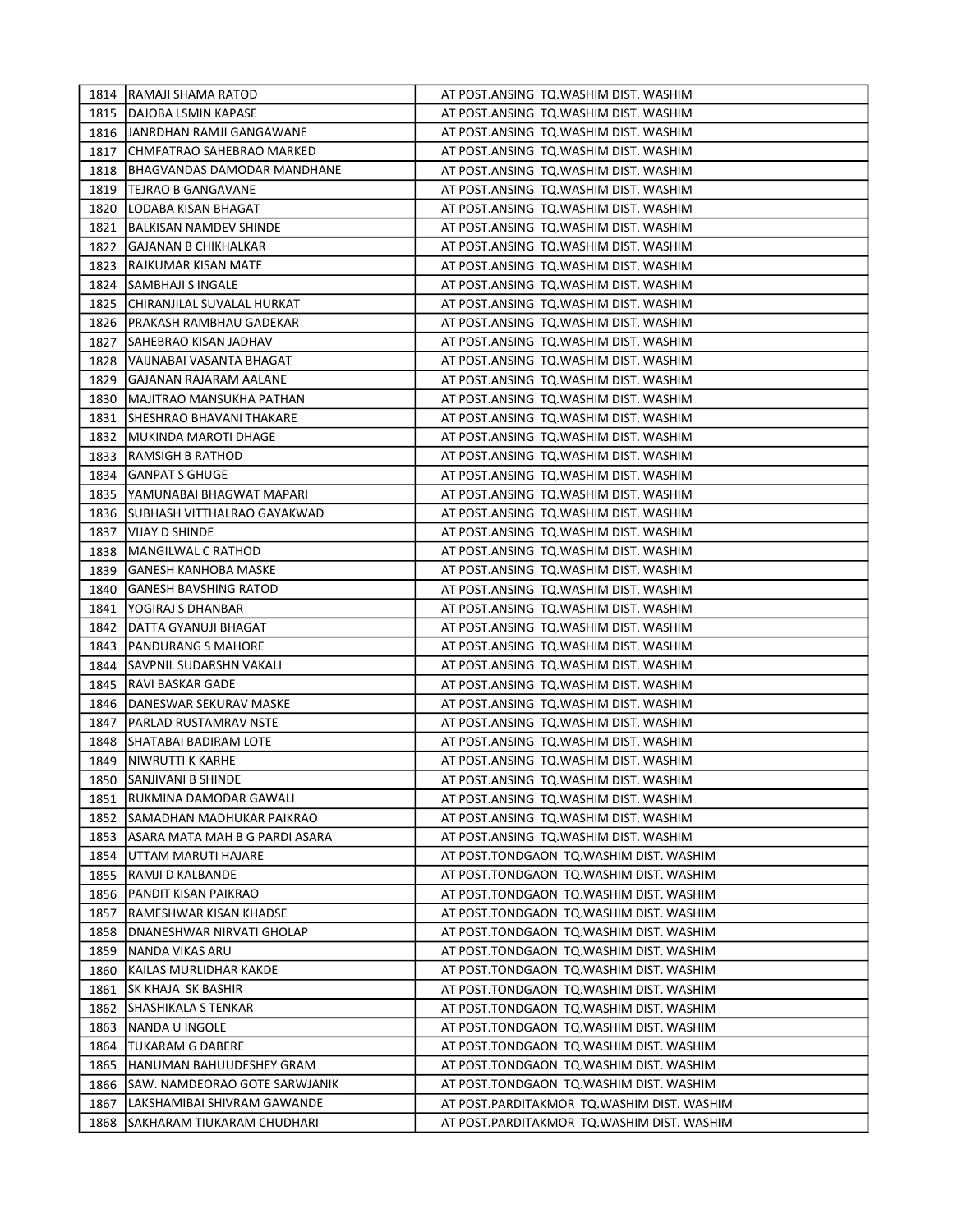|      | 1814   RAMAJI SHAMA RATOD         | AT POST.ANSING TQ.WASHIM DIST. WASHIM      |
|------|-----------------------------------|--------------------------------------------|
|      | 1815   DAJOBA LSMIN KAPASE        | AT POST.ANSING TQ.WASHIM DIST. WASHIM      |
|      | 1816   JANRDHAN RAMJI GANGAWANE   | AT POST.ANSING TQ.WASHIM DIST. WASHIM      |
| 1817 | <b>JCHMFATRAO SAHEBRAO MARKED</b> | AT POST.ANSING TQ.WASHIM DIST. WASHIM      |
| 1818 | BHAGVANDAS DAMODAR MANDHANE       | AT POST.ANSING TQ.WASHIM DIST. WASHIM      |
| 1819 | <b>ITEJRAO B GANGAVANE</b>        | AT POST.ANSING TQ.WASHIM DIST. WASHIM      |
| 1820 | LODABA KISAN BHAGAT               | AT POST.ANSING TQ.WASHIM DIST. WASHIM      |
| 1821 | BALKISAN NAMDEV SHINDE            | AT POST.ANSING TQ.WASHIM DIST. WASHIM      |
| 1822 | GAJANAN B CHIKHALKAR              | AT POST.ANSING TQ.WASHIM DIST. WASHIM      |
| 1823 | RAJKUMAR KISAN MATE               | AT POST.ANSING TQ.WASHIM DIST. WASHIM      |
| 1824 | <b>SAMBHAJI S INGALE</b>          | AT POST.ANSING TQ.WASHIM DIST. WASHIM      |
| 1825 | CHIRANJILAL SUVALAL HURKAT        | AT POST.ANSING TQ.WASHIM DIST. WASHIM      |
|      | 1826   PRAKASH RAMBHAU GADEKAR    | AT POST.ANSING TQ.WASHIM DIST. WASHIM      |
| 1827 | SAHEBRAO KISAN JADHAV             | AT POST.ANSING TQ.WASHIM DIST. WASHIM      |
| 1828 | VAIJNABAI VASANTA BHAGAT          | AT POST.ANSING TQ.WASHIM DIST. WASHIM      |
| 1829 | <b>JGAJANAN RAJARAM AALANE</b>    | AT POST.ANSING TQ.WASHIM DIST. WASHIM      |
| 1830 | IMAJITRAO MANSUKHA PATHAN         | AT POST.ANSING TQ.WASHIM DIST. WASHIM      |
| 1831 | <b>SHESHRAO BHAVANI THAKARE</b>   | AT POST.ANSING TQ.WASHIM DIST. WASHIM      |
|      | 1832   MUKINDA MAROTI DHAGE       | AT POST.ANSING TQ.WASHIM DIST. WASHIM      |
|      | 1833   RAMSIGH B RATHOD           | AT POST.ANSING TO.WASHIM DIST. WASHIM      |
| 1834 | IGANPAT S GHUGE                   | AT POST.ANSING TO.WASHIM DIST. WASHIM      |
|      | 1835   YAMUNABAI BHAGWAT MAPARI   | AT POST.ANSING TQ.WASHIM DIST. WASHIM      |
|      | 1836 SUBHASH VITTHALRAO GAYAKWAD  | AT POST.ANSING TQ.WASHIM DIST. WASHIM      |
| 1837 | VIJAY D SHINDE                    | AT POST.ANSING TO.WASHIM DIST. WASHIM      |
|      | 1838   MANGILWAL C RATHOD         | AT POST.ANSING TQ.WASHIM DIST. WASHIM      |
|      | 1839   GANESH KANHOBA MASKE       | AT POST.ANSING TQ.WASHIM DIST. WASHIM      |
| 1840 | GANESH BAVSHING RATOD             | AT POST.ANSING TQ.WASHIM DIST. WASHIM      |
| 1841 | IYOGIRAJ S DHANBAR                | AT POST.ANSING TQ.WASHIM DIST. WASHIM      |
| 1842 | JDATTA GYANUJI BHAGAT             | AT POST.ANSING TQ.WASHIM DIST. WASHIM      |
| 1843 | <b>JPANDURANG S MAHORE</b>        | AT POST.ANSING TQ.WASHIM DIST. WASHIM      |
|      | 1844 SAVPNIL SUDARSHN VAKALI      | AT POST.ANSING TQ.WASHIM DIST. WASHIM      |
| 1845 | <b>RAVI BASKAR GADE</b>           | AT POST.ANSING TQ.WASHIM DIST. WASHIM      |
| 1846 | DANESWAR SEKURAV MASKE            | AT POST.ANSING TQ.WASHIM DIST. WASHIM      |
| 1847 | <b>JPARLAD RUSTAMRAV NSTE</b>     | AT POST.ANSING TQ.WASHIM DIST. WASHIM      |
| 1848 | <b>SHATABAI BADIRAM LOTE</b>      | AT POST.ANSING TQ.WASHIM DIST. WASHIM      |
| 1849 | <b>INIWRUTTI K KARHE</b>          | AT POST.ANSING TQ.WASHIM DIST. WASHIM      |
|      | 1850 SANJIVANI B SHINDE           | AT POST.ANSING TQ.WASHIM DIST. WASHIM      |
| 1851 | RUKMINA DAMODAR GAWALI            | AT POST.ANSING TQ.WASHIM DIST. WASHIM      |
| 1852 | ISAMADHAN MADHUKAR PAIKRAO        | AT POST.ANSING TO.WASHIM DIST. WASHIM      |
| 1853 | ASARA MATA MAH B G PARDI ASARA    | AT POST.ANSING TQ.WASHIM DIST. WASHIM      |
| 1854 | JUTTAM MARUTI HAJARE              | AT POST.TONDGAON TQ.WASHIM DIST. WASHIM    |
| 1855 | RAMJI D KALBANDE                  | AT POST.TONDGAON TO.WASHIM DIST. WASHIM    |
| 1856 | PANDIT KISAN PAIKRAO              | AT POST.TONDGAON TQ.WASHIM DIST. WASHIM    |
| 1857 | JRAMESHWAR KISAN KHADSE           | AT POST.TONDGAON TQ.WASHIM DIST. WASHIM    |
| 1858 | <b>DNANESHWAR NIRVATI GHOLAP</b>  | AT POST.TONDGAON TQ.WASHIM DIST. WASHIM    |
| 1859 | INANDA VIKAS ARU                  | AT POST.TONDGAON TO.WASHIM DIST. WASHIM    |
| 1860 | KAILAS MURLIDHAR KAKDE            | AT POST.TONDGAON TQ.WASHIM DIST. WASHIM    |
| 1861 | ISK KHAJA SK BASHIR               | AT POST.TONDGAON TQ.WASHIM DIST. WASHIM    |
| 1862 | SHASHIKALA S TENKAR               | AT POST.TONDGAON TQ.WASHIM DIST. WASHIM    |
| 1863 | <b>NANDA U INGOLE</b>             | AT POST.TONDGAON TQ.WASHIM DIST. WASHIM    |
| 1864 | TUKARAM G DABERE                  | AT POST.TONDGAON TQ.WASHIM DIST. WASHIM    |
| 1865 | HANUMAN BAHUUDESHEY GRAM          | AT POST.TONDGAON TQ.WASHIM DIST. WASHIM    |
| 1866 | SAW. NAMDEORAO GOTE SARWJANIK     | AT POST.TONDGAON TQ.WASHIM DIST. WASHIM    |
| 1867 | LAKSHAMIBAI SHIVRAM GAWANDE       | AT POST.PARDITAKMOR TQ.WASHIM DIST. WASHIM |
| 1868 | SAKHARAM TIUKARAM CHUDHARI        | AT POST.PARDITAKMOR TQ.WASHIM DIST. WASHIM |
|      |                                   |                                            |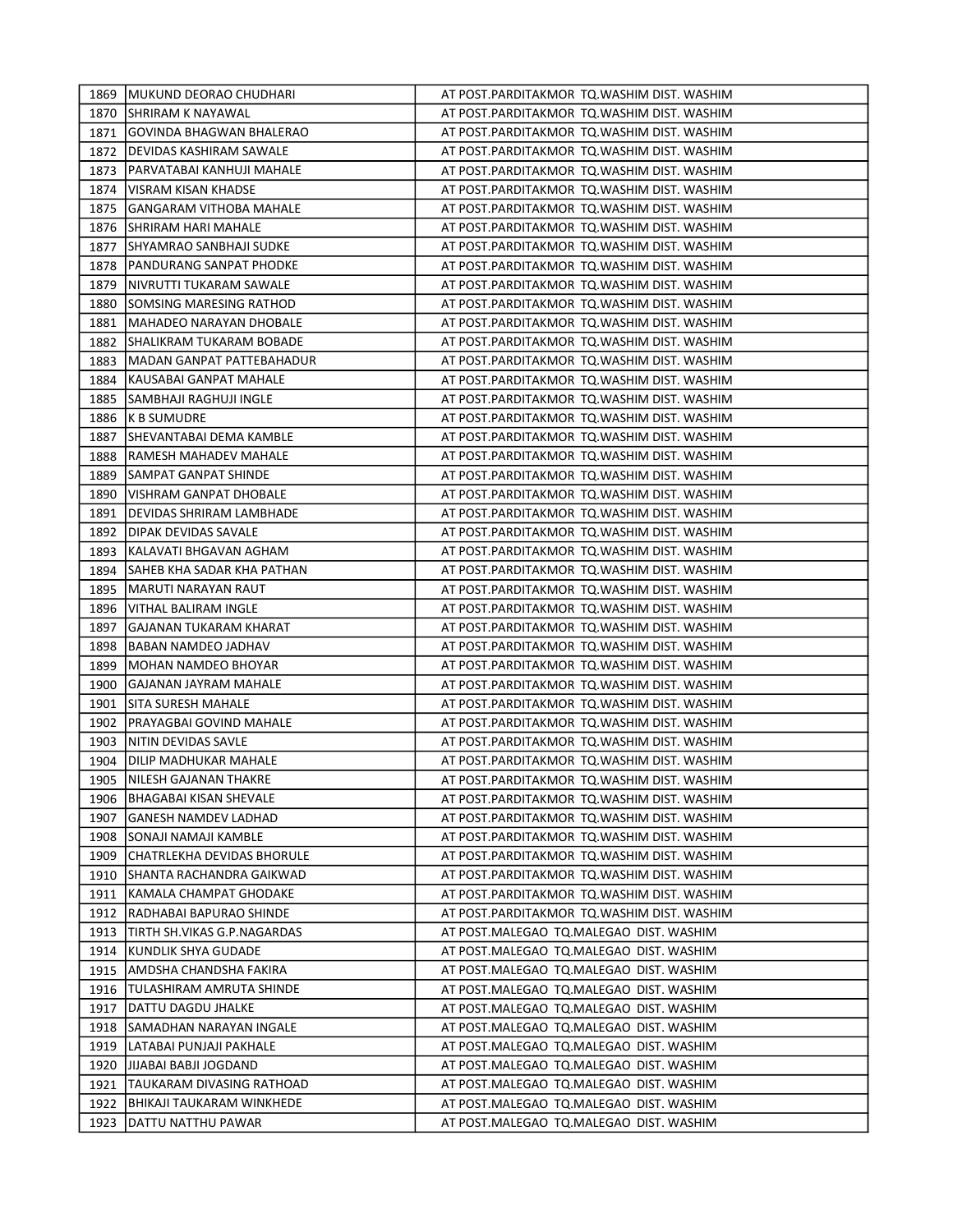| 1869<br>IMUKUND DEORAO CHUDHARI          | AT POST.PARDITAKMOR TQ.WASHIM DIST. WASHIM |
|------------------------------------------|--------------------------------------------|
| <b>SHRIRAM K NAYAWAL</b><br>1870         | AT POST.PARDITAKMOR TQ.WASHIM DIST. WASHIM |
| 1871<br>lGOVINDA BHAGWAN BHALERAO        | AT POST.PARDITAKMOR TQ.WASHIM DIST. WASHIM |
| IDEVIDAS KASHIRAM SAWALE<br>1872         | AT POST.PARDITAKMOR TQ.WASHIM DIST. WASHIM |
| 1873<br>JPARVATABAI KANHUJI MAHALE       | AT POST.PARDITAKMOR TQ.WASHIM DIST. WASHIM |
| 1874<br>VISRAM KISAN KHADSE              | AT POST.PARDITAKMOR TQ.WASHIM DIST. WASHIM |
| 1875<br> GANGARAM VITHOBA MAHALE         | AT POST.PARDITAKMOR TQ.WASHIM DIST. WASHIM |
| 1876<br><b>SHRIRAM HARI MAHALE</b>       | AT POST.PARDITAKMOR TQ.WASHIM DIST. WASHIM |
| 1877<br> SHYAMRAO SANBHAJI SUDKE         | AT POST.PARDITAKMOR TQ.WASHIM DIST. WASHIM |
| 1878<br>IPANDURANG SANPAT PHODKE         | AT POST.PARDITAKMOR TQ.WASHIM DIST. WASHIM |
| 1879<br>INIVRUTTI TUKARAM SAWALE         | AT POST.PARDITAKMOR TQ.WASHIM DIST. WASHIM |
| <b>SOMSING MARESING RATHOD</b><br>1880   | AT POST.PARDITAKMOR TQ.WASHIM DIST. WASHIM |
| 1881<br>IMAHADEO NARAYAN DHOBALE         | AT POST.PARDITAKMOR TQ.WASHIM DIST. WASHIM |
| 1882<br><b>SHALIKRAM TUKARAM BOBADE</b>  | AT POST.PARDITAKMOR TQ.WASHIM DIST. WASHIM |
| MADAN GANPAT PATTEBAHADUR<br>1883        | AT POST.PARDITAKMOR TQ.WASHIM DIST. WASHIM |
| KAUSABAI GANPAT MAHALE<br>1884           | AT POST.PARDITAKMOR TQ.WASHIM DIST. WASHIM |
| 1885<br> SAMBHAJI RAGHUJI INGLE          | AT POST.PARDITAKMOR TQ.WASHIM DIST. WASHIM |
| <b>K B SUMUDRE</b><br>1886               | AT POST.PARDITAKMOR TQ.WASHIM DIST. WASHIM |
| 1887<br> SHEVANTABAI DEMA KAMBLE         | AT POST.PARDITAKMOR TQ.WASHIM DIST. WASHIM |
| 1888<br><b>RAMESH MAHADEV MAHALE</b>     | AT POST.PARDITAKMOR TQ.WASHIM DIST. WASHIM |
| <b>SAMPAT GANPAT SHINDE</b><br>1889      | AT POST.PARDITAKMOR TQ.WASHIM DIST. WASHIM |
| 1890<br>IVISHRAM GANPAT DHOBALE          | AT POST.PARDITAKMOR TQ.WASHIM DIST. WASHIM |
| 1891<br>IDEVIDAS SHRIRAM LAMBHADE        | AT POST.PARDITAKMOR TQ.WASHIM DIST. WASHIM |
| 1892<br><b>JDIPAK DEVIDAS SAVALE</b>     | AT POST.PARDITAKMOR TQ.WASHIM DIST. WASHIM |
| 1893<br>IKALAVATI BHGAVAN AGHAM          | AT POST.PARDITAKMOR TQ.WASHIM DIST. WASHIM |
| 1894<br>SAHEB KHA SADAR KHA PATHAN       | AT POST.PARDITAKMOR TQ.WASHIM DIST. WASHIM |
| MARUTI NARAYAN RAUT<br>1895              | AT POST.PARDITAKMOR TQ.WASHIM DIST. WASHIM |
| 1896<br> VITHAL BALIRAM INGLE            | AT POST.PARDITAKMOR TQ.WASHIM DIST. WASHIM |
| GAJANAN TUKARAM KHARAT<br>1897           | AT POST.PARDITAKMOR TQ.WASHIM DIST. WASHIM |
| 1898<br> BABAN NAMDEO JADHAV             | AT POST.PARDITAKMOR TQ.WASHIM DIST. WASHIM |
| 1899<br> MOHAN NAMDEO BHOYAR             | AT POST.PARDITAKMOR TQ.WASHIM DIST. WASHIM |
| 1900<br> GAJANAN JAYRAM MAHALE           | AT POST.PARDITAKMOR TQ.WASHIM DIST. WASHIM |
| 1901<br>ISITA SURESH MAHALE              | AT POST.PARDITAKMOR TQ.WASHIM DIST. WASHIM |
| PRAYAGBAI GOVIND MAHALE<br>1902          | AT POST.PARDITAKMOR TQ.WASHIM DIST. WASHIM |
| 1903<br>INITIN DEVIDAS SAVLE             | AT POST.PARDITAKMOR TQ.WASHIM DIST. WASHIM |
| 1904<br>DILIP MADHUKAR MAHALE            | AT POST.PARDITAKMOR TQ.WASHIM DIST. WASHIM |
| 1905<br>NILESH GAJANAN THAKRE            | AT POST.PARDITAKMOR TQ.WASHIM DIST. WASHIM |
| BHAGABAI KISAN SHEVALE<br>1906           | AT POST.PARDITAKMOR TQ.WASHIM DIST. WASHIM |
| 1907<br> GANESH NAMDEV LADHAD            | AT POST.PARDITAKMOR TO.WASHIM DIST. WASHIM |
| SONAJI NAMAJI KAMBLE<br>1908             | AT POST.PARDITAKMOR TQ.WASHIM DIST. WASHIM |
| 1909<br> CHATRLEKHA DEVIDAS BHORULE      | AT POST.PARDITAKMOR TQ.WASHIM DIST. WASHIM |
| 1910<br><b>SHANTA RACHANDRA GAIKWAD</b>  | AT POST.PARDITAKMOR TQ.WASHIM DIST. WASHIM |
| KAMALA CHAMPAT GHODAKE<br>1911           | AT POST.PARDITAKMOR TQ.WASHIM DIST. WASHIM |
| 1912<br>RADHABAI BAPURAO SHINDE          | AT POST.PARDITAKMOR TQ.WASHIM DIST. WASHIM |
| 1913<br>TIRTH SH.VIKAS G.P.NAGARDAS      | AT POST.MALEGAO TQ.MALEGAO DIST. WASHIM    |
| 1914<br><b>IKUNDLIK SHYA GUDADE</b>      | AT POST.MALEGAO TQ.MALEGAO DIST. WASHIM    |
| 1915<br>JAMDSHA CHANDSHA FAKIRA          | AT POST.MALEGAO TQ.MALEGAO DIST. WASHIM    |
| 1916<br><b>ITULASHIRAM AMRUTA SHINDE</b> | AT POST.MALEGAO TQ.MALEGAO DIST. WASHIM    |
| 1917<br>JDATTU DAGDU JHALKE              | AT POST.MALEGAO TQ.MALEGAO DIST. WASHIM    |
| 1918<br>ISAMADHAN NARAYAN INGALE         | AT POST.MALEGAO TQ.MALEGAO DIST. WASHIM    |
| 1919   LATABAI PUNJAJI PAKHALE           | AT POST.MALEGAO TQ.MALEGAO DIST. WASHIM    |
| 1920 JIJABAI BABJI JOGDAND               | AT POST.MALEGAO TQ.MALEGAO DIST. WASHIM    |
| 1921<br> TAUKARAM DIVASING RATHOAD       | AT POST.MALEGAO TQ.MALEGAO DIST. WASHIM    |
| 1922<br> BHIKAJI TAUKARAM WINKHEDE       | AT POST.MALEGAO TQ.MALEGAO DIST. WASHIM    |
| 1923<br>DATTU NATTHU PAWAR               | AT POST.MALEGAO TQ.MALEGAO DIST. WASHIM    |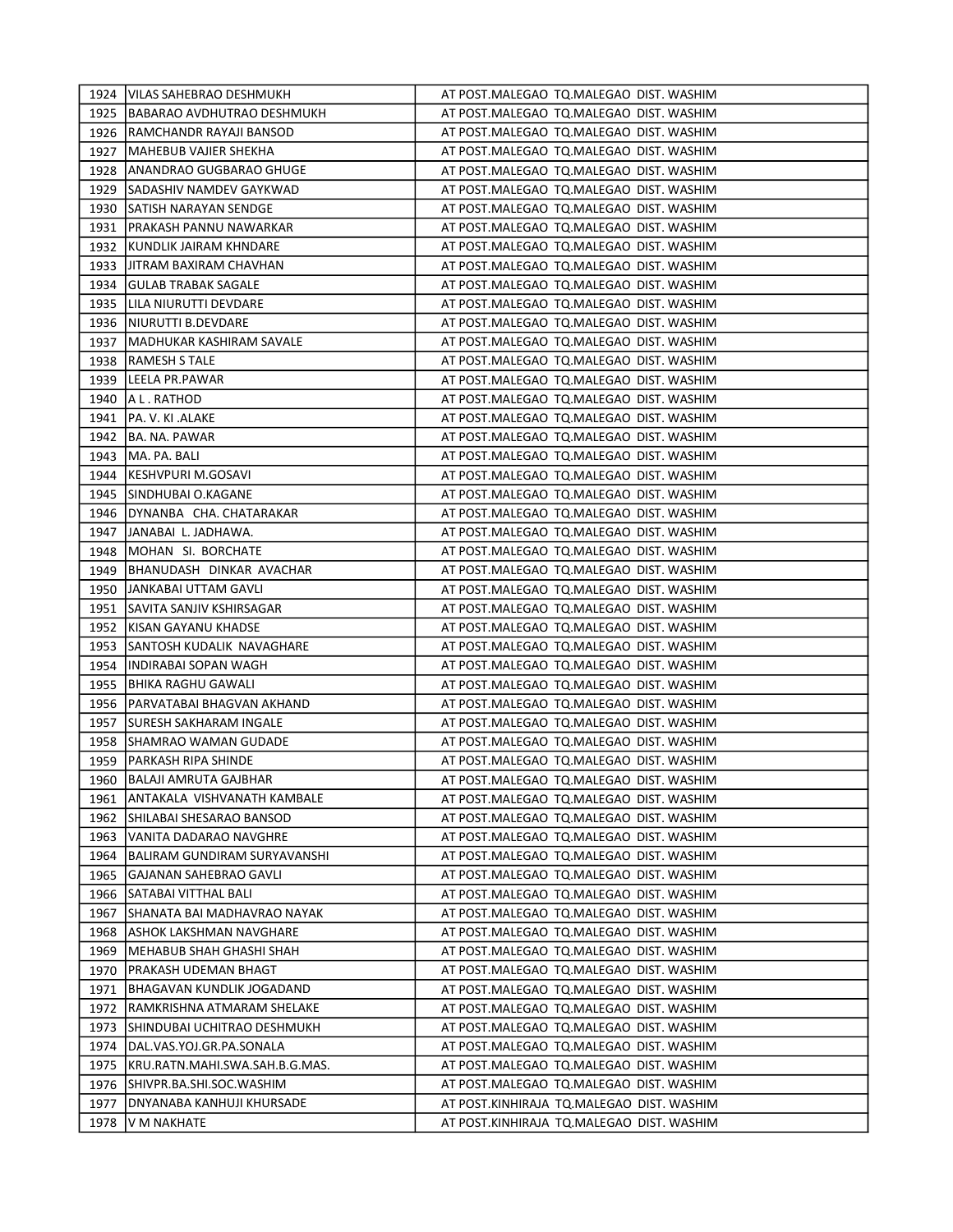|      | 1924   VILAS SAHEBRAO DESHMUKH     | AT POST.MALEGAO TQ.MALEGAO DIST. WASHIM   |
|------|------------------------------------|-------------------------------------------|
|      | 1925 BABARAO AVDHUTRAO DESHMUKH    | AT POST.MALEGAO TQ.MALEGAO DIST. WASHIM   |
|      | 1926   RAMCHANDR RAYAJI BANSOD     | AT POST.MALEGAO TQ.MALEGAO DIST. WASHIM   |
|      | 1927   MAHEBUB VAJIER SHEKHA       | AT POST.MALEGAO TQ.MALEGAO DIST. WASHIM   |
|      | 1928   ANANDRAO GUGBARAO GHUGE     | AT POST.MALEGAO TQ.MALEGAO DIST. WASHIM   |
|      | 1929 SADASHIV NAMDEV GAYKWAD       | AT POST.MALEGAO TQ.MALEGAO DIST. WASHIM   |
| 1930 | <b>SATISH NARAYAN SENDGE</b>       | AT POST.MALEGAO TQ.MALEGAO DIST. WASHIM   |
| 1931 | PRAKASH PANNU NAWARKAR             | AT POST.MALEGAO TQ.MALEGAO DIST. WASHIM   |
|      | 1932 KUNDLIK JAIRAM KHNDARE        | AT POST.MALEGAO TQ.MALEGAO DIST. WASHIM   |
|      | 1933 JJITRAM BAXIRAM CHAVHAN       | AT POST.MALEGAO TQ.MALEGAO DIST. WASHIM   |
| 1934 | <b>JGULAB TRABAK SAGALE</b>        | AT POST.MALEGAO TQ.MALEGAO DIST. WASHIM   |
|      | 1935   LILA NIURUTTI DEVDARE       | AT POST.MALEGAO TQ.MALEGAO DIST. WASHIM   |
|      | 1936   NIURUTTI B.DEVDARE          | AT POST.MALEGAO TQ.MALEGAO DIST. WASHIM   |
| 1937 | MADHUKAR KASHIRAM SAVALE           | AT POST.MALEGAO TQ.MALEGAO DIST. WASHIM   |
|      | 1938   RAMESH S TALE               | AT POST.MALEGAO TQ.MALEGAO DIST. WASHIM   |
|      | 1939   LEELA PR.PAWAR              | AT POST.MALEGAO TQ.MALEGAO DIST. WASHIM   |
| 1940 | A L. RATHOD                        | AT POST.MALEGAO TQ.MALEGAO DIST. WASHIM   |
|      | 1941   PA. V. KI .ALAKE            | AT POST.MALEGAO TQ.MALEGAO DIST. WASHIM   |
|      | 1942 BA. NA. PAWAR                 | AT POST.MALEGAO TQ.MALEGAO DIST. WASHIM   |
|      | 1943   MA. PA. BALI                | AT POST.MALEGAO TQ.MALEGAO DIST. WASHIM   |
|      | 1944   KESHVPURI M.GOSAVI          | AT POST.MALEGAO TQ.MALEGAO DIST. WASHIM   |
|      | 1945 ISINDHUBAI O.KAGANE           | AT POST.MALEGAO TQ.MALEGAO DIST. WASHIM   |
|      | 1946   DYNANBA CHA. CHATARAKAR     | AT POST.MALEGAO TQ.MALEGAO DIST. WASHIM   |
|      | 1947  JANABAI L. JADHAWA.          | AT POST.MALEGAO TQ.MALEGAO DIST. WASHIM   |
|      | 1948   MOHAN SI. BORCHATE          | AT POST.MALEGAO TQ.MALEGAO DIST. WASHIM   |
|      | 1949   BHANUDASH DINKAR AVACHAR    | AT POST.MALEGAO TQ.MALEGAO DIST. WASHIM   |
|      | 1950 JJANKABAI UTTAM GAVLI         | AT POST.MALEGAO TQ.MALEGAO DIST. WASHIM   |
|      | 1951 SAVITA SANJIV KSHIRSAGAR      | AT POST.MALEGAO TQ.MALEGAO DIST. WASHIM   |
|      | 1952   KISAN GAYANU KHADSE         | AT POST.MALEGAO TQ.MALEGAO DIST. WASHIM   |
|      | 1953 SANTOSH KUDALIK NAVAGHARE     | AT POST.MALEGAO TQ.MALEGAO DIST. WASHIM   |
|      | 1954  INDIRABAI SOPAN WAGH         | AT POST.MALEGAO TQ.MALEGAO DIST. WASHIM   |
|      | 1955   BHIKA RAGHU GAWALI          | AT POST.MALEGAO TQ.MALEGAO DIST. WASHIM   |
|      | 1956   PARVATABAI BHAGVAN AKHAND   | AT POST.MALEGAO TQ.MALEGAO DIST. WASHIM   |
|      | 1957 ISURESH SAKHARAM INGALE       | AT POST.MALEGAO TQ.MALEGAO DIST. WASHIM   |
|      | 1958 SHAMRAO WAMAN GUDADE          | AT POST.MALEGAO TQ.MALEGAO DIST. WASHIM   |
|      | 1959   PARKASH RIPA SHINDE         | AT POST.MALEGAO TQ.MALEGAO DIST. WASHIM   |
|      | 1960   BALAJI AMRUTA GAJBHAR       | AT POST.MALEGAO TQ.MALEGAO DIST. WASHIM   |
| 1961 | JANTAKALA VISHVANATH KAMBALE       | AT POST.MALEGAO TQ.MALEGAO DIST. WASHIM   |
| 1962 | ISHILABAI SHESARAO BANSOD          | AT POST.MALEGAO TQ.MALEGAO DIST. WASHIM   |
| 1963 | VANITA DADARAO NAVGHRE             | AT POST.MALEGAO TQ.MALEGAO DIST. WASHIM   |
| 1964 | BALIRAM GUNDIRAM SURYAVANSHI       | AT POST.MALEGAO TQ.MALEGAO DIST. WASHIM   |
| 1965 | GAJANAN SAHEBRAO GAVLI             | AT POST.MALEGAO TQ.MALEGAO DIST. WASHIM   |
| 1966 | <b>SATABAI VITTHAL BALI</b>        | AT POST.MALEGAO TQ.MALEGAO DIST. WASHIM   |
| 1967 | <b>SHANATA BAI MADHAVRAO NAYAK</b> | AT POST.MALEGAO TQ.MALEGAO DIST. WASHIM   |
|      | 1968   ASHOK LAKSHMAN NAVGHARE     | AT POST.MALEGAO TQ.MALEGAO DIST. WASHIM   |
|      | 1969   MEHABUB SHAH GHASHI SHAH    | AT POST.MALEGAO TQ.MALEGAO DIST. WASHIM   |
|      | 1970   PRAKASH UDEMAN BHAGT        | AT POST.MALEGAO TQ.MALEGAO DIST. WASHIM   |
|      | 1971   BHAGAVAN KUNDLIK JOGADAND   | AT POST.MALEGAO TQ.MALEGAO DIST. WASHIM   |
|      | 1972  RAMKRISHNA ATMARAM SHELAKE   | AT POST.MALEGAO TQ.MALEGAO DIST. WASHIM   |
|      | 1973 SHINDUBAI UCHITRAO DESHMUKH   | AT POST.MALEGAO TQ.MALEGAO DIST. WASHIM   |
|      | 1974   DAL.VAS.YOJ.GR.PA.SONALA    | AT POST.MALEGAO TQ.MALEGAO DIST. WASHIM   |
| 1975 | KRU.RATN.MAHI.SWA.SAH.B.G.MAS.     | AT POST.MALEGAO TQ.MALEGAO DIST. WASHIM   |
| 1976 | SHIVPR.BA.SHI.SOC.WASHIM           | AT POST.MALEGAO TQ.MALEGAO DIST. WASHIM   |
| 1977 | DNYANABA KANHUJI KHURSADE          | AT POST.KINHIRAJA TQ.MALEGAO DIST. WASHIM |
| 1978 | V M NAKHATE                        | AT POST.KINHIRAJA TQ.MALEGAO DIST. WASHIM |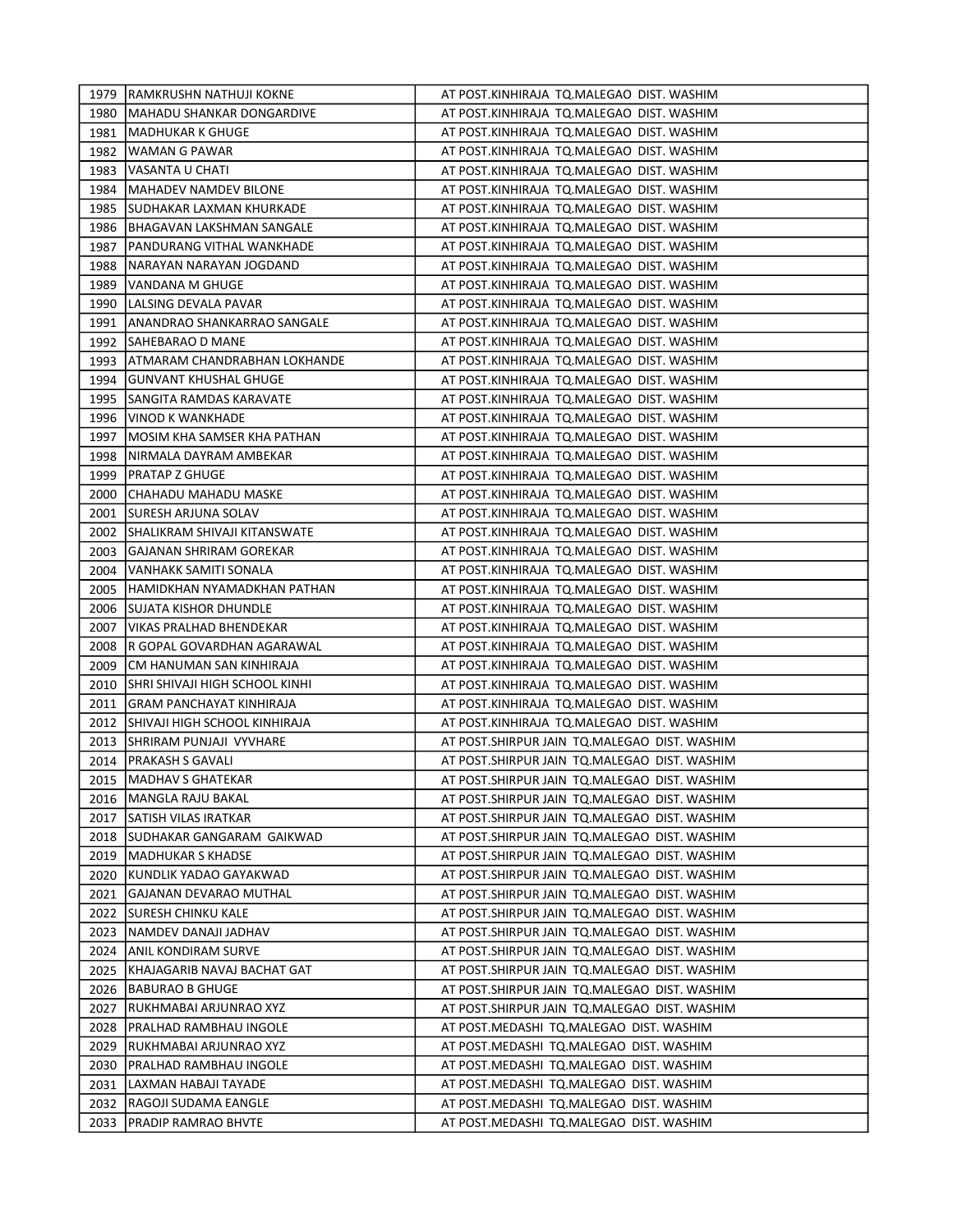|      | 1979   RAMKRUSHN NATHUJI KOKNE        | AT POST.KINHIRAJA TQ.MALEGAO DIST. WASHIM      |
|------|---------------------------------------|------------------------------------------------|
| 1980 | MAHADU SHANKAR DONGARDIVE             | AT POST.KINHIRAJA TQ.MALEGAO DIST. WASHIM      |
| 1981 | IMADHUKAR K GHUGE                     | AT POST.KINHIRAJA TQ.MALEGAO DIST. WASHIM      |
| 1982 | IWAMAN G PAWAR                        | AT POST.KINHIRAJA TQ.MALEGAO DIST. WASHIM      |
| 1983 | VASANTA U CHATI                       | AT POST.KINHIRAJA TQ.MALEGAO DIST. WASHIM      |
| 1984 | IMAHADEV NAMDEV BILONE                | AT POST.KINHIRAJA TQ.MALEGAO DIST. WASHIM      |
| 1985 | ISUDHAKAR LAXMAN KHURKADE             | AT POST.KINHIRAJA TQ.MALEGAO DIST. WASHIM      |
| 1986 | BHAGAVAN LAKSHMAN SANGALE             | AT POST.KINHIRAJA TQ.MALEGAO DIST. WASHIM      |
| 1987 | JPANDURANG VITHAL WANKHADE            | AT POST.KINHIRAJA TQ.MALEGAO DIST. WASHIM      |
| 1988 | INARAYAN NARAYAN JOGDAND              | AT POST.KINHIRAJA TQ.MALEGAO DIST. WASHIM      |
| 1989 | IVANDANA M GHUGE                      | AT POST.KINHIRAJA TQ.MALEGAO DIST. WASHIM      |
| 1990 | LALSING DEVALA PAVAR                  | AT POST.KINHIRAJA TQ.MALEGAO DIST. WASHIM      |
| 1991 | JANANDRAO SHANKARRAO SANGALE          | AT POST.KINHIRAJA TQ.MALEGAO DIST. WASHIM      |
|      | 1992   SAHEBARAO D MANE               | AT POST.KINHIRAJA TQ.MALEGAO DIST. WASHIM      |
|      | 1993   ATMARAM CHANDRABHAN LOKHANDE   | AT POST.KINHIRAJA TQ.MALEGAO DIST. WASHIM      |
|      | 1994   GUNVANT KHUSHAL GHUGE          | AT POST.KINHIRAJA TQ.MALEGAO DIST. WASHIM      |
| 1995 | ISANGITA RAMDAS KARAVATE              | AT POST.KINHIRAJA TQ.MALEGAO DIST. WASHIM      |
| 1996 | <b>VINOD K WANKHADE</b>               | AT POST.KINHIRAJA TQ.MALEGAO DIST. WASHIM      |
| 1997 | IMOSIM KHA SAMSER KHA PATHAN          | AT POST.KINHIRAJA TQ.MALEGAO DIST. WASHIM      |
| 1998 | INIRMALA DAYRAM AMBEKAR               | AT POST.KINHIRAJA TQ.MALEGAO DIST. WASHIM      |
| 1999 | IPRATAP Z GHUGE                       | AT POST.KINHIRAJA TQ.MALEGAO DIST. WASHIM      |
| 2000 | CHAHADU MAHADU MASKE                  | AT POST.KINHIRAJA TQ.MALEGAO DIST. WASHIM      |
| 2001 | <b>SURESH ARJUNA SOLAV</b>            | AT POST.KINHIRAJA TQ.MALEGAO DIST. WASHIM      |
| 2002 | ISHALIKRAM SHIVAJI KITANSWATE         | AT POST.KINHIRAJA TQ.MALEGAO DIST. WASHIM      |
|      | 2003 GAJANAN SHRIRAM GOREKAR          | AT POST.KINHIRAJA TQ.MALEGAO DIST. WASHIM      |
|      | 2004   VANHAKK SAMITI SONALA          | AT POST.KINHIRAJA TQ.MALEGAO DIST. WASHIM      |
|      | 2005   HAMIDKHAN NYAMADKHAN PATHAN    | AT POST.KINHIRAJA TQ.MALEGAO DIST. WASHIM      |
|      | 2006 SUJATA KISHOR DHUNDLE            | AT POST.KINHIRAJA TQ.MALEGAO DIST. WASHIM      |
| 2007 | JVIKAS PRALHAD BHENDEKAR              | AT POST.KINHIRAJA TQ.MALEGAO DIST. WASHIM      |
| 2008 | IR GOPAL GOVARDHAN AGARAWAL           | AT POST.KINHIRAJA TQ.MALEGAO DIST. WASHIM      |
| 2009 | JCM HANUMAN SAN KINHIRAJA             | AT POST.KINHIRAJA TQ.MALEGAO DIST. WASHIM      |
| 2010 | <b>SHRI SHIVAJI HIGH SCHOOL KINHI</b> | AT POST.KINHIRAJA TQ.MALEGAO DIST. WASHIM      |
| 2011 | GRAM PANCHAYAT KINHIRAJA              | AT POST.KINHIRAJA TQ.MALEGAO DIST. WASHIM      |
|      | 2012 SHIVAJI HIGH SCHOOL KINHIRAJA    | AT POST.KINHIRAJA TQ.MALEGAO DIST. WASHIM      |
|      | 2013   SHRIRAM PUNJAJI VYVHARE        | AT POST.SHIRPUR JAIN TQ.MALEGAO DIST. WASHIM   |
| 2014 | <b>IPRAKASH S GAVALI</b>              | AT POST.SHIRPUR JAIN TQ.MALEGAO DIST. WASHIM   |
|      | 2015   MADHAV S GHATEKAR              | AT POST.SHIRPUR JAIN TQ.MALEGAO DIST. WASHIM   |
|      | 2016   MANGLA RAJU BAKAL              | AT POST.SHIRPUR JAIN TQ.MALEGAO DIST. WASHIM   |
| 2017 | SATISH VILAS IRATKAR                  | AT POST.SHIRPUR JAIN TQ.MALEGAO DIST. WASHIM   |
|      | 2018   SUDHAKAR GANGARAM GAIKWAD      | AT POST.SHIRPUR JAIN TQ.MALEGAO DIST. WASHIM   |
|      | 2019   MADHUKAR S KHADSE              | AT POST.SHIRPUR JAIN TQ.MALEGAO DIST. WASHIM   |
| 2020 | KUNDLIK YADAO GAYAKWAD                | AT POST.SHIRPUR JAIN TQ.MALEGAO DIST. WASHIM   |
| 2021 | GAJANAN DEVARAO MUTHAL                | AT POST.SHIRPUR JAIN TQ.MALEGAO DIST. WASHIM   |
| 2022 | <b>ISURESH CHINKU KALE</b>            | AT POST.SHIRPUR JAIN TQ.MALEGAO DIST. WASHIM   |
| 2023 | INAMDEV DANAJI JADHAV                 | AT POST.SHIRPUR JAIN TQ.MALEGAO DIST. WASHIM   |
| 2024 | JANIL KONDIRAM SURVE                  | AT POST. SHIRPUR JAIN TO. MALEGAO DIST. WASHIM |
| 2025 | <b>IKHAJAGARIB NAVAJ BACHAT GAT</b>   | AT POST.SHIRPUR JAIN TQ.MALEGAO DIST. WASHIM   |
|      | 2026 BABURAO B GHUGE                  | AT POST.SHIRPUR JAIN TQ.MALEGAO DIST. WASHIM   |
| 2027 | JRUKHMABAI ARJUNRAO XYZ               | AT POST.SHIRPUR JAIN TQ.MALEGAO DIST. WASHIM   |
| 2028 | <b>PRALHAD RAMBHAU INGOLE</b>         | AT POST.MEDASHI TQ.MALEGAO DIST. WASHIM        |
|      | 2029   RUKHMABAI ARJUNRAO XYZ         | AT POST.MEDASHI TQ.MALEGAO DIST. WASHIM        |
| 2030 | PRALHAD RAMBHAU INGOLE                | AT POST.MEDASHI TQ.MALEGAO DIST. WASHIM        |
| 2031 | LAXMAN HABAJI TAYADE                  | AT POST.MEDASHI TQ.MALEGAO DIST. WASHIM        |
| 2032 | RAGOJI SUDAMA EANGLE                  | AT POST.MEDASHI TQ.MALEGAO DIST. WASHIM        |
| 2033 | PRADIP RAMRAO BHVTE                   | AT POST.MEDASHI TQ.MALEGAO DIST. WASHIM        |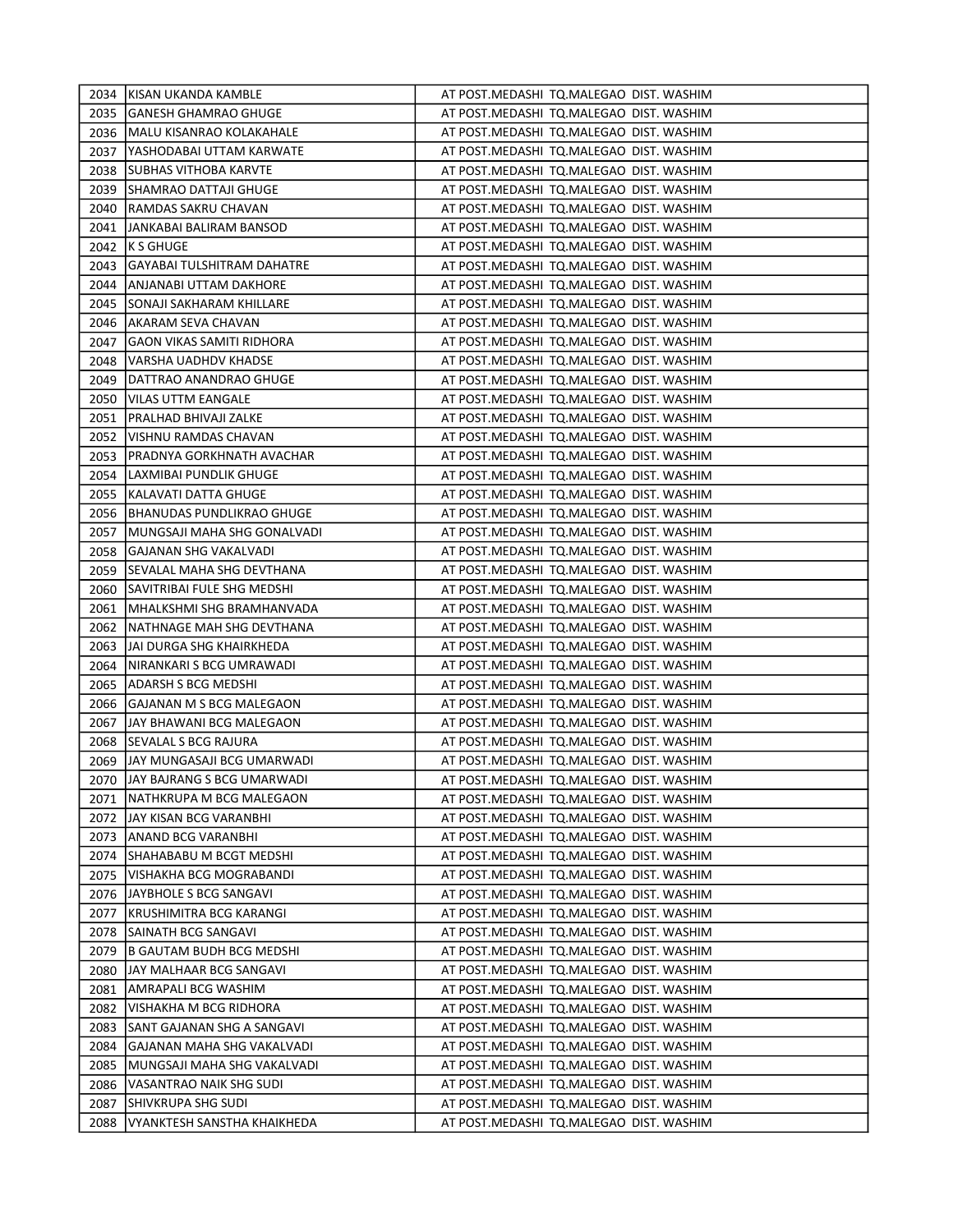|      | 2034 KISAN UKANDA KAMBLE           | AT POST.MEDASHI TQ.MALEGAO DIST. WASHIM |
|------|------------------------------------|-----------------------------------------|
| 2035 | GANESH GHAMRAO GHUGE               | AT POST.MEDASHI TQ.MALEGAO DIST. WASHIM |
|      | 2036   MALU KISANRAO KOLAKAHALE    | AT POST.MEDASHI TQ.MALEGAO DIST. WASHIM |
| 2037 | <b>IYASHODABAI UTTAM KARWATE</b>   | AT POST.MEDASHI TQ.MALEGAO DIST. WASHIM |
| 2038 | <b>SUBHAS VITHOBA KARVTE</b>       | AT POST.MEDASHI TQ.MALEGAO DIST. WASHIM |
| 2039 | <b>SHAMRAO DATTAJI GHUGE</b>       | AT POST.MEDASHI TQ.MALEGAO DIST. WASHIM |
| 2040 | <b>RAMDAS SAKRU CHAVAN</b>         | AT POST.MEDASHI TQ.MALEGAO DIST. WASHIM |
| 2041 | JANKABAI BALIRAM BANSOD            | AT POST.MEDASHI TQ.MALEGAO DIST. WASHIM |
|      | 2042 IK S GHUGE                    | AT POST.MEDASHI TQ.MALEGAO DIST. WASHIM |
| 2043 | GAYABAI TULSHITRAM DAHATRE         | AT POST.MEDASHI TQ.MALEGAO DIST. WASHIM |
| 2044 | <b>JANJANABI UTTAM DAKHORE</b>     | AT POST.MEDASHI TQ.MALEGAO DIST. WASHIM |
|      | 2045 SONAJI SAKHARAM KHILLARE      | AT POST.MEDASHI TQ.MALEGAO DIST. WASHIM |
|      | 2046   AKARAM SEVA CHAVAN          | AT POST.MEDASHI TQ.MALEGAO DIST. WASHIM |
| 2047 | GAON VIKAS SAMITI RIDHORA          | AT POST.MEDASHI TQ.MALEGAO DIST. WASHIM |
| 2048 | VARSHA UADHDV KHADSE               | AT POST.MEDASHI TQ.MALEGAO DIST. WASHIM |
| 2049 | JDATTRAO ANANDRAO GHUGE            | AT POST.MEDASHI TQ.MALEGAO DIST. WASHIM |
| 2050 | <b>VILAS UTTM EANGALE</b>          | AT POST.MEDASHI TQ.MALEGAO DIST. WASHIM |
| 2051 | <b>PRALHAD BHIVAJI ZALKE</b>       | AT POST.MEDASHI TQ.MALEGAO DIST. WASHIM |
|      | 2052   VISHNU RAMDAS CHAVAN        | AT POST.MEDASHI TQ.MALEGAO DIST. WASHIM |
|      | 2053   PRADNYA GORKHNATH AVACHAR   | AT POST.MEDASHI TQ.MALEGAO DIST. WASHIM |
|      | 2054 LAXMIBAI PUNDLIK GHUGE        | AT POST.MEDASHI TQ.MALEGAO DIST. WASHIM |
|      | 2055 KALAVATI DATTA GHUGE          | AT POST.MEDASHI TQ.MALEGAO DIST. WASHIM |
|      | 2056 BHANUDAS PUNDLIKRAO GHUGE     | AT POST.MEDASHI TQ.MALEGAO DIST. WASHIM |
|      | 2057   MUNGSAJI MAHA SHG GONALVADI | AT POST.MEDASHI TQ.MALEGAO DIST. WASHIM |
|      | 2058 GAJANAN SHG VAKALVADI         | AT POST.MEDASHI TQ.MALEGAO DIST. WASHIM |
|      | 2059 SEVALAL MAHA SHG DEVTHANA     | AT POST.MEDASHI TQ.MALEGAO DIST. WASHIM |
| 2060 | <b>ISAVITRIBAI FULE SHG MEDSHI</b> | AT POST.MEDASHI TQ.MALEGAO DIST. WASHIM |
| 2061 | MHALKSHMI SHG BRAMHANVADA          | AT POST.MEDASHI TQ.MALEGAO DIST. WASHIM |
| 2062 | JNATHNAGE MAH SHG DEVTHANA         | AT POST.MEDASHI TQ.MALEGAO DIST. WASHIM |
| 2063 | JJAI DURGA SHG KHAIRKHEDA          | AT POST.MEDASHI TQ.MALEGAO DIST. WASHIM |
| 2064 | NIRANKARI S BCG UMRAWADI           | AT POST.MEDASHI TQ.MALEGAO DIST. WASHIM |
| 2065 | <b>ADARSH S BCG MEDSHI</b>         | AT POST.MEDASHI TQ.MALEGAO DIST. WASHIM |
| 2066 | GAJANAN M S BCG MALEGAON           | AT POST.MEDASHI TQ.MALEGAO DIST. WASHIM |
| 2067 | JJAY BHAWANI BCG MALEGAON          | AT POST.MEDASHI TQ.MALEGAO DIST. WASHIM |
|      | 2068 SEVALAL S BCG RAJURA          | AT POST.MEDASHI TQ.MALEGAO DIST. WASHIM |
|      | 2069 LJAY MUNGASAJI BCG UMARWADI   | AT POST.MEDASHI TQ.MALEGAO DIST. WASHIM |
|      | 2070 JAY BAJRANG S BCG UMARWADI    | AT POST.MEDASHI TQ.MALEGAO DIST. WASHIM |
| 2071 | <b>NATHKRUPA M BCG MALEGAON</b>    | AT POST.MEDASHI TQ.MALEGAO DIST. WASHIM |
|      | 2072 JJAY KISAN BCG VARANBHI       | AT POST.MEDASHI TQ.MALEGAO DIST. WASHIM |
|      | 2073   ANAND BCG VARANBHI          | AT POST.MEDASHI TQ.MALEGAO DIST. WASHIM |
|      | 2074 SHAHABABU M BCGT MEDSHI       | AT POST.MEDASHI TQ.MALEGAO DIST. WASHIM |
| 2075 | VISHAKHA BCG MOGRABANDI            | AT POST.MEDASHI TQ.MALEGAO DIST. WASHIM |
|      | 2076 JJAYBHOLE S BCG SANGAVI       | AT POST.MEDASHI TQ.MALEGAO DIST. WASHIM |
| 2077 | <b>IKRUSHIMITRA BCG KARANGI</b>    | AT POST.MEDASHI TQ.MALEGAO DIST. WASHIM |
|      | 2078 SAINATH BCG SANGAVI           | AT POST.MEDASHI TQ.MALEGAO DIST. WASHIM |
|      | 2079 B GAUTAM BUDH BCG MEDSHI      | AT POST.MEDASHI TQ.MALEGAO DIST. WASHIM |
|      | 2080 JJAY MALHAAR BCG SANGAVI      | AT POST.MEDASHI TQ.MALEGAO DIST. WASHIM |
| 2081 | JAMRAPALI BCG WASHIM               | AT POST.MEDASHI TQ.MALEGAO DIST. WASHIM |
| 2082 | VISHAKHA M BCG RIDHORA             | AT POST.MEDASHI TQ.MALEGAO DIST. WASHIM |
| 2083 | <b>SANT GAJANAN SHG A SANGAVI</b>  | AT POST.MEDASHI TQ.MALEGAO DIST. WASHIM |
| 2084 | GAJANAN MAHA SHG VAKALVADI         | AT POST.MEDASHI TQ.MALEGAO DIST. WASHIM |
| 2085 | MUNGSAJI MAHA SHG VAKALVADI        | AT POST.MEDASHI TQ.MALEGAO DIST. WASHIM |
| 2086 | <b>JVASANTRAO NAIK SHG SUDI</b>    | AT POST.MEDASHI TQ.MALEGAO DIST. WASHIM |
| 2087 | SHIVKRUPA SHG SUDI                 | AT POST.MEDASHI TQ.MALEGAO DIST. WASHIM |
| 2088 | VYANKTESH SANSTHA KHAIKHEDA        | AT POST.MEDASHI TQ.MALEGAO DIST. WASHIM |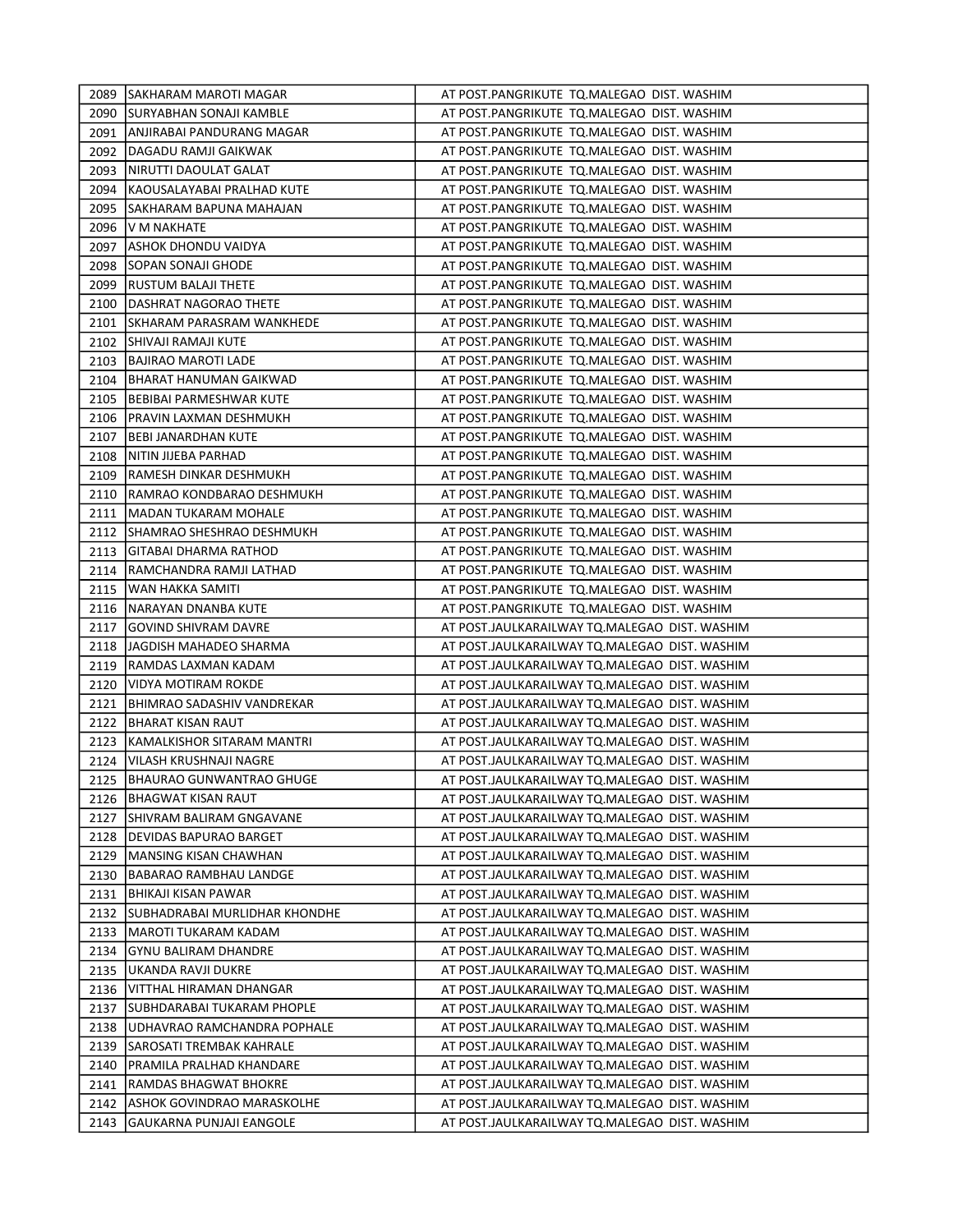|      | 2089 ISAKHARAM MAROTI MAGAR        | AT POST.PANGRIKUTE TQ.MALEGAO DIST. WASHIM    |
|------|------------------------------------|-----------------------------------------------|
|      | 2090 ISURYABHAN SONAJI KAMBLE      | AT POST.PANGRIKUTE TQ.MALEGAO DIST. WASHIM    |
| 2091 | <b>JANJIRABAI PANDURANG MAGAR</b>  | AT POST.PANGRIKUTE TQ.MALEGAO DIST. WASHIM    |
| 2092 | IDAGADU RAMJI GAIKWAK              | AT POST.PANGRIKUTE TQ.MALEGAO DIST. WASHIM    |
| 2093 | NIRUTTI DAOULAT GALAT              | AT POST.PANGRIKUTE TQ.MALEGAO DIST. WASHIM    |
| 2094 | KAOUSALAYABAI PRALHAD KUTE         | AT POST.PANGRIKUTE TQ.MALEGAO DIST. WASHIM    |
| 2095 | SAKHARAM BAPUNA MAHAJAN            | AT POST.PANGRIKUTE TQ.MALEGAO DIST. WASHIM    |
| 2096 | V M NAKHATE                        | AT POST.PANGRIKUTE TQ.MALEGAO DIST. WASHIM    |
| 2097 | <b>JASHOK DHONDU VAIDYA</b>        | AT POST.PANGRIKUTE TQ.MALEGAO DIST. WASHIM    |
| 2098 | <b>SOPAN SONAJI GHODE</b>          | AT POST.PANGRIKUTE TQ.MALEGAO DIST. WASHIM    |
|      | 2099 IRUSTUM BALAJI THETE          | AT POST.PANGRIKUTE TQ.MALEGAO DIST. WASHIM    |
| 2100 | <b>DASHRAT NAGORAO THETE</b>       | AT POST.PANGRIKUTE TQ.MALEGAO DIST. WASHIM    |
| 2101 | ISKHARAM PARASRAM WANKHEDE         | AT POST.PANGRIKUTE TQ.MALEGAO DIST. WASHIM    |
|      | 2102 SHIVAJI RAMAJI KUTE           | AT POST.PANGRIKUTE TQ.MALEGAO DIST. WASHIM    |
| 2103 | BAJIRAO MAROTI LADE                | AT POST.PANGRIKUTE TQ.MALEGAO DIST. WASHIM    |
| 2104 | IBHARAT HANUMAN GAIKWAD            | AT POST.PANGRIKUTE TQ.MALEGAO DIST. WASHIM    |
| 2105 | <b>BEBIBAI PARMESHWAR KUTE</b>     | AT POST.PANGRIKUTE TQ.MALEGAO DIST. WASHIM    |
|      | 2106   PRAVIN LAXMAN DESHMUKH      | AT POST.PANGRIKUTE TQ.MALEGAO DIST. WASHIM    |
| 2107 | BEBI JANARDHAN KUTE                | AT POST.PANGRIKUTE TQ.MALEGAO DIST. WASHIM    |
| 2108 | <b>INITIN JIJEBA PARHAD</b>        | AT POST.PANGRIKUTE TQ.MALEGAO DIST. WASHIM    |
|      | 2109   RAMESH DINKAR DESHMUKH      | AT POST.PANGRIKUTE TQ.MALEGAO DIST. WASHIM    |
|      | 2110 RAMRAO KONDBARAO DESHMUKH     | AT POST.PANGRIKUTE TQ.MALEGAO DIST. WASHIM    |
|      | 2111   MADAN TUKARAM MOHALE        | AT POST.PANGRIKUTE TQ.MALEGAO DIST. WASHIM    |
|      | 2112 SHAMRAO SHESHRAO DESHMUKH     | AT POST.PANGRIKUTE TQ.MALEGAO DIST. WASHIM    |
|      | 2113   GITABAI DHARMA RATHOD       | AT POST.PANGRIKUTE TQ.MALEGAO DIST. WASHIM    |
|      | 2114   RAMCHANDRA RAMJI LATHAD     | AT POST.PANGRIKUTE TQ.MALEGAO DIST. WASHIM    |
|      | 2115   WAN HAKKA SAMITI            | AT POST.PANGRIKUTE TQ.MALEGAO DIST. WASHIM    |
|      | 2116   NARAYAN DNANBA KUTE         | AT POST.PANGRIKUTE TQ.MALEGAO DIST. WASHIM    |
|      | 2117 GOVIND SHIVRAM DAVRE          | AT POST.JAULKARAILWAY TQ.MALEGAO DIST. WASHIM |
|      | 2118 JJAGDISH MAHADEO SHARMA       | AT POST.JAULKARAILWAY TQ.MALEGAO DIST. WASHIM |
|      | 2119  RAMDAS LAXMAN KADAM          | AT POST.JAULKARAILWAY TQ.MALEGAO DIST. WASHIM |
| 2120 | JVIDYA MOTIRAM ROKDE               | AT POST.JAULKARAILWAY TQ.MALEGAO DIST. WASHIM |
| 2121 | BHIMRAO SADASHIV VANDREKAR         | AT POST.JAULKARAILWAY TQ.MALEGAO DIST. WASHIM |
| 2122 | <b>BHARAT KISAN RAUT</b>           | AT POST.JAULKARAILWAY TQ.MALEGAO DIST. WASHIM |
| 2123 | <b>IKAMALKISHOR SITARAM MANTRI</b> | AT POST.JAULKARAILWAY TQ.MALEGAO DIST. WASHIM |
| 2124 | <b>VILASH KRUSHNAJI NAGRE</b>      | AT POST.JAULKARAILWAY TQ.MALEGAO DIST. WASHIM |
|      | 2125   BHAURAO GUNWANTRAO GHUGE    | AT POST.JAULKARAILWAY TQ.MALEGAO DIST. WASHIM |
| 2126 | BHAGWAT KISAN RAUT                 | AT POST.JAULKARAILWAY TQ.MALEGAO DIST. WASHIM |
| 2127 | ISHIVRAM BALIRAM GNGAVANE          | AT POST.JAULKARAILWAY TO.MALEGAO DIST. WASHIM |
| 2128 | DEVIDAS BAPURAO BARGET             | AT POST.JAULKARAILWAY TQ.MALEGAO DIST. WASHIM |
| 2129 | MANSING KISAN CHAWHAN              | AT POST.JAULKARAILWAY TQ.MALEGAO DIST. WASHIM |
| 2130 | IBABARAO RAMBHAU LANDGE            | AT POST.JAULKARAILWAY TQ.MALEGAO DIST. WASHIM |
| 2131 | BHIKAJI KISAN PAWAR                | AT POST.JAULKARAILWAY TQ.MALEGAO DIST. WASHIM |
| 2132 | ISUBHADRABAI MURLIDHAR KHONDHE     | AT POST.JAULKARAILWAY TQ.MALEGAO DIST. WASHIM |
| 2133 | <b>MAROTI TUKARAM KADAM</b>        | AT POST.JAULKARAILWAY TQ.MALEGAO DIST. WASHIM |
| 2134 | <b>GYNU BALIRAM DHANDRE</b>        | AT POST.JAULKARAILWAY TQ.MALEGAO DIST. WASHIM |
| 2135 | JUKANDA RAVJI DUKRE                | AT POST.JAULKARAILWAY TQ.MALEGAO DIST. WASHIM |
| 2136 | VITTHAL HIRAMAN DHANGAR            | AT POST.JAULKARAILWAY TQ.MALEGAO DIST. WASHIM |
| 2137 | <b>SUBHDARABAI TUKARAM PHOPLE</b>  | AT POST.JAULKARAILWAY TQ.MALEGAO DIST. WASHIM |
| 2138 | JUDHAVRAO RAMCHANDRA POPHALE       | AT POST.JAULKARAILWAY TQ.MALEGAO DIST. WASHIM |
| 2139 | SAROSATI TREMBAK KAHRALE           | AT POST.JAULKARAILWAY TQ.MALEGAO DIST. WASHIM |
| 2140 | PRAMILA PRALHAD KHANDARE           | AT POST.JAULKARAILWAY TQ.MALEGAO DIST. WASHIM |
| 2141 | RAMDAS BHAGWAT BHOKRE              | AT POST.JAULKARAILWAY TQ.MALEGAO DIST. WASHIM |
| 2142 | ASHOK GOVINDRAO MARASKOLHE         | AT POST.JAULKARAILWAY TQ.MALEGAO DIST. WASHIM |
| 2143 | GAUKARNA PUNJAJI EANGOLE           | AT POST.JAULKARAILWAY TQ.MALEGAO DIST. WASHIM |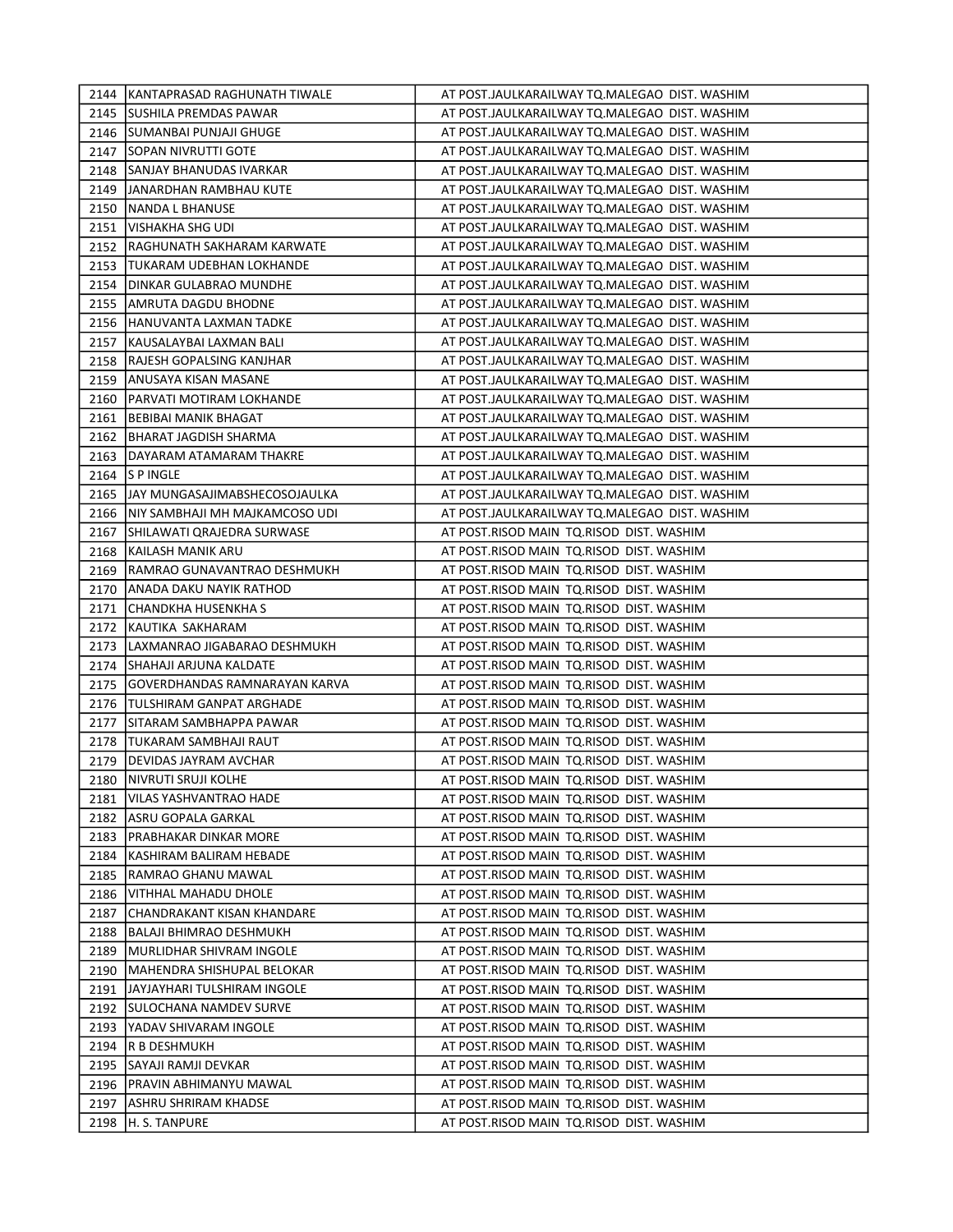|      | 2144 KANTAPRASAD RAGHUNATH TIWALE     | AT POST.JAULKARAILWAY TQ.MALEGAO DIST. WASHIM |
|------|---------------------------------------|-----------------------------------------------|
|      | 2145 ISUSHILA PREMDAS PAWAR           | AT POST.JAULKARAILWAY TQ.MALEGAO DIST. WASHIM |
|      | 2146 SUMANBAI PUNJAJI GHUGE           | AT POST.JAULKARAILWAY TQ.MALEGAO DIST. WASHIM |
|      | 2147   SOPAN NIVRUTTI GOTE            | AT POST.JAULKARAILWAY TQ.MALEGAO DIST. WASHIM |
| 2148 | <b>SANJAY BHANUDAS IVARKAR</b>        | AT POST.JAULKARAILWAY TQ.MALEGAO DIST. WASHIM |
|      | 2149 JJANARDHAN RAMBHAU KUTE          | AT POST.JAULKARAILWAY TQ.MALEGAO DIST. WASHIM |
| 2150 | INANDA L BHANUSE                      | AT POST.JAULKARAILWAY TQ.MALEGAO DIST. WASHIM |
| 2151 | VISHAKHA SHG UDI                      | AT POST.JAULKARAILWAY TQ.MALEGAO DIST. WASHIM |
| 2152 | <b>IRAGHUNATH SAKHARAM KARWATE</b>    | AT POST.JAULKARAILWAY TQ.MALEGAO DIST. WASHIM |
| 2153 | TUKARAM UDEBHAN LOKHANDE              | AT POST.JAULKARAILWAY TQ.MALEGAO DIST. WASHIM |
| 2154 | JDINKAR GULABRAO MUNDHE               | AT POST.JAULKARAILWAY TQ.MALEGAO DIST. WASHIM |
|      | 2155 JAMRUTA DAGDU BHODNE             | AT POST.JAULKARAILWAY TQ.MALEGAO DIST. WASHIM |
|      | 2156 HANUVANTA LAXMAN TADKE           | AT POST.JAULKARAILWAY TQ.MALEGAO DIST. WASHIM |
| 2157 | KAUSALAYBAI LAXMAN BALI               | AT POST.JAULKARAILWAY TQ.MALEGAO DIST. WASHIM |
| 2158 | <b>RAJESH GOPALSING KANJHAR</b>       | AT POST.JAULKARAILWAY TQ.MALEGAO DIST. WASHIM |
| 2159 | JANUSAYA KISAN MASANE                 | AT POST.JAULKARAILWAY TQ.MALEGAO DIST. WASHIM |
| 2160 | <b>JPARVATI MOTIRAM LOKHANDE</b>      | AT POST.JAULKARAILWAY TQ.MALEGAO DIST. WASHIM |
| 2161 | BEBIBAI MANIK BHAGAT                  | AT POST.JAULKARAILWAY TQ.MALEGAO DIST. WASHIM |
| 2162 | <b>BHARAT JAGDISH SHARMA</b>          | AT POST.JAULKARAILWAY TQ.MALEGAO DIST. WASHIM |
| 2163 | JDAYARAM ATAMARAM THAKRE              | AT POST.JAULKARAILWAY TQ.MALEGAO DIST. WASHIM |
|      | 2164 IS P INGLE                       | AT POST.JAULKARAILWAY TQ.MALEGAO DIST. WASHIM |
|      | 2165 LJAY MUNGASAJIMABSHECOSOJAULKA   | AT POST.JAULKARAILWAY TQ.MALEGAO DIST. WASHIM |
|      | 2166   NIY SAMBHAJI MH MAJKAMCOSO UDI | AT POST.JAULKARAILWAY TQ.MALEGAO DIST. WASHIM |
|      | 2167 SHILAWATI QRAJEDRA SURWASE       | AT POST.RISOD MAIN TQ.RISOD DIST. WASHIM      |
|      | 2168 KAILASH MANIK ARU                | AT POST.RISOD MAIN TQ.RISOD DIST. WASHIM      |
|      | 2169  RAMRAO GUNAVANTRAO DESHMUKH     | AT POST.RISOD MAIN TQ.RISOD DIST. WASHIM      |
|      | 2170 JANADA DAKU NAYIK RATHOD         | AT POST.RISOD MAIN TQ.RISOD DIST. WASHIM      |
|      | 2171 CHANDKHA HUSENKHA S              | AT POST.RISOD MAIN TQ.RISOD DIST. WASHIM      |
|      | 2172  KAUTIKA SAKHARAM                | AT POST.RISOD MAIN TQ.RISOD DIST. WASHIM      |
| 2173 | LAXMANRAO JIGABARAO DESHMUKH          | AT POST.RISOD MAIN TQ.RISOD DIST. WASHIM      |
|      | 2174 SHAHAJI ARJUNA KALDATE           | AT POST.RISOD MAIN TQ.RISOD DIST. WASHIM      |
|      | 2175   GOVERDHANDAS RAMNARAYAN KARVA  | AT POST.RISOD MAIN TQ.RISOD DIST. WASHIM      |
|      | 2176  TULSHIRAM GANPAT ARGHADE        | AT POST.RISOD MAIN TQ.RISOD DIST. WASHIM      |
|      | 2177 SITARAM SAMBHAPPA PAWAR          | AT POST.RISOD MAIN TQ.RISOD DIST. WASHIM      |
| 2178 | <b>ITUKARAM SAMBHAJI RAUT</b>         | AT POST.RISOD MAIN TQ.RISOD DIST. WASHIM      |
| 2179 | <b>IDEVIDAS JAYRAM AVCHAR</b>         | AT POST.RISOD MAIN TQ.RISOD DIST. WASHIM      |
|      | 2180   NIVRUTI SRUJI KOLHE            | AT POST.RISOD MAIN TQ.RISOD DIST. WASHIM      |
| 2181 | VILAS YASHVANTRAO HADE                | AT POST.RISOD MAIN TQ.RISOD DIST. WASHIM      |
| 2182 | ASRU GOPALA GARKAL                    | AT POST.RISOD MAIN TQ.RISOD DIST. WASHIM      |
| 2183 | <b>JPRABHAKAR DINKAR MORE</b>         | AT POST.RISOD MAIN TQ.RISOD DIST. WASHIM      |
| 2184 | KASHIRAM BALIRAM HEBADE               | AT POST.RISOD MAIN TQ.RISOD DIST. WASHIM      |
| 2185 | RAMRAO GHANU MAWAL                    | AT POST.RISOD MAIN TQ.RISOD DIST. WASHIM      |
| 2186 | VITHHAL MAHADU DHOLE                  | AT POST.RISOD MAIN TQ.RISOD DIST. WASHIM      |
| 2187 | CHANDRAKANT KISAN KHANDARE            | AT POST.RISOD MAIN TQ.RISOD DIST. WASHIM      |
| 2188 | BALAJI BHIMRAO DESHMUKH               | AT POST.RISOD MAIN TQ.RISOD DIST. WASHIM      |
| 2189 | MURLIDHAR SHIVRAM INGOLE              | AT POST.RISOD MAIN TQ.RISOD DIST. WASHIM      |
| 2190 | IMAHENDRA SHISHUPAL BELOKAR           | AT POST.RISOD MAIN TQ.RISOD DIST. WASHIM      |
|      | 2191  JAYJAYHARI TULSHIRAM INGOLE     | AT POST.RISOD MAIN TQ.RISOD DIST. WASHIM      |
|      | 2192   SULOCHANA NAMDEV SURVE         | AT POST.RISOD MAIN TQ.RISOD DIST. WASHIM      |
|      | 2193   YADAV SHIVARAM INGOLE          | AT POST.RISOD MAIN TQ.RISOD DIST. WASHIM      |
|      | 2194 R B DESHMUKH                     | AT POST.RISOD MAIN TQ.RISOD DIST. WASHIM      |
|      | 2195 SAYAJI RAMJI DEVKAR              | AT POST.RISOD MAIN TQ.RISOD DIST. WASHIM      |
|      | 2196   PRAVIN ABHIMANYU MAWAL         | AT POST.RISOD MAIN TQ.RISOD DIST. WASHIM      |
| 2197 | JASHRU SHRIRAM KHADSE                 | AT POST.RISOD MAIN TQ.RISOD DIST. WASHIM      |
| 2198 | H. S. TANPURE                         | AT POST.RISOD MAIN TQ.RISOD DIST. WASHIM      |
|      |                                       |                                               |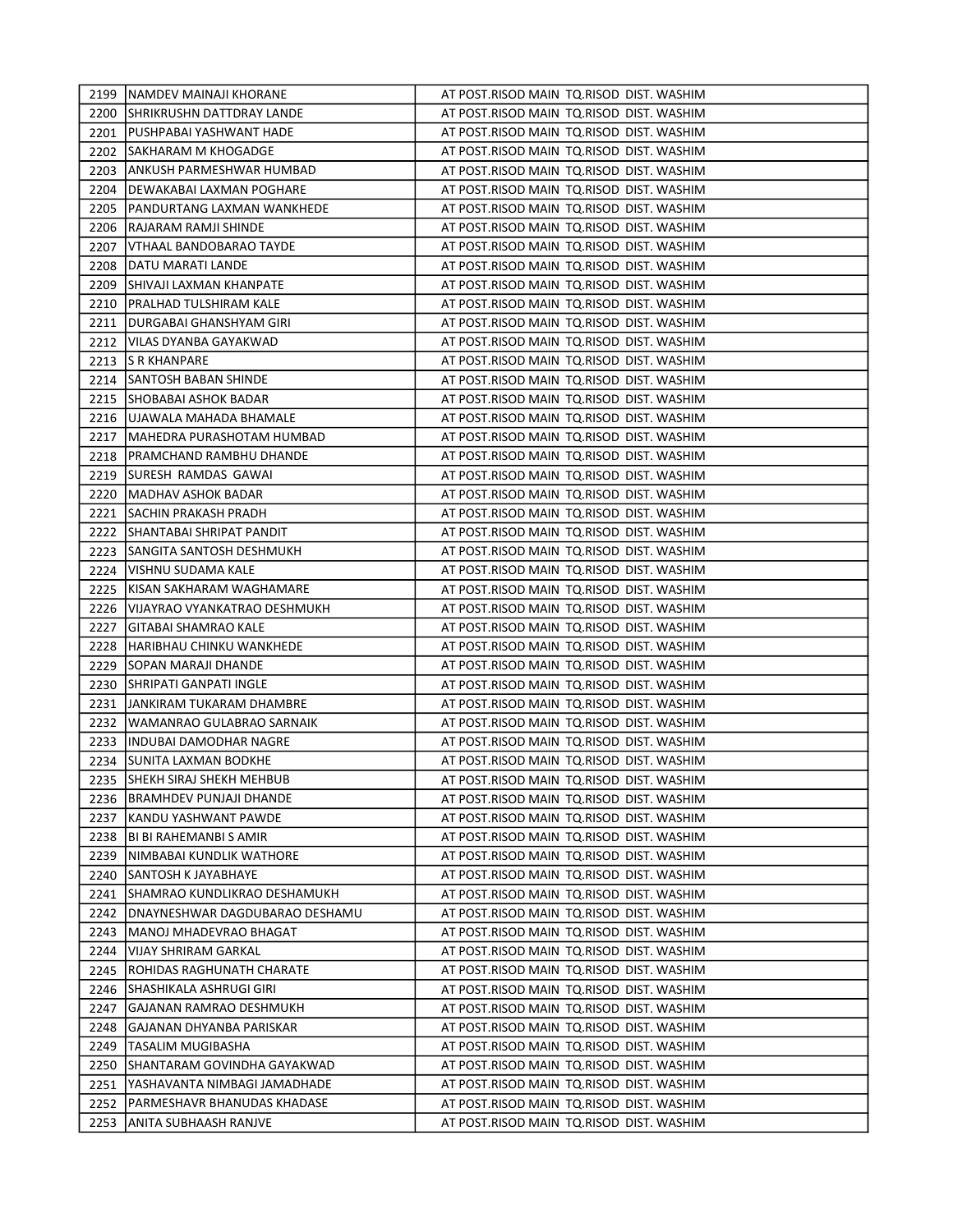|      | 2199   NAMDEV MAINAJI KHORANE     | AT POST.RISOD MAIN TQ.RISOD DIST. WASHIM |
|------|-----------------------------------|------------------------------------------|
|      | 2200 SHRIKRUSHN DATTDRAY LANDE    | AT POST.RISOD MAIN TQ.RISOD DIST. WASHIM |
| 2201 | <b>IPUSHPABAI YASHWANT HADE</b>   | AT POST.RISOD MAIN TQ.RISOD DIST. WASHIM |
|      | 2202 SAKHARAM M KHOGADGE          | AT POST.RISOD MAIN TQ.RISOD DIST. WASHIM |
|      | 2203 JANKUSH PARMESHWAR HUMBAD    | AT POST.RISOD MAIN TQ.RISOD DIST. WASHIM |
| 2204 | JDEWAKABAI LAXMAN POGHARE         | AT POST.RISOD MAIN TQ.RISOD DIST. WASHIM |
| 2205 | JPANDURTANG LAXMAN WANKHEDE       | AT POST.RISOD MAIN TQ.RISOD DIST. WASHIM |
| 2206 | RAJARAM RAMJI SHINDE              | AT POST.RISOD MAIN TQ.RISOD DIST. WASHIM |
| 2207 | VTHAAL BANDOBARAO TAYDE           | AT POST.RISOD MAIN TQ.RISOD DIST. WASHIM |
| 2208 | JDATU MARATI LANDE                | AT POST.RISOD MAIN TQ.RISOD DIST. WASHIM |
|      | 2209 SHIVAJI LAXMAN KHANPATE      | AT POST.RISOD MAIN TQ.RISOD DIST. WASHIM |
|      | 2210   PRALHAD TULSHIRAM KALE     | AT POST.RISOD MAIN TQ.RISOD DIST. WASHIM |
| 2211 | DURGABAI GHANSHYAM GIRI           | AT POST.RISOD MAIN TQ.RISOD DIST. WASHIM |
|      | 2212   VILAS DYANBA GAYAKWAD      | AT POST.RISOD MAIN TQ.RISOD DIST. WASHIM |
|      | 2213 S R KHANPARE                 | AT POST.RISOD MAIN TQ.RISOD DIST. WASHIM |
|      | 2214   SANTOSH BABAN SHINDE       | AT POST.RISOD MAIN TQ.RISOD DIST. WASHIM |
|      | 2215 ISHOBABAI ASHOK BADAR        | AT POST.RISOD MAIN TQ.RISOD DIST. WASHIM |
|      | 2216   UJAWALA MAHADA BHAMALE     | AT POST.RISOD MAIN TQ.RISOD DIST. WASHIM |
|      | 2217 IMAHEDRA PURASHOTAM HUMBAD   | AT POST.RISOD MAIN TQ.RISOD DIST. WASHIM |
|      | 2218   PRAMCHAND RAMBHU DHANDE    | AT POST.RISOD MAIN TQ.RISOD DIST. WASHIM |
|      | 2219 SURESH RAMDAS GAWAI          | AT POST.RISOD MAIN TQ.RISOD DIST. WASHIM |
|      | 2220   MADHAV ASHOK BADAR         | AT POST.RISOD MAIN TQ.RISOD DIST. WASHIM |
|      | 2221 SACHIN PRAKASH PRADH         | AT POST.RISOD MAIN TQ.RISOD DIST. WASHIM |
|      | 2222   SHANTABAI SHRIPAT PANDIT   | AT POST.RISOD MAIN TQ.RISOD DIST. WASHIM |
|      | 2223 SANGITA SANTOSH DESHMUKH     | AT POST.RISOD MAIN TQ.RISOD DIST. WASHIM |
|      | 2224   VISHNU SUDAMA KALE         | AT POST.RISOD MAIN TQ.RISOD DIST. WASHIM |
|      | 2225 KISAN SAKHARAM WAGHAMARE     | AT POST.RISOD MAIN TQ.RISOD DIST. WASHIM |
|      | 2226 VIJAYRAO VYANKATRAO DESHMUKH | AT POST.RISOD MAIN TQ.RISOD DIST. WASHIM |
|      | 2227 GITABAI SHAMRAO KALE         | AT POST.RISOD MAIN TQ.RISOD DIST. WASHIM |
|      | 2228   HARIBHAU CHINKU WANKHEDE   | AT POST.RISOD MAIN TQ.RISOD DIST. WASHIM |
|      | 2229 SOPAN MARAJI DHANDE          | AT POST.RISOD MAIN TQ.RISOD DIST. WASHIM |
|      | 2230   SHRIPATI GANPATI INGLE     | AT POST.RISOD MAIN TQ.RISOD DIST. WASHIM |
|      | 2231 JJANKIRAM TUKARAM DHAMBRE    | AT POST.RISOD MAIN TQ.RISOD DIST. WASHIM |
|      | 2232   WAMANRAO GULABRAO SARNAIK  | AT POST.RISOD MAIN TQ.RISOD DIST. WASHIM |
|      | 2233 IINDUBAI DAMODHAR NAGRE      | AT POST.RISOD MAIN TQ.RISOD DIST. WASHIM |
|      | 2234 ISUNITA LAXMAN BODKHE        | AT POST.RISOD MAIN TQ.RISOD DIST. WASHIM |
|      | 2235 SHEKH SIRAJ SHEKH MEHBUB     | AT POST.RISOD MAIN TQ.RISOD DIST. WASHIM |
| 2236 | BRAMHDEV PUNJAJI DHANDE           | AT POST.RISOD MAIN TQ.RISOD DIST. WASHIM |
| 2237 | lkandu yashwant pawde             | AT POST.RISOD MAIN TQ.RISOD DIST. WASHIM |
| 2238 | <b>BI BI RAHEMANBI S AMIR</b>     | AT POST.RISOD MAIN TQ.RISOD DIST. WASHIM |
| 2239 | INIMBABAI KUNDLIK WATHORE         | AT POST.RISOD MAIN TQ.RISOD DIST. WASHIM |
| 2240 | ISANTOSH K JAYABHAYE              | AT POST.RISOD MAIN TQ.RISOD DIST. WASHIM |
| 2241 | ISHAMRAO KUNDLIKRAO DESHAMUKH     | AT POST.RISOD MAIN TQ.RISOD DIST. WASHIM |
| 2242 | JDNAYNESHWAR DAGDUBARAO DESHAMU   | AT POST.RISOD MAIN TQ.RISOD DIST. WASHIM |
|      | 2243   MANOJ MHADEVRAO BHAGAT     | AT POST.RISOD MAIN TQ.RISOD DIST. WASHIM |
| 2244 | VIJAY SHRIRAM GARKAL              | AT POST.RISOD MAIN TQ.RISOD DIST. WASHIM |
| 2245 | <b>ROHIDAS RAGHUNATH CHARATE</b>  | AT POST.RISOD MAIN TQ.RISOD DIST. WASHIM |
|      | 2246 SHASHIKALA ASHRUGI GIRI      | AT POST.RISOD MAIN TQ.RISOD DIST. WASHIM |
|      | 2247   GAJANAN RAMRAO DESHMUKH    | AT POST.RISOD MAIN TQ.RISOD DIST. WASHIM |
| 2248 | IGAJANAN DHYANBA PARISKAR         | AT POST.RISOD MAIN TQ.RISOD DIST. WASHIM |
|      | 2249  TASALIM MUGIBASHA           | AT POST.RISOD MAIN TQ.RISOD DIST. WASHIM |
|      | 2250 SHANTARAM GOVINDHA GAYAKWAD  | AT POST.RISOD MAIN TQ.RISOD DIST. WASHIM |
| 2251 | IYASHAVANTA NIMBAGI JAMADHADE     | AT POST.RISOD MAIN TQ.RISOD DIST. WASHIM |
| 2252 | PARMESHAVR BHANUDAS KHADASE       | AT POST.RISOD MAIN TQ.RISOD DIST. WASHIM |
| 2253 | JANITA SUBHAASH RANJVE            | AT POST.RISOD MAIN TQ.RISOD DIST. WASHIM |
|      |                                   |                                          |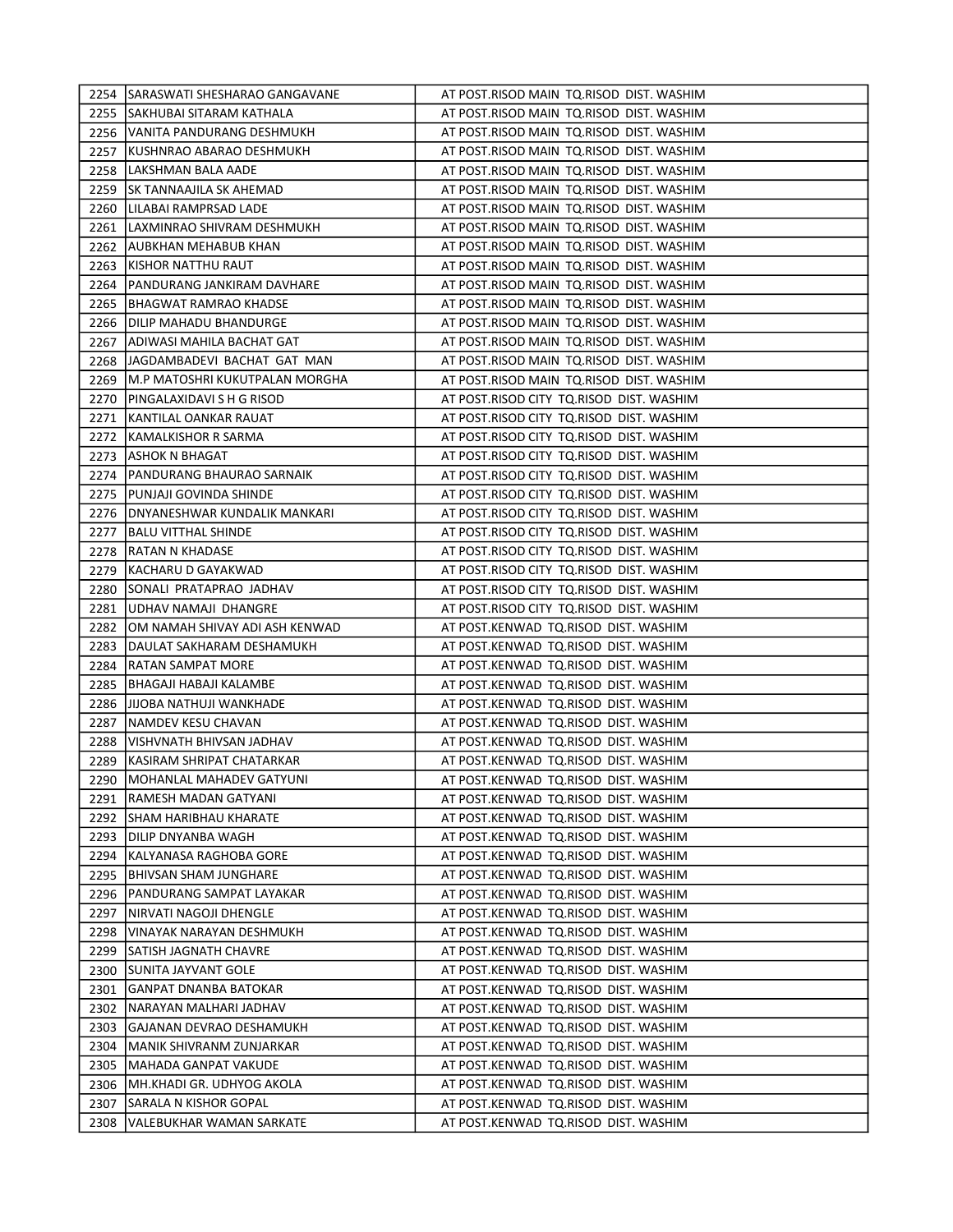|      | 2254 SARASWATI SHESHARAO GANGAVANE     | AT POST.RISOD MAIN TQ.RISOD DIST. WASHIM |
|------|----------------------------------------|------------------------------------------|
|      | 2255 SAKHUBAI SITARAM KATHALA          | AT POST.RISOD MAIN TQ.RISOD DIST. WASHIM |
|      | 2256   VANITA PANDURANG DESHMUKH       | AT POST.RISOD MAIN TQ.RISOD DIST. WASHIM |
|      | 2257 KUSHNRAO ABARAO DESHMUKH          | AT POST.RISOD MAIN TQ.RISOD DIST. WASHIM |
|      | 2258 LAKSHMAN BALA AADE                | AT POST.RISOD MAIN TQ.RISOD DIST. WASHIM |
|      | 2259 ISK TANNAAJILA SK AHEMAD          | AT POST.RISOD MAIN TQ.RISOD DIST. WASHIM |
| 2260 | LILABAI RAMPRSAD LADE                  | AT POST.RISOD MAIN TQ.RISOD DIST. WASHIM |
| 2261 | LAXMINRAO SHIVRAM DESHMUKH             | AT POST.RISOD MAIN TQ.RISOD DIST. WASHIM |
| 2262 | JAUBKHAN MEHABUB KHAN                  | AT POST.RISOD MAIN TQ.RISOD DIST. WASHIM |
|      | 2263 KISHOR NATTHU RAUT                | AT POST.RISOD MAIN TQ.RISOD DIST. WASHIM |
|      | 2264   PANDURANG JANKIRAM DAVHARE      | AT POST.RISOD MAIN TQ.RISOD DIST. WASHIM |
|      | 2265   BHAGWAT RAMRAO KHADSE           | AT POST.RISOD MAIN TQ.RISOD DIST. WASHIM |
|      | 2266   DILIP MAHADU BHANDURGE          | AT POST.RISOD MAIN TQ.RISOD DIST. WASHIM |
|      | 2267 ADIWASI MAHILA BACHAT GAT         | AT POST.RISOD MAIN TQ.RISOD DIST. WASHIM |
|      | 2268  JAGDAMBADEVI BACHAT GAT MAN      | AT POST.RISOD MAIN TQ.RISOD DIST. WASHIM |
| 2269 | <b>IM.P MATOSHRI KUKUTPALAN MORGHA</b> | AT POST.RISOD MAIN TQ.RISOD DIST. WASHIM |
| 2270 | <b>PINGALAXIDAVI S H G RISOD</b>       | AT POST.RISOD CITY TQ.RISOD DIST. WASHIM |
| 2271 | IKANTILAL OANKAR RAUAT                 | AT POST.RISOD CITY TQ.RISOD DIST. WASHIM |
| 2272 | IKAMALKISHOR R SARMA                   | AT POST.RISOD CITY TQ.RISOD DIST. WASHIM |
|      | 2273 JASHOK N BHAGAT                   | AT POST.RISOD CITY TQ.RISOD DIST. WASHIM |
|      | 2274  PANDURANG BHAURAO SARNAIK        | AT POST.RISOD CITY TQ.RISOD DIST. WASHIM |
|      | 2275 PUNJAJI GOVINDA SHINDE            | AT POST.RISOD CITY TQ.RISOD DIST. WASHIM |
|      | 2276   DNYANESHWAR KUNDALIK MANKARI    | AT POST.RISOD CITY TQ.RISOD DIST. WASHIM |
|      | 2277   BALU VITTHAL SHINDE             | AT POST.RISOD CITY TQ.RISOD DIST. WASHIM |
|      | 2278 IRATAN N KHADASE                  | AT POST.RISOD CITY TQ.RISOD DIST. WASHIM |
|      | 2279  KACHARU D GAYAKWAD               | AT POST.RISOD CITY TQ.RISOD DIST. WASHIM |
|      | 2280 SONALI PRATAPRAO JADHAV           | AT POST.RISOD CITY TQ.RISOD DIST. WASHIM |
|      | 2281 JUDHAV NAMAJI DHANGRE             | AT POST.RISOD CITY TQ.RISOD DIST. WASHIM |
|      | 2282 JOM NAMAH SHIVAY ADI ASH KENWAD   | AT POST.KENWAD TQ.RISOD DIST. WASHIM     |
|      | 2283   DAULAT SAKHARAM DESHAMUKH       | AT POST.KENWAD TQ.RISOD DIST. WASHIM     |
|      | 2284  RATAN SAMPAT MORE                | AT POST.KENWAD TQ.RISOD DIST. WASHIM     |
|      | 2285   BHAGAJI HABAJI KALAMBE          | AT POST.KENWAD TQ.RISOD DIST. WASHIM     |
|      | 2286 JJJJOBA NATHUJI WANKHADE          | AT POST.KENWAD TQ.RISOD DIST. WASHIM     |
| 2287 | <b>INAMDEV KESU CHAVAN</b>             | AT POST.KENWAD TQ.RISOD DIST. WASHIM     |
| 2288 | VISHVNATH BHIVSAN JADHAV               | AT POST.KENWAD TQ.RISOD DIST. WASHIM     |
|      | 2289 KASIRAM SHRIPAT CHATARKAR         | AT POST.KENWAD TQ.RISOD DIST. WASHIM     |
|      | 2290   MOHANLAL MAHADEV GATYUNI        | AT POST.KENWAD TQ.RISOD DIST. WASHIM     |
| 2291 | RAMESH MADAN GATYANI                   | AT POST.KENWAD TQ.RISOD DIST. WASHIM     |
| 2292 | ISHAM HARIBHAU KHARATE                 | AT POST.KENWAD TQ.RISOD DIST. WASHIM     |
| 2293 | <b>DILIP DNYANBA WAGH</b>              | AT POST.KENWAD TQ.RISOD DIST. WASHIM     |
| 2294 | KALYANASA RAGHOBA GORE                 | AT POST.KENWAD TQ.RISOD DIST. WASHIM     |
| 2295 | <b>BHIVSAN SHAM JUNGHARE</b>           | AT POST.KENWAD TQ.RISOD DIST. WASHIM     |
| 2296 | PANDURANG SAMPAT LAYAKAR               | AT POST.KENWAD TQ.RISOD DIST. WASHIM     |
| 2297 | NIRVATI NAGOJI DHENGLE                 | AT POST.KENWAD TQ.RISOD DIST. WASHIM     |
| 2298 | JVINAYAK NARAYAN DESHMUKH              | AT POST.KENWAD TQ.RISOD DIST. WASHIM     |
| 2299 | <b>SATISH JAGNATH CHAVRE</b>           | AT POST.KENWAD TQ.RISOD DIST. WASHIM     |
| 2300 | <b>SUNITA JAYVANT GOLE</b>             | AT POST.KENWAD TQ.RISOD DIST. WASHIM     |
| 2301 | GANPAT DNANBA BATOKAR                  | AT POST.KENWAD TQ.RISOD DIST. WASHIM     |
| 2302 | INARAYAN MALHARI JADHAV                | AT POST.KENWAD TQ.RISOD DIST. WASHIM     |
| 2303 | IGAJANAN DEVRAO DESHAMUKH              | AT POST.KENWAD TQ.RISOD DIST. WASHIM     |
| 2304 | <b>IMANIK SHIVRANM ZUNJARKAR</b>       | AT POST.KENWAD TQ.RISOD DIST. WASHIM     |
|      | 2305  MAHADA GANPAT VAKUDE             | AT POST.KENWAD TQ.RISOD DIST. WASHIM     |
| 2306 | <b>IMH.KHADI GR. UDHYOG AKOLA</b>      | AT POST.KENWAD TQ.RISOD DIST. WASHIM     |
| 2307 | SARALA N KISHOR GOPAL                  | AT POST.KENWAD TQ.RISOD DIST. WASHIM     |
| 2308 | VALEBUKHAR WAMAN SARKATE               | AT POST.KENWAD TQ.RISOD DIST. WASHIM     |
|      |                                        |                                          |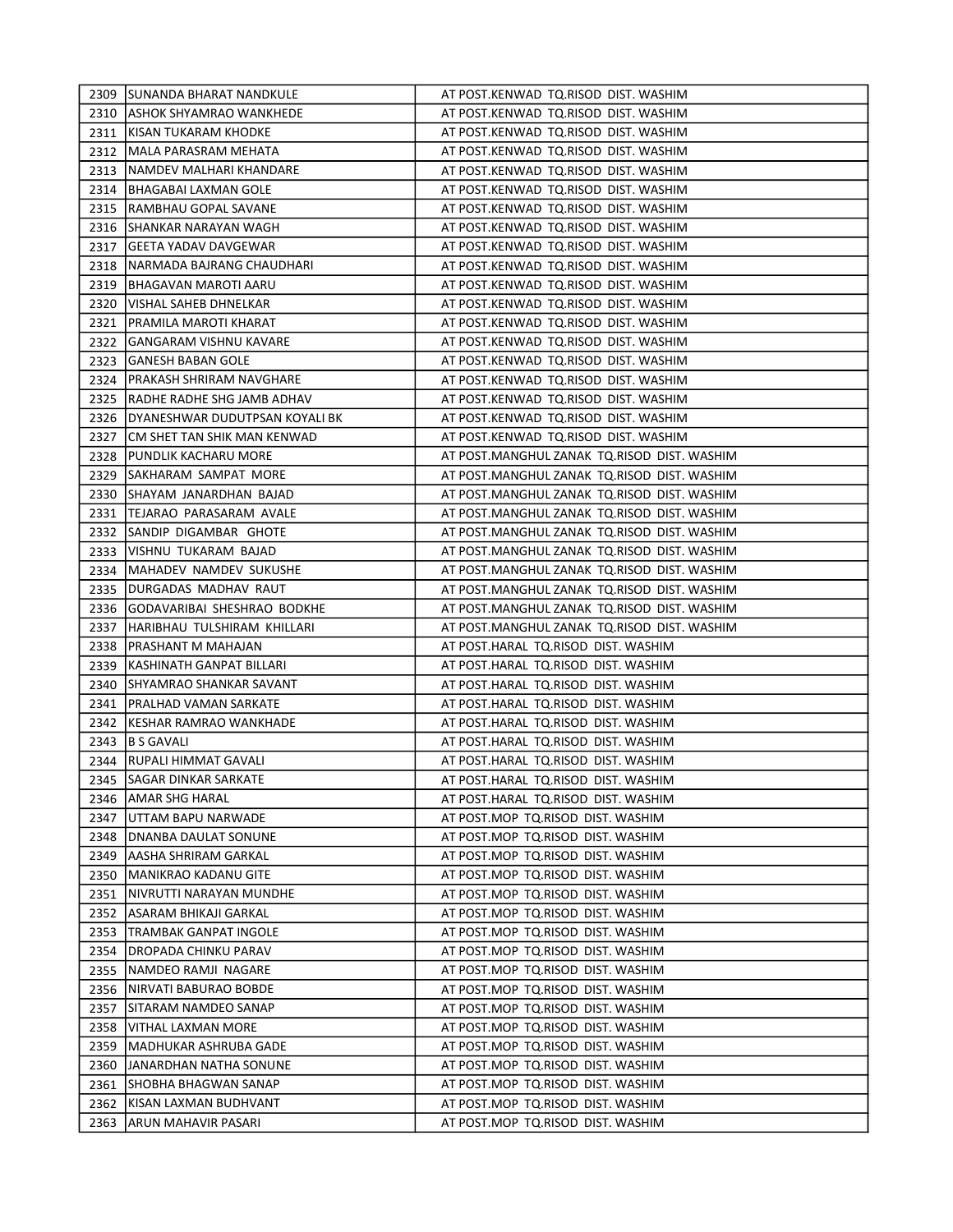|      | 2309   SUNANDA BHARAT NANDKULE      | AT POST.KENWAD TQ.RISOD DIST. WASHIM        |
|------|-------------------------------------|---------------------------------------------|
| 2310 | JASHOK SHYAMRAO WANKHEDE            | AT POST.KENWAD TQ.RISOD DIST. WASHIM        |
| 2311 | IKISAN TUKARAM KHODKE               | AT POST.KENWAD TQ.RISOD DIST. WASHIM        |
| 2312 | JMALA PARASRAM MEHATA               | AT POST.KENWAD TQ.RISOD DIST. WASHIM        |
| 2313 | NAMDEV MALHARI KHANDARE             | AT POST.KENWAD TQ.RISOD DIST. WASHIM        |
| 2314 | BHAGABAI LAXMAN GOLE                | AT POST.KENWAD TQ.RISOD DIST. WASHIM        |
|      | 2315  RAMBHAU GOPAL SAVANE          | AT POST.KENWAD TQ.RISOD DIST. WASHIM        |
|      | 2316 SHANKAR NARAYAN WAGH           | AT POST.KENWAD TQ.RISOD DIST. WASHIM        |
| 2317 | GEETA YADAV DAVGEWAR                | AT POST.KENWAD TQ.RISOD DIST. WASHIM        |
|      | 2318   NARMADA BAJRANG CHAUDHARI    | AT POST.KENWAD TQ.RISOD DIST. WASHIM        |
| 2319 | <b>BHAGAVAN MAROTI AARU</b>         | AT POST.KENWAD TQ.RISOD DIST. WASHIM        |
| 2320 | VISHAL SAHEB DHNELKAR               | AT POST.KENWAD TQ.RISOD DIST. WASHIM        |
| 2321 | PRAMILA MAROTI KHARAT               | AT POST.KENWAD TQ.RISOD DIST. WASHIM        |
| 2322 | <b>GANGARAM VISHNU KAVARE</b>       | AT POST.KENWAD TQ.RISOD DIST. WASHIM        |
| 2323 | <b>IGANESH BABAN GOLE</b>           | AT POST.KENWAD TQ.RISOD DIST. WASHIM        |
| 2324 | PRAKASH SHRIRAM NAVGHARE            | AT POST.KENWAD TQ.RISOD DIST. WASHIM        |
| 2325 | <b>RADHE RADHE SHG JAMB ADHAV</b>   | AT POST.KENWAD TQ.RISOD DIST. WASHIM        |
|      | 2326 DYANESHWAR DUDUTPSAN KOYALI BK | AT POST.KENWAD TQ.RISOD DIST. WASHIM        |
|      | 2327 CM SHET TAN SHIK MAN KENWAD    | AT POST.KENWAD TQ.RISOD DIST. WASHIM        |
|      | 2328 PUNDLIK KACHARU MORE           | AT POST.MANGHUL ZANAK TQ.RISOD DIST. WASHIM |
|      | 2329 ISAKHARAM SAMPAT MORE          | AT POST.MANGHUL ZANAK TQ.RISOD DIST. WASHIM |
|      | 2330 SHAYAM JANARDHAN BAJAD         | AT POST.MANGHUL ZANAK TQ.RISOD DIST. WASHIM |
|      | 2331  TEJARAO PARASARAM AVALE       | AT POST.MANGHUL ZANAK TQ.RISOD DIST. WASHIM |
|      | 2332 ISANDIP DIGAMBAR GHOTE         | AT POST.MANGHUL ZANAK TQ.RISOD DIST. WASHIM |
|      | 2333   VISHNU TUKARAM BAJAD         | AT POST.MANGHUL ZANAK TQ.RISOD DIST. WASHIM |
|      | 2334   MAHADEV NAMDEV SUKUSHE       | AT POST.MANGHUL ZANAK TQ.RISOD DIST. WASHIM |
|      | 2335   DURGADAS MADHAV RAUT         | AT POST.MANGHUL ZANAK TQ.RISOD DIST. WASHIM |
|      | 2336 GODAVARIBAI SHESHRAO BODKHE    | AT POST.MANGHUL ZANAK TQ.RISOD DIST. WASHIM |
|      | 2337  HARIBHAU TULSHIRAM KHILLARI   | AT POST.MANGHUL ZANAK TQ.RISOD DIST. WASHIM |
| 2338 | IPRASHANT M MAHAJAN                 | AT POST.HARAL TQ.RISOD DIST. WASHIM         |
|      | 2339   KASHINATH GANPAT BILLARI     | AT POST.HARAL TQ.RISOD DIST. WASHIM         |
| 2340 | SHYAMRAO SHANKAR SAVANT             | AT POST.HARAL TQ.RISOD DIST. WASHIM         |
|      | 2341 IPRALHAD VAMAN SARKATE         | AT POST.HARAL TQ.RISOD DIST. WASHIM         |
|      | 2342   KESHAR RAMRAO WANKHADE       | AT POST.HARAL TQ.RISOD DIST. WASHIM         |
| 2343 | <b>B S GAVALI</b>                   | AT POST.HARAL TQ.RISOD DIST. WASHIM         |
|      | 2344   RUPALI HIMMAT GAVALI         | AT POST.HARAL TQ.RISOD DIST. WASHIM         |
|      | 2345 SAGAR DINKAR SARKATE           | AT POST.HARAL TQ.RISOD DIST. WASHIM         |
|      | 2346   AMAR SHG HARAL               | AT POST.HARAL TQ.RISOD DIST. WASHIM         |
| 2347 | lUTTAM BAPU NARWADE                 | AT POST.MOP TQ.RISOD DIST. WASHIM           |
|      | 2348   DNANBA DAULAT SONUNE         | AT POST.MOP TQ.RISOD DIST. WASHIM           |
|      | 2349   AASHA SHRIRAM GARKAL         | AT POST.MOP TQ.RISOD DIST. WASHIM           |
|      | 2350   MANIKRAO KADANU GITE         | AT POST.MOP TQ.RISOD DIST. WASHIM           |
| 2351 | INIVRUTTI NARAYAN MUNDHE            | AT POST.MOP TQ.RISOD DIST. WASHIM           |
|      | 2352 ASARAM BHIKAJI GARKAL          | AT POST.MOP TQ.RISOD DIST. WASHIM           |
|      | 2353  TRAMBAK GANPAT INGOLE         | AT POST.MOP TQ.RISOD DIST. WASHIM           |
| 2354 | DROPADA CHINKU PARAV                | AT POST.MOP TQ.RISOD DIST. WASHIM           |
|      | 2355   NAMDEO RAMJI NAGARE          | AT POST.MOP TQ.RISOD DIST. WASHIM           |
|      | 2356   NIRVATI BABURAO BOBDE        | AT POST.MOP TQ.RISOD DIST. WASHIM           |
| 2357 | <b>SITARAM NAMDEO SANAP</b>         | AT POST.MOP TQ.RISOD DIST. WASHIM           |
|      | 2358   VITHAL LAXMAN MORE           | AT POST.MOP TQ.RISOD DIST. WASHIM           |
|      | 2359   MADHUKAR ASHRUBA GADE        | AT POST.MOP TQ.RISOD DIST. WASHIM           |
| 2360 | JJANARDHAN NATHA SONUNE             | AT POST.MOP TQ.RISOD DIST. WASHIM           |
| 2361 | ISHOBHA BHAGWAN SANAP               | AT POST.MOP TQ.RISOD DIST. WASHIM           |
| 2362 | KISAN LAXMAN BUDHVANT               | AT POST.MOP TQ.RISOD DIST. WASHIM           |
| 2363 | JARUN MAHAVIR PASARI                | AT POST.MOP TQ.RISOD DIST. WASHIM           |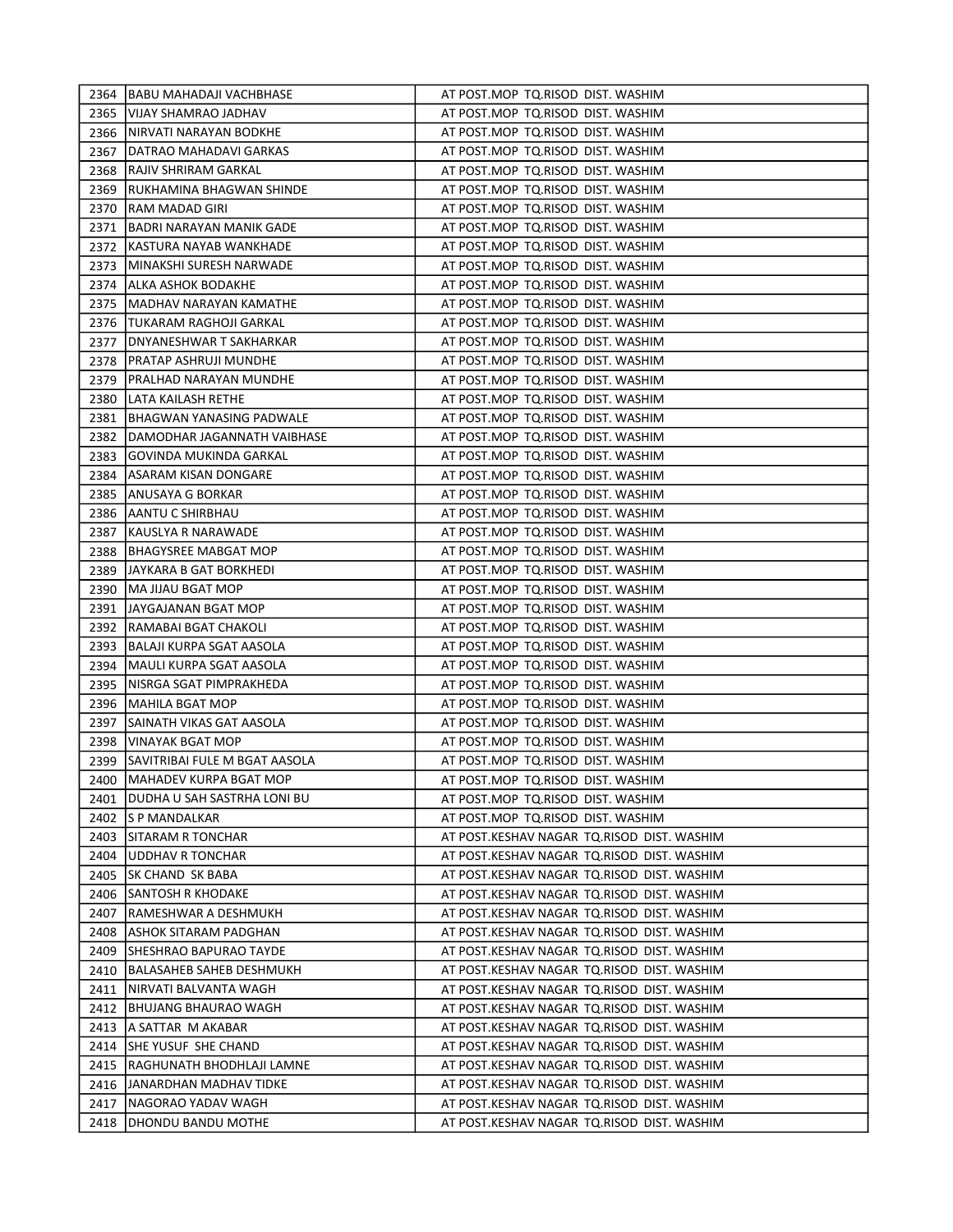|      | 2364   BABU MAHADAJI VACHBHASE      | AT POST.MOP TQ.RISOD DIST. WASHIM          |
|------|-------------------------------------|--------------------------------------------|
| 2365 | IVIJAY SHAMRAO JADHAV               | AT POST.MOP TQ.RISOD DIST. WASHIM          |
|      | 2366   NIRVATI NARAYAN BODKHE       | AT POST.MOP TQ.RISOD DIST. WASHIM          |
| 2367 | JDATRAO MAHADAVI GARKAS             | AT POST.MOP TQ.RISOD DIST. WASHIM          |
| 2368 | RAJIV SHRIRAM GARKAL                | AT POST.MOP TQ.RISOD DIST. WASHIM          |
| 2369 | JRUKHAMINA BHAGWAN SHINDE           | AT POST.MOP TQ.RISOD DIST. WASHIM          |
| 2370 | RAM MADAD GIRI                      | AT POST.MOP TQ.RISOD DIST. WASHIM          |
| 2371 | BADRI NARAYAN MANIK GADE            | AT POST.MOP TQ.RISOD DIST. WASHIM          |
| 2372 | IKASTURA NAYAB WANKHADE             | AT POST.MOP TQ.RISOD DIST. WASHIM          |
| 2373 | <b>IMINAKSHI SURESH NARWADE</b>     | AT POST.MOP TQ.RISOD DIST. WASHIM          |
|      | 2374 JALKA ASHOK BODAKHE            | AT POST.MOP TQ.RISOD DIST. WASHIM          |
|      | 2375   MADHAV NARAYAN KAMATHE       | AT POST.MOP TQ.RISOD DIST. WASHIM          |
|      | 2376   TUKARAM RAGHOJI GARKAL       | AT POST.MOP TQ.RISOD DIST. WASHIM          |
| 2377 | DNYANESHWAR T SAKHARKAR             | AT POST.MOP TQ.RISOD DIST. WASHIM          |
| 2378 | <b>IPRATAP ASHRUJI MUNDHE</b>       | AT POST.MOP TQ.RISOD DIST. WASHIM          |
| 2379 | JPRALHAD NARAYAN MUNDHE             | AT POST.MOP TQ.RISOD DIST. WASHIM          |
| 2380 | LATA KAILASH RETHE                  | AT POST.MOP TQ.RISOD DIST. WASHIM          |
| 2381 | <b>JBHAGWAN YANASING PADWALE</b>    | AT POST.MOP TQ.RISOD DIST. WASHIM          |
| 2382 | <b>IDAMODHAR JAGANNATH VAIBHASE</b> | AT POST.MOP TQ.RISOD DIST. WASHIM          |
| 2383 | <b>JGOVINDA MUKINDA GARKAL</b>      | AT POST.MOP TQ.RISOD DIST. WASHIM          |
|      | 2384   ASARAM KISAN DONGARE         | AT POST.MOP TQ.RISOD DIST. WASHIM          |
|      | 2385 ANUSAYA G BORKAR               | AT POST.MOP TQ.RISOD DIST. WASHIM          |
|      | 2386   AANTU C SHIRBHAU             | AT POST.MOP TQ.RISOD DIST. WASHIM          |
|      | 2387  KAUSLYA R NARAWADE            | AT POST.MOP TQ.RISOD DIST. WASHIM          |
|      | 2388   BHAGYSREE MABGAT MOP         | AT POST.MOP TQ.RISOD DIST. WASHIM          |
|      | 2389 JJAYKARA B GAT BORKHEDI        | AT POST.MOP TQ.RISOD DIST. WASHIM          |
| 2390 | <b>IMA JIJAU BGAT MOP</b>           | AT POST.MOP TQ.RISOD DIST. WASHIM          |
|      | 2391 JJAYGAJANAN BGAT MOP           | AT POST.MOP TQ.RISOD DIST. WASHIM          |
|      | 2392  RAMABAI BGAT CHAKOLI          | AT POST.MOP TQ.RISOD DIST. WASHIM          |
| 2393 | BALAJI KURPA SGAT AASOLA            | AT POST.MOP TQ.RISOD DIST. WASHIM          |
|      | 2394  MAULI KURPA SGAT AASOLA       | AT POST.MOP TQ.RISOD DIST. WASHIM          |
| 2395 | <b>INISRGA SGAT PIMPRAKHEDA</b>     | AT POST.MOP TQ.RISOD DIST. WASHIM          |
|      | 2396   MAHILA BGAT MOP              | AT POST.MOP TQ.RISOD DIST. WASHIM          |
|      | 2397 SAINATH VIKAS GAT AASOLA       | AT POST.MOP TQ.RISOD DIST. WASHIM          |
| 2398 | <b>IVINAYAK BGAT MOP</b>            | AT POST.MOP TQ.RISOD DIST. WASHIM          |
| 2399 | SAVITRIBAI FULE M BGAT AASOLA       | AT POST.MOP TQ.RISOD DIST. WASHIM          |
|      | 2400 MAHADEV KURPA BGAT MOP         | AT POST.MOP TQ.RISOD DIST. WASHIM          |
|      | 2401   DUDHA U SAH SASTRHA LONI BU  | AT POST.MOP TQ.RISOD DIST. WASHIM          |
| 2402 | <b>S P MANDALKAR</b>                | AT POST.MOP TQ.RISOD DIST. WASHIM          |
|      | 2403 SITARAM R TONCHAR              | AT POST.KESHAV NAGAR TQ.RISOD DIST. WASHIM |
| 2404 | <b>JUDDHAV R TONCHAR</b>            | AT POST.KESHAV NAGAR TQ.RISOD DIST. WASHIM |
| 2405 | <b>SK CHAND SK BABA</b>             | AT POST.KESHAV NAGAR TQ.RISOD DIST. WASHIM |
| 2406 | <b>SANTOSH R KHODAKE</b>            | AT POST.KESHAV NAGAR TQ.RISOD DIST. WASHIM |
| 2407 | <b>IRAMESHWAR A DESHMUKH</b>        | AT POST.KESHAV NAGAR TQ.RISOD DIST. WASHIM |
| 2408 | JASHOK SITARAM PADGHAN              | AT POST.KESHAV NAGAR TQ.RISOD DIST. WASHIM |
| 2409 | <b>ISHESHRAO BAPURAO TAYDE</b>      | AT POST.KESHAV NAGAR TQ.RISOD DIST. WASHIM |
|      | 2410 BALASAHEB SAHEB DESHMUKH       | AT POST.KESHAV NAGAR TQ.RISOD DIST. WASHIM |
|      | 2411  NIRVATI BALVANTA WAGH         | AT POST.KESHAV NAGAR TQ.RISOD DIST. WASHIM |
|      | 2412   BHUJANG BHAURAO WAGH         | AT POST.KESHAV NAGAR TQ.RISOD DIST. WASHIM |
|      | 2413   A SATTAR M AKABAR            | AT POST.KESHAV NAGAR TQ.RISOD DIST. WASHIM |
|      | 2414 SHE YUSUF SHE CHAND            | AT POST.KESHAV NAGAR TQ.RISOD DIST. WASHIM |
|      | 2415   RAGHUNATH BHODHLAJI LAMNE    | AT POST.KESHAV NAGAR TQ.RISOD DIST. WASHIM |
|      | 2416 JJANARDHAN MADHAV TIDKE        | AT POST.KESHAV NAGAR TQ.RISOD DIST. WASHIM |
| 2417 | NAGORAO YADAV WAGH                  | AT POST.KESHAV NAGAR TQ.RISOD DIST. WASHIM |
| 2418 | IDHONDU BANDU MOTHE                 | AT POST.KESHAV NAGAR TQ.RISOD DIST. WASHIM |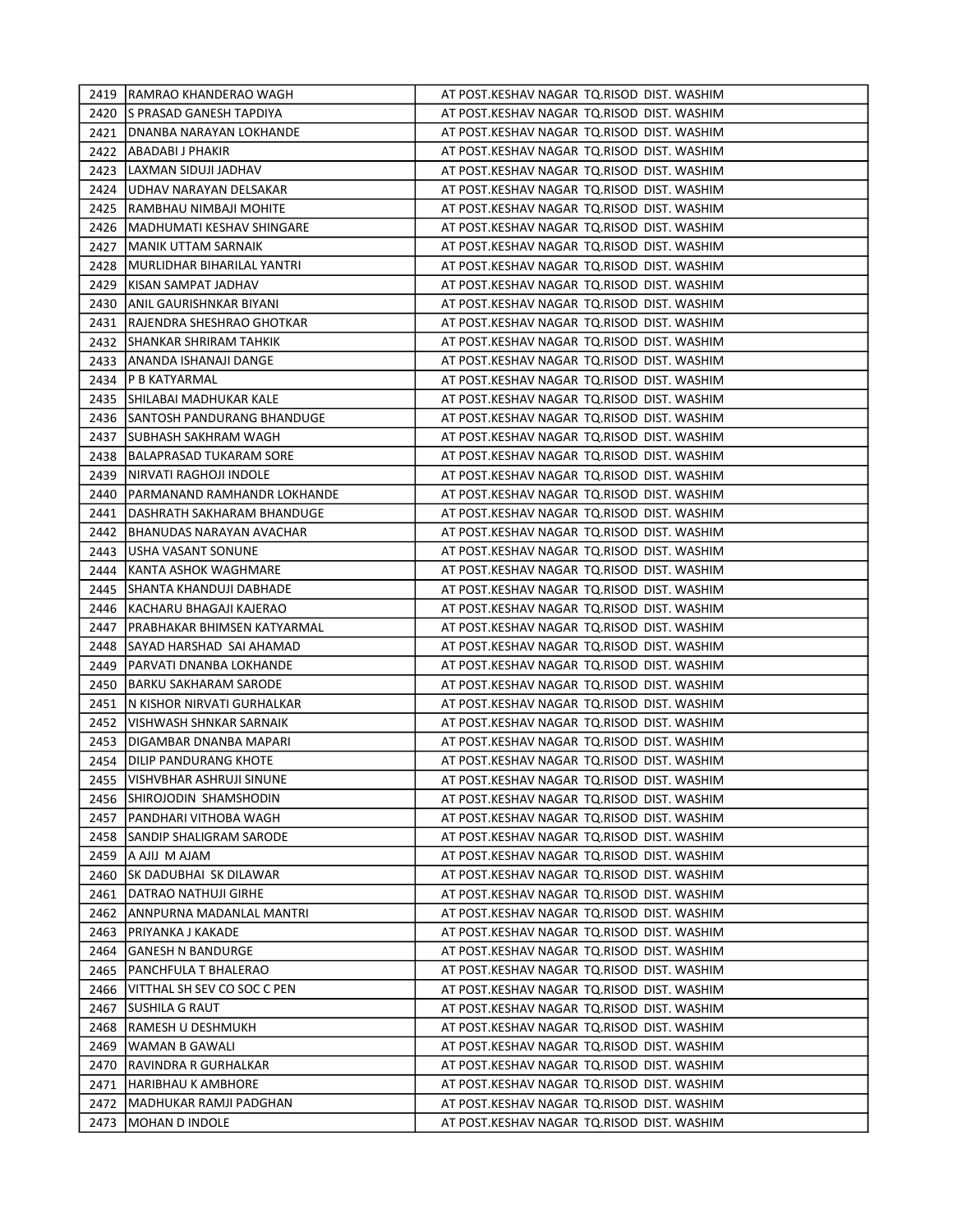|      | 2419  RAMRAO KHANDERAO WAGH        | AT POST.KESHAV NAGAR TQ.RISOD DIST. WASHIM |
|------|------------------------------------|--------------------------------------------|
|      | 2420 IS PRASAD GANESH TAPDIYA      | AT POST.KESHAV NAGAR TQ.RISOD DIST. WASHIM |
|      | 2421 IDNANBA NARAYAN LOKHANDE      | AT POST.KESHAV NAGAR TQ.RISOD DIST. WASHIM |
|      | 2422   ABADABI J PHAKIR            | AT POST.KESHAV NAGAR TQ.RISOD DIST. WASHIM |
|      | 2423 ILAXMAN SIDUJI JADHAV         | AT POST.KESHAV NAGAR TQ.RISOD DIST. WASHIM |
| 2424 | JUDHAV NARAYAN DELSAKAR            | AT POST.KESHAV NAGAR TQ.RISOD DIST. WASHIM |
|      | 2425   RAMBHAU NIMBAJI MOHITE      | AT POST.KESHAV NAGAR TQ.RISOD DIST. WASHIM |
|      | 2426   MADHUMATI KESHAV SHINGARE   | AT POST.KESHAV NAGAR TQ.RISOD DIST. WASHIM |
| 2427 | <b>IMANIK UTTAM SARNAIK</b>        | AT POST.KESHAV NAGAR TQ.RISOD DIST. WASHIM |
|      | 2428   MURLIDHAR BIHARILAL YANTRI  | AT POST.KESHAV NAGAR TQ.RISOD DIST. WASHIM |
|      | 2429 KISAN SAMPAT JADHAV           | AT POST.KESHAV NAGAR TQ.RISOD DIST. WASHIM |
|      | 2430 JANIL GAURISHNKAR BIYANI      | AT POST.KESHAV NAGAR TQ.RISOD DIST. WASHIM |
| 2431 | IRAJENDRA SHESHRAO GHOTKAR         | AT POST.KESHAV NAGAR TQ.RISOD DIST. WASHIM |
|      | 2432 ISHANKAR SHRIRAM TAHKIK       | AT POST.KESHAV NAGAR TQ.RISOD DIST. WASHIM |
|      | 2433   ANANDA ISHANAJI DANGE       | AT POST.KESHAV NAGAR TQ.RISOD DIST. WASHIM |
|      | 2434 IP B KATYARMAL                | AT POST.KESHAV NAGAR TQ.RISOD DIST. WASHIM |
|      | 2435 SHILABAI MADHUKAR KALE        | AT POST.KESHAV NAGAR TQ.RISOD DIST. WASHIM |
|      | 2436   SANTOSH PANDURANG BHANDUGE  | AT POST.KESHAV NAGAR TQ.RISOD DIST. WASHIM |
|      | 2437 ISUBHASH SAKHRAM WAGH         | AT POST.KESHAV NAGAR TQ.RISOD DIST. WASHIM |
|      | 2438 BALAPRASAD TUKARAM SORE       | AT POST.KESHAV NAGAR TQ.RISOD DIST. WASHIM |
|      | 2439   NIRVATI RAGHOJI INDOLE      | AT POST.KESHAV NAGAR TQ.RISOD DIST. WASHIM |
|      | 2440   PARMANAND RAMHANDR LOKHANDE | AT POST.KESHAV NAGAR TQ.RISOD DIST. WASHIM |
|      | 2441   DASHRATH SAKHARAM BHANDUGE  | AT POST.KESHAV NAGAR TQ.RISOD DIST. WASHIM |
|      | 2442 IBHANUDAS NARAYAN AVACHAR     | AT POST.KESHAV NAGAR TQ.RISOD DIST. WASHIM |
|      | 2443 JUSHA VASANT SONUNE           | AT POST.KESHAV NAGAR TQ.RISOD DIST. WASHIM |
|      | 2444   KANTA ASHOK WAGHMARE        | AT POST.KESHAV NAGAR TQ.RISOD DIST. WASHIM |
|      | 2445 ISHANTA KHANDUJI DABHADE      | AT POST.KESHAV NAGAR TQ.RISOD DIST. WASHIM |
|      | 2446 KACHARU BHAGAJI KAJERAO       | AT POST.KESHAV NAGAR TQ.RISOD DIST. WASHIM |
|      | 2447   PRABHAKAR BHIMSEN KATYARMAL | AT POST.KESHAV NAGAR TQ.RISOD DIST. WASHIM |
|      | 2448 ISAYAD HARSHAD SAI AHAMAD     | AT POST.KESHAV NAGAR TQ.RISOD DIST. WASHIM |
|      | 2449   PARVATI DNANBA LOKHANDE     | AT POST.KESHAV NAGAR TQ.RISOD DIST. WASHIM |
| 2450 | JBARKU SAKHARAM SARODE             | AT POST.KESHAV NAGAR TQ.RISOD DIST. WASHIM |
| 2451 | IN KISHOR NIRVATI GURHALKAR        | AT POST.KESHAV NAGAR TQ.RISOD DIST. WASHIM |
| 2452 | JVISHWASH SHNKAR SARNAIK           | AT POST.KESHAV NAGAR TQ.RISOD DIST. WASHIM |
| 2453 | JDIGAMBAR DNANBA MAPARI            | AT POST.KESHAV NAGAR TQ.RISOD DIST. WASHIM |
|      | 2454 DILIP PANDURANG KHOTE         | AT POST.KESHAV NAGAR TQ.RISOD DIST. WASHIM |
|      | 2455   VISHVBHAR ASHRUJI SINUNE    | AT POST.KESHAV NAGAR TO.RISOD DIST. WASHIM |
| 2456 | SHIROJODIN SHAMSHODIN              | AT POST.KESHAV NAGAR TQ.RISOD DIST. WASHIM |
| 2457 | PANDHARI VITHOBA WAGH              | AT POST.KESHAV NAGAR TO.RISOD DIST. WASHIM |
|      | 2458 SANDIP SHALIGRAM SARODE       | AT POST.KESHAV NAGAR TQ.RISOD DIST. WASHIM |
| 2459 | A AJIJ M AJAM                      | AT POST.KESHAV NAGAR TQ.RISOD DIST. WASHIM |
| 2460 | SK DADUBHAI SK DILAWAR             | AT POST.KESHAV NAGAR TQ.RISOD DIST. WASHIM |
| 2461 | DATRAO NATHUJI GIRHE               | AT POST.KESHAV NAGAR TQ.RISOD DIST. WASHIM |
| 2462 | JANNPURNA MADANLAL MANTRI          | AT POST.KESHAV NAGAR TQ.RISOD DIST. WASHIM |
| 2463 | PRIYANKA J KAKADE                  | AT POST.KESHAV NAGAR TQ.RISOD DIST. WASHIM |
| 2464 | GANESH N BANDURGE                  | AT POST.KESHAV NAGAR TQ.RISOD DIST. WASHIM |
| 2465 | PANCHFULA T BHALERAO               | AT POST.KESHAV NAGAR TQ.RISOD DIST. WASHIM |
| 2466 | VITTHAL SH SEV CO SOC C PEN        | AT POST.KESHAV NAGAR TQ.RISOD DIST. WASHIM |
| 2467 | <b>SUSHILA G RAUT</b>              | AT POST.KESHAV NAGAR TQ.RISOD DIST. WASHIM |
| 2468 | IRAMESH U DESHMUKH                 | AT POST.KESHAV NAGAR TQ.RISOD DIST. WASHIM |
| 2469 | WAMAN B GAWALI                     | AT POST.KESHAV NAGAR TQ.RISOD DIST. WASHIM |
|      | 2470   RAVINDRA R GURHALKAR        | AT POST.KESHAV NAGAR TQ.RISOD DIST. WASHIM |
| 2471 | HARIBHAU K AMBHORE                 | AT POST.KESHAV NAGAR TQ.RISOD DIST. WASHIM |
| 2472 | MADHUKAR RAMJI PADGHAN             | AT POST.KESHAV NAGAR TQ.RISOD DIST. WASHIM |
| 2473 | MOHAN D INDOLE                     | AT POST.KESHAV NAGAR TQ.RISOD DIST. WASHIM |
|      |                                    |                                            |